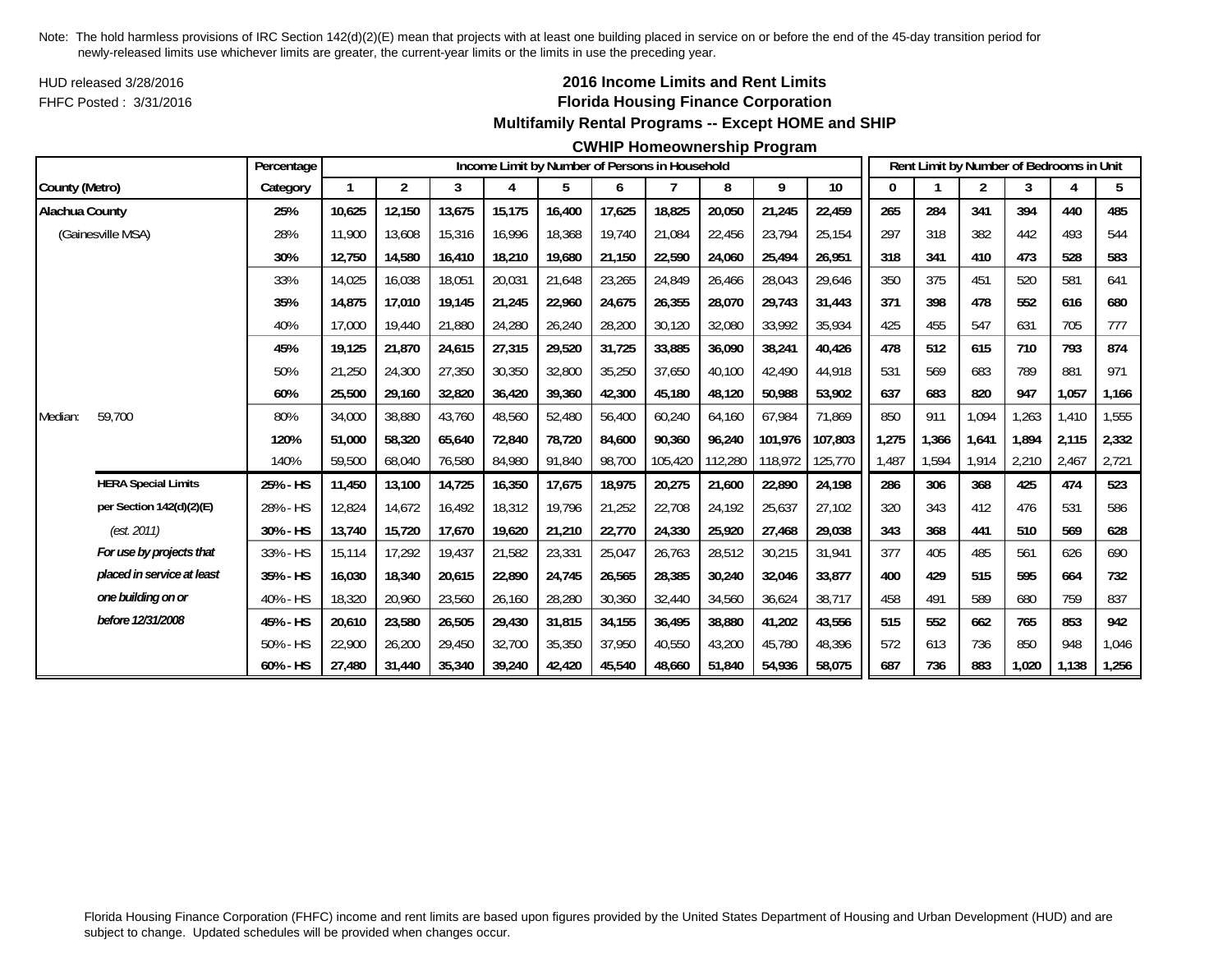HUD released 3/28/2016FHFC Posted : 3/31/2016

## **2016 Income Limits and Rent Limits Florida Housing Finance Corporation Multifamily Rental Programs -- Except HOME and SHIP**

#### **CWHIP Homeownership Program**

|                       |                            | Percentage |        |                |        |        |        |        | Income Limit by Number of Persons in Household |         |         |         |       |       |                | Rent Limit by Number of Bedrooms in Unit |       |       |
|-----------------------|----------------------------|------------|--------|----------------|--------|--------|--------|--------|------------------------------------------------|---------|---------|---------|-------|-------|----------------|------------------------------------------|-------|-------|
| County (Metro)        |                            | Category   |        | $\overline{2}$ | 3      | 4      | 5      | 6      | 7                                              | 8       | 9       | 10      | 0     |       | $\overline{2}$ | 3                                        |       | 5     |
| <b>Alachua County</b> |                            | 25%        | 10,625 | 12,150         | 13,675 | 15,175 | 16,400 | 17,625 | 18,825                                         | 20,050  | 21,245  | 22,459  | 265   | 284   | 341            | 394                                      | 440   | 485   |
|                       | (Gainesville MSA)          | 28%        | 11.900 | 13,608         | 15,316 | 16,996 | 18,368 | 19,740 | 21,084                                         | 22,456  | 23,794  | 25,154  | 297   | 318   | 382            | 442                                      | 493   | 544   |
|                       |                            | 30%        | 12,750 | 14,580         | 16,410 | 18,210 | 19,680 | 21,150 | 22,590                                         | 24,060  | 25,494  | 26.951  | 318   | 341   | 410            | 473                                      | 528   | 583   |
|                       |                            | 33%        | 14,025 | 16,038         | 18,051 | 20,031 | 21,648 | 23,265 | 24,849                                         | 26,466  | 28,043  | 29,646  | 350   | 375   | 451            | 520                                      | 581   | 641   |
|                       |                            | 35%        | 14,875 | 17,010         | 19,145 | 21,245 | 22,960 | 24,675 | 26,355                                         | 28,070  | 29,743  | 31,443  | 371   | 398   | 478            | 552                                      | 616   | 680   |
|                       |                            | 40%        | 17,000 | 19,440         | 21,880 | 24,280 | 26,240 | 28,200 | 30,120                                         | 32,080  | 33,992  | 35,934  | 425   | 455   | 547            | 631                                      | 705   | 777   |
|                       |                            | 45%        | 19,125 | 21,870         | 24,615 | 27,315 | 29,520 | 31,725 | 33,885                                         | 36,090  | 38,241  | 40,426  | 478   | 512   | 615            | 710                                      | 793   | 874   |
|                       |                            | 50%        | 21,250 | 24,300         | 27,350 | 30,350 | 32,800 | 35,250 | 37,650                                         | 40,100  | 42,490  | 44,918  | 531   | 569   | 683            | 789                                      | 881   | 971   |
|                       |                            | 60%        | 25,500 | 29,160         | 32,820 | 36,420 | 39,360 | 42,300 | 45,180                                         | 48,120  | 50,988  | 53,902  | 637   | 683   | 820            | 947                                      | 1,057 | 1,166 |
| Median:               | 59,700                     | 80%        | 34,000 | 38,880         | 43,760 | 48,560 | 52,480 | 56,400 | 60,240                                         | 64,160  | 67,984  | 71,869  | 850   | 911   | 1,094          | 1,263                                    | 1,410 | 1,555 |
|                       |                            | 120%       | 51,000 | 58,320         | 65,640 | 72,840 | 78,720 | 84,600 | 90,360                                         | 96,240  | 101.976 | 107,803 | 1,275 | 1,366 | 1,641          | 1.894                                    | 2,115 | 2,332 |
|                       |                            | 140%       | 59,500 | 68,040         | 76,580 | 84,980 | 91,840 | 98,700 | 105,420                                        | 112,280 | 118,972 | 125,770 | 1,487 | 1,594 | 1,914          | 2,210                                    | 2,467 | 2,721 |
|                       | <b>HERA Special Limits</b> | 25% - HS   | 11,450 | 13,100         | 14,725 | 16,350 | 17,675 | 18,975 | 20,275                                         | 21,600  | 22,890  | 24,198  | 286   | 306   | 368            | 425                                      | 474   | 523   |
|                       | per Section 142(d)(2)(E)   | 28% - HS   | 12,824 | 14,672         | 16,492 | 18,312 | 19,796 | 21,252 | 22,708                                         | 24,192  | 25,637  | 27,102  | 320   | 343   | 412            | 476                                      | 531   | 586   |
|                       | (est. 2011)                | 30% - HS   | 13,740 | 15,720         | 17,670 | 19,620 | 21,210 | 22,770 | 24,330                                         | 25,920  | 27,468  | 29,038  | 343   | 368   | 441            | 510                                      | 569   | 628   |
|                       | For use by projects that   | 33% - HS   | 15.114 | 17,292         | 19,437 | 21,582 | 23,331 | 25,047 | 26,763                                         | 28,512  | 30,215  | 31,941  | 377   | 405   | 485            | 561                                      | 626   | 690   |
|                       | placed in service at least | 35% - HS   | 16,030 | 18,340         | 20,615 | 22,890 | 24,745 | 26,565 | 28,385                                         | 30,240  | 32,046  | 33,877  | 400   | 429   | 515            | 595                                      | 664   | 732   |
|                       | one building on or         | 40% - HS   | 18,320 | 20,960         | 23,560 | 26,160 | 28,280 | 30,360 | 32,440                                         | 34,560  | 36,624  | 38,717  | 458   | 491   | 589            | 680                                      | 759   | 837   |
|                       | before 12/31/2008          | 45% - HS   | 20,610 | 23,580         | 26,505 | 29,430 | 31,815 | 34,155 | 36,495                                         | 38,880  | 41,202  | 43,556  | 515   | 552   | 662            | 765                                      | 853   | 942   |
|                       |                            | 50% - HS   | 22,900 | 26,200         | 29,450 | 32,700 | 35,350 | 37,950 | 40,550                                         | 43,200  | 45,780  | 48,396  | 572   | 613   | 736            | 850                                      | 948   | 1,046 |
|                       |                            | 60% - HS   | 27.480 | 31,440         | 35,340 | 39,240 | 42,420 | 45,540 | 48.660                                         | 51.840  | 54,936  | 58,075  | 687   | 736   | 883            | 1,020                                    | 1,138 | 1,256 |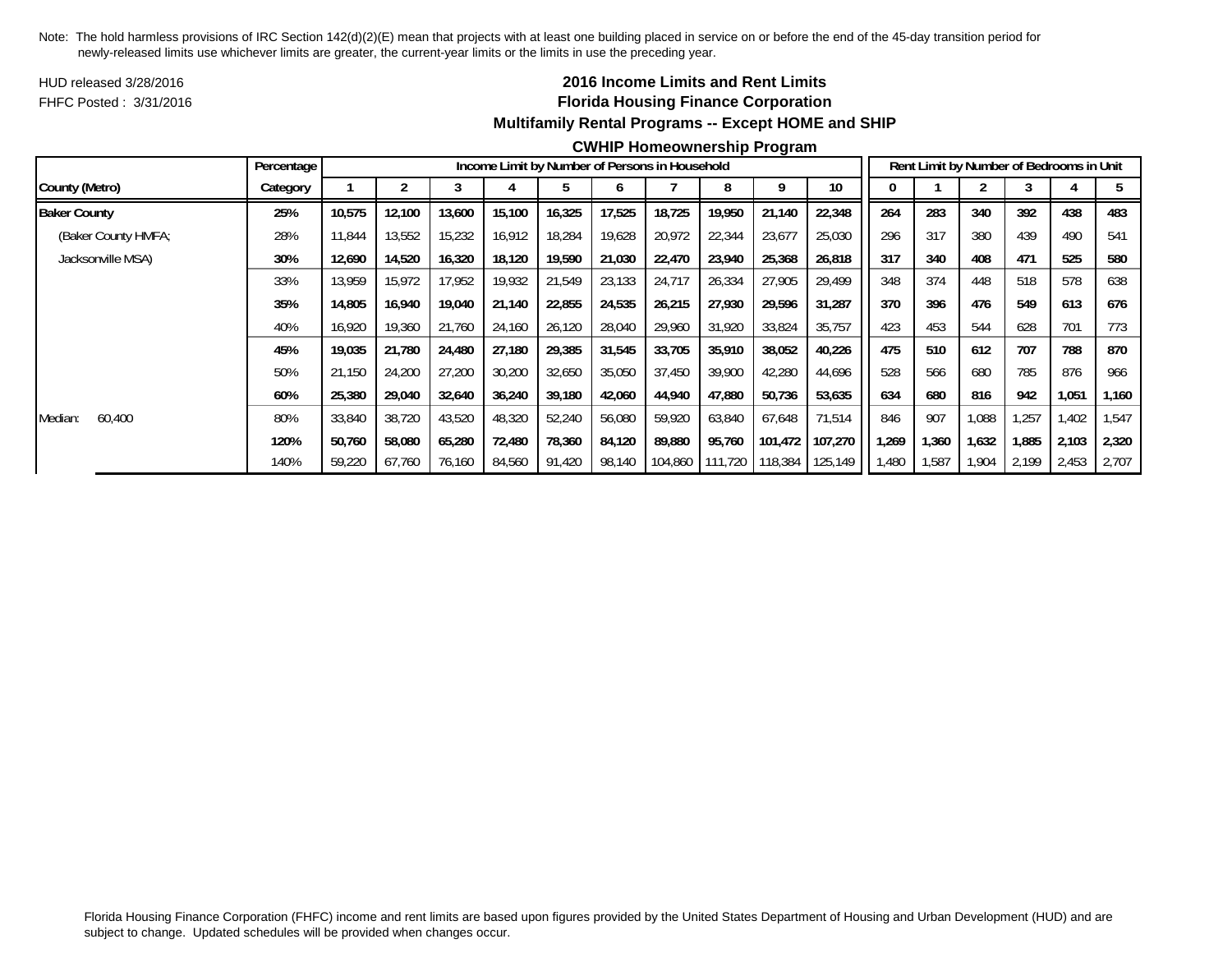HUD released 3/28/2016FHFC Posted : 3/31/2016

## **2016 Income Limits and Rent Limits Florida Housing Finance Corporation Multifamily Rental Programs -- Except HOME and SHIP**

#### **CWHIP Homeownership Program**

|                     | Percentage |        |        |        |        | Income Limit by Number of Persons in Household |        |        |                 |         |         |      |       |       | Rent Limit by Number of Bedrooms in Unit |       |       |
|---------------------|------------|--------|--------|--------|--------|------------------------------------------------|--------|--------|-----------------|---------|---------|------|-------|-------|------------------------------------------|-------|-------|
| County (Metro)      | Category   |        |        |        |        |                                                |        |        |                 |         | 10      |      |       |       |                                          |       |       |
| <b>Baker County</b> | 25%        | 10,575 | 12,100 | 13,600 | 15,100 | 16,325                                         | 17,525 | 18,725 | 19,950          | 21,140  | 22,348  | 264  | 283   | 340   | 392                                      | 438   | 483   |
| (Baker County HMFA; | 28%        | 11,844 | 13,552 | 15,232 | 16,912 | 18,284                                         | 19,628 | 20,972 | 22,344          | 23,677  | 25,030  | 296  | 317   | 380   | 439                                      | 490   | 541   |
| Jacksonville MSA)   | 30%        | 12,690 | 14,520 | 16,320 | 18.120 | 19,590                                         | 21,030 | 22,470 | 23,940          | 25,368  | 26,818  | 317  | 340   | 408   | 471                                      | 525   | 580   |
|                     | 33%        | 13.959 | 15.972 | 17,952 | 19,932 | 21,549                                         | 23,133 | 24,717 | 26,334          | 27,905  | 29,499  | 348  | 374   | 448   | 518                                      | 578   | 638   |
|                     | 35%        | 14,805 | 16,940 | 19,040 | 21,140 | 22,855                                         | 24,535 | 26,215 | 27,930          | 29,596  | 31,287  | 370  | 396   | 476   | 549                                      | 613   | 676   |
|                     | 40%        | 16,920 | 19,360 | 21,760 | 24,160 | 26,120                                         | 28,040 | 29,960 | 31,920          | 33,824  | 35,757  | 423  | 453   | 544   | 628                                      | 701   | 773   |
|                     | 45%        | 19.035 | 21.780 | 24,480 | 27,180 | 29,385                                         | 31,545 | 33.705 | 35,910          | 38,052  | 40,226  | 475  | 510   | 612   | 707                                      | 788   | 870   |
|                     | 50%        | 21,150 | 24,200 | 27,200 | 30,200 | 32,650                                         | 35,050 | 37,450 | 39,900          | 42,280  | 44,696  | 528  | 566   | 680   | 785                                      | 876   | 966   |
|                     | 60%        | 25,380 | 29,040 | 32,640 | 36,240 | 39,180                                         | 42,060 | 44,940 | 47,880          | 50,736  | 53,635  | 634  | 680   | 816   | 942                                      | 1,051 | 1،160 |
| 60,400<br>Median:   | 80%        | 33,840 | 38.720 | 43,520 | 48,320 | 52,240                                         | 56,080 | 59.920 | 63,840          | 67,648  | 71,514  | 846  | 907   | 1,088 | .257                                     | .402  | 1,547 |
|                     | 120%       | 50,760 | 58,080 | 65,280 | 72,480 | 78,360                                         | 84,120 | 89,880 | 95,760          | 101,472 | 107,270 | ,269 | 1,360 | 1,632 | 1,885                                    | 2,103 | 2,320 |
|                     | 140%       | 59,220 | 67,760 | 76,160 | 84,560 | 91,420                                         | 98,140 |        | 104,860 111,720 | 118,384 | 125,149 | ,480 | 1,587 | 1,904 | 2,199                                    | 2,453 | 2,707 |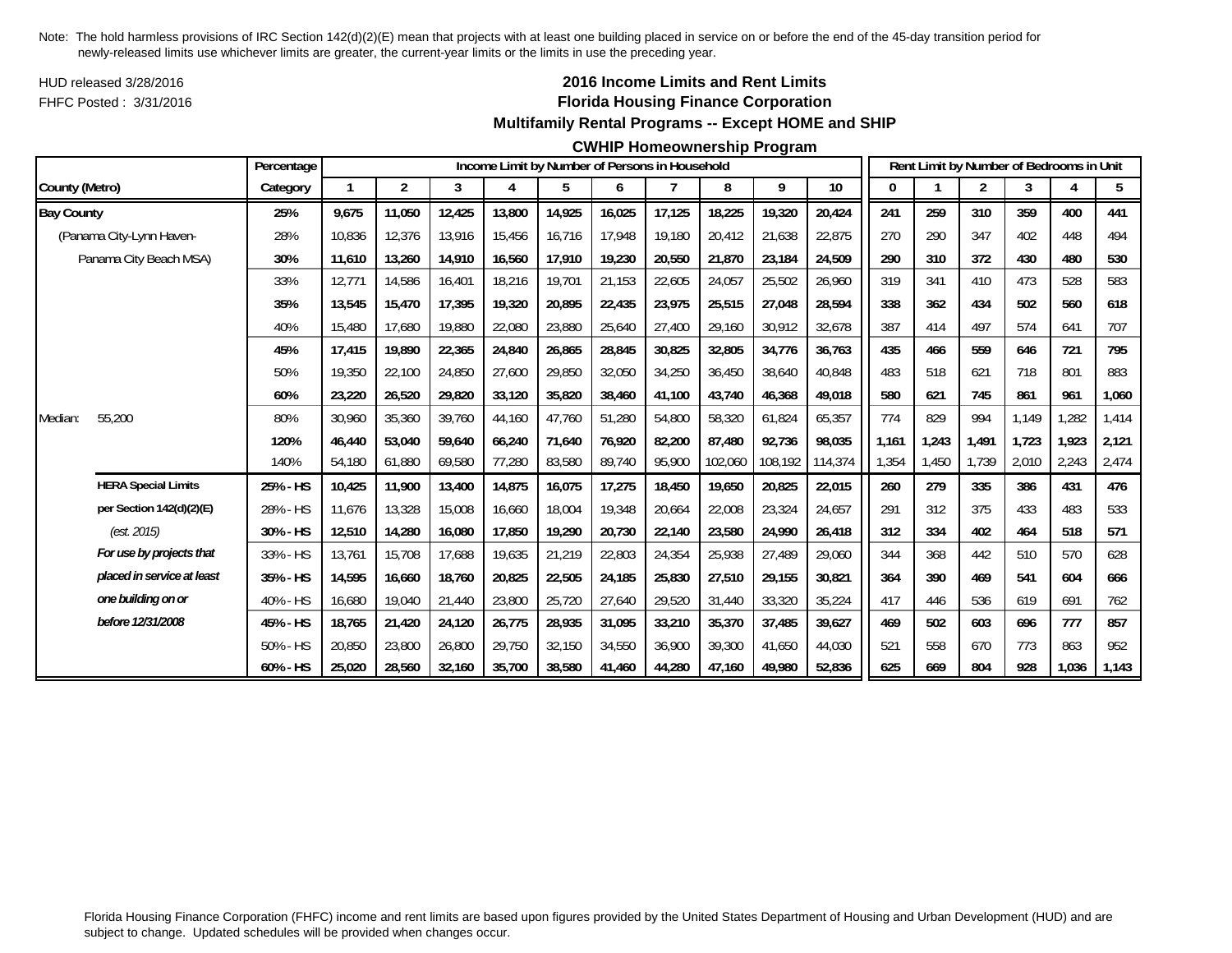HUD released 3/28/2016FHFC Posted : 3/31/2016

## **2016 Income Limits and Rent Limits Florida Housing Finance Corporation Multifamily Rental Programs -- Except HOME and SHIP**

#### **CWHIP Homeownership Program**

|                   |                            | Percentage |        |        |        |        |        |        | Income Limit by Number of Persons in Household |         |         |         |       |       |       |       | Rent Limit by Number of Bedrooms in Unit |       |
|-------------------|----------------------------|------------|--------|--------|--------|--------|--------|--------|------------------------------------------------|---------|---------|---------|-------|-------|-------|-------|------------------------------------------|-------|
| County (Metro)    |                            | Category   |        | 2      | 3      | 4      | 5      | 6      | 7                                              | 8       | 9       | 10      | 0     |       | 2     | 3     | 4                                        | 5     |
| <b>Bay County</b> |                            | 25%        | 9,675  | 11,050 | 12,425 | 13,800 | 14,925 | 16,025 | 17,125                                         | 18,225  | 19,320  | 20,424  | 241   | 259   | 310   | 359   | 400                                      | 441   |
|                   | (Panama City-Lynn Haven-   | 28%        | 10.836 | 12,376 | 13.916 | 15,456 | 16,716 | 17.948 | 19.180                                         | 20,412  | 21,638  | 22,875  | 270   | 290   | 347   | 402   | 448                                      | 494   |
|                   | Panama City Beach MSA)     | 30%        | 11,610 | 13,260 | 14,910 | 16,560 | 17,910 | 19,230 | 20,550                                         | 21,870  | 23,184  | 24,509  | 290   | 310   | 372   | 430   | 480                                      | 530   |
|                   |                            | 33%        | 12,771 | 14,586 | 16,401 | 18,216 | 19,701 | 21,153 | 22,605                                         | 24,057  | 25,502  | 26,960  | 319   | 341   | 410   | 473   | 528                                      | 583   |
|                   |                            | 35%        | 13,545 | 15,470 | 17,395 | 19,320 | 20,895 | 22,435 | 23,975                                         | 25,515  | 27,048  | 28,594  | 338   | 362   | 434   | 502   | 560                                      | 618   |
|                   |                            | 40%        | 15,480 | 17,680 | 19,880 | 22,080 | 23,880 | 25,640 | 27,400                                         | 29,160  | 30,912  | 32,678  | 387   | 414   | 497   | 574   | 641                                      | 707   |
|                   |                            | 45%        | 17,415 | 19,890 | 22,365 | 24,840 | 26,865 | 28,845 | 30,825                                         | 32,805  | 34,776  | 36,763  | 435   | 466   | 559   | 646   | 721                                      | 795   |
|                   |                            | 50%        | 19,350 | 22,100 | 24,850 | 27,600 | 29,850 | 32,050 | 34,250                                         | 36,450  | 38,640  | 40,848  | 483   | 518   | 621   | 718   | 801                                      | 883   |
|                   |                            | 60%        | 23,220 | 26,520 | 29,820 | 33,120 | 35,820 | 38,460 | 41,100                                         | 43,740  | 46,368  | 49,018  | 580   | 621   | 745   | 861   | 961                                      | 1,060 |
| Median:           | 55,200                     | 80%        | 30,960 | 35,360 | 39,760 | 44,160 | 47,760 | 51,280 | 54,800                                         | 58,320  | 61,824  | 65,357  | 774   | 829   | 994   | 1,149 | 1,282                                    | 1,414 |
|                   |                            | 120%       | 46.440 | 53,040 | 59.640 | 66,240 | 71,640 | 76,920 | 82,200                                         | 87.480  | 92.736  | 98.035  | 1.161 | 1,243 | 1.491 | 1.723 | 1,923                                    | 2,121 |
|                   |                            | 140%       | 54,180 | 61,880 | 69,580 | 77,280 | 83,580 | 89,740 | 95,900                                         | 102,060 | 108,192 | 114,374 | 1,354 | 1,450 | 1,739 | 2,010 | 2,243                                    | 2,474 |
|                   | <b>HERA Special Limits</b> | 25% - HS   | 10,425 | 11,900 | 13,400 | 14,875 | 16,075 | 17,275 | 18,450                                         | 19,650  | 20,825  | 22,015  | 260   | 279   | 335   | 386   | 431                                      | 476   |
|                   | per Section 142(d)(2)(E)   | 28% - HS   | 11,676 | 13,328 | 15,008 | 16,660 | 18,004 | 19,348 | 20,664                                         | 22,008  | 23,324  | 24,657  | 291   | 312   | 375   | 433   | 483                                      | 533   |
|                   | (est. 2015)                | 30% - HS   | 12,510 | 14,280 | 16,080 | 17,850 | 19,290 | 20,730 | 22,140                                         | 23,580  | 24,990  | 26,418  | 312   | 334   | 402   | 464   | 518                                      | 571   |
|                   | For use by projects that   | 33% - HS   | 13,761 | 15,708 | 17,688 | 19,635 | 21,219 | 22,803 | 24,354                                         | 25,938  | 27,489  | 29,060  | 344   | 368   | 442   | 510   | 570                                      | 628   |
|                   | placed in service at least | 35% - HS   | 14,595 | 16,660 | 18,760 | 20,825 | 22,505 | 24,185 | 25,830                                         | 27,510  | 29,155  | 30,821  | 364   | 390   | 469   | 541   | 604                                      | 666   |
|                   | one building on or         | 40% - HS   | 16,680 | 19,040 | 21,440 | 23,800 | 25,720 | 27,640 | 29,520                                         | 31,440  | 33,320  | 35,224  | 417   | 446   | 536   | 619   | 691                                      | 762   |
|                   | before 12/31/2008          | 45% - HS   | 18,765 | 21,420 | 24,120 | 26,775 | 28,935 | 31,095 | 33,210                                         | 35,370  | 37,485  | 39,627  | 469   | 502   | 603   | 696   | 777                                      | 857   |
|                   |                            | 50% - HS   | 20,850 | 23,800 | 26.800 | 29,750 | 32,150 | 34,550 | 36,900                                         | 39,300  | 41,650  | 44,030  | 521   | 558   | 670   | 773   | 863                                      | 952   |
|                   |                            | 60% - HS   | 25,020 | 28,560 | 32,160 | 35,700 | 38,580 | 41,460 | 44,280                                         | 47,160  | 49,980  | 52,836  | 625   | 669   | 804   | 928   | 1,036                                    | 1,143 |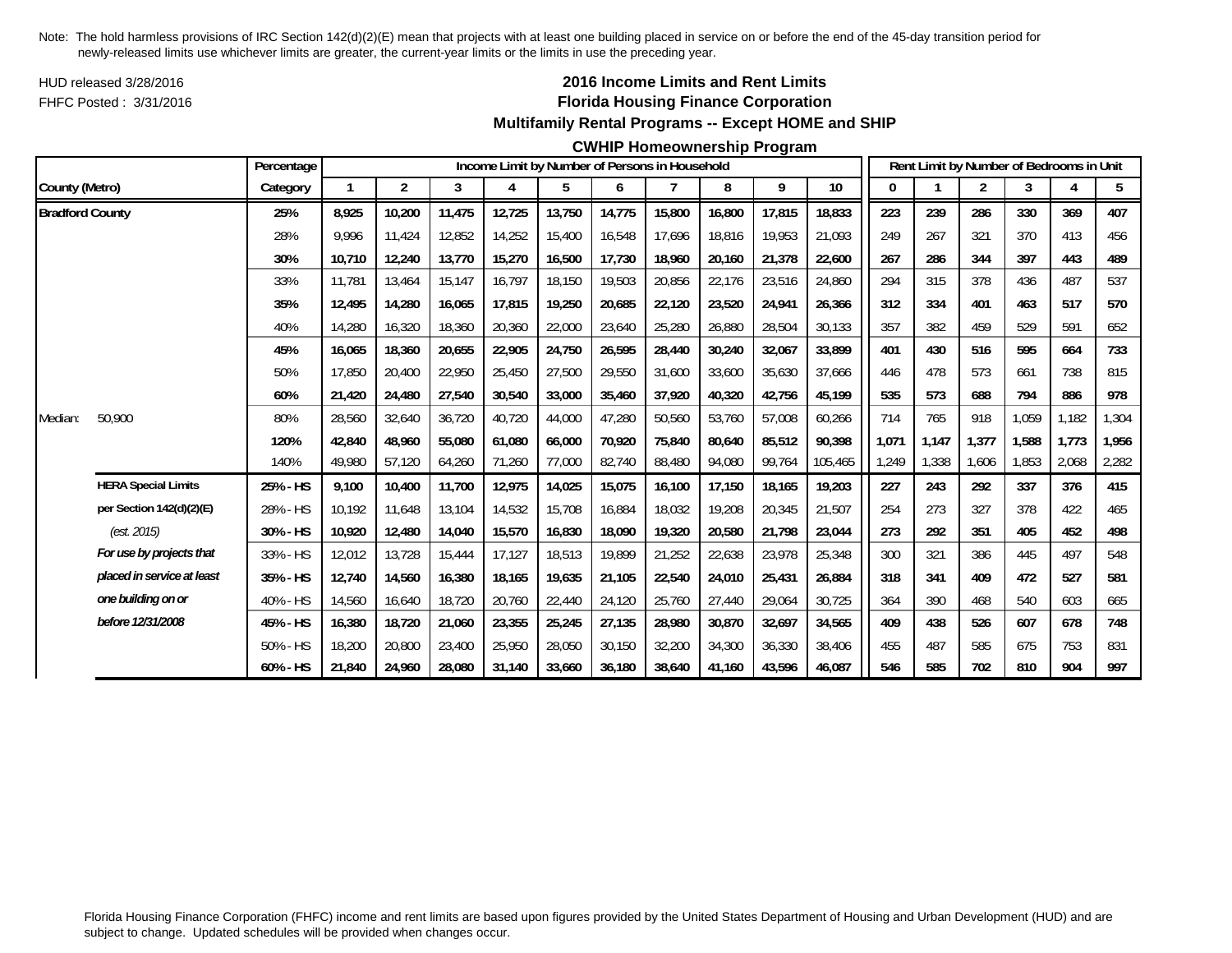HUD released 3/28/2016FHFC Posted : 3/31/2016

## **2016 Income Limits and Rent Limits Florida Housing Finance Corporation Multifamily Rental Programs -- Except HOME and SHIP**

#### **CWHIP Homeownership Program**

|                        |                            | Percentage  |        |                |        |        |        |        | Income Limit by Number of Persons in Household |        |        |         |       |       | Rent Limit by Number of Bedrooms in Unit |       |       |       |
|------------------------|----------------------------|-------------|--------|----------------|--------|--------|--------|--------|------------------------------------------------|--------|--------|---------|-------|-------|------------------------------------------|-------|-------|-------|
| County (Metro)         |                            | Category    |        | $\overline{2}$ | 3      | 4      | 5      | 6      |                                                | 8      | 9      | $10$    |       |       | 2                                        | 3     |       | 5     |
| <b>Bradford County</b> |                            | 25%         | 8,925  | 10,200         | 11,475 | 12,725 | 13,750 | 14,775 | 15,800                                         | 16,800 | 17,815 | 18,833  | 223   | 239   | 286                                      | 330   | 369   | 407   |
|                        |                            | 28%         | 9.996  | 11,424         | 12,852 | 14,252 | 15,400 | 16,548 | 17,696                                         | 18,816 | 19,953 | 21,093  | 249   | 267   | 321                                      | 370   | 413   | 456   |
|                        |                            | 30%         | 10,710 | 12,240         | 13,770 | 15,270 | 16,500 | 17,730 | 18,960                                         | 20,160 | 21,378 | 22,600  | 267   | 286   | 344                                      | 397   | 443   | 489   |
|                        |                            | 33%         | 11,781 | 13,464         | 15,147 | 16,797 | 18,150 | 19,503 | 20,856                                         | 22,176 | 23,516 | 24,860  | 294   | 315   | 378                                      | 436   | 487   | 537   |
|                        |                            | 35%         | 12,495 | 14,280         | 16,065 | 17,815 | 19,250 | 20,685 | 22,120                                         | 23,520 | 24,941 | 26,366  | 312   | 334   | 401                                      | 463   | 517   | 570   |
|                        |                            | 40%         | 14,280 | 16,320         | 18,360 | 20,360 | 22,000 | 23,640 | 25,280                                         | 26,880 | 28,504 | 30,133  | 357   | 382   | 459                                      | 529   | 591   | 652   |
|                        |                            | 45%         | 16,065 | 18,360         | 20,655 | 22,905 | 24,750 | 26,595 | 28,440                                         | 30,240 | 32,067 | 33,899  | 401   | 430   | 516                                      | 595   | 664   | 733   |
|                        |                            | 50%         | 17,850 | 20,400         | 22,950 | 25,450 | 27,500 | 29,550 | 31,600                                         | 33,600 | 35,630 | 37,666  | 446   | 478   | 573                                      | 661   | 738   | 815   |
|                        |                            | 60%         | 21,420 | 24,480         | 27,540 | 30,540 | 33,000 | 35,460 | 37,920                                         | 40,320 | 42,756 | 45,199  | 535   | 573   | 688                                      | 794   | 886   | 978   |
| Median:                | 50,900                     | 80%         | 28,560 | 32,640         | 36,720 | 40,720 | 44,000 | 47,280 | 50,560                                         | 53,760 | 57,008 | 60,266  | 714   | 765   | 918                                      | 1,059 | 1,182 | 1,304 |
|                        |                            | 120%        | 42.840 | 48,960         | 55,080 | 61,080 | 66,000 | 70.920 | 75.840                                         | 80,640 | 85,512 | 90.398  | 1,071 | 1,147 | 1.377                                    | 1,588 | 1,773 | 1,956 |
|                        |                            | 140%        | 49,980 | 57,120         | 64,260 | 71,260 | 77,000 | 82,740 | 88,480                                         | 94,080 | 99,764 | 105,465 | 1,249 | 1,338 | 1,606                                    | 1,853 | 2,068 | 2,282 |
|                        | <b>HERA Special Limits</b> | 25% - HS    | 9,100  | 10,400         | 11,700 | 12,975 | 14,025 | 15,075 | 16,100                                         | 17,150 | 18,165 | 19,203  | 227   | 243   | 292                                      | 337   | 376   | 415   |
|                        | per Section 142(d)(2)(E)   | 28% - HS    | 10,192 | 11,648         | 13,104 | 14,532 | 15,708 | 16,884 | 18,032                                         | 19,208 | 20,345 | 21,507  | 254   | 273   | 327                                      | 378   | 422   | 465   |
|                        | (est. 2015)                | 30% - HS    | 10,920 | 12,480         | 14,040 | 15,570 | 16,830 | 18,090 | 19,320                                         | 20,580 | 21,798 | 23,044  | 273   | 292   | 351                                      | 405   | 452   | 498   |
|                        | For use by projects that   | 33% - HS    | 12,012 | 13,728         | 15,444 | 17,127 | 18,513 | 19,899 | 21,252                                         | 22,638 | 23,978 | 25,348  | 300   | 321   | 386                                      | 445   | 497   | 548   |
|                        | placed in service at least | 35% - HS    | 12,740 | 14,560         | 16,380 | 18,165 | 19,635 | 21,105 | 22,540                                         | 24,010 | 25,431 | 26,884  | 318   | 341   | 409                                      | 472   | 527   | 581   |
|                        | one building on or         | 40% - HS    | 14,560 | 16,640         | 18,720 | 20,760 | 22,440 | 24,120 | 25,760                                         | 27,440 | 29,064 | 30,725  | 364   | 390   | 468                                      | 540   | 603   | 665   |
|                        | before 12/31/2008          | 45% - HS    | 16,380 | 18,720         | 21,060 | 23,355 | 25,245 | 27,135 | 28,980                                         | 30,870 | 32,697 | 34,565  | 409   | 438   | 526                                      | 607   | 678   | 748   |
|                        |                            | 50% - HS    | 18,200 | 20,800         | 23,400 | 25,950 | 28,050 | 30,150 | 32,200                                         | 34,300 | 36,330 | 38,406  | 455   | 487   | 585                                      | 675   | 753   | 831   |
|                        |                            | $60\% - HS$ | 21,840 | 24,960         | 28,080 | 31,140 | 33,660 | 36,180 | 38.640                                         | 41,160 | 43,596 | 46,087  | 546   | 585   | 702                                      | 810   | 904   | 997   |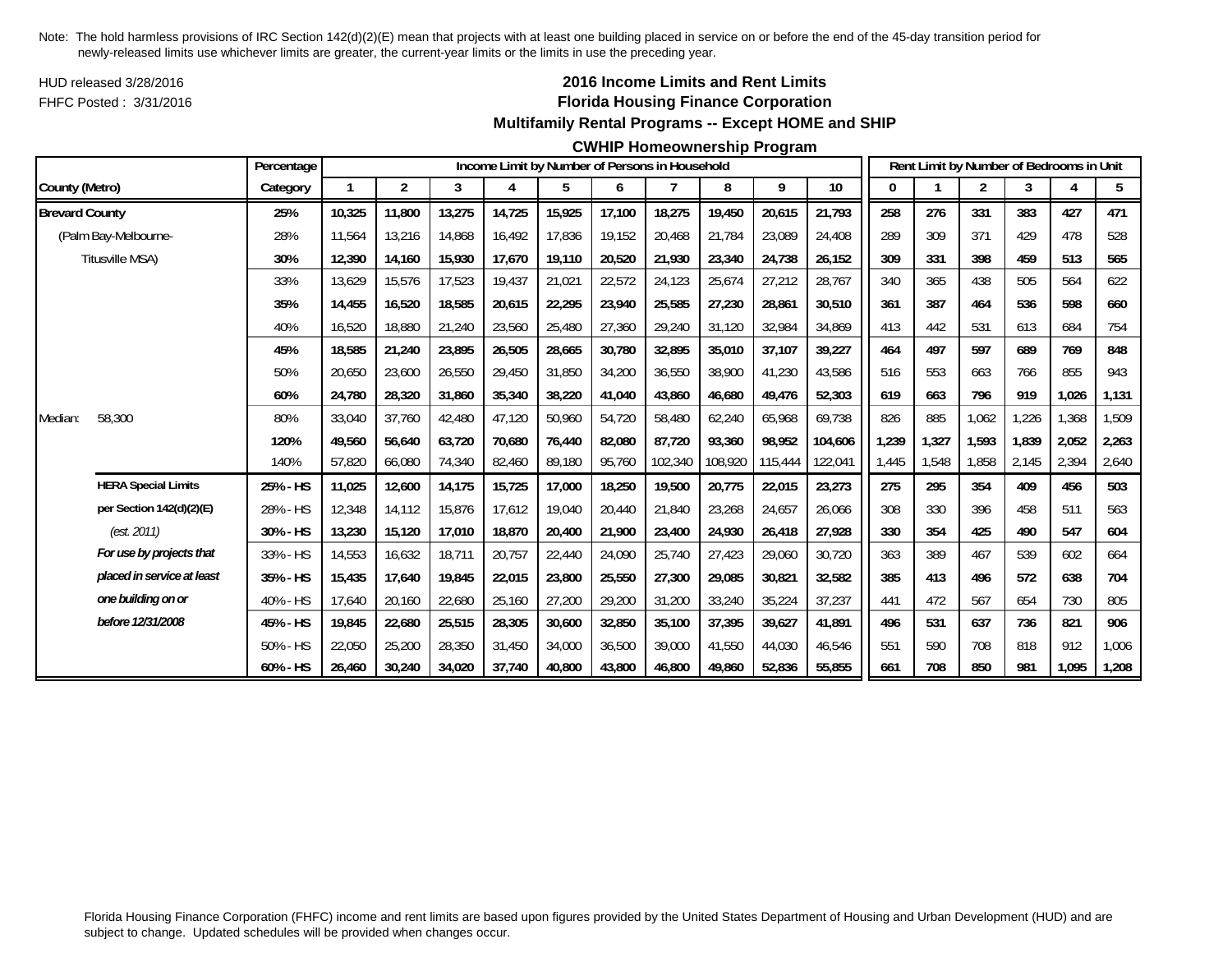HUD released 3/28/2016FHFC Posted : 3/31/2016

## **2016 Income Limits and Rent Limits Florida Housing Finance Corporation Multifamily Rental Programs -- Except HOME and SHIP**

#### **CWHIP Homeownership Program**

|                       |                            | Percentage |        |                |        |        |        |        | Income Limit by Number of Persons in Household |         |         |         |       |       | Rent Limit by Number of Bedrooms in Unit |       |       |       |
|-----------------------|----------------------------|------------|--------|----------------|--------|--------|--------|--------|------------------------------------------------|---------|---------|---------|-------|-------|------------------------------------------|-------|-------|-------|
| County (Metro)        |                            | Category   |        | $\overline{2}$ | 3      | 4      | 5      | 6      | $\overline{7}$                                 | 8       | 9       | $10\,$  | 0     |       | 2                                        | 3     | 4     | 5     |
| <b>Brevard County</b> |                            | 25%        | 10,325 | 11,800         | 13,275 | 14,725 | 15,925 | 17,100 | 18,275                                         | 19,450  | 20,615  | 21,793  | 258   | 276   | 331                                      | 383   | 427   | 471   |
|                       | (Palm Bay-Melbourne-       | 28%        | 11.564 | 13,216         | 14,868 | 16,492 | 17,836 | 19,152 | 20,468                                         | 21,784  | 23,089  | 24,408  | 289   | 309   | 371                                      | 429   | 478   | 528   |
|                       | Titusville MSA)            | 30%        | 12,390 | 14,160         | 15,930 | 17,670 | 19,110 | 20,520 | 21,930                                         | 23,340  | 24,738  | 26,152  | 309   | 331   | 398                                      | 459   | 513   | 565   |
|                       |                            | 33%        | 13,629 | 15,576         | 17,523 | 19,437 | 21,021 | 22,572 | 24,123                                         | 25,674  | 27,212  | 28,767  | 340   | 365   | 438                                      | 505   | 564   | 622   |
|                       |                            | 35%        | 14,455 | 16,520         | 18,585 | 20,615 | 22,295 | 23,940 | 25,585                                         | 27,230  | 28,861  | 30,510  | 361   | 387   | 464                                      | 536   | 598   | 660   |
|                       |                            | 40%        | 16,520 | 18,880         | 21,240 | 23,560 | 25,480 | 27,360 | 29,240                                         | 31,120  | 32,984  | 34,869  | 413   | 442   | 531                                      | 613   | 684   | 754   |
|                       |                            | 45%        | 18,585 | 21,240         | 23,895 | 26,505 | 28,665 | 30,780 | 32,895                                         | 35,010  | 37,107  | 39,227  | 464   | 497   | 597                                      | 689   | 769   | 848   |
|                       |                            | 50%        | 20,650 | 23,600         | 26,550 | 29,450 | 31,850 | 34,200 | 36,550                                         | 38,900  | 41,230  | 43,586  | 516   | 553   | 663                                      | 766   | 855   | 943   |
|                       |                            | 60%        | 24,780 | 28,320         | 31,860 | 35,340 | 38,220 | 41,040 | 43,860                                         | 46,680  | 49,476  | 52,303  | 619   | 663   | 796                                      | 919   | 1,026 | 1,131 |
| Median:               | 58,300                     | 80%        | 33,040 | 37.760         | 42.480 | 47,120 | 50,960 | 54,720 | 58,480                                         | 62,240  | 65,968  | 69,738  | 826   | 885   | 1,062                                    | ,226  | 1,368 | 1,509 |
|                       |                            | 120%       | 49,560 | 56,640         | 63,720 | 70,680 | 76,440 | 82,080 | 87,720                                         | 93,360  | 98,952  | 104,606 | 1,239 | 1,327 | 1,593                                    | 1,839 | 2,052 | 2,263 |
|                       |                            | 140%       | 57,820 | 66,080         | 74,340 | 82,460 | 89,180 | 95,760 | 102,340                                        | 108,920 | 115,444 | 122,041 | 1,445 | 1,548 | 1,858                                    | 2,145 | 2,394 | 2,640 |
|                       | <b>HERA Special Limits</b> | 25% - HS   | 11,025 | 12,600         | 14,175 | 15,725 | 17,000 | 18,250 | 19,500                                         | 20,775  | 22,015  | 23,273  | 275   | 295   | 354                                      | 409   | 456   | 503   |
|                       | per Section 142(d)(2)(E)   | 28% - HS   | 12,348 | 14,112         | 15,876 | 17,612 | 19,040 | 20,440 | 21,840                                         | 23,268  | 24,657  | 26,066  | 308   | 330   | 396                                      | 458   | 511   | 563   |
|                       | (est. 2011)                | 30% - HS   | 13,230 | 15,120         | 17,010 | 18,870 | 20,400 | 21,900 | 23,400                                         | 24,930  | 26,418  | 27,928  | 330   | 354   | 425                                      | 490   | 547   | 604   |
|                       | For use by projects that   | 33% - HS   | 14,553 | 16,632         | 18,711 | 20,757 | 22,440 | 24,090 | 25,740                                         | 27,423  | 29,060  | 30,720  | 363   | 389   | 467                                      | 539   | 602   | 664   |
|                       | placed in service at least | 35% - HS   | 15,435 | 17,640         | 19,845 | 22,015 | 23,800 | 25,550 | 27,300                                         | 29,085  | 30,821  | 32,582  | 385   | 413   | 496                                      | 572   | 638   | 704   |
|                       | one building on or         | 40% - HS   | 17,640 | 20,160         | 22,680 | 25,160 | 27,200 | 29,200 | 31,200                                         | 33,240  | 35,224  | 37,237  | 441   | 472   | 567                                      | 654   | 730   | 805   |
|                       | before 12/31/2008          | 45% - HS   | 19,845 | 22,680         | 25,515 | 28,305 | 30,600 | 32,850 | 35,100                                         | 37,395  | 39,627  | 41,891  | 496   | 531   | 637                                      | 736   | 821   | 906   |
|                       |                            | 50% - HS   | 22,050 | 25,200         | 28,350 | 31,450 | 34,000 | 36,500 | 39,000                                         | 41,550  | 44,030  | 46,546  | 551   | 590   | 708                                      | 818   | 912   | 1,006 |
|                       |                            | 60% - HS   | 26,460 | 30.240         | 34,020 | 37,740 | 40,800 | 43,800 | 46.800                                         | 49,860  | 52,836  | 55,855  | 661   | 708   | 850                                      | 981   | 1.095 | 1,208 |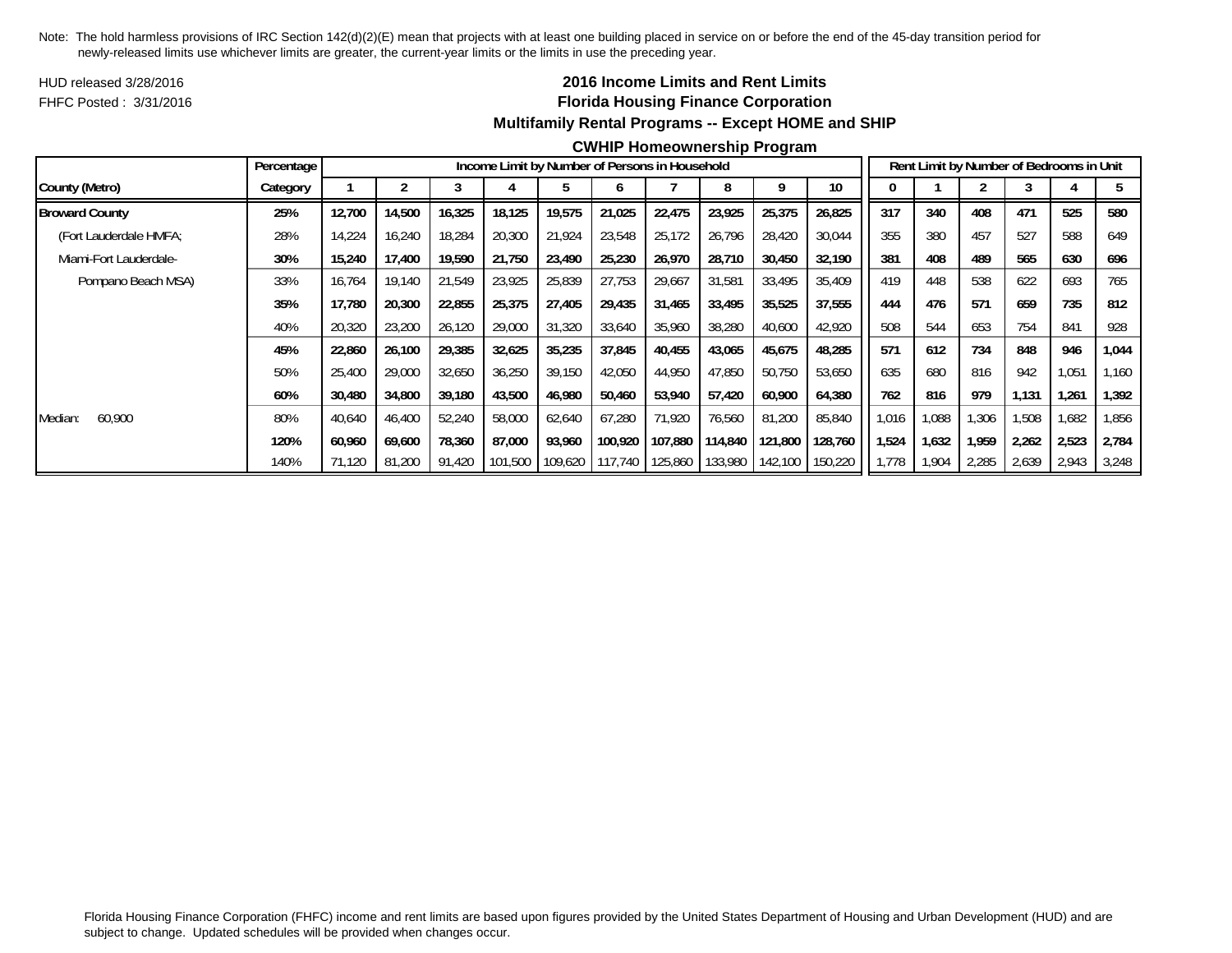HUD released 3/28/2016FHFC Posted : 3/31/2016

## **2016 Income Limits and Rent Limits Florida Housing Finance Corporation Multifamily Rental Programs -- Except HOME and SHIP**

#### **CWHIP Homeownership Program**

|                        | Percentage |        |        |        |         | Income Limit by Number of Persons in Household |                 |         |                 |         |         |       |       |       | Rent Limit by Number of Bedrooms in Unit |       |       |
|------------------------|------------|--------|--------|--------|---------|------------------------------------------------|-----------------|---------|-----------------|---------|---------|-------|-------|-------|------------------------------------------|-------|-------|
| County (Metro)         | Category   |        |        |        |         | b.                                             |                 |         |                 | Q       | 10      |       |       |       |                                          |       |       |
| <b>Broward County</b>  | 25%        | 12,700 | 14,500 | 16,325 | 18,125  | 19,575                                         | 21,025          | 22,475  | 23,925          | 25,375  | 26,825  | 317   | 340   | 408   | 471                                      | 525   | 580   |
| (Fort Lauderdale HMFA; | 28%        | 14.224 | 16,240 | 18,284 | 20,300  | 21,924                                         | 23,548          | 25,172  | 26,796          | 28,420  | 30,044  | 355   | 380   | 457   | 527                                      | 588   | 649   |
| Miami-Fort Lauderdale- | 30%        | 15,240 | 17,400 | 19,590 | 21.750  | 23,490                                         | 25,230          | 26,970  | 28,710          | 30,450  | 32,190  | 381   | 408   | 489   | 565                                      | 630   | 696   |
| Pompano Beach MSA)     | 33%        | 16.764 | 19,140 | 21,549 | 23,925  | 25,839                                         | 27,753          | 29,667  | 31,581          | 33,495  | 35,409  | 419   | 448   | 538   | 622                                      | 693   | 765   |
|                        | 35%        | 17.780 | 20,300 | 22,855 | 25,375  | 27,405                                         | 29,435          | 31,465  | 33,495          | 35,525  | 37,555  | 444   | 476   | 571   | 659                                      | 735   | 812   |
|                        | 40%        | 20,320 | 23,200 | 26,120 | 29,000  | 31,320                                         | 33,640          | 35,960  | 38,280          | 40,600  | 42,920  | 508   | 544   | 653   | 754                                      | 841   | 928   |
|                        | 45%        | 22,860 | 26,100 | 29,385 | 32,625  | 35,235                                         | 37,845          | 40,455  | 43,065          | 45,675  | 48,285  | 571   | 612   | 734   | 848                                      | 946   | 1,044 |
|                        | 50%        | 25,400 | 29,000 | 32,650 | 36,250  | 39,150                                         | 42,050          | 44.950  | 47,850          | 50,750  | 53,650  | 635   | 680   | 816   | 942                                      | 1,051 | 1,160 |
|                        | 60%        | 30,480 | 34,800 | 39,180 | 43,500  | 46,980                                         | 50,460          | 53,940  | 57,420          | 60,900  | 64,380  | 762   | 816   | 979   | 1.131                                    | 1,261 | 1,392 |
| 60,900<br>Median:      | 80%        | 40.640 | 46.400 | 52,240 | 58,000  | 62,640                                         | 67.280          | 71.920  | 76,560          | 81,200  | 85,840  | .016  | .088  | 1,306 | 1,508                                    | 1,682 | 1,856 |
|                        | 120%       | 60.960 | 69,600 | 78,360 | 87,000  | 93,960                                         | 100,920         | 107,880 | 114,840         | 121,800 | 128,760 | 1,524 | 1,632 | 1,959 | 2,262                                    | 2,523 | 2,784 |
|                        | 140%       | 71.120 | 81,200 | 91,420 | 101,500 |                                                | 109,620 117,740 |         | 125,860 133,980 | 142,100 | 150,220 | 1,778 | 1,904 | 2,285 | 2,639                                    | 2,943 | 3,248 |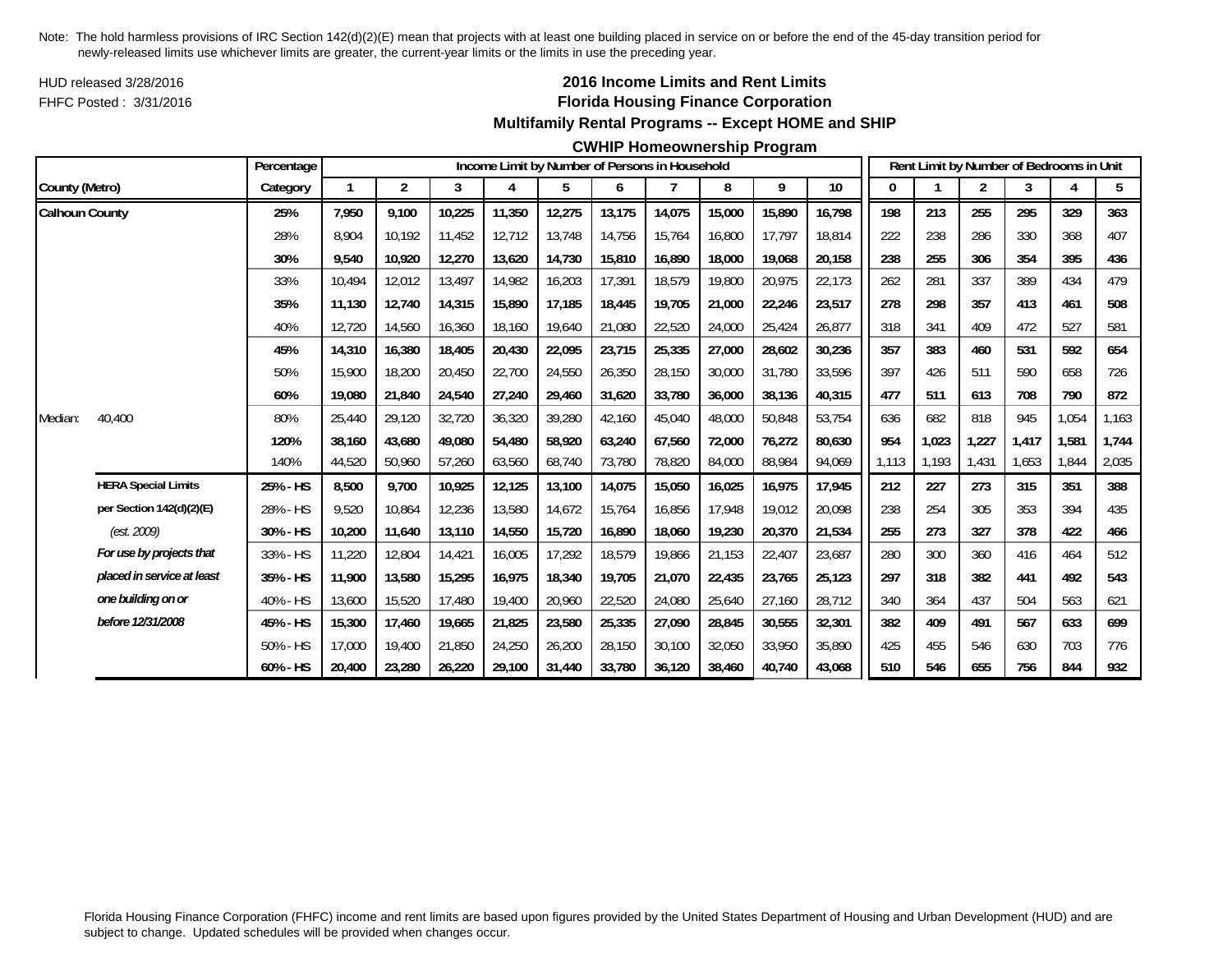HUD released 3/28/2016FHFC Posted : 3/31/2016

## **2016 Income Limits and Rent Limits Florida Housing Finance Corporation Multifamily Rental Programs -- Except HOME and SHIP**

#### **CWHIP Homeownership Program**

|                       |                            | Percentage |        |                |        |        | Income Limit by Number of Persons in Household |        |        |        |        |        |       |       | Rent Limit by Number of Bedrooms in Unit |       |       |       |
|-----------------------|----------------------------|------------|--------|----------------|--------|--------|------------------------------------------------|--------|--------|--------|--------|--------|-------|-------|------------------------------------------|-------|-------|-------|
| County (Metro)        |                            | Category   |        | $\overline{2}$ | 3      | 4      | 5                                              | 6      |        | 8      | 9      | $10$   |       |       | 2                                        | 3     |       | 5     |
| <b>Calhoun County</b> |                            | 25%        | 7,950  | 9.100          | 10,225 | 11,350 | 12,275                                         | 13,175 | 14,075 | 15,000 | 15,890 | 16,798 | 198   | 213   | 255                                      | 295   | 329   | 363   |
|                       |                            | 28%        | 8.904  | 10.192         | 11,452 | 12,712 | 13,748                                         | 14,756 | 15.764 | 16,800 | 17,797 | 18.814 | 222   | 238   | 286                                      | 330   | 368   | 407   |
|                       |                            | 30%        | 9,540  | 10,920         | 12,270 | 13,620 | 14,730                                         | 15,810 | 16,890 | 18,000 | 19,068 | 20,158 | 238   | 255   | 306                                      | 354   | 395   | 436   |
|                       |                            | 33%        | 10,494 | 12,012         | 13,497 | 14,982 | 16,203                                         | 17,391 | 18,579 | 19,800 | 20,975 | 22,173 | 262   | 281   | 337                                      | 389   | 434   | 479   |
|                       |                            | 35%        | 11,130 | 12.740         | 14,315 | 15,890 | 17,185                                         | 18,445 | 19.705 | 21,000 | 22,246 | 23,517 | 278   | 298   | 357                                      | 413   | 461   | 508   |
|                       |                            | 40%        | 12,720 | 14,560         | 16,360 | 18,160 | 19,640                                         | 21,080 | 22,520 | 24,000 | 25,424 | 26,877 | 318   | 341   | 409                                      | 472   | 527   | 581   |
|                       |                            | 45%        | 14,310 | 16,380         | 18,405 | 20,430 | 22,095                                         | 23,715 | 25,335 | 27,000 | 28,602 | 30,236 | 357   | 383   | 460                                      | 531   | 592   | 654   |
|                       |                            | 50%        | 15,900 | 18,200         | 20,450 | 22,700 | 24,550                                         | 26,350 | 28,150 | 30,000 | 31,780 | 33,596 | 397   | 426   | 511                                      | 590   | 658   | 726   |
|                       |                            | 60%        | 19,080 | 21,840         | 24,540 | 27,240 | 29,460                                         | 31,620 | 33,780 | 36,000 | 38,136 | 40,315 | 477   | 511   | 613                                      | 708   | 790   | 872   |
| Median:               | 40,400                     | 80%        | 25,440 | 29,120         | 32,720 | 36,320 | 39,280                                         | 42,160 | 45,040 | 48,000 | 50,848 | 53,754 | 636   | 682   | 818                                      | 945   | 1,054 | 1,163 |
|                       |                            | 120%       | 38.160 | 43,680         | 49,080 | 54,480 | 58,920                                         | 63.240 | 67.560 | 72,000 | 76,272 | 80,630 | 954   | 1,023 | 1,227                                    | 1.417 | 1,581 | 1,744 |
|                       |                            | 140%       | 44,520 | 50,960         | 57,260 | 63,560 | 68,740                                         | 73,780 | 78,820 | 84,000 | 88,984 | 94,069 | 1,113 | 1,193 | 1,431                                    | 1,653 | 1,844 | 2,035 |
|                       | <b>HERA Special Limits</b> | 25% - HS   | 8,500  | 9,700          | 10,925 | 12,125 | 13,100                                         | 14,075 | 15,050 | 16,025 | 16,975 | 17,945 | 212   | 227   | 273                                      | 315   | 351   | 388   |
|                       | per Section 142(d)(2)(E)   | 28% - HS   | 9.520  | 10.864         | 12,236 | 13,580 | 14,672                                         | 15,764 | 16.856 | 17.948 | 19,012 | 20.098 | 238   | 254   | 305                                      | 353   | 394   | 435   |
|                       | (est. 2009)                | 30% - HS   | 10,200 | 11,640         | 13,110 | 14,550 | 15,720                                         | 16,890 | 18,060 | 19,230 | 20,370 | 21,534 | 255   | 273   | 327                                      | 378   | 422   | 466   |
|                       | For use by projects that   | 33% - HS   | 11,220 | 12,804         | 14,421 | 16,005 | 17,292                                         | 18,579 | 19,866 | 21,153 | 22,407 | 23,687 | 280   | 300   | 360                                      | 416   | 464   | 512   |
|                       | placed in service at least | 35% - HS   | 11,900 | 13,580         | 15,295 | 16,975 | 18,340                                         | 19,705 | 21,070 | 22,435 | 23,765 | 25,123 | 297   | 318   | 382                                      | 441   | 492   | 543   |
|                       | one building on or         | 40% - HS   | 13,600 | 15,520         | 17,480 | 19,400 | 20,960                                         | 22,520 | 24,080 | 25,640 | 27,160 | 28,712 | 340   | 364   | 437                                      | 504   | 563   | 621   |
|                       | before 12/31/2008          | 45% - HS   | 15,300 | 17,460         | 19,665 | 21,825 | 23,580                                         | 25,335 | 27,090 | 28,845 | 30,555 | 32,301 | 382   | 409   | 491                                      | 567   | 633   | 699   |
|                       |                            | 50% - HS   | 17,000 | 19,400         | 21,850 | 24,250 | 26,200                                         | 28,150 | 30,100 | 32,050 | 33,950 | 35,890 | 425   | 455   | 546                                      | 630   | 703   | 776   |
|                       |                            | 60% - HS   | 20,400 | 23,280         | 26,220 | 29.100 | 31,440                                         | 33.780 | 36.120 | 38,460 | 40,740 | 43,068 | 510   | 546   | 655                                      | 756   | 844   | 932   |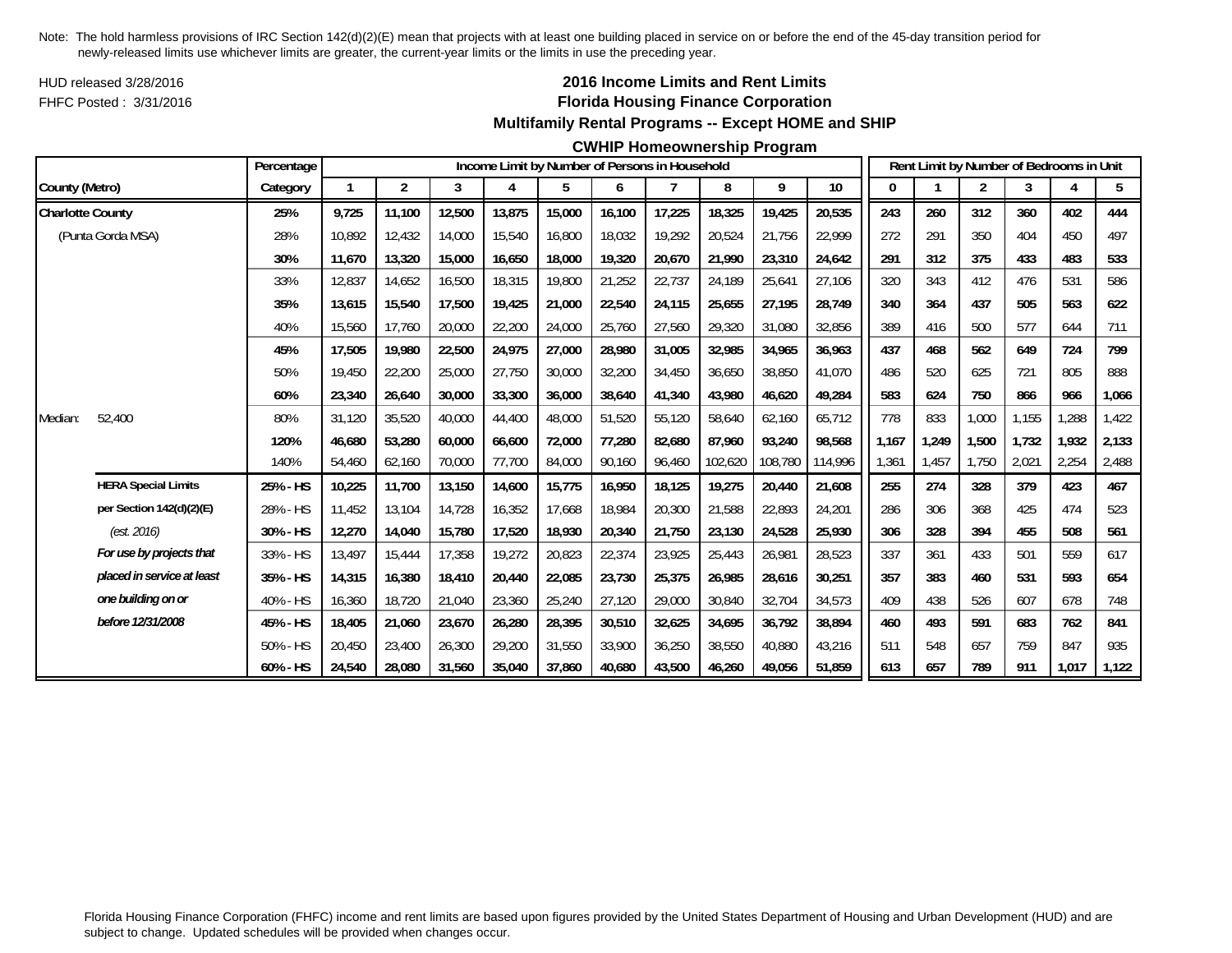HUD released 3/28/2016FHFC Posted : 3/31/2016

## **2016 Income Limits and Rent Limits Florida Housing Finance Corporation Multifamily Rental Programs -- Except HOME and SHIP**

#### **CWHIP Homeownership Program**

|                         |                            | Percentage |        |                |        |        |        |        | Income Limit by Number of Persons in Household |         |         |         |       |       | Rent Limit by Number of Bedrooms in Unit |       |       |       |
|-------------------------|----------------------------|------------|--------|----------------|--------|--------|--------|--------|------------------------------------------------|---------|---------|---------|-------|-------|------------------------------------------|-------|-------|-------|
| County (Metro)          |                            | Category   | 1      | $\overline{2}$ | 3      | 4      | 5      | 6      | 7                                              | 8       | 9       | $10$    | 0     |       | 2                                        | 3     | 4     | 5     |
| <b>Charlotte County</b> |                            | 25%        | 9,725  | 11,100         | 12,500 | 13,875 | 15,000 | 16,100 | 17,225                                         | 18,325  | 19,425  | 20,535  | 243   | 260   | 312                                      | 360   | 402   | 444   |
|                         | (Punta Gorda MSA)          | 28%        | 10.892 | 12,432         | 14,000 | 15,540 | 16,800 | 18,032 | 19.292                                         | 20,524  | 21,756  | 22,999  | 272   | 291   | 350                                      | 404   | 450   | 497   |
|                         |                            | 30%        | 11,670 | 13,320         | 15,000 | 16,650 | 18,000 | 19,320 | 20,670                                         | 21,990  | 23,310  | 24,642  | 291   | 312   | 375                                      | 433   | 483   | 533   |
|                         |                            | 33%        | 12,837 | 14,652         | 16,500 | 18,315 | 19,800 | 21,252 | 22,737                                         | 24,189  | 25,641  | 27,106  | 320   | 343   | 412                                      | 476   | 531   | 586   |
|                         |                            | 35%        | 13,615 | 15,540         | 17,500 | 19,425 | 21,000 | 22,540 | 24,115                                         | 25,655  | 27,195  | 28,749  | 340   | 364   | 437                                      | 505   | 563   | 622   |
|                         |                            | 40%        | 15,560 | 17,760         | 20,000 | 22,200 | 24,000 | 25,760 | 27,560                                         | 29,320  | 31,080  | 32,856  | 389   | 416   | 500                                      | 577   | 644   | 711   |
|                         |                            | 45%        | 17,505 | 19,980         | 22,500 | 24,975 | 27,000 | 28,980 | 31,005                                         | 32,985  | 34,965  | 36,963  | 437   | 468   | 562                                      | 649   | 724   | 799   |
|                         |                            | 50%        | 19,450 | 22,200         | 25,000 | 27,750 | 30,000 | 32,200 | 34,450                                         | 36,650  | 38,850  | 41,070  | 486   | 520   | 625                                      | 721   | 805   | 888   |
|                         |                            | 60%        | 23,340 | 26,640         | 30,000 | 33,300 | 36,000 | 38,640 | 41,340                                         | 43,980  | 46,620  | 49,284  | 583   | 624   | 750                                      | 866   | 966   | 1,066 |
| Median:                 | 52,400                     | 80%        | 31,120 | 35,520         | 40,000 | 44,400 | 48,000 | 51,520 | 55,120                                         | 58,640  | 62,160  | 65,712  | 778   | 833   | 1,000                                    | 1,155 | ,288  | 1,422 |
|                         |                            | 120%       | 46.680 | 53,280         | 60,000 | 66,600 | 72,000 | 77.280 | 82.680                                         | 87.960  | 93,240  | 98.568  | 1.167 | 1.249 | 1,500                                    | 1.732 | 1,932 | 2,133 |
|                         |                            | 140%       | 54,460 | 62,160         | 70,000 | 77,700 | 84,000 | 90,160 | 96,460                                         | 102,620 | 108,780 | 114,996 | 1,361 | 1,457 | 1,750                                    | 2,021 | 2,254 | 2,488 |
|                         | <b>HERA Special Limits</b> | 25% - HS   | 10,225 | 11,700         | 13,150 | 14,600 | 15,775 | 16,950 | 18,125                                         | 19,275  | 20,440  | 21,608  | 255   | 274   | 328                                      | 379   | 423   | 467   |
|                         | per Section 142(d)(2)(E)   | 28% - HS   | 11,452 | 13,104         | 14,728 | 16,352 | 17,668 | 18,984 | 20,300                                         | 21,588  | 22,893  | 24,201  | 286   | 306   | 368                                      | 425   | 474   | 523   |
|                         | (est. 2016)                | 30% - HS   | 12,270 | 14,040         | 15,780 | 17,520 | 18,930 | 20,340 | 21,750                                         | 23,130  | 24,528  | 25,930  | 306   | 328   | 394                                      | 455   | 508   | 561   |
|                         | For use by projects that   | 33% - HS   | 13,497 | 15,444         | 17,358 | 19,272 | 20,823 | 22,374 | 23,925                                         | 25,443  | 26,981  | 28,523  | 337   | 361   | 433                                      | 501   | 559   | 617   |
|                         | placed in service at least | 35% - HS   | 14,315 | 16,380         | 18,410 | 20,440 | 22,085 | 23,730 | 25,375                                         | 26,985  | 28,616  | 30,251  | 357   | 383   | 460                                      | 531   | 593   | 654   |
|                         | one building on or         | 40% - HS   | 16,360 | 18,720         | 21,040 | 23,360 | 25,240 | 27,120 | 29,000                                         | 30,840  | 32,704  | 34,573  | 409   | 438   | 526                                      | 607   | 678   | 748   |
|                         | before 12/31/2008          | 45% - HS   | 18,405 | 21,060         | 23,670 | 26,280 | 28,395 | 30,510 | 32,625                                         | 34,695  | 36,792  | 38,894  | 460   | 493   | 591                                      | 683   | 762   | 841   |
|                         |                            | 50% - HS   | 20.450 | 23,400         | 26,300 | 29,200 | 31,550 | 33,900 | 36,250                                         | 38,550  | 40,880  | 43,216  | 511   | 548   | 657                                      | 759   | 847   | 935   |
|                         |                            | 60% - HS   | 24,540 | 28,080         | 31,560 | 35,040 | 37,860 | 40,680 | 43,500                                         | 46,260  | 49,056  | 51,859  | 613   | 657   | 789                                      | 911   | 1,017 | 1,122 |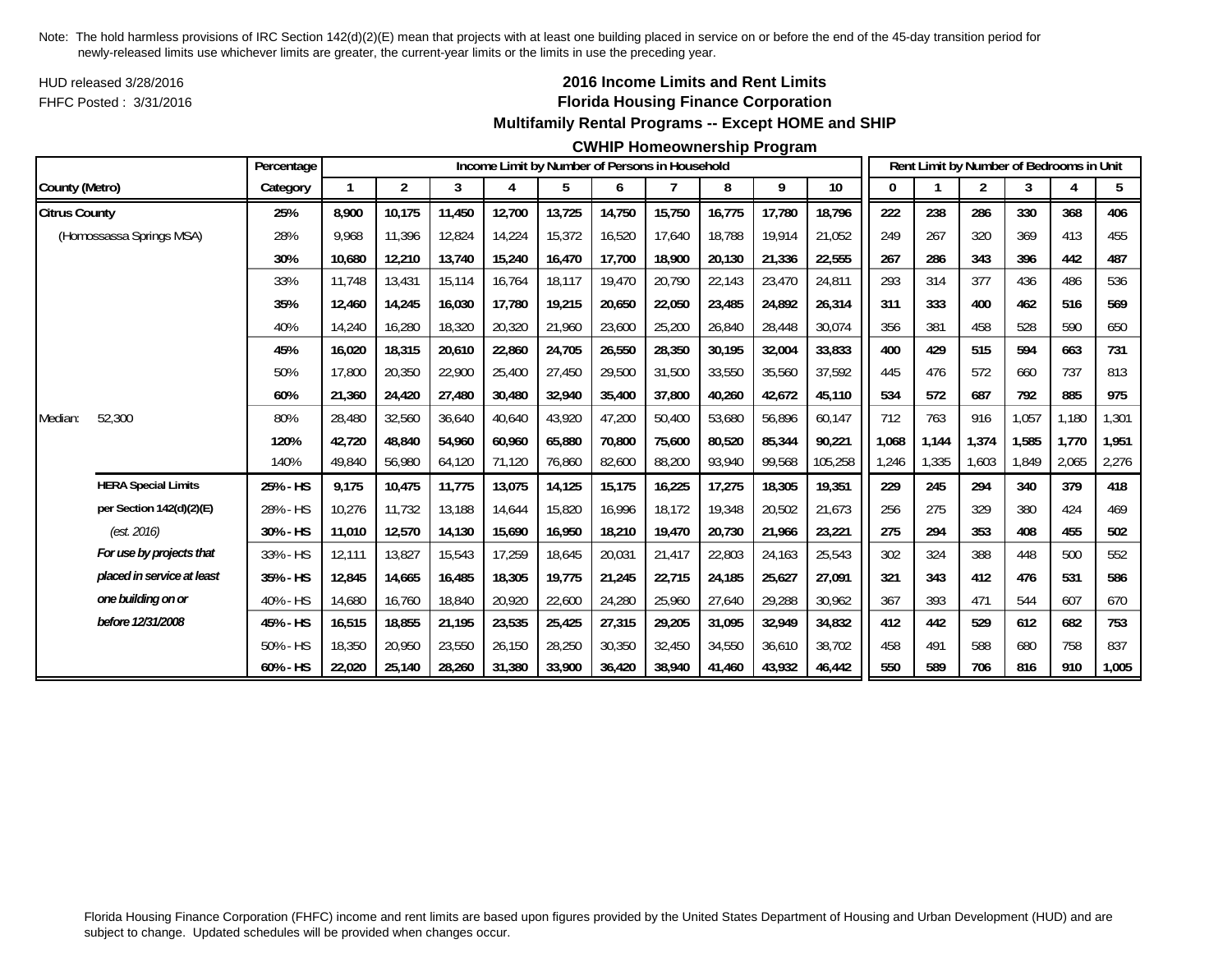HUD released 3/28/2016FHFC Posted : 3/31/2016

## **2016 Income Limits and Rent Limits Florida Housing Finance Corporation Multifamily Rental Programs -- Except HOME and SHIP**

#### **CWHIP Homeownership Program**

|                      |                            | Percentage |        |                |        |        |        |        | Income Limit by Number of Persons in Household |        |        |         |       |       |                | Rent Limit by Number of Bedrooms in Unit |       |       |
|----------------------|----------------------------|------------|--------|----------------|--------|--------|--------|--------|------------------------------------------------|--------|--------|---------|-------|-------|----------------|------------------------------------------|-------|-------|
| County (Metro)       |                            | Category   |        | $\overline{2}$ | 3      | 4      | 5      | 6      |                                                | 8      | 9      | 10      | 0     |       | $\overline{2}$ | 3                                        |       | 5     |
| <b>Citrus County</b> |                            | 25%        | 8.900  | 10.175         | 11,450 | 12,700 | 13,725 | 14,750 | 15,750                                         | 16,775 | 17,780 | 18,796  | 222   | 238   | 286            | 330                                      | 368   | 406   |
|                      | (Homossassa Springs MSA)   | 28%        | 9.968  | 11,396         | 12,824 | 14,224 | 15,372 | 16,520 | 17,640                                         | 18,788 | 19,914 | 21,052  | 249   | 267   | 320            | 369                                      | 413   | 455   |
|                      |                            | 30%        | 10,680 | 12,210         | 13,740 | 15,240 | 16,470 | 17,700 | 18,900                                         | 20,130 | 21,336 | 22,555  | 267   | 286   | 343            | 396                                      | 442   | 487   |
|                      |                            | 33%        | 11,748 | 13,431         | 15,114 | 16,764 | 18,117 | 19,470 | 20,790                                         | 22,143 | 23,470 | 24,811  | 293   | 314   | 377            | 436                                      | 486   | 536   |
|                      |                            | 35%        | 12.460 | 14.245         | 16.030 | 17,780 | 19,215 | 20,650 | 22,050                                         | 23,485 | 24,892 | 26,314  | 311   | 333   | 400            | 462                                      | 516   | 569   |
|                      |                            | 40%        | 14,240 | 16,280         | 18,320 | 20,320 | 21,960 | 23,600 | 25,200                                         | 26,840 | 28,448 | 30,074  | 356   | 381   | 458            | 528                                      | 590   | 650   |
|                      |                            | 45%        | 16,020 | 18,315         | 20,610 | 22,860 | 24,705 | 26,550 | 28,350                                         | 30,195 | 32,004 | 33,833  | 400   | 429   | 515            | 594                                      | 663   | 731   |
|                      |                            | 50%        | 17,800 | 20,350         | 22,900 | 25,400 | 27,450 | 29,500 | 31,500                                         | 33,550 | 35,560 | 37,592  | 445   | 476   | 572            | 660                                      | 737   | 813   |
|                      |                            | 60%        | 21,360 | 24,420         | 27,480 | 30,480 | 32,940 | 35,400 | 37,800                                         | 40,260 | 42,672 | 45,110  | 534   | 572   | 687            | 792                                      | 885   | 975   |
| Median:              | 52,300                     | 80%        | 28,480 | 32,560         | 36,640 | 40,640 | 43,920 | 47,200 | 50,400                                         | 53,680 | 56,896 | 60,147  | 712   | 763   | 916            | 1,057                                    | 1,180 | 1,301 |
|                      |                            | 120%       | 42,720 | 48.840         | 54.960 | 60,960 | 65,880 | 70,800 | 75.600                                         | 80.520 | 85,344 | 90,221  | 1.068 | 1.144 | 1.374          | 1,585                                    | 1.770 | 1,951 |
|                      |                            | 140%       | 49,840 | 56,980         | 64,120 | 71,120 | 76,860 | 82,600 | 88,200                                         | 93,940 | 99,568 | 105,258 | 1,246 | 1,335 | 1,603          | 1,849                                    | 2,065 | 2,276 |
|                      | <b>HERA Special Limits</b> | 25% - HS   | 9,175  | 10,475         | 11,775 | 13,075 | 14,125 | 15,175 | 16,225                                         | 17,275 | 18,305 | 19,351  | 229   | 245   | 294            | 340                                      | 379   | 418   |
|                      | per Section 142(d)(2)(E)   | 28% - HS   | 10,276 | 11,732         | 13,188 | 14,644 | 15,820 | 16,996 | 18,172                                         | 19,348 | 20,502 | 21,673  | 256   | 275   | 329            | 380                                      | 424   | 469   |
|                      | (est. 2016)                | 30% - HS   | 11,010 | 12,570         | 14,130 | 15,690 | 16,950 | 18,210 | 19,470                                         | 20,730 | 21,966 | 23,221  | 275   | 294   | 353            | 408                                      | 455   | 502   |
|                      | For use by projects that   | 33% - HS   | 12,111 | 13,827         | 15,543 | 17,259 | 18,645 | 20,031 | 21,417                                         | 22,803 | 24,163 | 25,543  | 302   | 324   | 388            | 448                                      | 500   | 552   |
|                      | placed in service at least | 35% - HS   | 12,845 | 14,665         | 16,485 | 18,305 | 19,775 | 21,245 | 22,715                                         | 24,185 | 25,627 | 27,091  | 321   | 343   | 412            | 476                                      | 531   | 586   |
|                      | one building on or         | 40% - HS   | 14,680 | 16,760         | 18,840 | 20,920 | 22,600 | 24,280 | 25,960                                         | 27,640 | 29,288 | 30,962  | 367   | 393   | 471            | 544                                      | 607   | 670   |
|                      | before 12/31/2008          | 45% - HS   | 16,515 | 18,855         | 21,195 | 23,535 | 25,425 | 27,315 | 29,205                                         | 31,095 | 32,949 | 34,832  | 412   | 442   | 529            | 612                                      | 682   | 753   |
|                      |                            | 50% - HS   | 18,350 | 20,950         | 23,550 | 26,150 | 28,250 | 30,350 | 32,450                                         | 34,550 | 36,610 | 38,702  | 458   | 491   | 588            | 680                                      | 758   | 837   |
|                      |                            | 60% - HS   | 22,020 | 25.140         | 28,260 | 31,380 | 33,900 | 36,420 | 38.940                                         | 41,460 | 43,932 | 46,442  | 550   | 589   | 706            | 816                                      | 910   | 1,005 |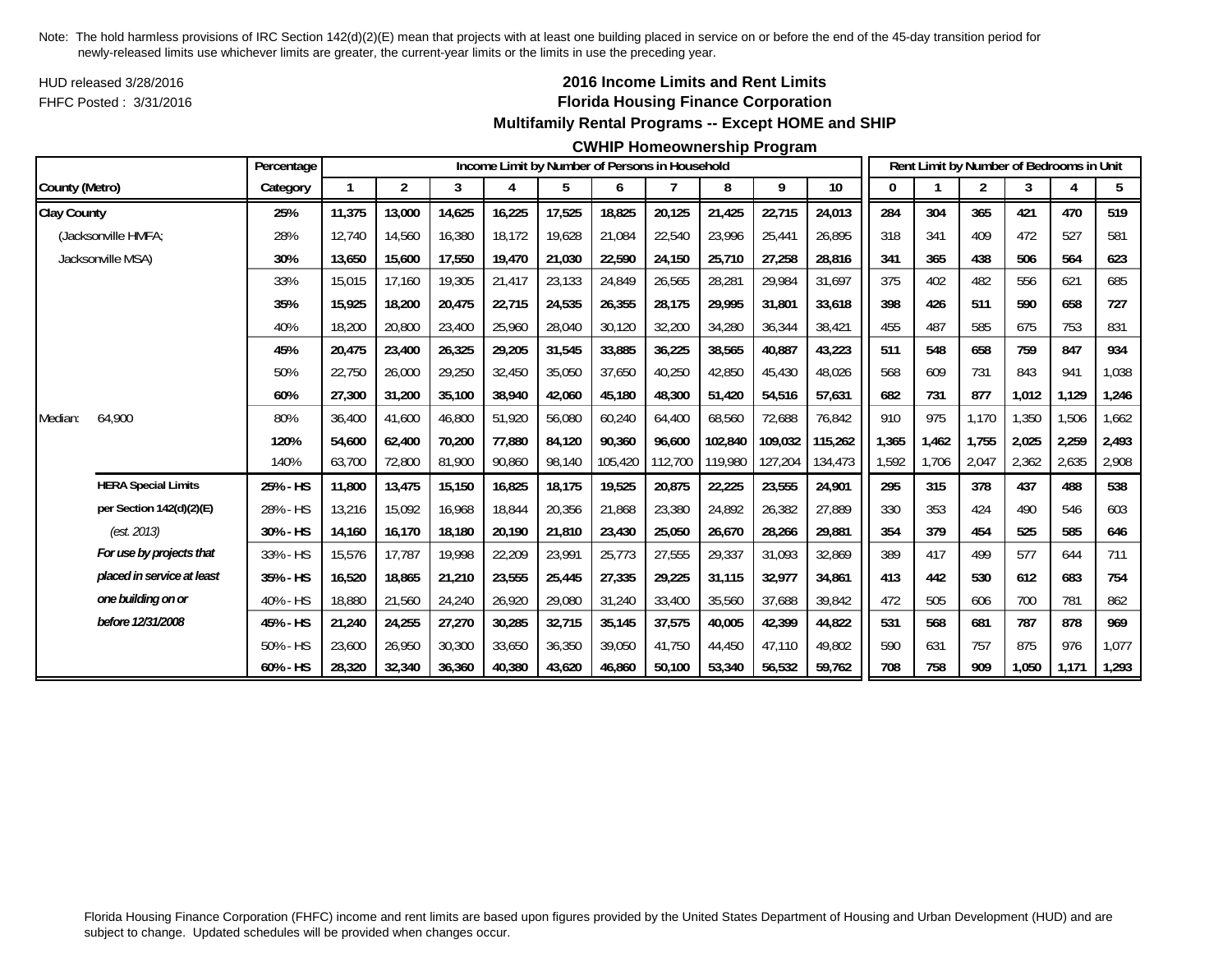HUD released 3/28/2016FHFC Posted : 3/31/2016

## **2016 Income Limits and Rent Limits Florida Housing Finance Corporation Multifamily Rental Programs -- Except HOME and SHIP**

#### **CWHIP Homeownership Program**

|                    |                            | Percentage |        |                |        |        | Income Limit by Number of Persons in Household |         |                |         |         |         |       |       |                | Rent Limit by Number of Bedrooms in Unit |       |       |
|--------------------|----------------------------|------------|--------|----------------|--------|--------|------------------------------------------------|---------|----------------|---------|---------|---------|-------|-------|----------------|------------------------------------------|-------|-------|
| County (Metro)     |                            | Category   |        | $\overline{2}$ | 3      | 4      | 5                                              | 6       | $\overline{7}$ | 8       | 9       | 10      | 0     |       | $\overline{2}$ | 3                                        |       | 5     |
| <b>Clay County</b> |                            | 25%        | 11,375 | 13,000         | 14,625 | 16,225 | 17,525                                         | 18,825  | 20,125         | 21,425  | 22,715  | 24,013  | 284   | 304   | 365            | 421                                      | 470   | 519   |
|                    | (Jacksonville HMFA;        | 28%        | 12,740 | 14,560         | 16,380 | 18,172 | 19,628                                         | 21,084  | 22,540         | 23,996  | 25,441  | 26,895  | 318   | 341   | 409            | 472                                      | 527   | 581   |
|                    | Jacksonville MSA)          | 30%        | 13,650 | 15,600         | 17,550 | 19,470 | 21,030                                         | 22,590  | 24,150         | 25,710  | 27,258  | 28,816  | 341   | 365   | 438            | 506                                      | 564   | 623   |
|                    |                            | 33%        | 15,015 | 17,160         | 19,305 | 21,417 | 23,133                                         | 24,849  | 26,565         | 28,281  | 29,984  | 31,697  | 375   | 402   | 482            | 556                                      | 621   | 685   |
|                    |                            | 35%        | 15.925 | 18,200         | 20,475 | 22,715 | 24,535                                         | 26,355  | 28.175         | 29.995  | 31,801  | 33.618  | 398   | 426   | 511            | 590                                      | 658   | 727   |
|                    |                            | 40%        | 18,200 | 20,800         | 23,400 | 25,960 | 28,040                                         | 30,120  | 32,200         | 34,280  | 36,344  | 38,421  | 455   | 487   | 585            | 675                                      | 753   | 831   |
|                    |                            | 45%        | 20,475 | 23,400         | 26,325 | 29,205 | 31,545                                         | 33,885  | 36,225         | 38,565  | 40,887  | 43,223  | 511   | 548   | 658            | 759                                      | 847   | 934   |
|                    |                            | 50%        | 22,750 | 26,000         | 29,250 | 32,450 | 35,050                                         | 37,650  | 40,250         | 42,850  | 45,430  | 48,026  | 568   | 609   | 731            | 843                                      | 941   | 1,038 |
|                    |                            | 60%        | 27,300 | 31,200         | 35,100 | 38,940 | 42,060                                         | 45,180  | 48,300         | 51,420  | 54,516  | 57,631  | 682   | 731   | 877            | 1,012                                    | 1,129 | 1,246 |
| Median:            | 64,900                     | 80%        | 36,400 | 41,600         | 46,800 | 51,920 | 56,080                                         | 60,240  | 64,400         | 68,560  | 72,688  | 76,842  | 910   | 975   | 1,170          | 1,350                                    | 1,506 | 1,662 |
|                    |                            | 120%       | 54.600 | 62.400         | 70.200 | 77,880 | 84.120                                         | 90.360  | 96.600         | 102.840 | 109.032 | 115,262 | 1,365 | 1.462 | 1.755          | 2,025                                    | 2,259 | 2,493 |
|                    |                            | 140%       | 63,700 | 72,800         | 81,900 | 90,860 | 98,140                                         | 105,420 | 112,700        | 119,980 | 127,204 | 134,473 | 1,592 | 1,706 | 2,047          | 2,362                                    | 2,635 | 2,908 |
|                    | <b>HERA Special Limits</b> | 25% - HS   | 11,800 | 13,475         | 15,150 | 16,825 | 18,175                                         | 19,525  | 20,875         | 22,225  | 23,555  | 24,901  | 295   | 315   | 378            | 437                                      | 488   | 538   |
|                    | per Section 142(d)(2)(E)   | 28% - HS   | 13,216 | 15,092         | 16,968 | 18,844 | 20,356                                         | 21,868  | 23,380         | 24,892  | 26,382  | 27,889  | 330   | 353   | 424            | 490                                      | 546   | 603   |
|                    | (est. 2013)                | 30% - HS   | 14,160 | 16,170         | 18,180 | 20,190 | 21,810                                         | 23,430  | 25,050         | 26,670  | 28,266  | 29,881  | 354   | 379   | 454            | 525                                      | 585   | 646   |
|                    | For use by projects that   | 33% - HS   | 15,576 | 17,787         | 19,998 | 22,209 | 23,991                                         | 25,773  | 27,555         | 29,337  | 31,093  | 32,869  | 389   | 417   | 499            | 577                                      | 644   | 711   |
|                    | placed in service at least | 35% - HS   | 16,520 | 18,865         | 21,210 | 23,555 | 25,445                                         | 27,335  | 29,225         | 31,115  | 32,977  | 34,861  | 413   | 442   | 530            | 612                                      | 683   | 754   |
|                    | one building on or         | 40% - HS   | 18,880 | 21,560         | 24,240 | 26,920 | 29,080                                         | 31,240  | 33,400         | 35,560  | 37,688  | 39,842  | 472   | 505   | 606            | 700                                      | 781   | 862   |
|                    | before 12/31/2008          | 45% - HS   | 21,240 | 24,255         | 27,270 | 30,285 | 32,715                                         | 35,145  | 37,575         | 40,005  | 42,399  | 44,822  | 531   | 568   | 681            | 787                                      | 878   | 969   |
|                    |                            | 50% - HS   | 23,600 | 26,950         | 30,300 | 33,650 | 36,350                                         | 39,050  | 41,750         | 44,450  | 47,110  | 49,802  | 590   | 631   | 757            | 875                                      | 976   | 1,077 |
|                    |                            | 60% - HS   | 28,320 | 32,340         | 36,360 | 40,380 | 43,620                                         | 46,860  | 50.100         | 53,340  | 56,532  | 59,762  | 708   | 758   | 909            | 1,050                                    | 1,171 | 1,293 |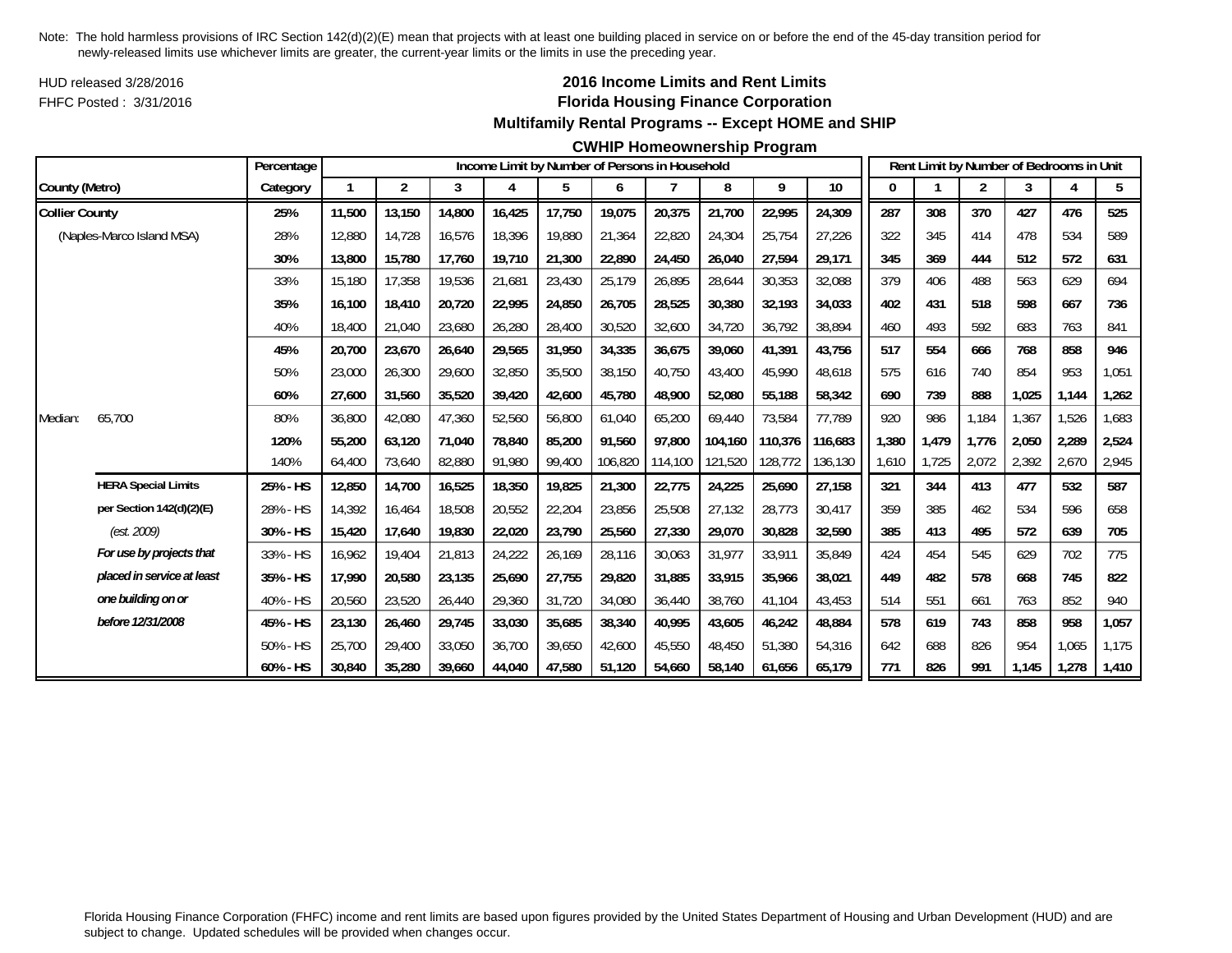HUD released 3/28/2016FHFC Posted : 3/31/2016

## **2016 Income Limits and Rent Limits Florida Housing Finance Corporation Multifamily Rental Programs -- Except HOME and SHIP**

#### **CWHIP Homeownership Program**

|                       |                            | Percentage |        |        |        |        |        |         | Income Limit by Number of Persons in Household |         |         |         |       |       |                | Rent Limit by Number of Bedrooms in Unit |       |       |
|-----------------------|----------------------------|------------|--------|--------|--------|--------|--------|---------|------------------------------------------------|---------|---------|---------|-------|-------|----------------|------------------------------------------|-------|-------|
| County (Metro)        |                            | Category   |        | 2      | 3      | 4      | 5      | 6       |                                                | 8       | 9       | 10      | 0     |       | $\overline{2}$ | 3                                        |       | 5     |
| <b>Collier County</b> |                            | 25%        | 11,500 | 13,150 | 14,800 | 16,425 | 17,750 | 19,075  | 20,375                                         | 21,700  | 22,995  | 24,309  | 287   | 308   | 370            | 427                                      | 476   | 525   |
|                       | (Naples-Marco Island MSA)  | 28%        | 12,880 | 14.728 | 16,576 | 18,396 | 19,880 | 21,364  | 22,820                                         | 24,304  | 25,754  | 27,226  | 322   | 345   | 414            | 478                                      | 534   | 589   |
|                       |                            | 30%        | 13,800 | 15,780 | 17,760 | 19,710 | 21,300 | 22,890  | 24,450                                         | 26,040  | 27,594  | 29,171  | 345   | 369   | 444            | 512                                      | 572   | 631   |
|                       |                            | 33%        | 15,180 | 17,358 | 19,536 | 21,681 | 23,430 | 25,179  | 26,895                                         | 28,644  | 30,353  | 32,088  | 379   | 406   | 488            | 563                                      | 629   | 694   |
|                       |                            | 35%        | 16,100 | 18,410 | 20,720 | 22,995 | 24,850 | 26,705  | 28,525                                         | 30,380  | 32,193  | 34,033  | 402   | 431   | 518            | 598                                      | 667   | 736   |
|                       |                            | 40%        | 18,400 | 21,040 | 23,680 | 26,280 | 28,400 | 30,520  | 32,600                                         | 34,720  | 36,792  | 38,894  | 460   | 493   | 592            | 683                                      | 763   | 841   |
|                       |                            | 45%        | 20,700 | 23,670 | 26,640 | 29,565 | 31,950 | 34,335  | 36,675                                         | 39,060  | 41,391  | 43,756  | 517   | 554   | 666            | 768                                      | 858   | 946   |
|                       |                            | 50%        | 23,000 | 26,300 | 29,600 | 32,850 | 35,500 | 38,150  | 40,750                                         | 43,400  | 45,990  | 48,618  | 575   | 616   | 740            | 854                                      | 953   | 1,051 |
|                       |                            | 60%        | 27,600 | 31,560 | 35,520 | 39,420 | 42,600 | 45,780  | 48,900                                         | 52,080  | 55,188  | 58,342  | 690   | 739   | 888            | 1,025                                    | 1,144 | 1,262 |
| Median:               | 65,700                     | 80%        | 36,800 | 42,080 | 47,360 | 52,560 | 56,800 | 61,040  | 65,200                                         | 69.440  | 73,584  | 77,789  | 920   | 986   | 1,184          | 1,367                                    | 1,526 | 1,683 |
|                       |                            | 120%       | 55,200 | 63,120 | 71,040 | 78,840 | 85,200 | 91,560  | 97.800                                         | 104,160 | 110,376 | 116,683 | 1,380 | 1,479 | 1.776          | 2,050                                    | 2,289 | 2,524 |
|                       |                            | 140%       | 64,400 | 73,640 | 82,880 | 91,980 | 99,400 | 106,820 | 114,100                                        | 121,520 | 128,772 | 136,130 | 1,610 | 1,725 | 2,072          | 2,392                                    | 2,670 | 2,945 |
|                       | <b>HERA Special Limits</b> | 25% - HS   | 12,850 | 14,700 | 16,525 | 18,350 | 19,825 | 21,300  | 22,775                                         | 24,225  | 25,690  | 27,158  | 321   | 344   | 413            | 477                                      | 532   | 587   |
|                       | per Section 142(d)(2)(E)   | 28% - HS   | 14,392 | 16.464 | 18,508 | 20,552 | 22,204 | 23,856  | 25,508                                         | 27,132  | 28,773  | 30,417  | 359   | 385   | 462            | 534                                      | 596   | 658   |
|                       | (est. 2009)                | 30% - HS   | 15,420 | 17,640 | 19,830 | 22,020 | 23,790 | 25,560  | 27,330                                         | 29,070  | 30,828  | 32,590  | 385   | 413   | 495            | 572                                      | 639   | 705   |
|                       | For use by projects that   | 33% - HS   | 16,962 | 19,404 | 21,813 | 24,222 | 26,169 | 28,116  | 30,063                                         | 31,977  | 33,911  | 35.849  | 424   | 454   | 545            | 629                                      | 702   | 775   |
|                       | placed in service at least | 35% - HS   | 17,990 | 20,580 | 23,135 | 25,690 | 27,755 | 29,820  | 31,885                                         | 33,915  | 35,966  | 38,021  | 449   | 482   | 578            | 668                                      | 745   | 822   |
|                       | one building on or         | 40% - HS   | 20,560 | 23,520 | 26,440 | 29,360 | 31,720 | 34,080  | 36,440                                         | 38,760  | 41,104  | 43,453  | 514   | 551   | 661            | 763                                      | 852   | 940   |
|                       | before 12/31/2008          | 45% - HS   | 23,130 | 26,460 | 29,745 | 33,030 | 35,685 | 38,340  | 40,995                                         | 43,605  | 46,242  | 48,884  | 578   | 619   | 743            | 858                                      | 958   | 1,057 |
|                       |                            | 50% - HS   | 25,700 | 29,400 | 33,050 | 36,700 | 39,650 | 42,600  | 45,550                                         | 48.450  | 51,380  | 54,316  | 642   | 688   | 826            | 954                                      | 1.065 | 1,175 |
|                       |                            | 60% - HS   | 30,840 | 35,280 | 39,660 | 44,040 | 47,580 | 51,120  | 54,660                                         | 58,140  | 61,656  | 65,179  | 771   | 826   | 991            | 1,145                                    | 1,278 | 1,410 |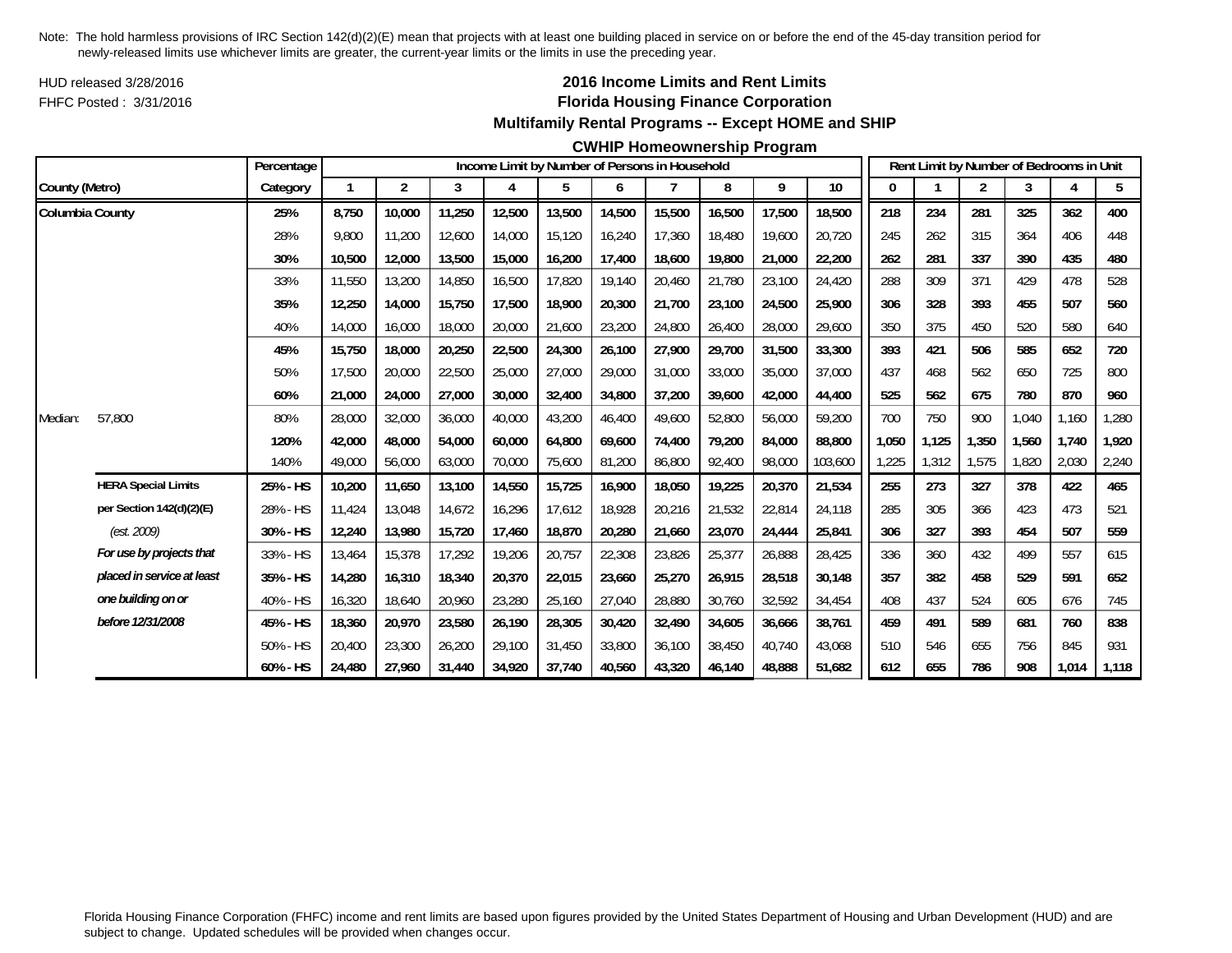HUD released 3/28/2016FHFC Posted : 3/31/2016

## **2016 Income Limits and Rent Limits Florida Housing Finance Corporation Multifamily Rental Programs -- Except HOME and SHIP**

#### **CWHIP Homeownership Program**

|                 |                            | Percentage |              |                |        |        |        |        | Income Limit by Number of Persons in Household |        |        |         |       |       | Rent Limit by Number of Bedrooms in Unit |       |       |       |
|-----------------|----------------------------|------------|--------------|----------------|--------|--------|--------|--------|------------------------------------------------|--------|--------|---------|-------|-------|------------------------------------------|-------|-------|-------|
| County (Metro)  |                            | Category   | $\mathbf{1}$ | $\overline{2}$ | 3      | 4      | 5      | 6      |                                                | 8      | 9      | 10      |       |       | 2                                        | 3     |       | 5     |
| Columbia County |                            | 25%        | 8,750        | 10,000         | 11,250 | 12,500 | 13,500 | 14,500 | 15,500                                         | 16,500 | 17,500 | 18,500  | 218   | 234   | 281                                      | 325   | 362   | 400   |
|                 |                            | 28%        | 9.800        | 11,200         | 12,600 | 14,000 | 15,120 | 16,240 | 17.360                                         | 18,480 | 19,600 | 20.720  | 245   | 262   | 315                                      | 364   | 406   | 448   |
|                 |                            | 30%        | 10,500       | 12,000         | 13,500 | 15,000 | 16,200 | 17,400 | 18,600                                         | 19,800 | 21,000 | 22,200  | 262   | 281   | 337                                      | 390   | 435   | 480   |
|                 |                            | 33%        | 11,550       | 13,200         | 14,850 | 16,500 | 17,820 | 19,140 | 20,460                                         | 21,780 | 23,100 | 24,420  | 288   | 309   | 371                                      | 429   | 478   | 528   |
|                 |                            | 35%        | 12,250       | 14,000         | 15,750 | 17,500 | 18,900 | 20,300 | 21,700                                         | 23,100 | 24,500 | 25,900  | 306   | 328   | 393                                      | 455   | 507   | 560   |
|                 |                            | 40%        | 14,000       | 16,000         | 18,000 | 20,000 | 21,600 | 23,200 | 24,800                                         | 26,400 | 28,000 | 29,600  | 350   | 375   | 450                                      | 520   | 580   | 640   |
|                 |                            | 45%        | 15,750       | 18,000         | 20,250 | 22,500 | 24,300 | 26,100 | 27,900                                         | 29,700 | 31,500 | 33,300  | 393   | 421   | 506                                      | 585   | 652   | 720   |
|                 |                            | 50%        | 17,500       | 20,000         | 22,500 | 25,000 | 27,000 | 29,000 | 31,000                                         | 33,000 | 35,000 | 37,000  | 437   | 468   | 562                                      | 650   | 725   | 800   |
|                 |                            | 60%        | 21,000       | 24,000         | 27,000 | 30,000 | 32,400 | 34,800 | 37,200                                         | 39,600 | 42,000 | 44,400  | 525   | 562   | 675                                      | 780   | 870   | 960   |
| Median:         | 57,800                     | 80%        | 28,000       | 32,000         | 36,000 | 40,000 | 43,200 | 46,400 | 49.600                                         | 52,800 | 56,000 | 59,200  | 700   | 750   | 900                                      | 1.040 | 1,160 | 1,280 |
|                 |                            | 120%       | 42,000       | 48,000         | 54,000 | 60,000 | 64,800 | 69,600 | 74,400                                         | 79,200 | 84,000 | 88,800  | 1,050 | 1,125 | 1,350                                    | 1,560 | 1,740 | 1,920 |
|                 |                            | 140%       | 49,000       | 56,000         | 63,000 | 70,000 | 75,600 | 81,200 | 86,800                                         | 92,400 | 98,000 | 103,600 | 1,225 | 1,312 | 1,575                                    | 1,820 | 2,030 | 2,240 |
|                 | <b>HERA Special Limits</b> | 25% - HS   | 10,200       | 11,650         | 13,100 | 14,550 | 15,725 | 16,900 | 18,050                                         | 19,225 | 20,370 | 21,534  | 255   | 273   | 327                                      | 378   | 422   | 465   |
|                 | per Section 142(d)(2)(E)   | 28% - HS   | 11,424       | 13,048         | 14,672 | 16,296 | 17,612 | 18,928 | 20,216                                         | 21,532 | 22,814 | 24,118  | 285   | 305   | 366                                      | 423   | 473   | 521   |
|                 | (est. 2009)                | 30% - HS   | 12,240       | 13,980         | 15,720 | 17,460 | 18,870 | 20,280 | 21,660                                         | 23,070 | 24,444 | 25,841  | 306   | 327   | 393                                      | 454   | 507   | 559   |
|                 | For use by projects that   | 33% - HS   | 13,464       | 15,378         | 17,292 | 19,206 | 20,757 | 22,308 | 23,826                                         | 25,377 | 26,888 | 28,425  | 336   | 360   | 432                                      | 499   | 557   | 615   |
|                 | placed in service at least | 35% - HS   | 14,280       | 16,310         | 18,340 | 20,370 | 22,015 | 23,660 | 25,270                                         | 26,915 | 28,518 | 30,148  | 357   | 382   | 458                                      | 529   | 591   | 652   |
|                 | one building on or         | 40% - HS   | 16,320       | 18,640         | 20,960 | 23,280 | 25,160 | 27,040 | 28,880                                         | 30,760 | 32,592 | 34,454  | 408   | 437   | 524                                      | 605   | 676   | 745   |
|                 | before 12/31/2008          | 45% - HS   | 18,360       | 20,970         | 23,580 | 26,190 | 28,305 | 30,420 | 32,490                                         | 34,605 | 36,666 | 38,761  | 459   | 491   | 589                                      | 681   | 760   | 838   |
|                 |                            | 50% - HS   | 20,400       | 23,300         | 26,200 | 29,100 | 31,450 | 33,800 | 36,100                                         | 38,450 | 40,740 | 43,068  | 510   | 546   | 655                                      | 756   | 845   | 931   |
|                 |                            | 60% - HS   | 24,480       | 27,960         | 31,440 | 34,920 | 37,740 | 40,560 | 43,320                                         | 46,140 | 48,888 | 51,682  | 612   | 655   | 786                                      | 908   | 1,014 | 1,118 |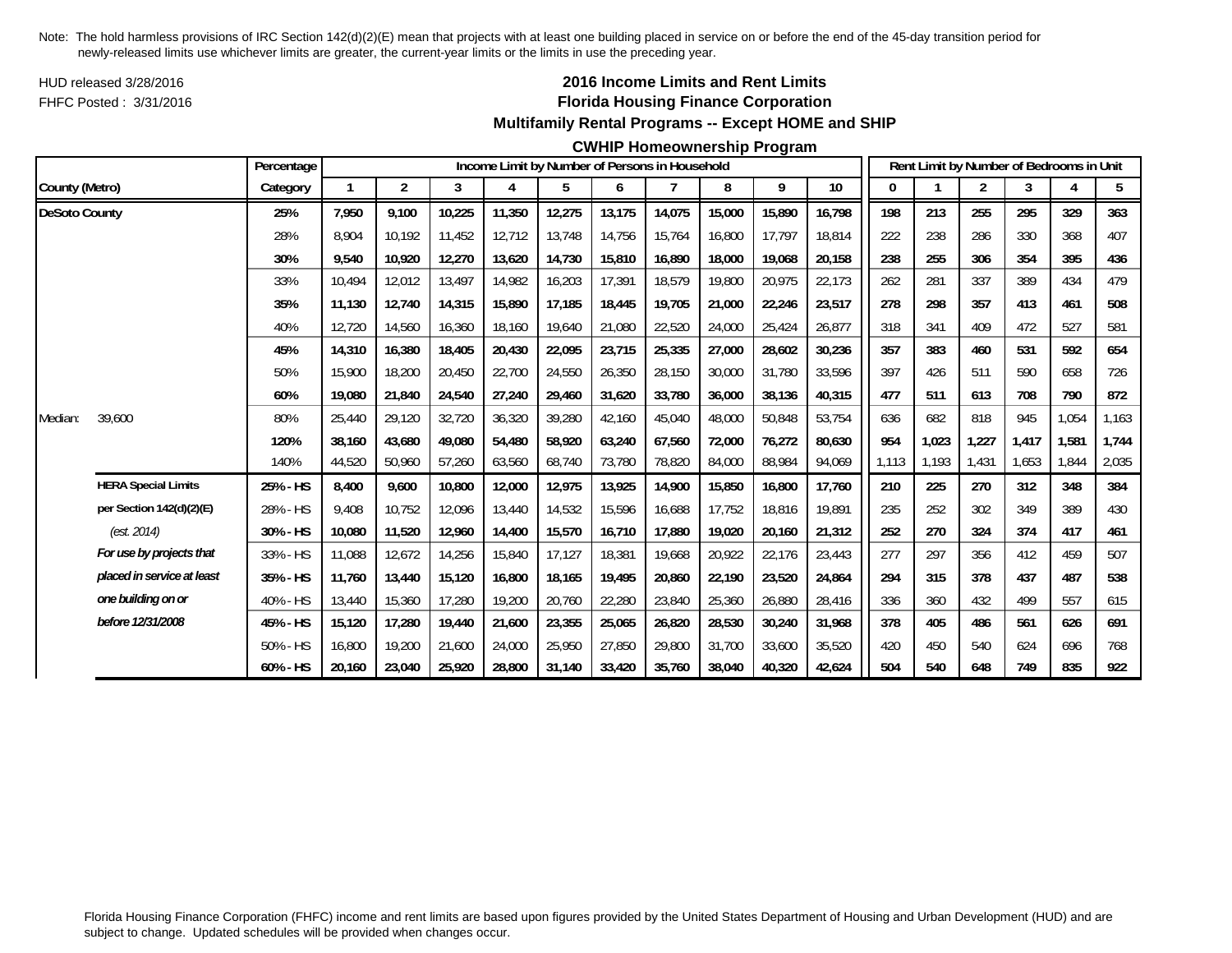HUD released 3/28/2016FHFC Posted : 3/31/2016

## **2016 Income Limits and Rent Limits Florida Housing Finance Corporation Multifamily Rental Programs -- Except HOME and SHIP**

#### **CWHIP Homeownership Program**

|                      |                            | Percentage |        |                |        |        |        |        | Income Limit by Number of Persons in Household |        |        |        |       |       |       |       | Rent Limit by Number of Bedrooms in Unit |       |
|----------------------|----------------------------|------------|--------|----------------|--------|--------|--------|--------|------------------------------------------------|--------|--------|--------|-------|-------|-------|-------|------------------------------------------|-------|
| County (Metro)       |                            | Category   |        | $\overline{2}$ | 3      | 4      | 5      | 6      |                                                | 8      | 9      | $10$   |       |       | 2     | 3     |                                          | 5     |
| <b>DeSoto County</b> |                            | 25%        | 7,950  | 9.100          | 10,225 | 11,350 | 12,275 | 13,175 | 14,075                                         | 15,000 | 15,890 | 16,798 | 198   | 213   | 255   | 295   | 329                                      | 363   |
|                      |                            | 28%        | 8.904  | 10.192         | 11,452 | 12,712 | 13,748 | 14,756 | 15.764                                         | 16,800 | 17,797 | 18.814 | 222   | 238   | 286   | 330   | 368                                      | 407   |
|                      |                            | 30%        | 9,540  | 10,920         | 12,270 | 13,620 | 14,730 | 15,810 | 16,890                                         | 18,000 | 19,068 | 20,158 | 238   | 255   | 306   | 354   | 395                                      | 436   |
|                      |                            | 33%        | 10,494 | 12,012         | 13,497 | 14,982 | 16,203 | 17,391 | 18,579                                         | 19,800 | 20,975 | 22,173 | 262   | 281   | 337   | 389   | 434                                      | 479   |
|                      |                            | 35%        | 11,130 | 12.740         | 14,315 | 15,890 | 17,185 | 18,445 | 19.705                                         | 21,000 | 22,246 | 23,517 | 278   | 298   | 357   | 413   | 461                                      | 508   |
|                      |                            | 40%        | 12,720 | 14,560         | 16,360 | 18,160 | 19,640 | 21,080 | 22,520                                         | 24,000 | 25,424 | 26,877 | 318   | 341   | 409   | 472   | 527                                      | 581   |
|                      |                            | 45%        | 14,310 | 16,380         | 18,405 | 20,430 | 22,095 | 23,715 | 25,335                                         | 27,000 | 28,602 | 30,236 | 357   | 383   | 460   | 531   | 592                                      | 654   |
|                      |                            | 50%        | 15,900 | 18,200         | 20,450 | 22,700 | 24,550 | 26,350 | 28,150                                         | 30,000 | 31,780 | 33,596 | 397   | 426   | 511   | 590   | 658                                      | 726   |
|                      |                            | 60%        | 19,080 | 21,840         | 24,540 | 27,240 | 29,460 | 31,620 | 33,780                                         | 36,000 | 38,136 | 40,315 | 477   | 511   | 613   | 708   | 790                                      | 872   |
| Median:              | 39,600                     | 80%        | 25,440 | 29,120         | 32,720 | 36,320 | 39,280 | 42,160 | 45,040                                         | 48,000 | 50,848 | 53,754 | 636   | 682   | 818   | 945   | 1,054                                    | 1,163 |
|                      |                            | 120%       | 38.160 | 43,680         | 49,080 | 54,480 | 58,920 | 63.240 | 67.560                                         | 72,000 | 76,272 | 80,630 | 954   | 1,023 | 1,227 | 1.417 | 1,581                                    | 1,744 |
|                      |                            | 140%       | 44,520 | 50,960         | 57,260 | 63,560 | 68,740 | 73,780 | 78,820                                         | 84,000 | 88,984 | 94,069 | 1,113 | 1,193 | 1,431 | 1,653 | 1,844                                    | 2,035 |
|                      | <b>HERA Special Limits</b> | 25% - HS   | 8,400  | 9,600          | 10,800 | 12,000 | 12,975 | 13,925 | 14,900                                         | 15,850 | 16,800 | 17,760 | 210   | 225   | 270   | 312   | 348                                      | 384   |
|                      | per Section 142(d)(2)(E)   | 28% - HS   | 9.408  | 10.752         | 12,096 | 13,440 | 14,532 | 15,596 | 16.688                                         | 17.752 | 18,816 | 19,891 | 235   | 252   | 302   | 349   | 389                                      | 430   |
|                      | (est. 2014)                | 30% - HS   | 10,080 | 11,520         | 12,960 | 14,400 | 15,570 | 16,710 | 17,880                                         | 19,020 | 20,160 | 21,312 | 252   | 270   | 324   | 374   | 417                                      | 461   |
|                      | For use by projects that   | 33% - HS   | 11,088 | 12,672         | 14,256 | 15,840 | 17,127 | 18,381 | 19.668                                         | 20,922 | 22,176 | 23,443 | 277   | 297   | 356   | 412   | 459                                      | 507   |
|                      | placed in service at least | 35% - HS   | 11,760 | 13,440         | 15,120 | 16,800 | 18,165 | 19,495 | 20,860                                         | 22,190 | 23,520 | 24,864 | 294   | 315   | 378   | 437   | 487                                      | 538   |
|                      | one building on or         | 40% - HS   | 13,440 | 15,360         | 17,280 | 19,200 | 20,760 | 22,280 | 23,840                                         | 25,360 | 26,880 | 28,416 | 336   | 360   | 432   | 499   | 557                                      | 615   |
|                      | before 12/31/2008          | 45% - HS   | 15,120 | 17,280         | 19,440 | 21,600 | 23,355 | 25,065 | 26,820                                         | 28,530 | 30,240 | 31,968 | 378   | 405   | 486   | 561   | 626                                      | 691   |
|                      |                            | 50% - HS   | 16,800 | 19,200         | 21,600 | 24,000 | 25,950 | 27,850 | 29,800                                         | 31,700 | 33,600 | 35,520 | 420   | 450   | 540   | 624   | 696                                      | 768   |
|                      |                            | 60% - HS   | 20,160 | 23,040         | 25,920 | 28,800 | 31,140 | 33,420 | 35.760                                         | 38,040 | 40,320 | 42,624 | 504   | 540   | 648   | 749   | 835                                      | 922   |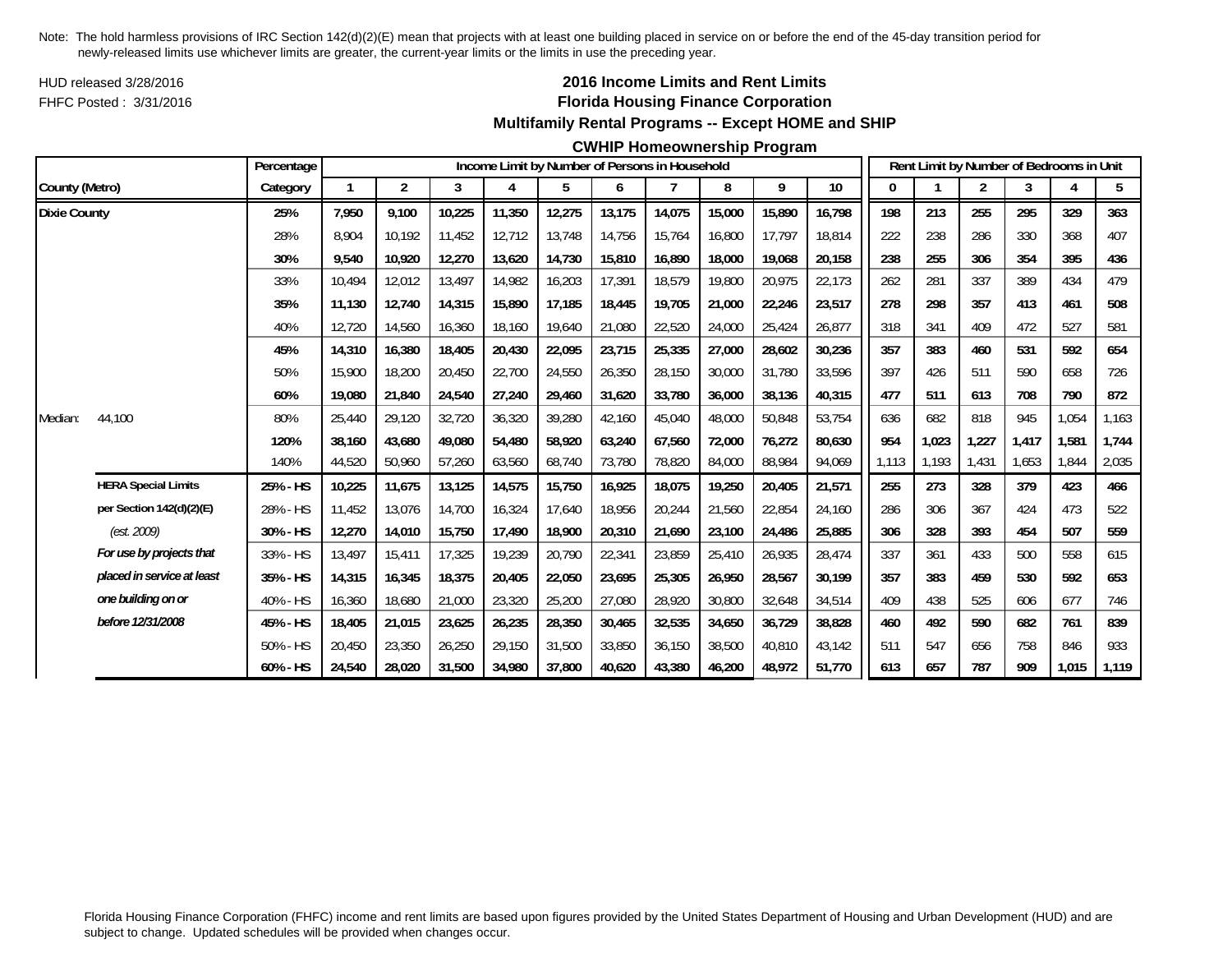HUD released 3/28/2016FHFC Posted : 3/31/2016

## **2016 Income Limits and Rent Limits Florida Housing Finance Corporation Multifamily Rental Programs -- Except HOME and SHIP**

#### **CWHIP Homeownership Program**

|                     |                            | Percentage  |        |                |        |        | Income Limit by Number of Persons in Household |        |        |        |        |        |       |       | Rent Limit by Number of Bedrooms in Unit |       |       |                |
|---------------------|----------------------------|-------------|--------|----------------|--------|--------|------------------------------------------------|--------|--------|--------|--------|--------|-------|-------|------------------------------------------|-------|-------|----------------|
| County (Metro)      |                            | Category    |        | $\overline{2}$ | 3      | 4      | 5                                              | 6      |        | 8      | 9      | $10\,$ | 0     |       | $\overline{2}$                           | 3     | 4     | 5 <sub>5</sub> |
| <b>Dixie County</b> |                            | 25%         | 7,950  | 9,100          | 10,225 | 11,350 | 12,275                                         | 13,175 | 14,075 | 15,000 | 15,890 | 16,798 | 198   | 213   | 255                                      | 295   | 329   | 363            |
|                     |                            | 28%         | 8.904  | 10.192         | 11,452 | 12,712 | 13,748                                         | 14,756 | 15.764 | 16,800 | 17.797 | 18.814 | 222   | 238   | 286                                      | 330   | 368   | 407            |
|                     |                            | 30%         | 9,540  | 10,920         | 12,270 | 13,620 | 14,730                                         | 15,810 | 16,890 | 18,000 | 19,068 | 20,158 | 238   | 255   | 306                                      | 354   | 395   | 436            |
|                     |                            | 33%         | 10,494 | 12,012         | 13,497 | 14,982 | 16,203                                         | 17,391 | 18,579 | 19,800 | 20,975 | 22,173 | 262   | 281   | 337                                      | 389   | 434   | 479            |
|                     |                            | 35%         | 11,130 | 12,740         | 14,315 | 15,890 | 17,185                                         | 18,445 | 19,705 | 21,000 | 22,246 | 23,517 | 278   | 298   | 357                                      | 413   | 461   | 508            |
|                     |                            | 40%         | 12,720 | 14,560         | 16,360 | 18,160 | 19,640                                         | 21,080 | 22,520 | 24,000 | 25,424 | 26,877 | 318   | 341   | 409                                      | 472   | 527   | 581            |
|                     |                            | 45%         | 14,310 | 16,380         | 18,405 | 20,430 | 22,095                                         | 23,715 | 25,335 | 27,000 | 28,602 | 30,236 | 357   | 383   | 460                                      | 531   | 592   | 654            |
|                     |                            | 50%         | 15,900 | 18,200         | 20,450 | 22,700 | 24,550                                         | 26,350 | 28,150 | 30,000 | 31,780 | 33,596 | 397   | 426   | 511                                      | 590   | 658   | 726            |
|                     |                            | 60%         | 19,080 | 21,840         | 24,540 | 27,240 | 29,460                                         | 31,620 | 33,780 | 36,000 | 38,136 | 40,315 | 477   | 511   | 613                                      | 708   | 790   | 872            |
| Median:             | 44,100                     | 80%         | 25,440 | 29,120         | 32,720 | 36,320 | 39,280                                         | 42,160 | 45,040 | 48,000 | 50,848 | 53,754 | 636   | 682   | 818                                      | 945   | 1,054 | 1,163          |
|                     |                            | 120%        | 38.160 | 43,680         | 49.080 | 54,480 | 58,920                                         | 63.240 | 67.560 | 72,000 | 76,272 | 80,630 | 954   | 1,023 | 1,227                                    | 1.417 | 1,581 | 1,744          |
|                     |                            | 140%        | 44,520 | 50,960         | 57,260 | 63,560 | 68,740                                         | 73,780 | 78,820 | 84,000 | 88,984 | 94,069 | 1.113 | 1,193 | 1,431                                    | 1,653 | 1.844 | 2,035          |
|                     | <b>HERA Special Limits</b> | 25% - HS    | 10,225 | 11,675         | 13,125 | 14,575 | 15,750                                         | 16,925 | 18,075 | 19,250 | 20,405 | 21,571 | 255   | 273   | 328                                      | 379   | 423   | 466            |
|                     | per Section 142(d)(2)(E)   | 28% - HS    | 11,452 | 13,076         | 14,700 | 16,324 | 17,640                                         | 18,956 | 20,244 | 21,560 | 22,854 | 24,160 | 286   | 306   | 367                                      | 424   | 473   | 522            |
|                     | (est. 2009)                | 30% - HS    | 12,270 | 14,010         | 15,750 | 17,490 | 18,900                                         | 20,310 | 21,690 | 23,100 | 24,486 | 25,885 | 306   | 328   | 393                                      | 454   | 507   | 559            |
|                     | For use by projects that   | 33% - HS    | 13,497 | 15,411         | 17,325 | 19,239 | 20,790                                         | 22,341 | 23,859 | 25,410 | 26,935 | 28,474 | 337   | 361   | 433                                      | 500   | 558   | 615            |
|                     | placed in service at least | 35% - HS    | 14,315 | 16,345         | 18,375 | 20,405 | 22,050                                         | 23,695 | 25,305 | 26,950 | 28,567 | 30,199 | 357   | 383   | 459                                      | 530   | 592   | 653            |
|                     | one building on or         | 40% - HS    | 16,360 | 18,680         | 21,000 | 23,320 | 25,200                                         | 27,080 | 28,920 | 30,800 | 32,648 | 34,514 | 409   | 438   | 525                                      | 606   | 677   | 746            |
|                     | before 12/31/2008          | 45% - HS    | 18,405 | 21,015         | 23,625 | 26,235 | 28,350                                         | 30,465 | 32,535 | 34,650 | 36,729 | 38,828 | 460   | 492   | 590                                      | 682   | 761   | 839            |
|                     |                            | 50% - HS    | 20,450 | 23,350         | 26,250 | 29,150 | 31,500                                         | 33,850 | 36.150 | 38,500 | 40,810 | 43,142 | 511   | 547   | 656                                      | 758   | 846   | 933            |
|                     |                            | $60\% - HS$ | 24,540 | 28,020         | 31,500 | 34,980 | 37,800                                         | 40,620 | 43,380 | 46,200 | 48,972 | 51,770 | 613   | 657   | 787                                      | 909   | 1,015 | 1,119          |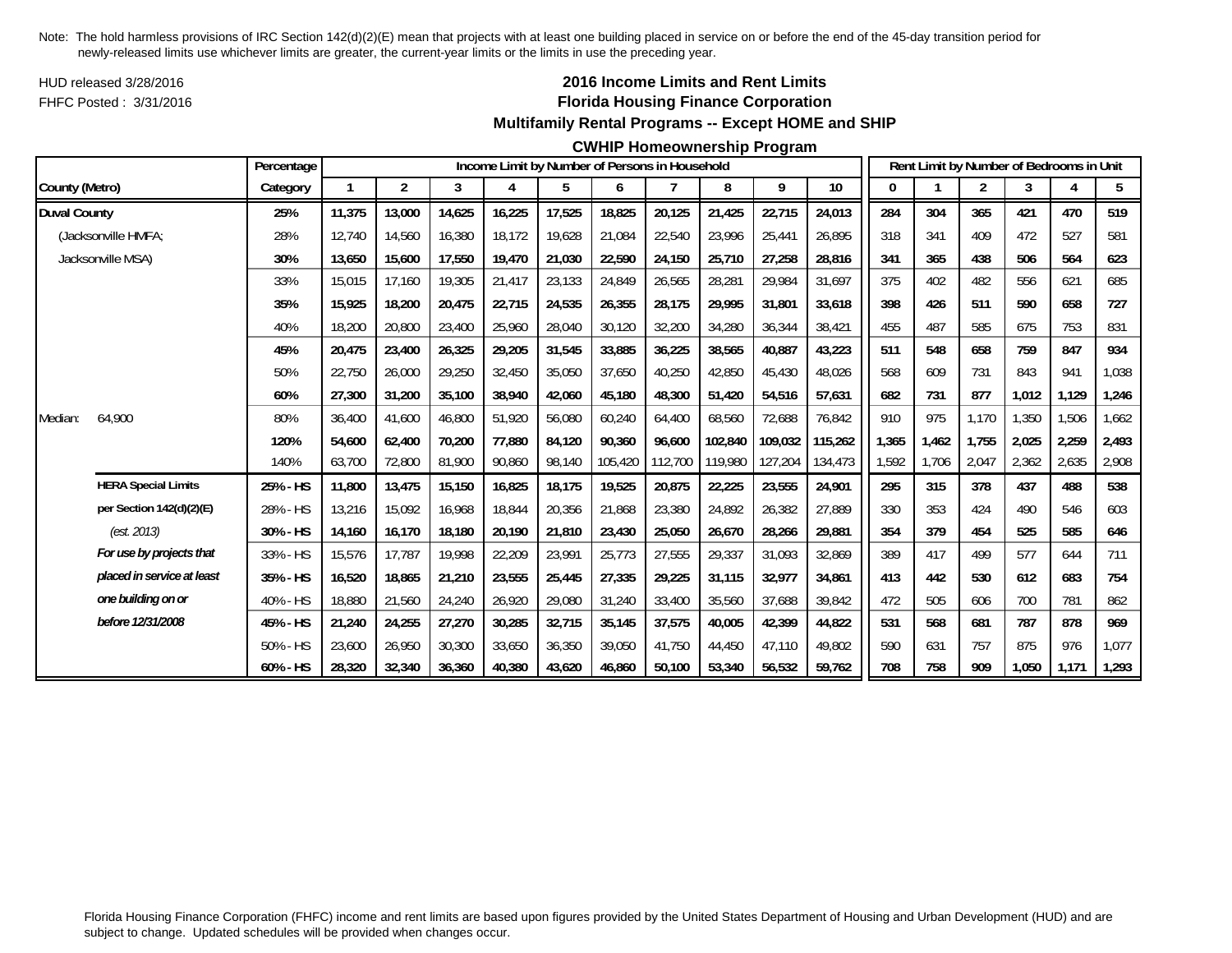HUD released 3/28/2016FHFC Posted : 3/31/2016

## **2016 Income Limits and Rent Limits Florida Housing Finance Corporation Multifamily Rental Programs -- Except HOME and SHIP**

#### **CWHIP Homeownership Program**

|                     |                            | Percentage |        |        |        |        | Income Limit by Number of Persons in Household |         |         |         |         |         |       |       |                | Rent Limit by Number of Bedrooms in Unit |       |       |
|---------------------|----------------------------|------------|--------|--------|--------|--------|------------------------------------------------|---------|---------|---------|---------|---------|-------|-------|----------------|------------------------------------------|-------|-------|
| County (Metro)      |                            | Category   |        | 2      | 3      | 4      | 5                                              | 6       | 7       | 8       | 9       | 10      | 0     |       | $\overline{2}$ | 3                                        |       | 5     |
| <b>Duval County</b> |                            | 25%        | 11,375 | 13,000 | 14,625 | 16,225 | 17,525                                         | 18,825  | 20,125  | 21,425  | 22,715  | 24,013  | 284   | 304   | 365            | 421                                      | 470   | 519   |
|                     | (Jacksonville HMFA;        | 28%        | 12.740 | 14,560 | 16,380 | 18,172 | 19,628                                         | 21,084  | 22,540  | 23,996  | 25,441  | 26,895  | 318   | 341   | 409            | 472                                      | 527   | 581   |
|                     | Jacksonville MSA)          | 30%        | 13,650 | 15,600 | 17,550 | 19,470 | 21,030                                         | 22,590  | 24,150  | 25,710  | 27,258  | 28,816  | 341   | 365   | 438            | 506                                      | 564   | 623   |
|                     |                            | 33%        | 15,015 | 17,160 | 19,305 | 21,417 | 23,133                                         | 24,849  | 26,565  | 28,281  | 29,984  | 31,697  | 375   | 402   | 482            | 556                                      | 621   | 685   |
|                     |                            | 35%        | 15.925 | 18,200 | 20,475 | 22,715 | 24,535                                         | 26,355  | 28,175  | 29,995  | 31,801  | 33,618  | 398   | 426   | 511            | 590                                      | 658   | 727   |
|                     |                            | 40%        | 18,200 | 20,800 | 23,400 | 25,960 | 28,040                                         | 30,120  | 32,200  | 34,280  | 36,344  | 38,421  | 455   | 487   | 585            | 675                                      | 753   | 831   |
|                     |                            | 45%        | 20,475 | 23,400 | 26,325 | 29,205 | 31,545                                         | 33,885  | 36,225  | 38,565  | 40,887  | 43,223  | 511   | 548   | 658            | 759                                      | 847   | 934   |
|                     |                            | 50%        | 22,750 | 26,000 | 29,250 | 32,450 | 35,050                                         | 37,650  | 40,250  | 42,850  | 45,430  | 48,026  | 568   | 609   | 731            | 843                                      | 941   | 1,038 |
|                     |                            | 60%        | 27,300 | 31,200 | 35,100 | 38,940 | 42,060                                         | 45,180  | 48,300  | 51,420  | 54,516  | 57,631  | 682   | 731   | 877            | 1,012                                    | 1,129 | 1,246 |
| Median:             | 64,900                     | 80%        | 36,400 | 41,600 | 46,800 | 51,920 | 56,080                                         | 60,240  | 64,400  | 68,560  | 72,688  | 76,842  | 910   | 975   | 1,170          | 1,350                                    | 1,506 | 1,662 |
|                     |                            | 120%       | 54,600 | 62,400 | 70,200 | 77,880 | 84,120                                         | 90,360  | 96.600  | 102,840 | 109,032 | 115,262 | 1,365 | 1,462 | 1,755          | 2,025                                    | 2,259 | 2,493 |
|                     |                            | 140%       | 63,700 | 72,800 | 81,900 | 90,860 | 98,140                                         | 105,420 | 112,700 | 119,980 | 127,204 | 134,473 | 1,592 | 1,706 | 2,047          | 2,362                                    | 2,635 | 2,908 |
|                     | <b>HERA Special Limits</b> | 25% - HS   | 11,800 | 13,475 | 15,150 | 16,825 | 18,175                                         | 19,525  | 20,875  | 22,225  | 23,555  | 24,901  | 295   | 315   | 378            | 437                                      | 488   | 538   |
|                     | per Section 142(d)(2)(E)   | 28% - HS   | 13,216 | 15,092 | 16.968 | 18,844 | 20,356                                         | 21,868  | 23,380  | 24,892  | 26,382  | 27,889  | 330   | 353   | 424            | 490                                      | 546   | 603   |
|                     | (est. 2013)                | 30% - HS   | 14,160 | 16,170 | 18,180 | 20,190 | 21,810                                         | 23,430  | 25,050  | 26,670  | 28,266  | 29,881  | 354   | 379   | 454            | 525                                      | 585   | 646   |
|                     | For use by projects that   | 33% - HS   | 15,576 | 17,787 | 19,998 | 22,209 | 23,991                                         | 25,773  | 27,555  | 29,337  | 31,093  | 32,869  | 389   | 417   | 499            | 577                                      | 644   | 711   |
|                     | placed in service at least | 35% - HS   | 16,520 | 18,865 | 21,210 | 23,555 | 25,445                                         | 27,335  | 29,225  | 31,115  | 32,977  | 34,861  | 413   | 442   | 530            | 612                                      | 683   | 754   |
|                     | one building on or         | 40% - HS   | 18,880 | 21,560 | 24,240 | 26,920 | 29,080                                         | 31,240  | 33,400  | 35,560  | 37,688  | 39,842  | 472   | 505   | 606            | 700                                      | 781   | 862   |
|                     | before 12/31/2008          | 45% - HS   | 21,240 | 24,255 | 27,270 | 30,285 | 32,715                                         | 35,145  | 37,575  | 40,005  | 42,399  | 44,822  | 531   | 568   | 681            | 787                                      | 878   | 969   |
|                     |                            | 50% - HS   | 23,600 | 26,950 | 30,300 | 33,650 | 36,350                                         | 39,050  | 41,750  | 44,450  | 47,110  | 49,802  | 590   | 631   | 757            | 875                                      | 976   | 1,077 |
|                     |                            | 60% - HS   | 28,320 | 32,340 | 36,360 | 40,380 | 43,620                                         | 46,860  | 50.100  | 53,340  | 56,532  | 59,762  | 708   | 758   | 909            | 1,050                                    | 1,171 | 1,293 |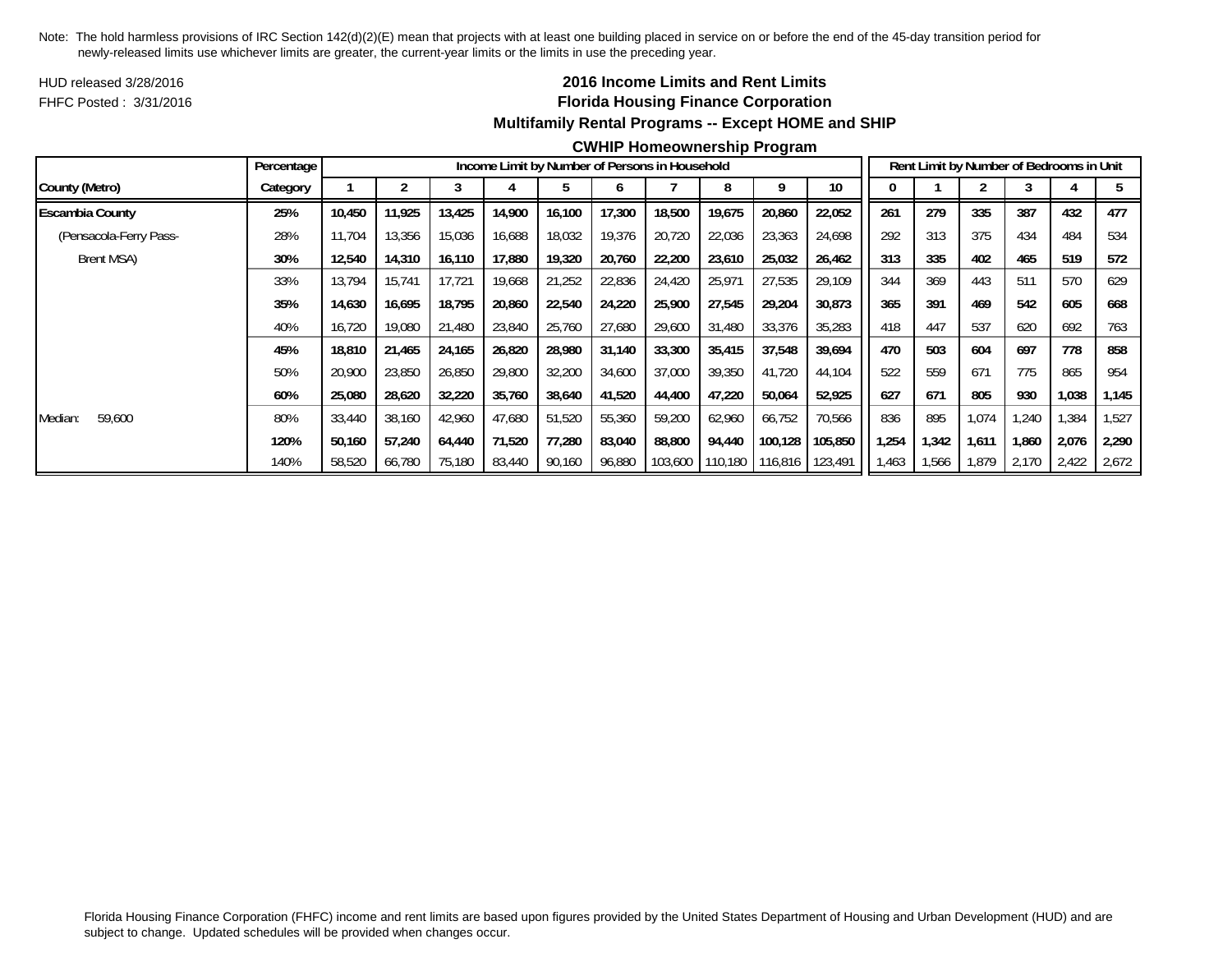HUD released 3/28/2016FHFC Posted : 3/31/2016

## **2016 Income Limits and Rent Limits Florida Housing Finance Corporation Multifamily Rental Programs -- Except HOME and SHIP**

#### **CWHIP Homeownership Program**

|                        | Percentage |        |        |        |        |        |        | Income Limit by Number of Persons in Household |                 |         |                 |       |       |       | Rent Limit by Number of Bedrooms in Unit |       |       |
|------------------------|------------|--------|--------|--------|--------|--------|--------|------------------------------------------------|-----------------|---------|-----------------|-------|-------|-------|------------------------------------------|-------|-------|
| County (Metro)         | Category   |        |        |        |        |        |        |                                                |                 |         | 10 <sup>°</sup> |       |       |       |                                          |       |       |
| <b>Escambia County</b> | 25%        | 10,450 | 11,925 | 13,425 | 14,900 | 16,100 | 17,300 | 18,500                                         | 19,675          | 20,860  | 22,052          | 261   | 279   | 335   | 387                                      | 432   | 477   |
| (Pensacola-Ferry Pass- | 28%        | 11,704 | 13,356 | 15,036 | 16,688 | 18,032 | 19,376 | 20,720                                         | 22,036          | 23,363  | 24,698          | 292   | 313   | 375   | 434                                      | 484   | 534   |
| Brent MSA)             | 30%        | 12,540 | 14,310 | 16,110 | 17,880 | 19,320 | 20,760 | 22,200                                         | 23,610          | 25,032  | 26,462          | 313   | 335   | 402   | 465                                      | 519   | 572   |
|                        | 33%        | 13,794 | 15,741 | 17,721 | 19,668 | 21,252 | 22,836 | 24,420                                         | 25,971          | 27,535  | 29,109          | 344   | 369   | 443   | 511                                      | 570   | 629   |
|                        | 35%        | 14,630 | 16.695 | 18,795 | 20,860 | 22,540 | 24,220 | 25,900                                         | 27,545          | 29,204  | 30,873          | 365   | 391   | 469   | 542                                      | 605   | 668   |
|                        | 40%        | 16,720 | 19,080 | 21,480 | 23,840 | 25,760 | 27,680 | 29,600                                         | 31,480          | 33,376  | 35,283          | 418   | 447   | 537   | 620                                      | 692   | 763   |
|                        | 45%        | 18,810 | 21,465 | 24,165 | 26,820 | 28,980 | 31,140 | 33,300                                         | 35,415          | 37,548  | 39,694          | 470   | 503   | 604   | 697                                      | 778   | 858   |
|                        | 50%        | 20,900 | 23,850 | 26,850 | 29,800 | 32,200 | 34,600 | 37,000                                         | 39,350          | 41,720  | 44,104          | 522   | 559   | 671   | 775                                      | 865   | 954   |
|                        | 60%        | 25,080 | 28,620 | 32,220 | 35,760 | 38,640 | 41,520 | 44,400                                         | 47,220          | 50,064  | 52,925          | 627   | 671   | 805   | 930                                      | 1,038 | 1,145 |
| 59,600<br>Median:      | 80%        | 33,440 | 38,160 | 42,960 | 47,680 | 51,520 | 55,360 | 59,200                                         | 62,960          | 66,752  | 70,566          | 836   | 895   | 1,074 | 1,240                                    | 1,384 | 1,527 |
|                        | 120%       | 50,160 | 57,240 | 64,440 | 71,520 | 77,280 | 83,040 | 88,800                                         | 94,440          | 100,128 | 105,850         | ,254  | 1,342 | 1,611 | 1,860                                    | 2,076 | 2,290 |
|                        | 140%       | 58,520 | 66,780 | 75,180 | 83,440 | 90,160 | 96,880 |                                                | 103,600 110,180 | 116,816 | 123,491         | 1,463 | 1,566 | 1,879 | 2,170                                    | 2,422 | 2,672 |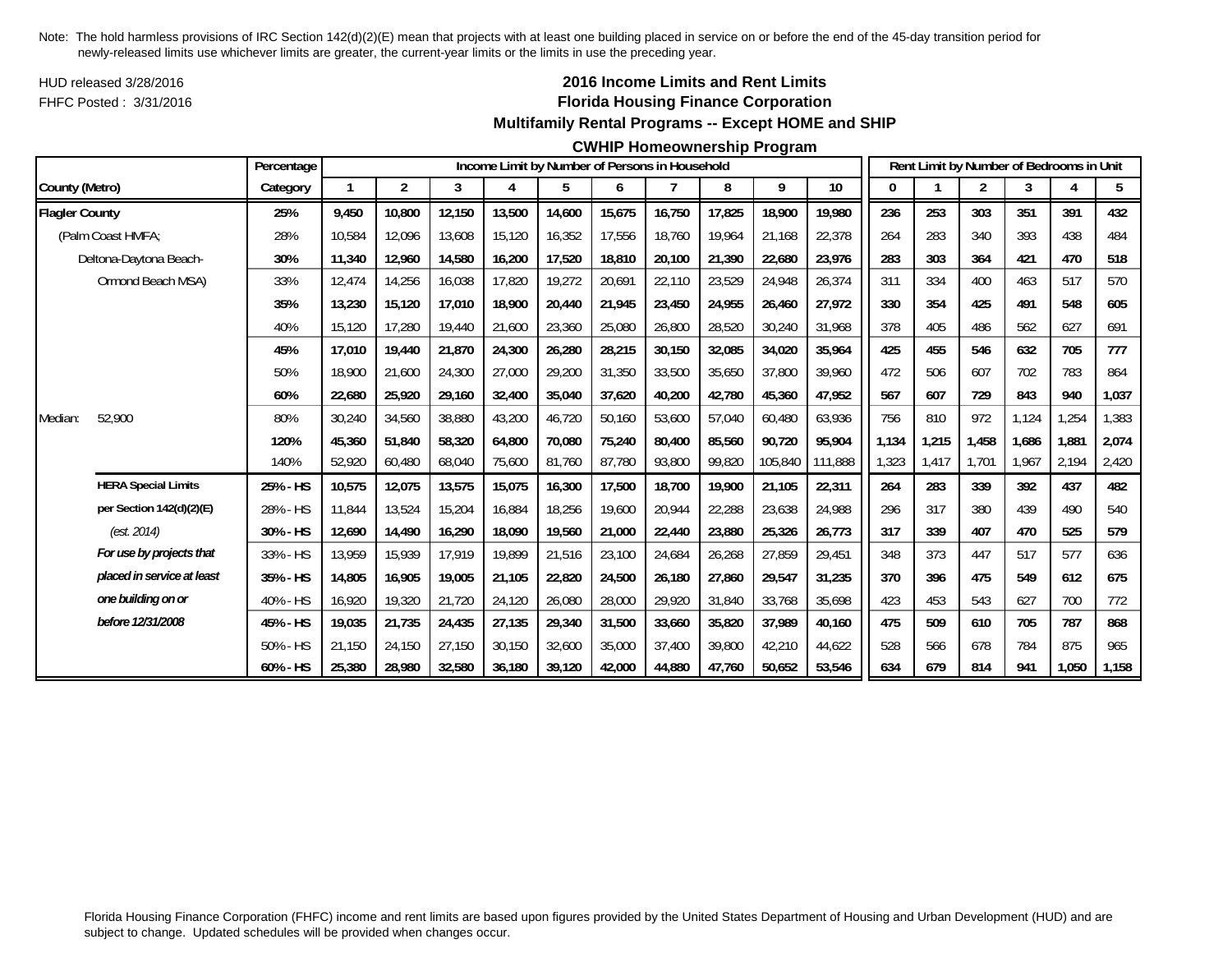HUD released 3/28/2016FHFC Posted : 3/31/2016

## **2016 Income Limits and Rent Limits Florida Housing Finance Corporation Multifamily Rental Programs -- Except HOME and SHIP**

#### **CWHIP Homeownership Program**

|                       |                            | Percentage |        |                         |        |        |        |        | Income Limit by Number of Persons in Household |        |         |         |       |       | Rent Limit by Number of Bedrooms in Unit |       |       |       |
|-----------------------|----------------------------|------------|--------|-------------------------|--------|--------|--------|--------|------------------------------------------------|--------|---------|---------|-------|-------|------------------------------------------|-------|-------|-------|
| County (Metro)        |                            | Category   |        | $\overline{\mathbf{c}}$ | 3      | 4      | 5      | 6      | 7                                              | 8      | 9       | 10      | 0     |       | $\overline{2}$                           | 3     |       | 5     |
| <b>Flagler County</b> |                            | 25%        | 9,450  | 10,800                  | 12,150 | 13,500 | 14,600 | 15,675 | 16,750                                         | 17,825 | 18,900  | 19,980  | 236   | 253   | 303                                      | 351   | 391   | 432   |
|                       | (Palm Coast HMFA;          | 28%        | 10,584 | 12,096                  | 13,608 | 15,120 | 16,352 | 17,556 | 18.760                                         | 19.964 | 21.168  | 22,378  | 264   | 283   | 340                                      | 393   | 438   | 484   |
|                       | Deltona-Daytona Beach-     | 30%        | 11,340 | 12,960                  | 14,580 | 16,200 | 17,520 | 18,810 | 20,100                                         | 21,390 | 22,680  | 23,976  | 283   | 303   | 364                                      | 421   | 470   | 518   |
|                       | Ormond Beach MSA)          | 33%        | 12,474 | 14,256                  | 16,038 | 17,820 | 19,272 | 20,691 | 22,110                                         | 23,529 | 24,948  | 26,374  | 311   | 334   | 400                                      | 463   | 517   | 570   |
|                       |                            | 35%        | 13,230 | 15,120                  | 17,010 | 18,900 | 20,440 | 21,945 | 23,450                                         | 24,955 | 26,460  | 27,972  | 330   | 354   | 425                                      | 491   | 548   | 605   |
|                       |                            | 40%        | 15,120 | 17,280                  | 19,440 | 21,600 | 23,360 | 25,080 | 26,800                                         | 28,520 | 30,240  | 31,968  | 378   | 405   | 486                                      | 562   | 627   | 691   |
|                       |                            | 45%        | 17,010 | 19,440                  | 21,870 | 24,300 | 26,280 | 28,215 | 30,150                                         | 32,085 | 34,020  | 35,964  | 425   | 455   | 546                                      | 632   | 705   | 777   |
|                       |                            | 50%        | 18,900 | 21,600                  | 24,300 | 27,000 | 29,200 | 31,350 | 33,500                                         | 35,650 | 37,800  | 39,960  | 472   | 506   | 607                                      | 702   | 783   | 864   |
|                       |                            | 60%        | 22,680 | 25,920                  | 29,160 | 32,400 | 35,040 | 37,620 | 40,200                                         | 42,780 | 45,360  | 47,952  | 567   | 607   | 729                                      | 843   | 940   | 1,037 |
| Median:               | 52,900                     | 80%        | 30,240 | 34,560                  | 38,880 | 43,200 | 46,720 | 50,160 | 53,600                                         | 57,040 | 60.480  | 63,936  | 756   | 810   | 972                                      | 1.124 | ,254  | 1,383 |
|                       |                            | 120%       | 45,360 | 51,840                  | 58,320 | 64,800 | 70,080 | 75,240 | 80,400                                         | 85,560 | 90,720  | 95,904  | 1,134 | 1,215 | 1,458                                    | 1,686 | 1,881 | 2,074 |
|                       |                            | 140%       | 52,920 | 60,480                  | 68,040 | 75,600 | 81,760 | 87,780 | 93,800                                         | 99,820 | 105,840 | 111,888 | 1,323 | 1,417 | 1,701                                    | 1,967 | 2,194 | 2,420 |
|                       | <b>HERA Special Limits</b> | 25% - HS   | 10,575 | 12,075                  | 13,575 | 15,075 | 16,300 | 17,500 | 18,700                                         | 19,900 | 21,105  | 22,311  | 264   | 283   | 339                                      | 392   | 437   | 482   |
|                       | per Section 142(d)(2)(E)   | 28% - HS   | 11.844 | 13,524                  | 15,204 | 16,884 | 18,256 | 19,600 | 20,944                                         | 22,288 | 23,638  | 24,988  | 296   | 317   | 380                                      | 439   | 490   | 540   |
|                       | (est. 2014)                | 30% - HS   | 12,690 | 14,490                  | 16,290 | 18,090 | 19,560 | 21,000 | 22,440                                         | 23,880 | 25,326  | 26,773  | 317   | 339   | 407                                      | 470   | 525   | 579   |
|                       | For use by projects that   | 33% - HS   | 13.959 | 15,939                  | 17.919 | 19.899 | 21,516 | 23,100 | 24,684                                         | 26,268 | 27,859  | 29,451  | 348   | 373   | 447                                      | 517   | 577   | 636   |
|                       | placed in service at least | 35% - HS   | 14,805 | 16,905                  | 19,005 | 21,105 | 22,820 | 24,500 | 26,180                                         | 27,860 | 29,547  | 31,235  | 370   | 396   | 475                                      | 549   | 612   | 675   |
|                       | one building on or         | 40% - HS   | 16,920 | 19,320                  | 21,720 | 24,120 | 26,080 | 28,000 | 29,920                                         | 31,840 | 33,768  | 35,698  | 423   | 453   | 543                                      | 627   | 700   | 772   |
|                       | before 12/31/2008          | 45% - HS   | 19,035 | 21,735                  | 24,435 | 27,135 | 29,340 | 31,500 | 33,660                                         | 35,820 | 37,989  | 40,160  | 475   | 509   | 610                                      | 705   | 787   | 868   |
|                       |                            | 50% - HS   | 21.150 | 24,150                  | 27,150 | 30,150 | 32,600 | 35,000 | 37.400                                         | 39,800 | 42,210  | 44,622  | 528   | 566   | 678                                      | 784   | 875   | 965   |
|                       |                            | 60% - HS   | 25,380 | 28,980                  | 32,580 | 36,180 | 39,120 | 42,000 | 44,880                                         | 47,760 | 50,652  | 53,546  | 634   | 679   | 814                                      | 941   | 1,050 | 1,158 |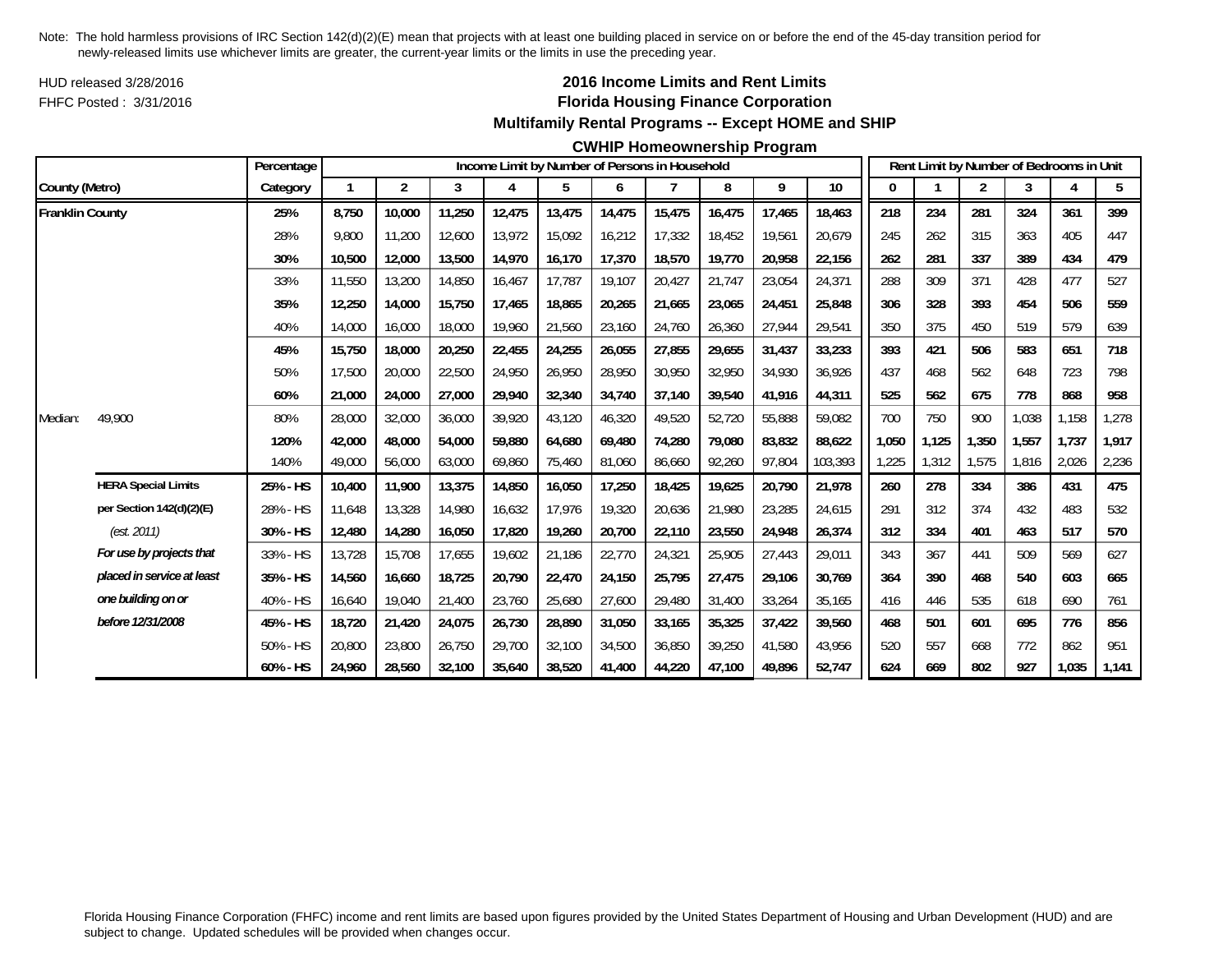HUD released 3/28/2016FHFC Posted : 3/31/2016

## **2016 Income Limits and Rent Limits Florida Housing Finance Corporation Multifamily Rental Programs -- Except HOME and SHIP**

#### **CWHIP Homeownership Program**

|                        |                            | Percentage  |        |                |        |        | Income Limit by Number of Persons in Household |        |        |        |        |         |       |       | Rent Limit by Number of Bedrooms in Unit |       |       |       |
|------------------------|----------------------------|-------------|--------|----------------|--------|--------|------------------------------------------------|--------|--------|--------|--------|---------|-------|-------|------------------------------------------|-------|-------|-------|
| County (Metro)         |                            | Category    |        | $\overline{2}$ | 3      | 4      | 5                                              | 6      |        | 8      | 9      | 10      |       |       | 2                                        | 3     |       | 5     |
| <b>Franklin County</b> |                            | 25%         | 8,750  | 10,000         | 11,250 | 12,475 | 13,475                                         | 14,475 | 15,475 | 16,475 | 17,465 | 18,463  | 218   | 234   | 281                                      | 324   | 361   | 399   |
|                        |                            | 28%         | 9.800  | 11,200         | 12,600 | 13.972 | 15,092                                         | 16,212 | 17,332 | 18,452 | 19,561 | 20.679  | 245   | 262   | 315                                      | 363   | 405   | 447   |
|                        |                            | 30%         | 10,500 | 12,000         | 13,500 | 14,970 | 16,170                                         | 17,370 | 18,570 | 19,770 | 20,958 | 22,156  | 262   | 281   | 337                                      | 389   | 434   | 479   |
|                        |                            | 33%         | 11,550 | 13,200         | 14,850 | 16,467 | 17,787                                         | 19,107 | 20,427 | 21,747 | 23,054 | 24,371  | 288   | 309   | 371                                      | 428   | 477   | 527   |
|                        |                            | 35%         | 12,250 | 14,000         | 15,750 | 17,465 | 18,865                                         | 20,265 | 21,665 | 23,065 | 24,451 | 25,848  | 306   | 328   | 393                                      | 454   | 506   | 559   |
|                        |                            | 40%         | 14,000 | 16,000         | 18,000 | 19,960 | 21,560                                         | 23,160 | 24,760 | 26,360 | 27,944 | 29,541  | 350   | 375   | 450                                      | 519   | 579   | 639   |
|                        |                            | 45%         | 15,750 | 18,000         | 20,250 | 22,455 | 24,255                                         | 26,055 | 27,855 | 29,655 | 31,437 | 33,233  | 393   | 421   | 506                                      | 583   | 651   | 718   |
|                        |                            | 50%         | 17,500 | 20,000         | 22,500 | 24,950 | 26,950                                         | 28,950 | 30,950 | 32,950 | 34,930 | 36,926  | 437   | 468   | 562                                      | 648   | 723   | 798   |
|                        |                            | 60%         | 21,000 | 24,000         | 27,000 | 29,940 | 32,340                                         | 34,740 | 37,140 | 39,540 | 41,916 | 44,311  | 525   | 562   | 675                                      | 778   | 868   | 958   |
| Median:                | 49,900                     | 80%         | 28,000 | 32,000         | 36,000 | 39,920 | 43,120                                         | 46,320 | 49.520 | 52,720 | 55,888 | 59.082  | 700   | 750   | 900                                      | 1.038 | 1,158 | 1,278 |
|                        |                            | 120%        | 42,000 | 48,000         | 54,000 | 59,880 | 64,680                                         | 69,480 | 74,280 | 79,080 | 83,832 | 88,622  | 1,050 | 1,125 | 1,350                                    | 1,557 | 1,737 | 1,917 |
|                        |                            | 140%        | 49,000 | 56,000         | 63,000 | 69,860 | 75,460                                         | 81,060 | 86,660 | 92,260 | 97,804 | 103,393 | 1,225 | 1,312 | 1,575                                    | 1,816 | 2,026 | 2,236 |
|                        | <b>HERA Special Limits</b> | 25% - HS    | 10,400 | 11,900         | 13,375 | 14,850 | 16,050                                         | 17,250 | 18,425 | 19,625 | 20,790 | 21,978  | 260   | 278   | 334                                      | 386   | 431   | 475   |
|                        | per Section 142(d)(2)(E)   | 28% - HS    | 11,648 | 13,328         | 14,980 | 16,632 | 17,976                                         | 19,320 | 20,636 | 21,980 | 23,285 | 24,615  | 291   | 312   | 374                                      | 432   | 483   | 532   |
|                        | (est. 2011)                | 30% - HS    | 12,480 | 14,280         | 16,050 | 17,820 | 19,260                                         | 20,700 | 22,110 | 23,550 | 24,948 | 26,374  | 312   | 334   | 401                                      | 463   | 517   | 570   |
|                        | For use by projects that   | 33% - HS    | 13,728 | 15,708         | 17,655 | 19,602 | 21,186                                         | 22,770 | 24,321 | 25,905 | 27,443 | 29,011  | 343   | 367   | 441                                      | 509   | 569   | 627   |
|                        | placed in service at least | 35% - HS    | 14,560 | 16,660         | 18,725 | 20,790 | 22,470                                         | 24,150 | 25,795 | 27,475 | 29,106 | 30,769  | 364   | 390   | 468                                      | 540   | 603   | 665   |
|                        | one building on or         | 40% - HS    | 16,640 | 19,040         | 21,400 | 23,760 | 25,680                                         | 27,600 | 29,480 | 31,400 | 33,264 | 35,165  | 416   | 446   | 535                                      | 618   | 690   | 761   |
|                        | before 12/31/2008          | 45% - HS    | 18,720 | 21,420         | 24,075 | 26,730 | 28,890                                         | 31,050 | 33,165 | 35,325 | 37,422 | 39,560  | 468   | 501   | 601                                      | 695   | 776   | 856   |
|                        |                            | 50% - HS    | 20,800 | 23,800         | 26,750 | 29,700 | 32,100                                         | 34,500 | 36,850 | 39,250 | 41,580 | 43.956  | 520   | 557   | 668                                      | 772   | 862   | 951   |
|                        |                            | $60\% - HS$ | 24,960 | 28,560         | 32,100 | 35,640 | 38,520                                         | 41,400 | 44,220 | 47,100 | 49,896 | 52,747  | 624   | 669   | 802                                      | 927   | 1,035 | 1,141 |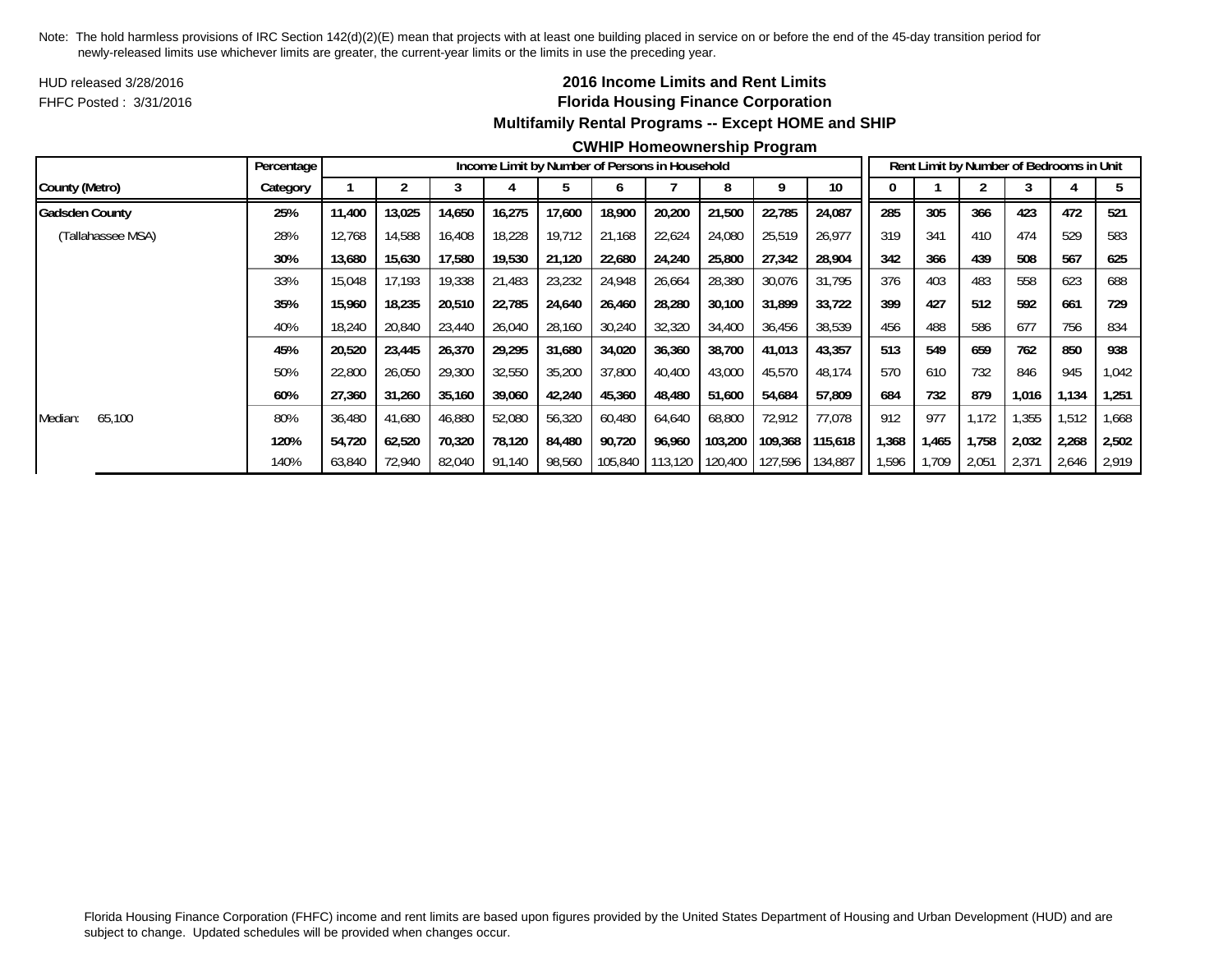HUD released 3/28/2016FHFC Posted : 3/31/2016

## **2016 Income Limits and Rent Limits Florida Housing Finance Corporation Multifamily Rental Programs -- Except HOME and SHIP**

### **CWHIP Homeownership Program**

|                       | Percentage |        |        |        |        |        |         | Income Limit by Number of Persons in Household |                 |         |         |       |       |       | Rent Limit by Number of Bedrooms in Unit |        |        |
|-----------------------|------------|--------|--------|--------|--------|--------|---------|------------------------------------------------|-----------------|---------|---------|-------|-------|-------|------------------------------------------|--------|--------|
| County (Metro)        | Category   |        |        |        |        |        | n       |                                                | 8               | q       | 10      |       |       |       |                                          |        |        |
| <b>Gadsden County</b> | 25%        | 11,400 | 13,025 | 14,650 | 16,275 | 17,600 | 18,900  | 20,200                                         | 21,500          | 22,785  | 24,087  | 285   | 305   | 366   | 423                                      | 472    | 521    |
| (Tallahassee MSA)     | 28%        | 12,768 | 14,588 | 16,408 | 18,228 | 19,712 | 21,168  | 22,624                                         | 24,080          | 25,519  | 26,977  | 319   | 341   | 410   | 474                                      | 529    | 583    |
|                       | 30%        | 13,680 | 15,630 | 17,580 | 19,530 | 21,120 | 22,680  | 24,240                                         | 25,800          | 27,342  | 28,904  | 342   | 366   | 439   | 508                                      | 567    | 625    |
|                       | 33%        | 15,048 | 17.193 | 19,338 | 21,483 | 23,232 | 24,948  | 26,664                                         | 28,380          | 30,076  | 31,795  | 376   | 403   | 483   | 558                                      | 623    | 688    |
|                       | 35%        | 15,960 | 18,235 | 20,510 | 22,785 | 24,640 | 26,460  | 28,280                                         | 30,100          | 31,899  | 33,722  | 399   | 427   | 512   | 592                                      | 661    | 729    |
|                       | 40%        | 18,240 | 20,840 | 23,440 | 26,040 | 28,160 | 30,240  | 32,320                                         | 34,400          | 36,456  | 38,539  | 456   | 488   | 586   | 677                                      | 756    | 834    |
|                       | 45%        | 20,520 | 23,445 | 26,370 | 29,295 | 31,680 | 34,020  | 36,360                                         | 38,700          | 41,013  | 43,357  | 513   | 549   | 659   | 762                                      | 850    | 938    |
|                       | 50%        | 22,800 | 26,050 | 29,300 | 32,550 | 35,200 | 37,800  | 40,400                                         | 43,000          | 45,570  | 48,174  | 570   | 610   | 732   | 846                                      | 945    | 1,042  |
|                       | 60%        | 27,360 | 31,260 | 35,160 | 39,060 | 42,240 | 45,360  | 48,480                                         | 51,600          | 54,684  | 57,809  | 684   | 732   | 879   | 1.016                                    | 134, ا | 1,251  |
| 65,100<br>Median:     | 80%        | 36,480 | 41,680 | 46,880 | 52,080 | 56,320 | 60,480  | 64,640                                         | 68,800          | 72,912  | 77,078  | 912   | 977   | 1,172 | .355                                     | 1,512  | 668, ا |
|                       | 120%       | 54,720 | 62,520 | 70,320 | 78,120 | 84,480 | 90,720  | 96,960                                         | 103,200         | 109,368 | 115,618 | .368  | 1,465 | 1,758 | 2,032                                    | 2,268  | 2,502  |
|                       | 140%       | 63,840 | 72,940 | 82,040 | 91,140 | 98,560 | 105,840 |                                                | 113,120 120,400 | 127,596 | 134,887 | 1,596 | 1,709 | 2,051 | 2,371                                    | 2,646  | 2.919  |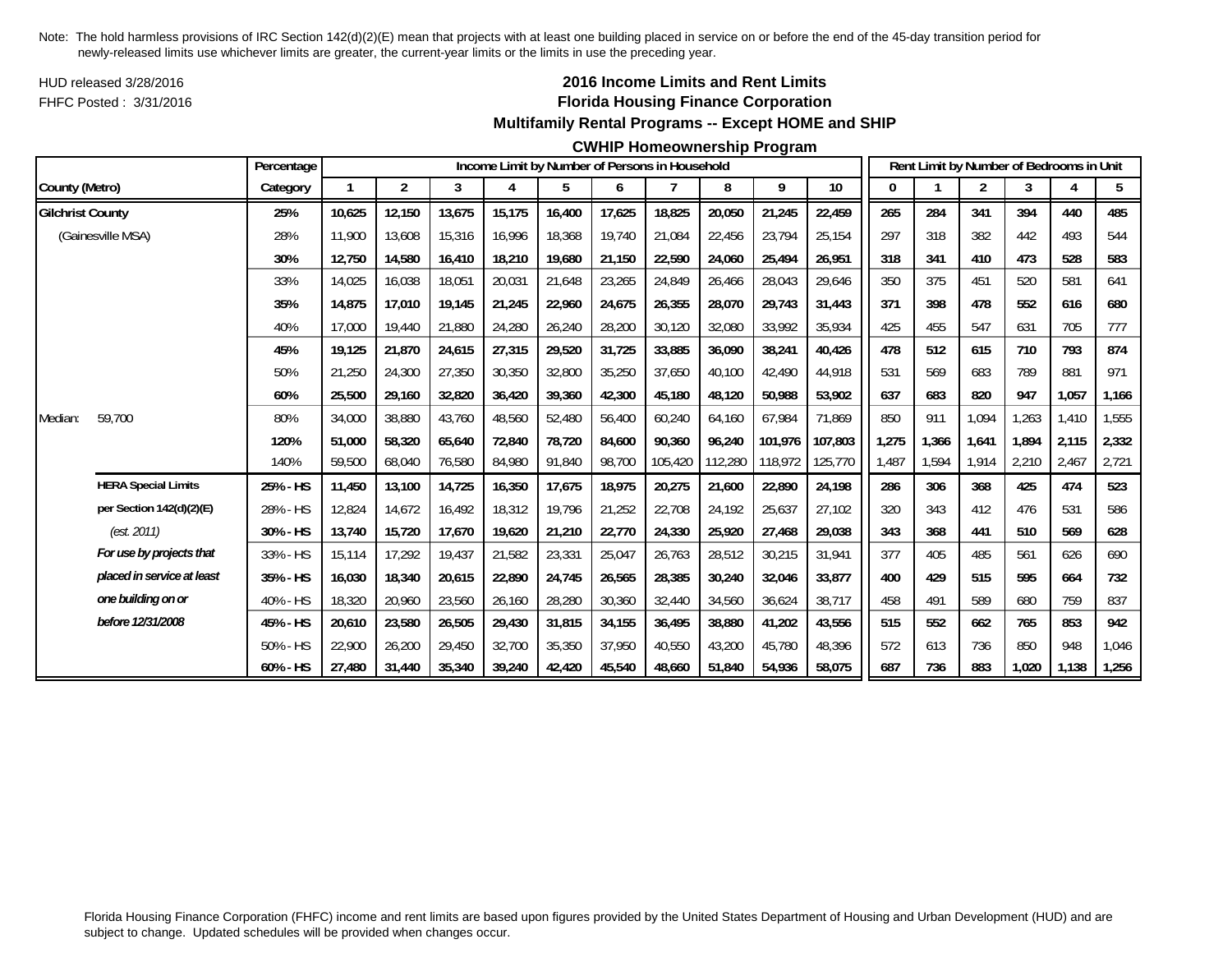HUD released 3/28/2016FHFC Posted : 3/31/2016

## **2016 Income Limits and Rent Limits Florida Housing Finance Corporation Multifamily Rental Programs -- Except HOME and SHIP**

#### **CWHIP Homeownership Program**

|                         |                            | Percentage |        |                |        |        |        |        | Income Limit by Number of Persons in Household |         |         |         |       |       |       | Rent Limit by Number of Bedrooms in Unit |       |       |
|-------------------------|----------------------------|------------|--------|----------------|--------|--------|--------|--------|------------------------------------------------|---------|---------|---------|-------|-------|-------|------------------------------------------|-------|-------|
| County (Metro)          |                            | Category   | 1      | $\overline{2}$ | 3      | 4      | 5      | 6      | 7                                              | 8       | 9       | $10$    | 0     |       | 2     | 3                                        |       | 5     |
| <b>Gilchrist County</b> |                            | 25%        | 10,625 | 12,150         | 13,675 | 15,175 | 16,400 | 17,625 | 18,825                                         | 20,050  | 21,245  | 22,459  | 265   | 284   | 341   | 394                                      | 440   | 485   |
|                         | (Gainesville MSA)          | 28%        | 11.900 | 13.608         | 15,316 | 16,996 | 18,368 | 19,740 | 21,084                                         | 22,456  | 23,794  | 25,154  | 297   | 318   | 382   | 442                                      | 493   | 544   |
|                         |                            | 30%        | 12,750 | 14,580         | 16,410 | 18,210 | 19,680 | 21,150 | 22,590                                         | 24,060  | 25,494  | 26,951  | 318   | 341   | 410   | 473                                      | 528   | 583   |
|                         |                            | 33%        | 14,025 | 16,038         | 18,051 | 20,031 | 21,648 | 23,265 | 24,849                                         | 26,466  | 28,043  | 29,646  | 350   | 375   | 451   | 520                                      | 581   | 641   |
|                         |                            | 35%        | 14,875 | 17,010         | 19,145 | 21,245 | 22,960 | 24,675 | 26,355                                         | 28,070  | 29,743  | 31,443  | 371   | 398   | 478   | 552                                      | 616   | 680   |
|                         |                            | 40%        | 17,000 | 19,440         | 21,880 | 24,280 | 26,240 | 28,200 | 30,120                                         | 32,080  | 33,992  | 35,934  | 425   | 455   | 547   | 631                                      | 705   | 777   |
|                         |                            | 45%        | 19,125 | 21,870         | 24,615 | 27,315 | 29,520 | 31,725 | 33,885                                         | 36,090  | 38,241  | 40,426  | 478   | 512   | 615   | 710                                      | 793   | 874   |
|                         |                            | 50%        | 21,250 | 24,300         | 27,350 | 30,350 | 32,800 | 35,250 | 37,650                                         | 40,100  | 42,490  | 44,918  | 531   | 569   | 683   | 789                                      | 881   | 971   |
|                         |                            | 60%        | 25,500 | 29,160         | 32,820 | 36,420 | 39,360 | 42,300 | 45,180                                         | 48,120  | 50,988  | 53,902  | 637   | 683   | 820   | 947                                      | 1,057 | 1,166 |
| Median:                 | 59,700                     | 80%        | 34,000 | 38,880         | 43,760 | 48,560 | 52,480 | 56,400 | 60,240                                         | 64,160  | 67,984  | 71,869  | 850   | 911   | 1,094 | ,263                                     | 1,410 | 1,555 |
|                         |                            | 120%       | 51,000 | 58,320         | 65,640 | 72.840 | 78,720 | 84,600 | 90.360                                         | 96,240  | 101.976 | 107.803 | 1,275 | 1,366 | 1,641 | 1.894                                    | 2,115 | 2,332 |
|                         |                            | 140%       | 59,500 | 68,040         | 76,580 | 84,980 | 91,840 | 98,700 | 105,420                                        | 112,280 | 118,972 | 125,770 | 1,487 | 1,594 | 1,914 | 2,210                                    | 2,467 | 2,721 |
|                         | <b>HERA Special Limits</b> | 25% - HS   | 11,450 | 13,100         | 14,725 | 16,350 | 17,675 | 18,975 | 20,275                                         | 21,600  | 22,890  | 24,198  | 286   | 306   | 368   | 425                                      | 474   | 523   |
|                         | per Section 142(d)(2)(E)   | 28% - HS   | 12,824 | 14,672         | 16,492 | 18,312 | 19,796 | 21,252 | 22,708                                         | 24,192  | 25,637  | 27,102  | 320   | 343   | 412   | 476                                      | 531   | 586   |
|                         | (est. 2011)                | 30% - HS   | 13,740 | 15,720         | 17,670 | 19,620 | 21,210 | 22,770 | 24,330                                         | 25,920  | 27,468  | 29,038  | 343   | 368   | 441   | 510                                      | 569   | 628   |
|                         | For use by projects that   | 33% - HS   | 15,114 | 17,292         | 19,437 | 21,582 | 23,331 | 25,047 | 26,763                                         | 28,512  | 30,215  | 31,941  | 377   | 405   | 485   | 561                                      | 626   | 690   |
|                         | placed in service at least | 35% - HS   | 16,030 | 18,340         | 20,615 | 22,890 | 24,745 | 26,565 | 28,385                                         | 30,240  | 32,046  | 33,877  | 400   | 429   | 515   | 595                                      | 664   | 732   |
|                         | one building on or         | 40% - HS   | 18,320 | 20,960         | 23,560 | 26,160 | 28,280 | 30,360 | 32,440                                         | 34,560  | 36,624  | 38,717  | 458   | 491   | 589   | 680                                      | 759   | 837   |
|                         | before 12/31/2008          | 45% - HS   | 20,610 | 23,580         | 26,505 | 29,430 | 31,815 | 34,155 | 36.495                                         | 38,880  | 41,202  | 43,556  | 515   | 552   | 662   | 765                                      | 853   | 942   |
|                         |                            | 50% - HS   | 22,900 | 26,200         | 29,450 | 32,700 | 35,350 | 37,950 | 40,550                                         | 43,200  | 45,780  | 48.396  | 572   | 613   | 736   | 850                                      | 948   | 1,046 |
|                         |                            | 60% - HS   | 27,480 | 31,440         | 35,340 | 39,240 | 42,420 | 45,540 | 48,660                                         | 51,840  | 54,936  | 58,075  | 687   | 736   | 883   | 1,020                                    | 1,138 | 1,256 |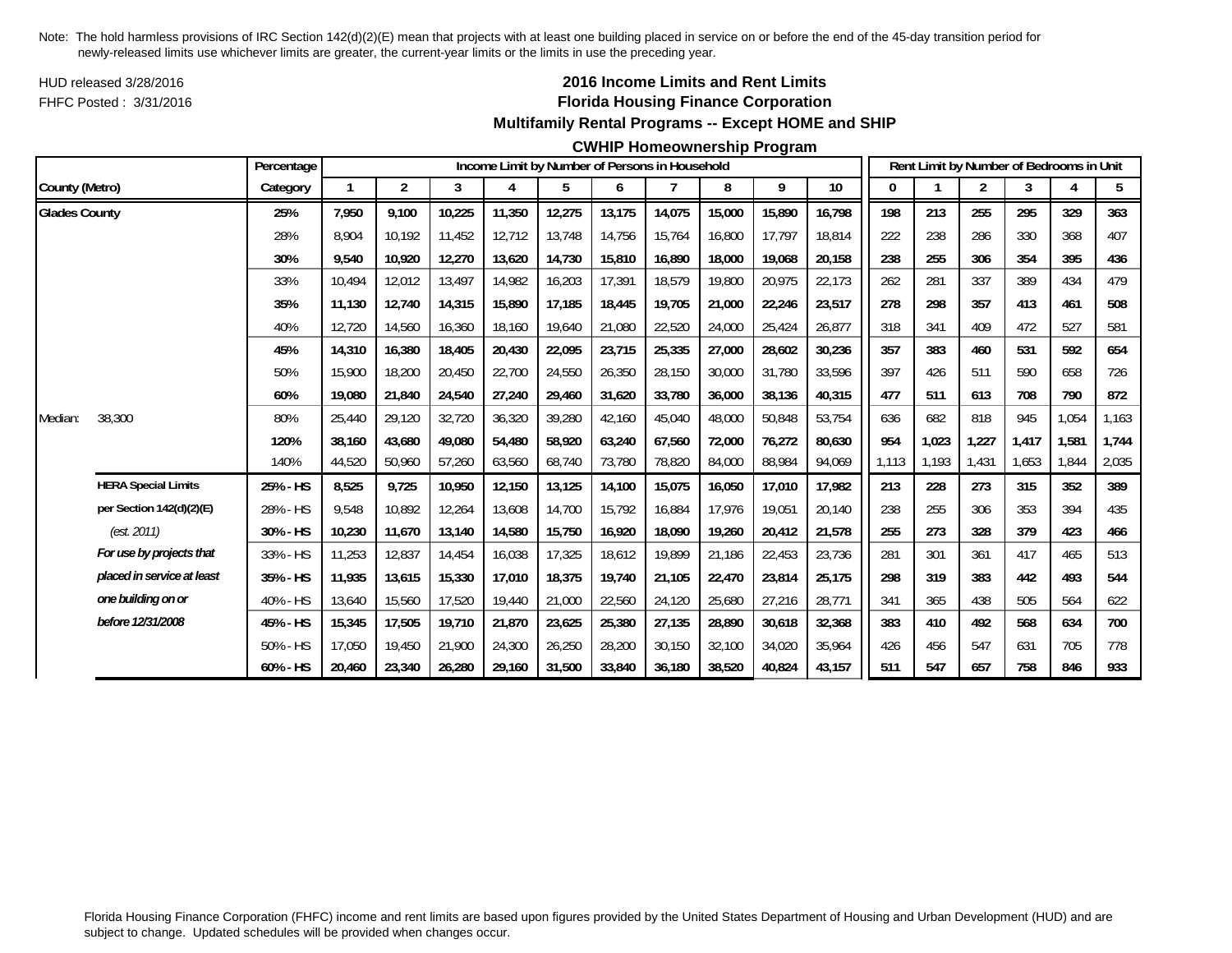HUD released 3/28/2016FHFC Posted : 3/31/2016

## **2016 Income Limits and Rent Limits Florida Housing Finance Corporation Multifamily Rental Programs -- Except HOME and SHIP**

#### **CWHIP Homeownership Program**

|                      |                            | Percentage  |        |                |        |        |        |        | Income Limit by Number of Persons in Household |        |        |        |       |       | Rent Limit by Number of Bedrooms in Unit |       |       |       |
|----------------------|----------------------------|-------------|--------|----------------|--------|--------|--------|--------|------------------------------------------------|--------|--------|--------|-------|-------|------------------------------------------|-------|-------|-------|
| County (Metro)       |                            | Category    |        | $\overline{2}$ | 3      | 4      | 5      | 6      |                                                | 8      | 9      | $10$   | 0     |       | 2                                        | 3     |       | 5     |
| <b>Glades County</b> |                            | 25%         | 7,950  | 9.100          | 10,225 | 11,350 | 12,275 | 13,175 | 14,075                                         | 15,000 | 15,890 | 16,798 | 198   | 213   | 255                                      | 295   | 329   | 363   |
|                      |                            | 28%         | 8.904  | 10.192         | 11,452 | 12,712 | 13,748 | 14,756 | 15,764                                         | 16,800 | 17,797 | 18,814 | 222   | 238   | 286                                      | 330   | 368   | 407   |
|                      |                            | 30%         | 9,540  | 10,920         | 12,270 | 13,620 | 14,730 | 15,810 | 16,890                                         | 18,000 | 19,068 | 20,158 | 238   | 255   | 306                                      | 354   | 395   | 436   |
|                      |                            | 33%         | 10,494 | 12,012         | 13,497 | 14,982 | 16,203 | 17,391 | 18,579                                         | 19,800 | 20,975 | 22,173 | 262   | 281   | 337                                      | 389   | 434   | 479   |
|                      |                            | 35%         | 11,130 | 12,740         | 14,315 | 15,890 | 17,185 | 18,445 | 19.705                                         | 21,000 | 22,246 | 23,517 | 278   | 298   | 357                                      | 413   | 461   | 508   |
|                      |                            | 40%         | 12,720 | 14,560         | 16,360 | 18,160 | 19,640 | 21,080 | 22,520                                         | 24,000 | 25,424 | 26,877 | 318   | 341   | 409                                      | 472   | 527   | 581   |
|                      |                            | 45%         | 14,310 | 16,380         | 18,405 | 20,430 | 22,095 | 23,715 | 25,335                                         | 27,000 | 28,602 | 30,236 | 357   | 383   | 460                                      | 531   | 592   | 654   |
|                      |                            | 50%         | 15,900 | 18,200         | 20,450 | 22,700 | 24,550 | 26,350 | 28,150                                         | 30,000 | 31,780 | 33,596 | 397   | 426   | 511                                      | 590   | 658   | 726   |
|                      |                            | 60%         | 19,080 | 21,840         | 24,540 | 27,240 | 29,460 | 31,620 | 33,780                                         | 36,000 | 38,136 | 40,315 | 477   | 511   | 613                                      | 708   | 790   | 872   |
| Median:              | 38,300                     | 80%         | 25,440 | 29,120         | 32,720 | 36,320 | 39,280 | 42,160 | 45,040                                         | 48,000 | 50,848 | 53,754 | 636   | 682   | 818                                      | 945   | 1,054 | 1,163 |
|                      |                            | 120%        | 38.160 | 43,680         | 49,080 | 54,480 | 58,920 | 63,240 | 67.560                                         | 72,000 | 76,272 | 80,630 | 954   | 1,023 | 1,227                                    | 1.417 | 1,581 | 1,744 |
|                      |                            | 140%        | 44,520 | 50,960         | 57,260 | 63,560 | 68,740 | 73,780 | 78,820                                         | 84,000 | 88,984 | 94,069 | 1,113 | 1,193 | 1,431                                    | 1,653 | 1.844 | 2,035 |
|                      | <b>HERA Special Limits</b> | 25% - HS    | 8,525  | 9,725          | 10,950 | 12,150 | 13,125 | 14,100 | 15,075                                         | 16,050 | 17,010 | 17,982 | 213   | 228   | 273                                      | 315   | 352   | 389   |
|                      | per Section 142(d)(2)(E)   | 28% - HS    | 9,548  | 10,892         | 12,264 | 13,608 | 14,700 | 15,792 | 16,884                                         | 17,976 | 19,051 | 20,140 | 238   | 255   | 306                                      | 353   | 394   | 435   |
|                      | (est. 2011)                | 30% - HS    | 10,230 | 11,670         | 13,140 | 14,580 | 15,750 | 16,920 | 18.090                                         | 19,260 | 20,412 | 21,578 | 255   | 273   | 328                                      | 379   | 423   | 466   |
|                      | For use by projects that   | 33% - HS    | 11,253 | 12,837         | 14,454 | 16,038 | 17,325 | 18,612 | 19,899                                         | 21,186 | 22,453 | 23,736 | 281   | 301   | 361                                      | 417   | 465   | 513   |
|                      | placed in service at least | 35% - HS    | 11,935 | 13,615         | 15,330 | 17,010 | 18,375 | 19,740 | 21,105                                         | 22,470 | 23,814 | 25,175 | 298   | 319   | 383                                      | 442   | 493   | 544   |
|                      | one building on or         | 40% - HS    | 13,640 | 15,560         | 17,520 | 19,440 | 21,000 | 22,560 | 24,120                                         | 25,680 | 27,216 | 28,771 | 341   | 365   | 438                                      | 505   | 564   | 622   |
|                      | before 12/31/2008          | 45% - HS    | 15,345 | 17,505         | 19,710 | 21,870 | 23,625 | 25,380 | 27,135                                         | 28,890 | 30,618 | 32,368 | 383   | 410   | 492                                      | 568   | 634   | 700   |
|                      |                            | 50% - HS    | 17,050 | 19,450         | 21,900 | 24,300 | 26,250 | 28,200 | 30.150                                         | 32,100 | 34,020 | 35,964 | 426   | 456   | 547                                      | 631   | 705   | 778   |
|                      |                            | $60\% - HS$ | 20,460 | 23,340         | 26,280 | 29,160 | 31,500 | 33,840 | 36,180                                         | 38,520 | 40,824 | 43,157 | 511   | 547   | 657                                      | 758   | 846   | 933   |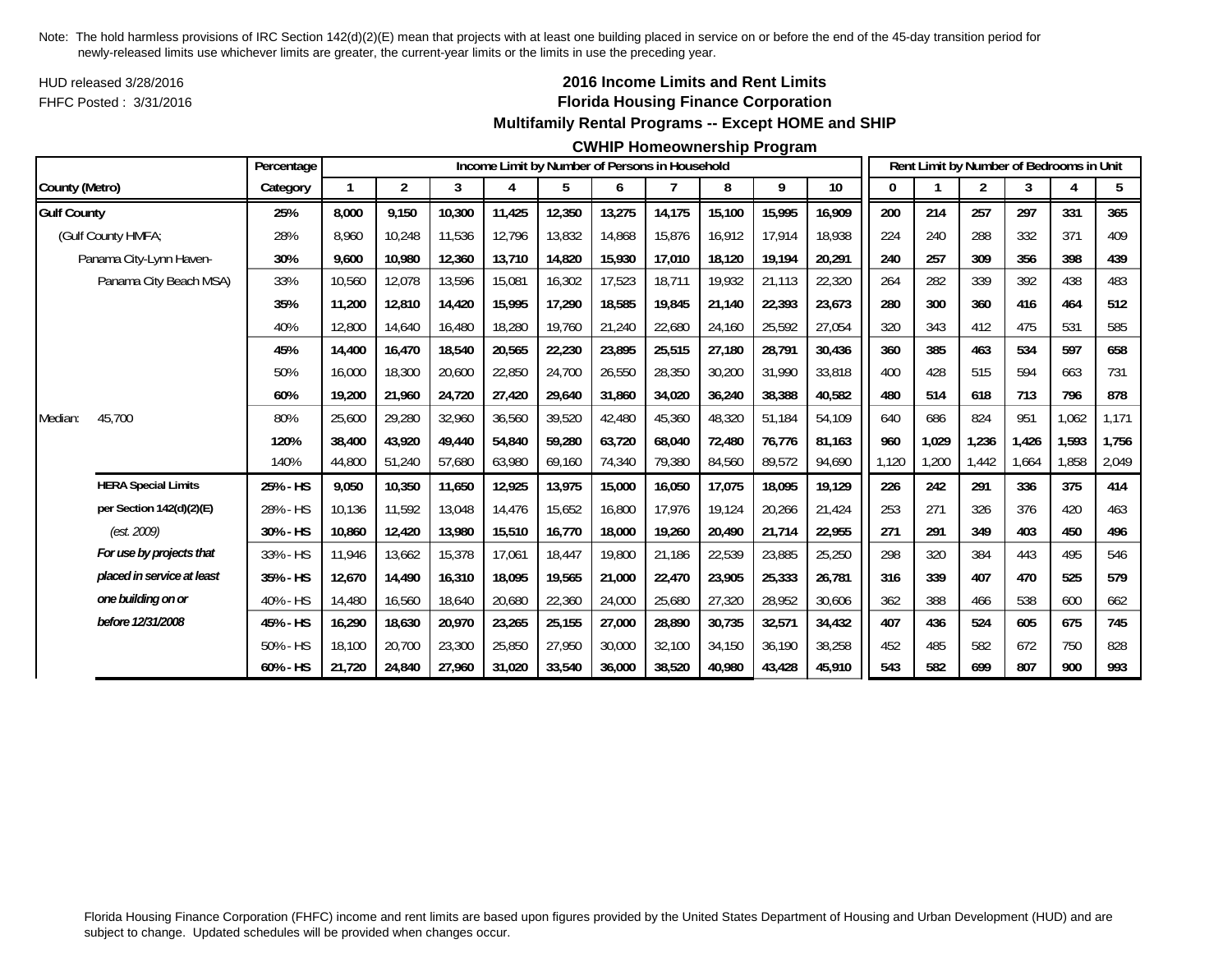HUD released 3/28/2016FHFC Posted : 3/31/2016

## **2016 Income Limits and Rent Limits Florida Housing Finance Corporation Multifamily Rental Programs -- Except HOME and SHIP**

### **CWHIP Homeownership Program**

|                    |                            | Percentage |        |                |        |        |        |        | Income Limit by Number of Persons in Household |        |        |        |       |       | Rent Limit by Number of Bedrooms in Unit |       |       |       |
|--------------------|----------------------------|------------|--------|----------------|--------|--------|--------|--------|------------------------------------------------|--------|--------|--------|-------|-------|------------------------------------------|-------|-------|-------|
| County (Metro)     |                            | Category   |        | $\overline{2}$ | 3      | 4      | 5      | 6      |                                                | 8      | 9      | 10     | 0     |       | 2                                        | 3     |       | 5     |
| <b>Gulf County</b> |                            | 25%        | 8.000  | 9.150          | 10,300 | 11,425 | 12,350 | 13,275 | 14,175                                         | 15,100 | 15,995 | 16,909 | 200   | 214   | 257                                      | 297   | 331   | 365   |
|                    | (Gulf County HMFA;         | 28%        | 8.960  | 10,248         | 11,536 | 12,796 | 13,832 | 14,868 | 15.876                                         | 16,912 | 17,914 | 18,938 | 224   | 240   | 288                                      | 332   | 371   | 409   |
|                    | Panama City-Lynn Haven-    | 30%        | 9,600  | 10,980         | 12,360 | 13,710 | 14,820 | 15,930 | 17,010                                         | 18,120 | 19,194 | 20,291 | 240   | 257   | 309                                      | 356   | 398   | 439   |
|                    | Panama City Beach MSA)     | 33%        | 10,560 | 12,078         | 13,596 | 15,081 | 16,302 | 17,523 | 18,711                                         | 19,932 | 21,113 | 22,320 | 264   | 282   | 339                                      | 392   | 438   | 483   |
|                    |                            | 35%        | 11,200 | 12,810         | 14,420 | 15,995 | 17,290 | 18,585 | 19,845                                         | 21,140 | 22,393 | 23,673 | 280   | 300   | 360                                      | 416   | 464   | 512   |
|                    |                            | 40%        | 12,800 | 14,640         | 16,480 | 18,280 | 19,760 | 21,240 | 22,680                                         | 24,160 | 25,592 | 27,054 | 320   | 343   | 412                                      | 475   | 531   | 585   |
|                    |                            | 45%        | 14,400 | 16,470         | 18,540 | 20,565 | 22,230 | 23,895 | 25,515                                         | 27,180 | 28,791 | 30,436 | 360   | 385   | 463                                      | 534   | 597   | 658   |
|                    |                            | 50%        | 16,000 | 18,300         | 20,600 | 22,850 | 24,700 | 26,550 | 28,350                                         | 30,200 | 31,990 | 33,818 | 400   | 428   | 515                                      | 594   | 663   | 731   |
|                    |                            | 60%        | 19,200 | 21,960         | 24,720 | 27,420 | 29,640 | 31,860 | 34,020                                         | 36,240 | 38,388 | 40,582 | 480   | 514   | 618                                      | 713   | 796   | 878   |
| Median:            | 45,700                     | 80%        | 25,600 | 29,280         | 32,960 | 36,560 | 39,520 | 42,480 | 45,360                                         | 48,320 | 51,184 | 54,109 | 640   | 686   | 824                                      | 951   | 1,062 | 1,171 |
|                    |                            | 120%       | 38,400 | 43,920         | 49,440 | 54,840 | 59,280 | 63,720 | 68.040                                         | 72,480 | 76,776 | 81.163 | 960   | 1,029 | 1,236                                    | 1.426 | 1,593 | 1,756 |
|                    |                            | 140%       | 44,800 | 51,240         | 57,680 | 63,980 | 69,160 | 74,340 | 79,380                                         | 84,560 | 89,572 | 94,690 | 1.120 | ,200  | 1,442                                    | .664  | .858  | 2,049 |
|                    | <b>HERA Special Limits</b> | 25% - HS   | 9,050  | 10,350         | 11,650 | 12,925 | 13,975 | 15,000 | 16,050                                         | 17,075 | 18,095 | 19,129 | 226   | 242   | 291                                      | 336   | 375   | 414   |
|                    | per Section 142(d)(2)(E)   | 28% - HS   | 10,136 | 11,592         | 13,048 | 14,476 | 15,652 | 16,800 | 17,976                                         | 19,124 | 20,266 | 21,424 | 253   | 271   | 326                                      | 376   | 420   | 463   |
|                    | (est. 2009)                | 30% - HS   | 10,860 | 12,420         | 13,980 | 15,510 | 16,770 | 18,000 | 19,260                                         | 20,490 | 21,714 | 22,955 | 271   | 291   | 349                                      | 403   | 450   | 496   |
|                    | For use by projects that   | 33% - HS   | 11,946 | 13,662         | 15,378 | 17,061 | 18,447 | 19,800 | 21,186                                         | 22,539 | 23,885 | 25,250 | 298   | 320   | 384                                      | 443   | 495   | 546   |
|                    | placed in service at least | 35% - HS   | 12,670 | 14,490         | 16,310 | 18,095 | 19,565 | 21,000 | 22,470                                         | 23,905 | 25,333 | 26,781 | 316   | 339   | 407                                      | 470   | 525   | 579   |
|                    | one building on or         | 40% - HS   | 14,480 | 16,560         | 18,640 | 20,680 | 22,360 | 24,000 | 25,680                                         | 27,320 | 28,952 | 30,606 | 362   | 388   | 466                                      | 538   | 600   | 662   |
|                    | before 12/31/2008          | 45% - HS   | 16,290 | 18,630         | 20,970 | 23,265 | 25,155 | 27,000 | 28.890                                         | 30,735 | 32,571 | 34,432 | 407   | 436   | 524                                      | 605   | 675   | 745   |
|                    |                            | 50% - HS   | 18,100 | 20,700         | 23,300 | 25,850 | 27,950 | 30,000 | 32,100                                         | 34,150 | 36,190 | 38,258 | 452   | 485   | 582                                      | 672   | 750   | 828   |
|                    |                            | 60% - HS   | 21,720 | 24,840         | 27,960 | 31,020 | 33,540 | 36,000 | 38,520                                         | 40,980 | 43,428 | 45,910 | 543   | 582   | 699                                      | 807   | 900   | 993   |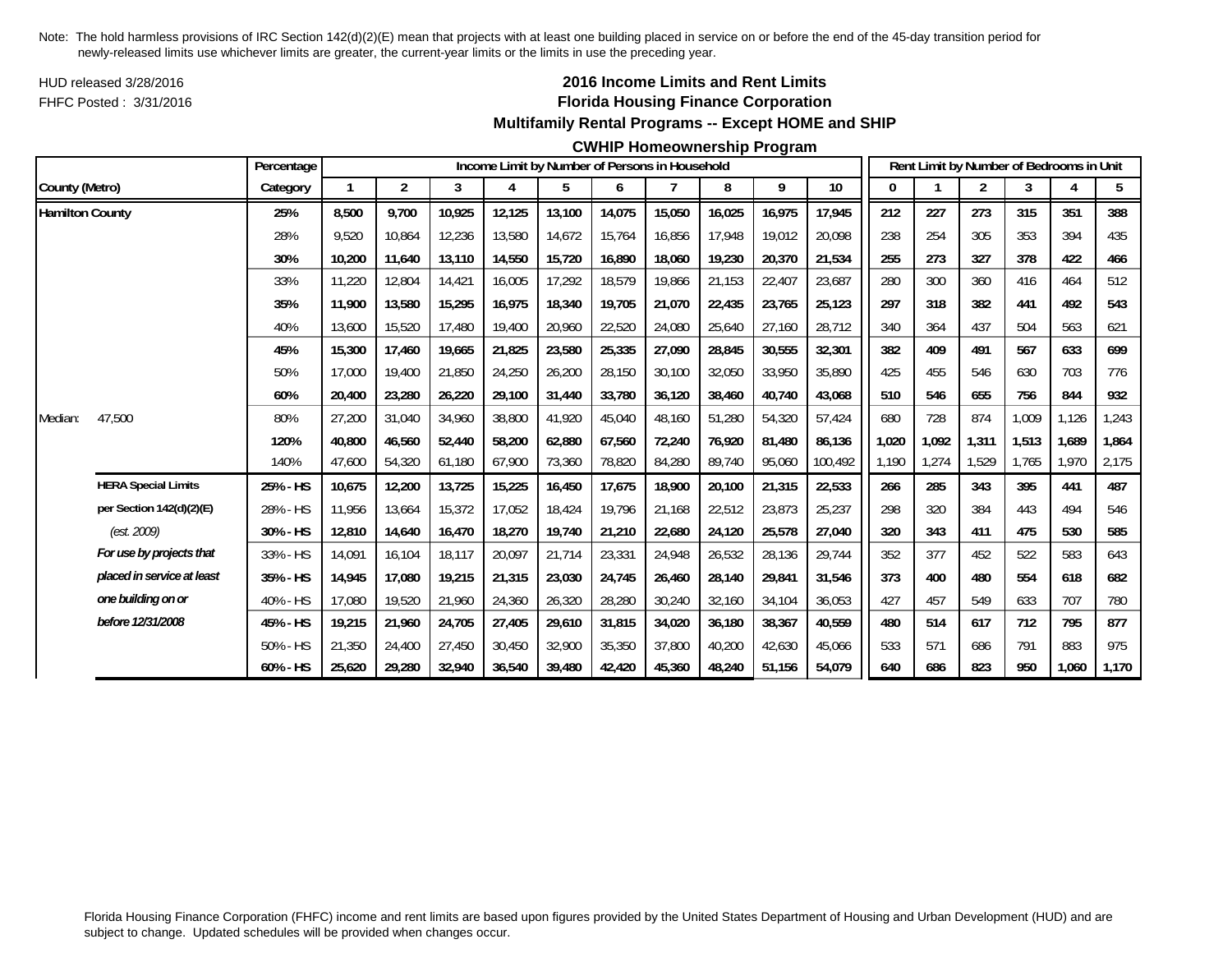HUD released 3/28/2016FHFC Posted : 3/31/2016

## **2016 Income Limits and Rent Limits Florida Housing Finance Corporation Multifamily Rental Programs -- Except HOME and SHIP**

#### **CWHIP Homeownership Program**

|                        |                            | Percentage |        |                |        |        | Income Limit by Number of Persons in Household |        |        |        |        |         |       |       | Rent Limit by Number of Bedrooms in Unit |       |       |       |
|------------------------|----------------------------|------------|--------|----------------|--------|--------|------------------------------------------------|--------|--------|--------|--------|---------|-------|-------|------------------------------------------|-------|-------|-------|
| County (Metro)         |                            | Category   |        | $\overline{2}$ | 3      | 4      | 5                                              | 6      |        | 8      | 9      | 10      |       |       | 2                                        | 3     |       | 5     |
| <b>Hamilton County</b> |                            | 25%        | 8,500  | 9.700          | 10,925 | 12,125 | 13,100                                         | 14,075 | 15,050 | 16,025 | 16,975 | 17,945  | 212   | 227   | 273                                      | 315   | 351   | 388   |
|                        |                            | 28%        | 9,520  | 10,864         | 12,236 | 13,580 | 14,672                                         | 15,764 | 16,856 | 17,948 | 19,012 | 20.098  | 238   | 254   | 305                                      | 353   | 394   | 435   |
|                        |                            | 30%        | 10,200 | 11,640         | 13,110 | 14,550 | 15,720                                         | 16,890 | 18,060 | 19,230 | 20,370 | 21,534  | 255   | 273   | 327                                      | 378   | 422   | 466   |
|                        |                            | 33%        | 11,220 | 12,804         | 14,421 | 16,005 | 17,292                                         | 18,579 | 19,866 | 21,153 | 22,407 | 23,687  | 280   | 300   | 360                                      | 416   | 464   | 512   |
|                        |                            | 35%        | 11.900 | 13,580         | 15,295 | 16,975 | 18,340                                         | 19,705 | 21,070 | 22,435 | 23,765 | 25,123  | 297   | 318   | 382                                      | 441   | 492   | 543   |
|                        |                            | 40%        | 13,600 | 15,520         | 17,480 | 19,400 | 20,960                                         | 22,520 | 24,080 | 25,640 | 27,160 | 28,712  | 340   | 364   | 437                                      | 504   | 563   | 621   |
|                        |                            | 45%        | 15,300 | 17,460         | 19,665 | 21,825 | 23,580                                         | 25,335 | 27,090 | 28,845 | 30,555 | 32,301  | 382   | 409   | 491                                      | 567   | 633   | 699   |
|                        |                            | 50%        | 17,000 | 19,400         | 21,850 | 24,250 | 26,200                                         | 28,150 | 30,100 | 32,050 | 33,950 | 35,890  | 425   | 455   | 546                                      | 630   | 703   | 776   |
|                        |                            | 60%        | 20,400 | 23,280         | 26,220 | 29,100 | 31,440                                         | 33,780 | 36,120 | 38,460 | 40,740 | 43,068  | 510   | 546   | 655                                      | 756   | 844   | 932   |
| Median:                | 47,500                     | 80%        | 27,200 | 31,040         | 34,960 | 38,800 | 41,920                                         | 45,040 | 48,160 | 51,280 | 54,320 | 57,424  | 680   | 728   | 874                                      | 1,009 | 1,126 | 1,243 |
|                        |                            | 120%       | 40.800 | 46,560         | 52,440 | 58,200 | 62,880                                         | 67,560 | 72.240 | 76.920 | 81.480 | 86.136  | 1,020 | 1,092 | 1,311                                    | 1,513 | 1,689 | 1,864 |
|                        |                            | 140%       | 47,600 | 54,320         | 61,180 | 67,900 | 73,360                                         | 78,820 | 84,280 | 89,740 | 95,060 | 100,492 | 1.190 | 1,274 | 1,529                                    | 1,765 | 1,970 | 2,175 |
|                        | <b>HERA Special Limits</b> | 25% - HS   | 10,675 | 12,200         | 13,725 | 15,225 | 16,450                                         | 17,675 | 18,900 | 20,100 | 21,315 | 22,533  | 266   | 285   | 343                                      | 395   | 441   | 487   |
|                        | per Section $142(d)(2)(E)$ | 28% - HS   | 11,956 | 13,664         | 15,372 | 17,052 | 18,424                                         | 19,796 | 21,168 | 22,512 | 23,873 | 25,237  | 298   | 320   | 384                                      | 443   | 494   | 546   |
|                        | (est. 2009)                | 30% - HS   | 12,810 | 14,640         | 16,470 | 18,270 | 19,740                                         | 21,210 | 22,680 | 24,120 | 25,578 | 27,040  | 320   | 343   | 411                                      | 475   | 530   | 585   |
|                        | For use by projects that   | 33% - HS   | 14,091 | 16,104         | 18,117 | 20,097 | 21,714                                         | 23,331 | 24,948 | 26,532 | 28,136 | 29,744  | 352   | 377   | 452                                      | 522   | 583   | 643   |
|                        | placed in service at least | 35% - HS   | 14,945 | 17,080         | 19,215 | 21,315 | 23,030                                         | 24,745 | 26,460 | 28,140 | 29,841 | 31,546  | 373   | 400   | 480                                      | 554   | 618   | 682   |
|                        | one building on or         | 40% - HS   | 17,080 | 19,520         | 21,960 | 24,360 | 26,320                                         | 28,280 | 30,240 | 32,160 | 34,104 | 36,053  | 427   | 457   | 549                                      | 633   | 707   | 780   |
|                        | before 12/31/2008          | 45% - HS   | 19,215 | 21,960         | 24,705 | 27,405 | 29,610                                         | 31,815 | 34,020 | 36,180 | 38,367 | 40.559  | 480   | 514   | 617                                      | 712   | 795   | 877   |
|                        |                            | 50% - HS   | 21,350 | 24,400         | 27,450 | 30,450 | 32,900                                         | 35,350 | 37,800 | 40,200 | 42,630 | 45,066  | 533   | 571   | 686                                      | 791   | 883   | 975   |
|                        |                            | 60% - HS   | 25.620 | 29,280         | 32,940 | 36,540 | 39,480                                         | 42.420 | 45.360 | 48,240 | 51,156 | 54,079  | 640   | 686   | 823                                      | 950   | 1.060 | 1,170 |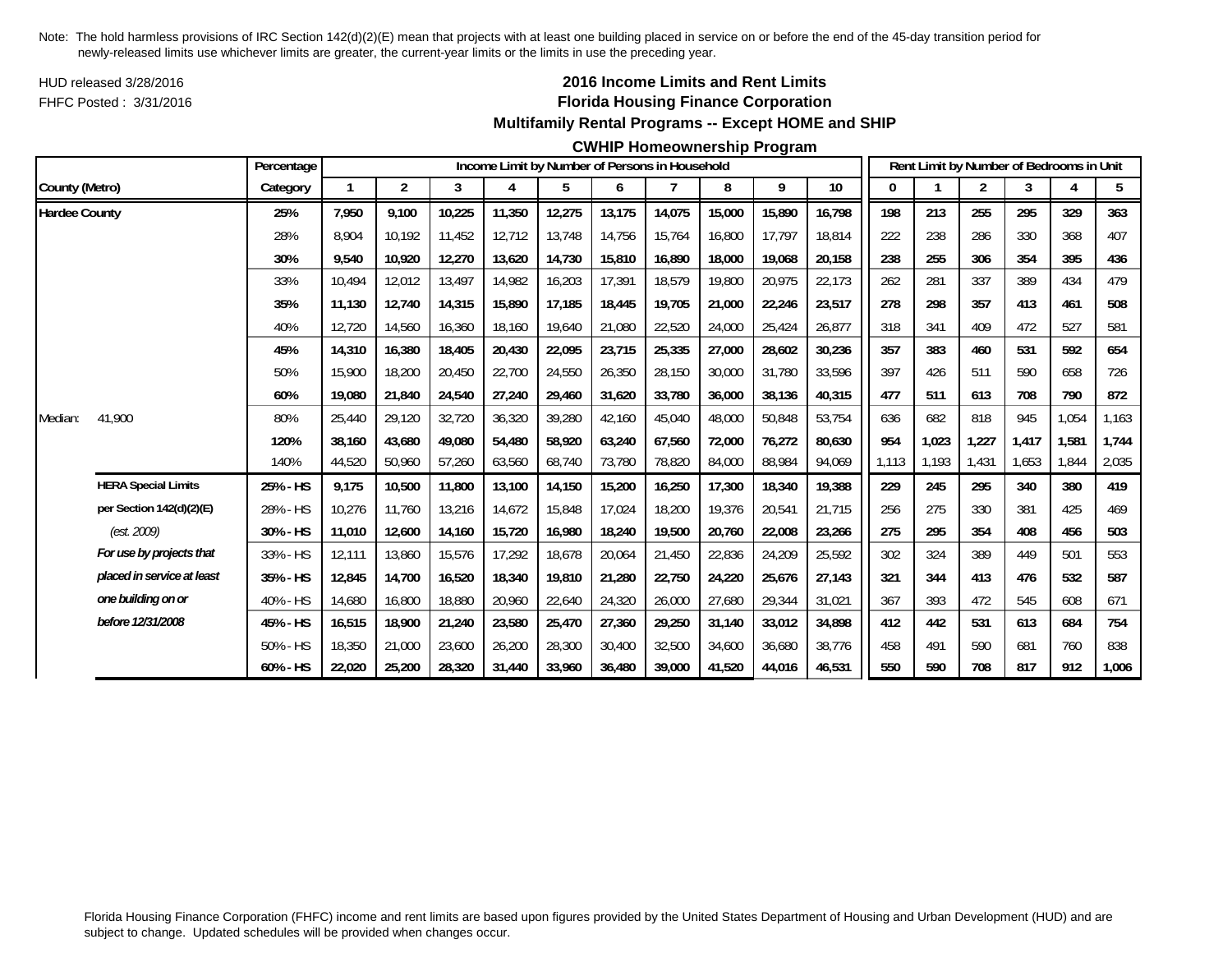HUD released 3/28/2016FHFC Posted : 3/31/2016

## **2016 Income Limits and Rent Limits Florida Housing Finance Corporation Multifamily Rental Programs -- Except HOME and SHIP**

#### **CWHIP Homeownership Program**

|                      |                            | Percentage |        |                |        |        |        |        | Income Limit by Number of Persons in Household |        |        |        |       |       | Rent Limit by Number of Bedrooms in Unit |       |       |       |
|----------------------|----------------------------|------------|--------|----------------|--------|--------|--------|--------|------------------------------------------------|--------|--------|--------|-------|-------|------------------------------------------|-------|-------|-------|
| County (Metro)       |                            | Category   |        | $\overline{2}$ | 3      | 4      | 5      | 6      |                                                | 8      | 9      | 10     | 0     |       | 2                                        | 3     | Δ     | 5     |
| <b>Hardee County</b> |                            | 25%        | 7,950  | 9,100          | 10,225 | 11,350 | 12,275 | 13,175 | 14,075                                         | 15,000 | 15,890 | 16,798 | 198   | 213   | 255                                      | 295   | 329   | 363   |
|                      |                            | 28%        | 8.904  | 10.192         | 11,452 | 12.712 | 13,748 | 14,756 | 15.764                                         | 16,800 | 17,797 | 18.814 | 222   | 238   | 286                                      | 330   | 368   | 407   |
|                      |                            | 30%        | 9,540  | 10,920         | 12,270 | 13,620 | 14,730 | 15,810 | 16,890                                         | 18,000 | 19,068 | 20,158 | 238   | 255   | 306                                      | 354   | 395   | 436   |
|                      |                            | 33%        | 10.494 | 12,012         | 13,497 | 14,982 | 16,203 | 17,391 | 18,579                                         | 19,800 | 20,975 | 22,173 | 262   | 281   | 337                                      | 389   | 434   | 479   |
|                      |                            | 35%        | 11,130 | 12,740         | 14,315 | 15,890 | 17,185 | 18,445 | 19,705                                         | 21,000 | 22,246 | 23,517 | 278   | 298   | 357                                      | 413   | 461   | 508   |
|                      |                            | 40%        | 12,720 | 14,560         | 16,360 | 18,160 | 19,640 | 21,080 | 22,520                                         | 24,000 | 25,424 | 26,877 | 318   | 341   | 409                                      | 472   | 527   | 581   |
|                      |                            | 45%        | 14,310 | 16,380         | 18,405 | 20,430 | 22,095 | 23,715 | 25,335                                         | 27,000 | 28,602 | 30,236 | 357   | 383   | 460                                      | 531   | 592   | 654   |
|                      |                            | 50%        | 15,900 | 18,200         | 20,450 | 22,700 | 24,550 | 26,350 | 28,150                                         | 30,000 | 31,780 | 33,596 | 397   | 426   | 511                                      | 590   | 658   | 726   |
|                      |                            | 60%        | 19,080 | 21,840         | 24,540 | 27,240 | 29,460 | 31,620 | 33,780                                         | 36,000 | 38,136 | 40,315 | 477   | 511   | 613                                      | 708   | 790   | 872   |
| Median:              | 41,900                     | 80%        | 25.440 | 29,120         | 32,720 | 36,320 | 39,280 | 42,160 | 45,040                                         | 48,000 | 50,848 | 53,754 | 636   | 682   | 818                                      | 945   | 1,054 | 1,163 |
|                      |                            | 120%       | 38,160 | 43,680         | 49,080 | 54,480 | 58,920 | 63,240 | 67,560                                         | 72,000 | 76,272 | 80,630 | 954   | 1,023 | 1,227                                    | 1,417 | 1,581 | 1,744 |
|                      |                            | 140%       | 44,520 | 50,960         | 57,260 | 63,560 | 68,740 | 73,780 | 78,820                                         | 84,000 | 88,984 | 94,069 | 1,113 | 1,193 | 1,431                                    | 1,653 | 1,844 | 2,035 |
|                      | <b>HERA Special Limits</b> | 25% - HS   | 9,175  | 10,500         | 11,800 | 13,100 | 14,150 | 15,200 | 16,250                                         | 17,300 | 18,340 | 19,388 | 229   | 245   | 295                                      | 340   | 380   | 419   |
|                      | per Section 142(d)(2)(E)   | 28% - HS   | 10,276 | 11,760         | 13,216 | 14,672 | 15,848 | 17,024 | 18,200                                         | 19,376 | 20,541 | 21,715 | 256   | 275   | 330                                      | 381   | 425   | 469   |
|                      | (est. 2009)                | 30% - HS   | 11,010 | 12,600         | 14,160 | 15,720 | 16,980 | 18,240 | 19,500                                         | 20,760 | 22,008 | 23,266 | 275   | 295   | 354                                      | 408   | 456   | 503   |
|                      | For use by projects that   | 33% - HS   | 12,111 | 13,860         | 15,576 | 17,292 | 18,678 | 20,064 | 21,450                                         | 22,836 | 24,209 | 25,592 | 302   | 324   | 389                                      | 449   | 501   | 553   |
|                      | placed in service at least | 35% - HS   | 12,845 | 14,700         | 16,520 | 18,340 | 19,810 | 21,280 | 22,750                                         | 24,220 | 25,676 | 27,143 | 321   | 344   | 413                                      | 476   | 532   | 587   |
|                      | one building on or         | 40% - HS   | 14,680 | 16,800         | 18,880 | 20,960 | 22,640 | 24,320 | 26,000                                         | 27,680 | 29,344 | 31,021 | 367   | 393   | 472                                      | 545   | 608   | 671   |
|                      | before 12/31/2008          | 45% - HS   | 16,515 | 18,900         | 21,240 | 23,580 | 25,470 | 27,360 | 29,250                                         | 31,140 | 33,012 | 34,898 | 412   | 442   | 531                                      | 613   | 684   | 754   |
|                      |                            | 50% - HS   | 18,350 | 21,000         | 23,600 | 26,200 | 28,300 | 30,400 | 32,500                                         | 34,600 | 36,680 | 38,776 | 458   | 491   | 590                                      | 681   | 760   | 838   |
|                      |                            | 60% - HS   | 22,020 | 25,200         | 28,320 | 31,440 | 33,960 | 36,480 | 39,000                                         | 41,520 | 44,016 | 46,531 | 550   | 590   | 708                                      | 817   | 912   | 1,006 |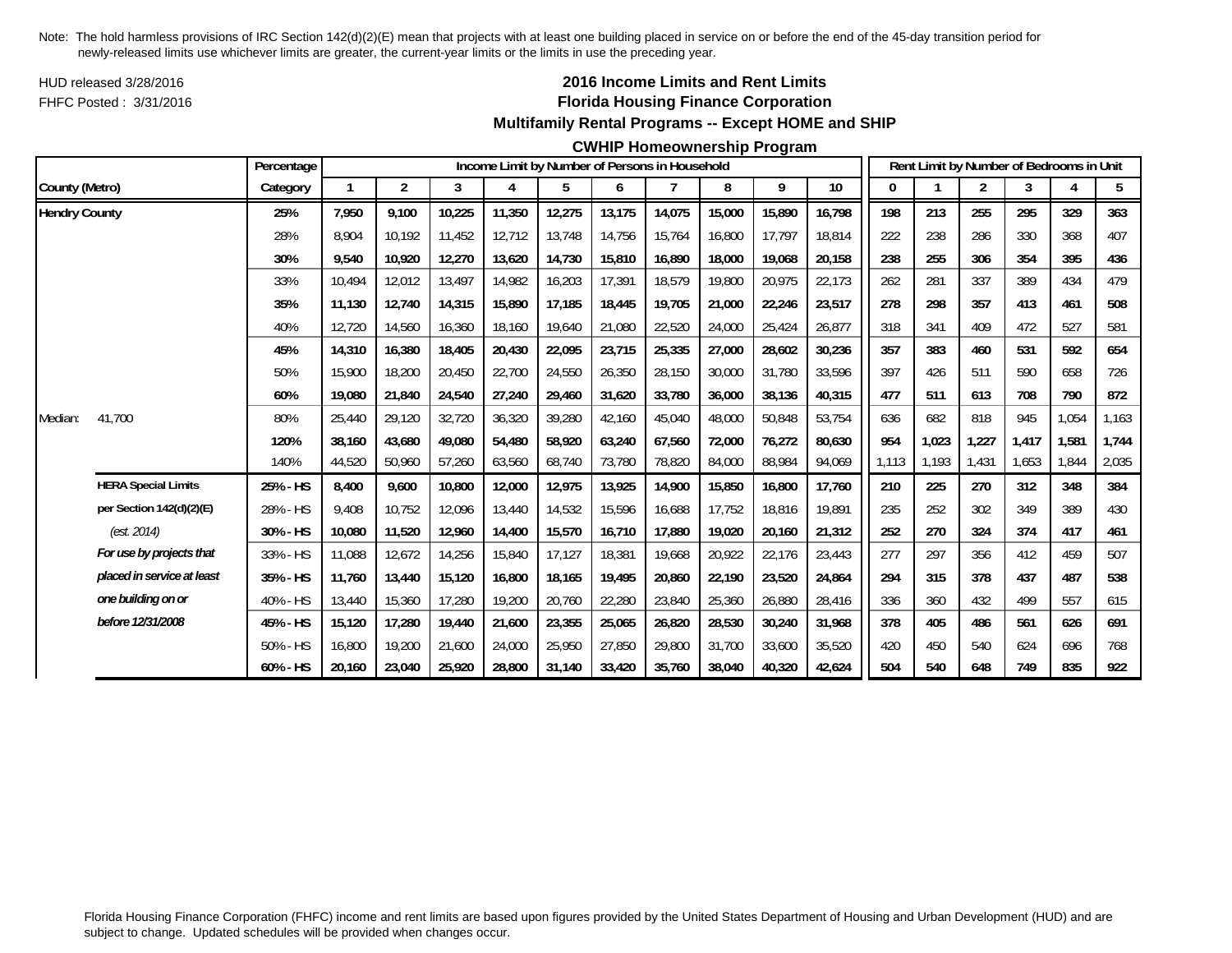HUD released 3/28/2016FHFC Posted : 3/31/2016

## **2016 Income Limits and Rent Limits Florida Housing Finance Corporation Multifamily Rental Programs -- Except HOME and SHIP**

#### **CWHIP Homeownership Program**

|                      |                            | Percentage  |        |                |        |        | Income Limit by Number of Persons in Household |        |        |        |        |        |       |       | Rent Limit by Number of Bedrooms in Unit |       |       |                |
|----------------------|----------------------------|-------------|--------|----------------|--------|--------|------------------------------------------------|--------|--------|--------|--------|--------|-------|-------|------------------------------------------|-------|-------|----------------|
| County (Metro)       |                            | Category    |        | $\overline{2}$ | 3      | 4      | 5                                              | 6      |        | 8      | 9      | $10\,$ | 0     |       | $\overline{c}$                           | 3     | 4     | 5 <sub>5</sub> |
| <b>Hendry County</b> |                            | 25%         | 7,950  | 9,100          | 10,225 | 11,350 | 12,275                                         | 13,175 | 14,075 | 15,000 | 15,890 | 16,798 | 198   | 213   | 255                                      | 295   | 329   | 363            |
|                      |                            | 28%         | 8.904  | 10.192         | 11.452 | 12.712 | 13,748                                         | 14,756 | 15.764 | 16,800 | 17.797 | 18.814 | 222   | 238   | 286                                      | 330   | 368   | 407            |
|                      |                            | 30%         | 9,540  | 10,920         | 12,270 | 13,620 | 14,730                                         | 15,810 | 16,890 | 18,000 | 19,068 | 20,158 | 238   | 255   | 306                                      | 354   | 395   | 436            |
|                      |                            | 33%         | 10.494 | 12,012         | 13,497 | 14,982 | 16,203                                         | 17,391 | 18,579 | 19,800 | 20,975 | 22,173 | 262   | 281   | 337                                      | 389   | 434   | 479            |
|                      |                            | 35%         | 11,130 | 12,740         | 14,315 | 15,890 | 17,185                                         | 18,445 | 19,705 | 21,000 | 22,246 | 23,517 | 278   | 298   | 357                                      | 413   | 461   | 508            |
|                      |                            | 40%         | 12,720 | 14,560         | 16,360 | 18,160 | 19,640                                         | 21,080 | 22,520 | 24,000 | 25,424 | 26,877 | 318   | 341   | 409                                      | 472   | 527   | 581            |
|                      |                            | 45%         | 14,310 | 16,380         | 18,405 | 20,430 | 22,095                                         | 23,715 | 25,335 | 27,000 | 28,602 | 30,236 | 357   | 383   | 460                                      | 531   | 592   | 654            |
|                      |                            | 50%         | 15,900 | 18,200         | 20,450 | 22,700 | 24,550                                         | 26,350 | 28,150 | 30,000 | 31,780 | 33,596 | 397   | 426   | 511                                      | 590   | 658   | 726            |
|                      |                            | 60%         | 19,080 | 21,840         | 24,540 | 27,240 | 29,460                                         | 31,620 | 33,780 | 36,000 | 38,136 | 40,315 | 477   | 511   | 613                                      | 708   | 790   | 872            |
| Median:              | 41.700                     | 80%         | 25,440 | 29,120         | 32,720 | 36,320 | 39,280                                         | 42,160 | 45,040 | 48,000 | 50,848 | 53,754 | 636   | 682   | 818                                      | 945   | 1,054 | 1,163          |
|                      |                            | 120%        | 38.160 | 43.680         | 49.080 | 54,480 | 58,920                                         | 63,240 | 67.560 | 72,000 | 76,272 | 80.630 | 954   | 1,023 | 1,227                                    | 1.417 | 1,581 | 1,744          |
|                      |                            | 140%        | 44,520 | 50,960         | 57,260 | 63,560 | 68,740                                         | 73,780 | 78,820 | 84,000 | 88,984 | 94,069 | 1.113 | 1,193 | 1,431                                    | 1,653 | 1.844 | 2,035          |
|                      | <b>HERA Special Limits</b> | 25% - HS    | 8,400  | 9,600          | 10,800 | 12,000 | 12,975                                         | 13,925 | 14,900 | 15,850 | 16,800 | 17,760 | 210   | 225   | 270                                      | 312   | 348   | 384            |
|                      | per Section 142(d)(2)(E)   | 28% - HS    | 9,408  | 10,752         | 12,096 | 13,440 | 14,532                                         | 15,596 | 16,688 | 17,752 | 18,816 | 19,891 | 235   | 252   | 302                                      | 349   | 389   | 430            |
|                      | (est. 2014)                | 30% - HS    | 10,080 | 11,520         | 12,960 | 14,400 | 15,570                                         | 16,710 | 17,880 | 19,020 | 20,160 | 21,312 | 252   | 270   | 324                                      | 374   | 417   | 461            |
|                      | For use by projects that   | 33% - HS    | 11,088 | 12,672         | 14,256 | 15,840 | 17,127                                         | 18,381 | 19,668 | 20,922 | 22,176 | 23,443 | 277   | 297   | 356                                      | 412   | 459   | 507            |
|                      | placed in service at least | 35% - HS    | 11,760 | 13,440         | 15,120 | 16,800 | 18,165                                         | 19,495 | 20,860 | 22,190 | 23,520 | 24,864 | 294   | 315   | 378                                      | 437   | 487   | 538            |
|                      | one building on or         | 40% - HS    | 13,440 | 15,360         | 17,280 | 19,200 | 20,760                                         | 22,280 | 23,840 | 25,360 | 26,880 | 28,416 | 336   | 360   | 432                                      | 499   | 557   | 615            |
|                      | before 12/31/2008          | 45% - HS    | 15,120 | 17,280         | 19,440 | 21,600 | 23,355                                         | 25,065 | 26,820 | 28,530 | 30,240 | 31,968 | 378   | 405   | 486                                      | 561   | 626   | 691            |
|                      |                            | 50% - HS    | 16,800 | 19,200         | 21,600 | 24,000 | 25,950                                         | 27,850 | 29,800 | 31,700 | 33,600 | 35,520 | 420   | 450   | 540                                      | 624   | 696   | 768            |
|                      |                            | $60\% - HS$ | 20,160 | 23,040         | 25,920 | 28,800 | 31,140                                         | 33,420 | 35,760 | 38,040 | 40,320 | 42,624 | 504   | 540   | 648                                      | 749   | 835   | 922            |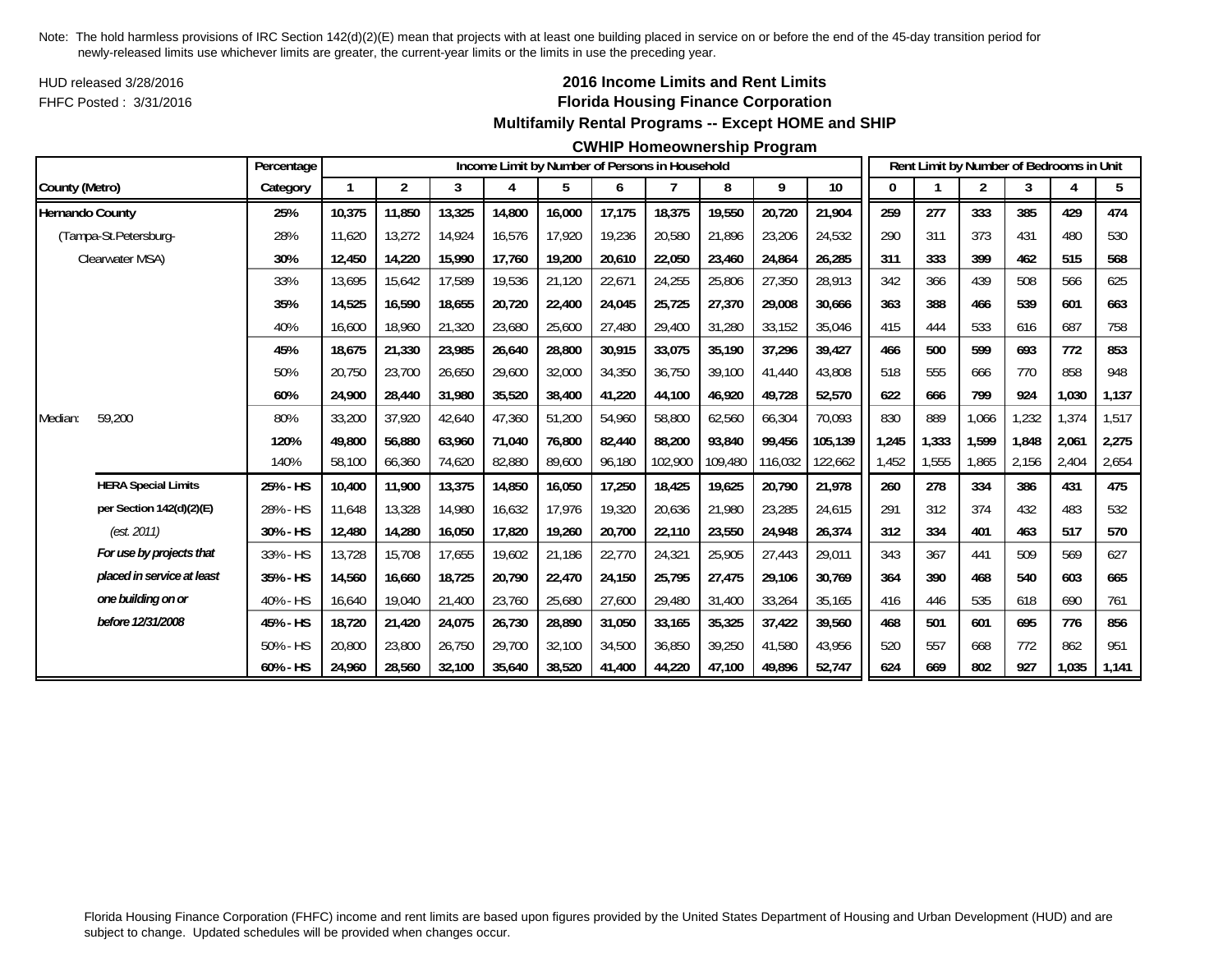HUD released 3/28/2016FHFC Posted : 3/31/2016

## **2016 Income Limits and Rent Limits Florida Housing Finance Corporation Multifamily Rental Programs -- Except HOME and SHIP**

#### **CWHIP Homeownership Program**

|                        |                            | Percentage |        |        |        |        |        |        | Income Limit by Number of Persons in Household |         |         |         |       |       | Rent Limit by Number of Bedrooms in Unit |       |       |       |
|------------------------|----------------------------|------------|--------|--------|--------|--------|--------|--------|------------------------------------------------|---------|---------|---------|-------|-------|------------------------------------------|-------|-------|-------|
| County (Metro)         |                            | Category   |        | 2      | 3      | 4      | 5      | 6      | 7                                              | 8       | 9       | 10      | 0     |       | $\overline{2}$                           | 3     |       | 5     |
| <b>Hernando County</b> |                            | 25%        | 10,375 | 11,850 | 13,325 | 14,800 | 16,000 | 17,175 | 18,375                                         | 19,550  | 20,720  | 21,904  | 259   | 277   | 333                                      | 385   | 429   | 474   |
|                        | (Tampa-St.Petersburg-      | 28%        | 11,620 | 13,272 | 14.924 | 16,576 | 17,920 | 19,236 | 20,580                                         | 21,896  | 23,206  | 24,532  | 290   | 311   | 373                                      | 431   | 480   | 530   |
|                        | Clearwater MSA)            | 30%        | 12,450 | 14,220 | 15,990 | 17,760 | 19,200 | 20,610 | 22,050                                         | 23,460  | 24,864  | 26,285  | 311   | 333   | 399                                      | 462   | 515   | 568   |
|                        |                            | 33%        | 13,695 | 15,642 | 17,589 | 19,536 | 21,120 | 22,671 | 24,255                                         | 25,806  | 27,350  | 28,913  | 342   | 366   | 439                                      | 508   | 566   | 625   |
|                        |                            | 35%        | 14,525 | 16,590 | 18,655 | 20,720 | 22,400 | 24,045 | 25,725                                         | 27,370  | 29,008  | 30,666  | 363   | 388   | 466                                      | 539   | 601   | 663   |
|                        |                            | 40%        | 16,600 | 18,960 | 21,320 | 23,680 | 25,600 | 27,480 | 29,400                                         | 31,280  | 33,152  | 35,046  | 415   | 444   | 533                                      | 616   | 687   | 758   |
|                        |                            | 45%        | 18,675 | 21,330 | 23,985 | 26,640 | 28,800 | 30,915 | 33,075                                         | 35,190  | 37,296  | 39,427  | 466   | 500   | 599                                      | 693   | 772   | 853   |
|                        |                            | 50%        | 20,750 | 23,700 | 26,650 | 29,600 | 32,000 | 34,350 | 36,750                                         | 39,100  | 41,440  | 43,808  | 518   | 555   | 666                                      | 770   | 858   | 948   |
|                        |                            | 60%        | 24,900 | 28,440 | 31,980 | 35,520 | 38,400 | 41,220 | 44,100                                         | 46,920  | 49,728  | 52,570  | 622   | 666   | 799                                      | 924   | 1,030 | 1,137 |
| Median:                | 59,200                     | 80%        | 33,200 | 37.920 | 42.640 | 47,360 | 51,200 | 54,960 | 58,800                                         | 62,560  | 66,304  | 70,093  | 830   | 889   | 1,066                                    | ,232  | 1,374 | 1,517 |
|                        |                            | 120%       | 49,800 | 56,880 | 63,960 | 71,040 | 76,800 | 82,440 | 88,200                                         | 93,840  | 99,456  | 105,139 | 1,245 | 1,333 | 1,599                                    | 1,848 | 2,061 | 2,275 |
|                        |                            | 140%       | 58,100 | 66,360 | 74,620 | 82,880 | 89,600 | 96,180 | 102,900                                        | 109,480 | 116,032 | 122,662 | 1,452 | 1,555 | 1,865                                    | 2,156 | 2,404 | 2,654 |
|                        | <b>HERA Special Limits</b> | 25% - HS   | 10,400 | 11,900 | 13,375 | 14,850 | 16,050 | 17,250 | 18,425                                         | 19,625  | 20,790  | 21,978  | 260   | 278   | 334                                      | 386   | 431   | 475   |
|                        | per Section 142(d)(2)(E)   | 28% - HS   | 11.648 | 13,328 | 14,980 | 16,632 | 17,976 | 19,320 | 20,636                                         | 21,980  | 23,285  | 24,615  | 291   | 312   | 374                                      | 432   | 483   | 532   |
|                        | (est. 2011)                | 30% - HS   | 12,480 | 14,280 | 16,050 | 17,820 | 19,260 | 20,700 | 22,110                                         | 23,550  | 24,948  | 26,374  | 312   | 334   | 401                                      | 463   | 517   | 570   |
|                        | For use by projects that   | 33% - HS   | 13,728 | 15,708 | 17,655 | 19.602 | 21,186 | 22,770 | 24,321                                         | 25,905  | 27,443  | 29,011  | 343   | 367   | 441                                      | 509   | 569   | 627   |
|                        | placed in service at least | 35% - HS   | 14,560 | 16,660 | 18,725 | 20,790 | 22,470 | 24,150 | 25,795                                         | 27,475  | 29,106  | 30,769  | 364   | 390   | 468                                      | 540   | 603   | 665   |
|                        | one building on or         | 40% - HS   | 16,640 | 19,040 | 21,400 | 23,760 | 25,680 | 27,600 | 29,480                                         | 31,400  | 33,264  | 35,165  | 416   | 446   | 535                                      | 618   | 690   | 761   |
|                        | before 12/31/2008          | 45% - HS   | 18,720 | 21,420 | 24,075 | 26,730 | 28,890 | 31,050 | 33,165                                         | 35,325  | 37,422  | 39,560  | 468   | 501   | 601                                      | 695   | 776   | 856   |
|                        |                            | 50% - HS   | 20,800 | 23,800 | 26,750 | 29,700 | 32,100 | 34,500 | 36,850                                         | 39,250  | 41,580  | 43.956  | 520   | 557   | 668                                      | 772   | 862   | 951   |
|                        |                            | 60% - HS   | 24,960 | 28,560 | 32,100 | 35,640 | 38,520 | 41,400 | 44,220                                         | 47,100  | 49,896  | 52,747  | 624   | 669   | 802                                      | 927   | 1,035 | 1,141 |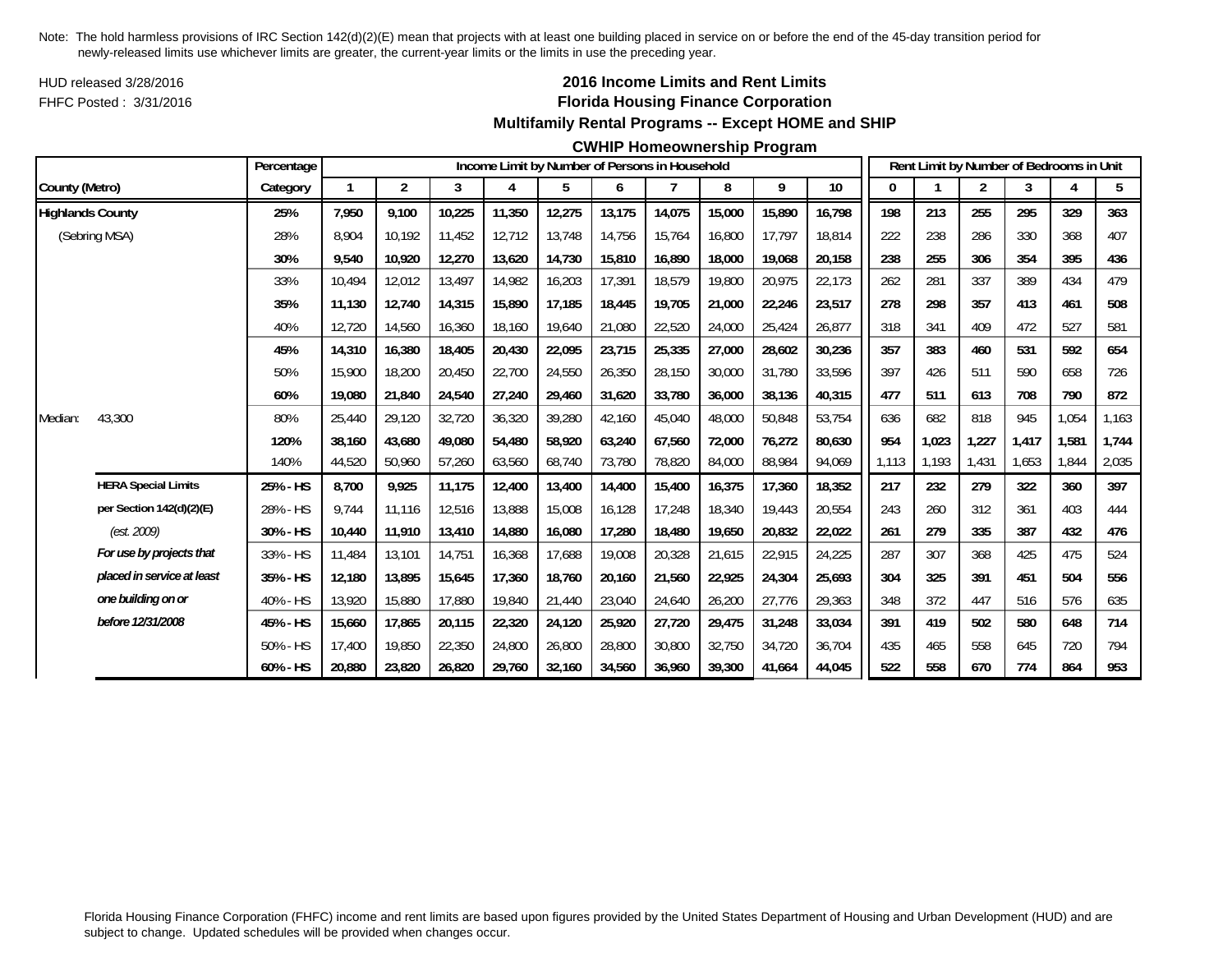HUD released 3/28/2016FHFC Posted : 3/31/2016

## **2016 Income Limits and Rent Limits Florida Housing Finance Corporation Multifamily Rental Programs -- Except HOME and SHIP**

#### **CWHIP Homeownership Program**

|                         |                            | Percentage |        |                |        |        |        |        | Income Limit by Number of Persons in Household |        |        |        |       |       | Rent Limit by Number of Bedrooms in Unit |       |       |                |
|-------------------------|----------------------------|------------|--------|----------------|--------|--------|--------|--------|------------------------------------------------|--------|--------|--------|-------|-------|------------------------------------------|-------|-------|----------------|
| County (Metro)          |                            | Category   |        | $\overline{2}$ | 3      | 4      | 5      | 6      | 7                                              | 8      | 9      | $10\,$ | 0     |       | $\overline{2}$                           | 3     | 4     | 5 <sub>5</sub> |
| <b>Highlands County</b> |                            | 25%        | 7,950  | 9,100          | 10,225 | 11,350 | 12,275 | 13,175 | 14,075                                         | 15,000 | 15,890 | 16,798 | 198   | 213   | 255                                      | 295   | 329   | 363            |
|                         | (Sebring MSA)              | 28%        | 8.904  | 10.192         | 11.452 | 12,712 | 13,748 | 14.756 | 15.764                                         | 16,800 | 17.797 | 18.814 | 222   | 238   | 286                                      | 330   | 368   | 407            |
|                         |                            | 30%        | 9,540  | 10,920         | 12,270 | 13,620 | 14,730 | 15,810 | 16,890                                         | 18,000 | 19,068 | 20,158 | 238   | 255   | 306                                      | 354   | 395   | 436            |
|                         |                            | 33%        | 10,494 | 12,012         | 13,497 | 14,982 | 16,203 | 17,391 | 18,579                                         | 19,800 | 20,975 | 22,173 | 262   | 281   | 337                                      | 389   | 434   | 479            |
|                         |                            | 35%        | 11,130 | 12,740         | 14,315 | 15,890 | 17,185 | 18,445 | 19,705                                         | 21,000 | 22,246 | 23,517 | 278   | 298   | 357                                      | 413   | 461   | 508            |
|                         |                            | 40%        | 12,720 | 14,560         | 16,360 | 18,160 | 19,640 | 21,080 | 22,520                                         | 24,000 | 25,424 | 26,877 | 318   | 341   | 409                                      | 472   | 527   | 581            |
|                         |                            | 45%        | 14,310 | 16,380         | 18,405 | 20,430 | 22,095 | 23,715 | 25,335                                         | 27,000 | 28,602 | 30,236 | 357   | 383   | 460                                      | 531   | 592   | 654            |
|                         |                            | 50%        | 15,900 | 18,200         | 20,450 | 22,700 | 24,550 | 26,350 | 28,150                                         | 30,000 | 31,780 | 33,596 | 397   | 426   | 511                                      | 590   | 658   | 726            |
|                         |                            | 60%        | 19.080 | 21,840         | 24,540 | 27,240 | 29,460 | 31,620 | 33,780                                         | 36,000 | 38,136 | 40,315 | 477   | 511   | 613                                      | 708   | 790   | 872            |
| Median:                 | 43,300                     | 80%        | 25,440 | 29,120         | 32,720 | 36,320 | 39,280 | 42,160 | 45,040                                         | 48,000 | 50,848 | 53,754 | 636   | 682   | 818                                      | 945   | 1,054 | 1,163          |
|                         |                            | 120%       | 38.160 | 43,680         | 49,080 | 54,480 | 58.920 | 63.240 | 67.560                                         | 72,000 | 76,272 | 80.630 | 954   | 1,023 | 1,227                                    | 1.417 | 1,581 | 1,744          |
|                         |                            | 140%       | 44,520 | 50,960         | 57,260 | 63,560 | 68,740 | 73,780 | 78,820                                         | 84,000 | 88,984 | 94,069 | 1.113 | 1,193 | 1,431                                    | 1,653 | 1.844 | 2,035          |
|                         | <b>HERA Special Limits</b> | 25% - HS   | 8,700  | 9,925          | 11,175 | 12,400 | 13,400 | 14,400 | 15,400                                         | 16,375 | 17,360 | 18,352 | 217   | 232   | 279                                      | 322   | 360   | 397            |
|                         | per Section 142(d)(2)(E)   | 28% - HS   | 9,744  | 11,116         | 12,516 | 13,888 | 15,008 | 16,128 | 17,248                                         | 18,340 | 19,443 | 20,554 | 243   | 260   | 312                                      | 361   | 403   | 444            |
|                         | (est. 2009)                | 30% - HS   | 10.440 | 11,910         | 13,410 | 14,880 | 16,080 | 17,280 | 18,480                                         | 19,650 | 20,832 | 22,022 | 261   | 279   | 335                                      | 387   | 432   | 476            |
|                         | For use by projects that   | 33% - HS   | 11,484 | 13,101         | 14,751 | 16,368 | 17,688 | 19,008 | 20,328                                         | 21,615 | 22,915 | 24,225 | 287   | 307   | 368                                      | 425   | 475   | 524            |
|                         | placed in service at least | 35% - HS   | 12,180 | 13,895         | 15,645 | 17,360 | 18,760 | 20,160 | 21,560                                         | 22,925 | 24,304 | 25,693 | 304   | 325   | 391                                      | 451   | 504   | 556            |
|                         | one building on or         | 40% - HS   | 13,920 | 15,880         | 17,880 | 19,840 | 21,440 | 23,040 | 24,640                                         | 26,200 | 27,776 | 29,363 | 348   | 372   | 447                                      | 516   | 576   | 635            |
|                         | before 12/31/2008          | 45% - HS   | 15,660 | 17,865         | 20,115 | 22,320 | 24,120 | 25,920 | 27,720                                         | 29,475 | 31,248 | 33,034 | 391   | 419   | 502                                      | 580   | 648   | 714            |
|                         |                            | 50% - HS   | 17.400 | 19,850         | 22,350 | 24,800 | 26,800 | 28,800 | 30,800                                         | 32,750 | 34,720 | 36.704 | 435   | 465   | 558                                      | 645   | 720   | 794            |
|                         |                            | 60% - HS   | 20,880 | 23,820         | 26,820 | 29,760 | 32,160 | 34,560 | 36,960                                         | 39,300 | 41,664 | 44,045 | 522   | 558   | 670                                      | 774   | 864   | 953            |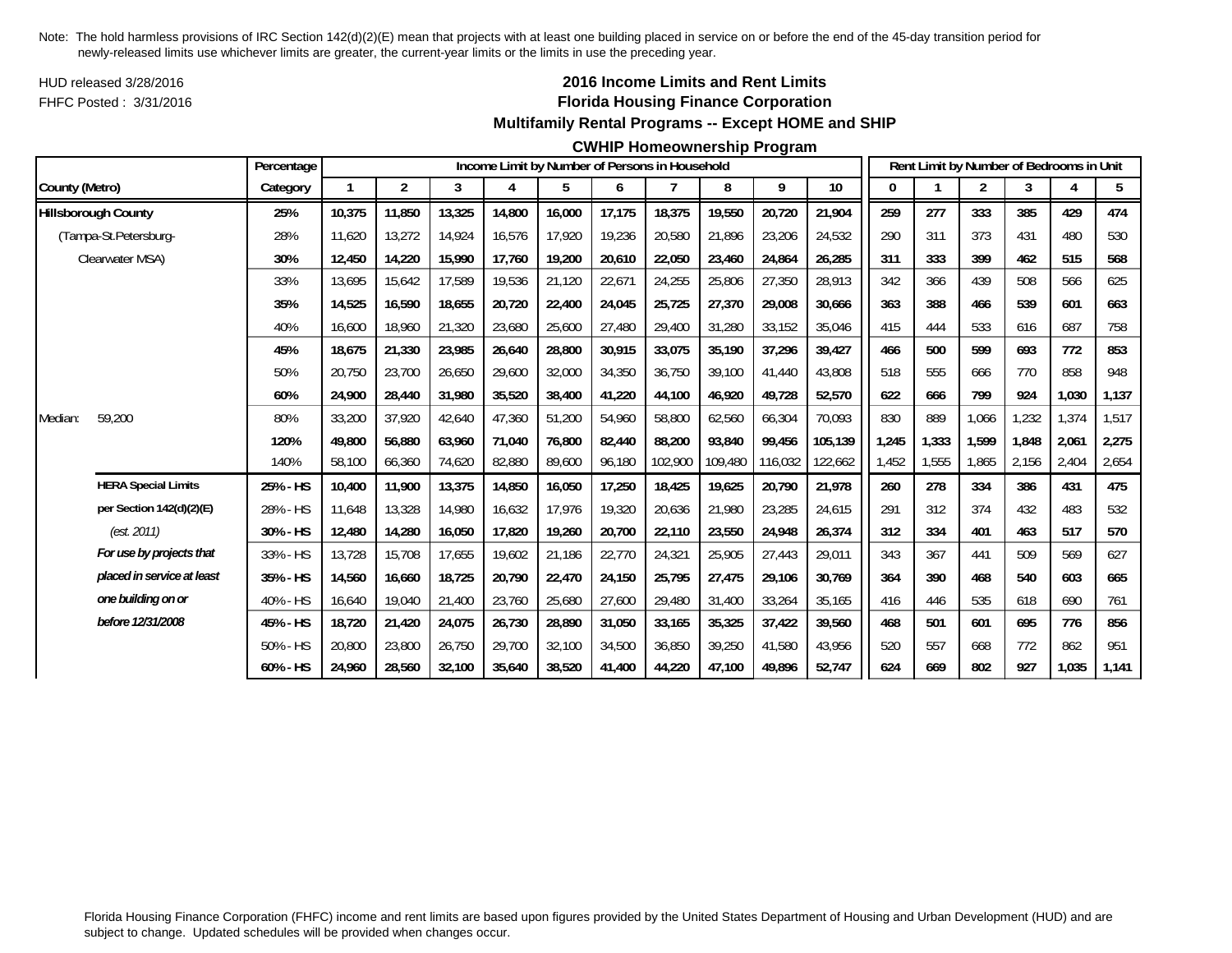HUD released 3/28/2016FHFC Posted : 3/31/2016

## **2016 Income Limits and Rent Limits Florida Housing Finance Corporation Multifamily Rental Programs -- Except HOME and SHIP**

#### **CWHIP Homeownership Program**

|                |                            | Percentage |        |                |        |        |        |        | Income Limit by Number of Persons in Household |         |         |         |          |       | Rent Limit by Number of Bedrooms in Unit |       |       |       |
|----------------|----------------------------|------------|--------|----------------|--------|--------|--------|--------|------------------------------------------------|---------|---------|---------|----------|-------|------------------------------------------|-------|-------|-------|
| County (Metro) |                            | Category   |        | $\overline{2}$ | 3      | 4      | 5      | 6      |                                                | 8       | 9       | 10      | $\bf{0}$ |       | 2                                        | 3     | 4     | 5     |
|                | <b>Hillsborough County</b> | 25%        | 10,375 | 11,850         | 13,325 | 14,800 | 16,000 | 17,175 | 18,375                                         | 19,550  | 20,720  | 21,904  | 259      | 277   | 333                                      | 385   | 429   | 474   |
|                | (Tampa-St.Petersburg-      | 28%        | 11.620 | 13,272         | 14.924 | 16,576 | 17.920 | 19.236 | 20.580                                         | 21.896  | 23,206  | 24,532  | 290      | 311   | 373                                      | 431   | 480   | 530   |
|                | Clearwater MSA)            | 30%        | 12,450 | 14,220         | 15,990 | 17,760 | 19,200 | 20,610 | 22,050                                         | 23,460  | 24,864  | 26,285  | 311      | 333   | 399                                      | 462   | 515   | 568   |
|                |                            | 33%        | 13,695 | 15,642         | 17,589 | 19,536 | 21,120 | 22,671 | 24,255                                         | 25,806  | 27,350  | 28,913  | 342      | 366   | 439                                      | 508   | 566   | 625   |
|                |                            | 35%        | 14,525 | 16,590         | 18,655 | 20,720 | 22,400 | 24,045 | 25,725                                         | 27,370  | 29,008  | 30,666  | 363      | 388   | 466                                      | 539   | 601   | 663   |
|                |                            | 40%        | 16,600 | 18,960         | 21,320 | 23,680 | 25,600 | 27,480 | 29,400                                         | 31,280  | 33,152  | 35,046  | 415      | 444   | 533                                      | 616   | 687   | 758   |
|                |                            | 45%        | 18,675 | 21,330         | 23,985 | 26,640 | 28,800 | 30,915 | 33,075                                         | 35,190  | 37,296  | 39,427  | 466      | 500   | 599                                      | 693   | 772   | 853   |
|                |                            | 50%        | 20,750 | 23,700         | 26,650 | 29,600 | 32,000 | 34,350 | 36,750                                         | 39,100  | 41,440  | 43,808  | 518      | 555   | 666                                      | 770   | 858   | 948   |
|                |                            | 60%        | 24,900 | 28,440         | 31,980 | 35,520 | 38,400 | 41,220 | 44,100                                         | 46,920  | 49,728  | 52,570  | 622      | 666   | 799                                      | 924   | 1,030 | 1,137 |
| Median:        | 59,200                     | 80%        | 33,200 | 37,920         | 42,640 | 47,360 | 51,200 | 54,960 | 58,800                                         | 62,560  | 66,304  | 70,093  | 830      | 889   | 1,066                                    | ,232  | 1,374 | 1,517 |
|                |                            | 120%       | 49.800 | 56,880         | 63,960 | 71,040 | 76,800 | 82,440 | 88.200                                         | 93,840  | 99,456  | 105,139 | 1,245    | 1,333 | 1,599                                    | 1,848 | 2,061 | 2,275 |
|                |                            | 140%       | 58,100 | 66,360         | 74,620 | 82,880 | 89,600 | 96,180 | 102,900                                        | 109,480 | 116,032 | 122,662 | 1,452    | 1,555 | 1,865                                    | 2,156 | 2,404 | 2,654 |
|                | <b>HERA Special Limits</b> | 25% - HS   | 10,400 | 11,900         | 13,375 | 14,850 | 16,050 | 17,250 | 18,425                                         | 19,625  | 20,790  | 21,978  | 260      | 278   | 334                                      | 386   | 431   | 475   |
|                | per Section 142(d)(2)(E)   | 28% - HS   | 11.648 | 13,328         | 14.980 | 16,632 | 17,976 | 19,320 | 20,636                                         | 21,980  | 23,285  | 24,615  | 291      | 312   | 374                                      | 432   | 483   | 532   |
|                | (est. 2011)                | 30% - HS   | 12,480 | 14,280         | 16,050 | 17,820 | 19,260 | 20,700 | 22,110                                         | 23,550  | 24,948  | 26,374  | 312      | 334   | 401                                      | 463   | 517   | 570   |
|                | For use by projects that   | 33% - HS   | 13,728 | 15,708         | 17,655 | 19,602 | 21,186 | 22,770 | 24,321                                         | 25,905  | 27,443  | 29,011  | 343      | 367   | 441                                      | 509   | 569   | 627   |
|                | placed in service at least | 35% - HS   | 14,560 | 16,660         | 18,725 | 20,790 | 22,470 | 24,150 | 25,795                                         | 27,475  | 29,106  | 30,769  | 364      | 390   | 468                                      | 540   | 603   | 665   |
|                | one building on or         | 40% - HS   | 16,640 | 19,040         | 21,400 | 23,760 | 25,680 | 27,600 | 29,480                                         | 31,400  | 33,264  | 35,165  | 416      | 446   | 535                                      | 618   | 690   | 761   |
|                | before 12/31/2008          | 45% - HS   | 18,720 | 21,420         | 24,075 | 26,730 | 28,890 | 31,050 | 33,165                                         | 35,325  | 37,422  | 39,560  | 468      | 501   | 601                                      | 695   | 776   | 856   |
|                |                            | 50% - HS   | 20,800 | 23,800         | 26,750 | 29,700 | 32,100 | 34,500 | 36,850                                         | 39,250  | 41,580  | 43,956  | 520      | 557   | 668                                      | 772   | 862   | 951   |
|                |                            | 60% - HS   | 24,960 | 28,560         | 32,100 | 35,640 | 38,520 | 41,400 | 44,220                                         | 47,100  | 49,896  | 52,747  | 624      | 669   | 802                                      | 927   | 1,035 | 1,141 |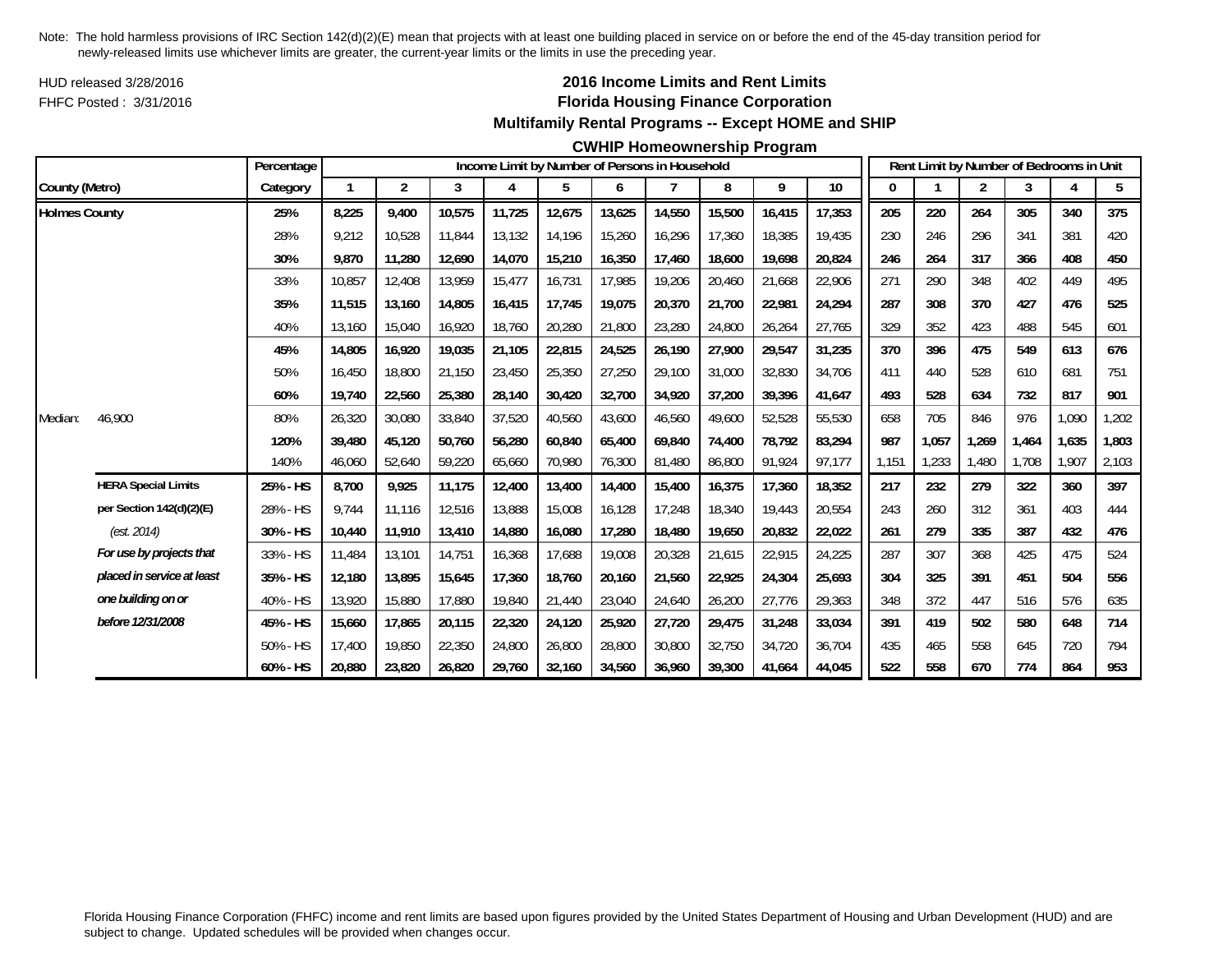HUD released 3/28/2016FHFC Posted : 3/31/2016

## **2016 Income Limits and Rent Limits Florida Housing Finance Corporation Multifamily Rental Programs -- Except HOME and SHIP**

### **CWHIP Homeownership Program**

|                      |                            | Percentage |        |                |        |        |        |        | Income Limit by Number of Persons in Household |        |        |        |       |       | Rent Limit by Number of Bedrooms in Unit |       |       |       |
|----------------------|----------------------------|------------|--------|----------------|--------|--------|--------|--------|------------------------------------------------|--------|--------|--------|-------|-------|------------------------------------------|-------|-------|-------|
| County (Metro)       |                            | Category   |        | $\overline{2}$ | 3      | 4      | 5      | 6      |                                                | 8      | 9      | 10     |       |       | $\overline{2}$                           | 3     |       | 5     |
| <b>Holmes County</b> |                            | 25%        | 8,225  | 9.400          | 10,575 | 11,725 | 12,675 | 13,625 | 14,550                                         | 15,500 | 16,415 | 17,353 | 205   | 220   | 264                                      | 305   | 340   | 375   |
|                      |                            | 28%        | 9,212  | 10,528         | 11,844 | 13,132 | 14,196 | 15,260 | 16,296                                         | 17,360 | 18,385 | 19,435 | 230   | 246   | 296                                      | 341   | 381   | 420   |
|                      |                            | 30%        | 9.870  | 11,280         | 12,690 | 14,070 | 15,210 | 16,350 | 17,460                                         | 18,600 | 19,698 | 20,824 | 246   | 264   | 317                                      | 366   | 408   | 450   |
|                      |                            | 33%        | 10,857 | 12,408         | 13,959 | 15,477 | 16,731 | 17,985 | 19,206                                         | 20,460 | 21,668 | 22,906 | 271   | 290   | 348                                      | 402   | 449   | 495   |
|                      |                            | 35%        | 11.515 | 13.160         | 14.805 | 16,415 | 17.745 | 19,075 | 20.370                                         | 21,700 | 22,981 | 24.294 | 287   | 308   | 370                                      | 427   | 476   | 525   |
|                      |                            | 40%        | 13,160 | 15,040         | 16,920 | 18,760 | 20,280 | 21,800 | 23,280                                         | 24,800 | 26,264 | 27,765 | 329   | 352   | 423                                      | 488   | 545   | 601   |
|                      |                            | 45%        | 14.805 | 16,920         | 19,035 | 21,105 | 22,815 | 24,525 | 26,190                                         | 27,900 | 29,547 | 31,235 | 370   | 396   | 475                                      | 549   | 613   | 676   |
|                      |                            | 50%        | 16,450 | 18,800         | 21,150 | 23,450 | 25,350 | 27,250 | 29,100                                         | 31,000 | 32,830 | 34,706 | 411   | 440   | 528                                      | 610   | 681   | 751   |
|                      |                            | 60%        | 19.740 | 22,560         | 25,380 | 28,140 | 30,420 | 32,700 | 34,920                                         | 37,200 | 39,396 | 41,647 | 493   | 528   | 634                                      | 732   | 817   | 901   |
| Median:              | 46,900                     | 80%        | 26,320 | 30,080         | 33,840 | 37,520 | 40,560 | 43,600 | 46,560                                         | 49,600 | 52,528 | 55,530 | 658   | 705   | 846                                      | 976   | 1,090 | 1,202 |
|                      |                            | 120%       | 39,480 | 45.120         | 50,760 | 56,280 | 60,840 | 65,400 | 69.840                                         | 74,400 | 78,792 | 83.294 | 987   | 1.057 | 1.269                                    | 1.464 | 1,635 | 1,803 |
|                      |                            | 140%       | 46,060 | 52,640         | 59,220 | 65,660 | 70,980 | 76,300 | 81,480                                         | 86,800 | 91,924 | 97,177 | 1,151 | 1,233 | 1,480                                    | 1,708 | 1,907 | 2,103 |
|                      | <b>HERA Special Limits</b> | 25% - HS   | 8,700  | 9,925          | 11,175 | 12,400 | 13,400 | 14,400 | 15,400                                         | 16,375 | 17,360 | 18,352 | 217   | 232   | 279                                      | 322   | 360   | 397   |
|                      | per Section 142(d)(2)(E)   | 28% - HS   | 9.744  | 11,116         | 12,516 | 13,888 | 15,008 | 16,128 | 17,248                                         | 18,340 | 19,443 | 20,554 | 243   | 260   | 312                                      | 361   | 403   | 444   |
|                      | (est. 2014)                | 30% - HS   | 10,440 | 11,910         | 13,410 | 14,880 | 16,080 | 17,280 | 18,480                                         | 19,650 | 20,832 | 22,022 | 261   | 279   | 335                                      | 387   | 432   | 476   |
|                      | For use by projects that   | 33% - HS   | 11,484 | 13,101         | 14,751 | 16,368 | 17,688 | 19,008 | 20,328                                         | 21,615 | 22,915 | 24,225 | 287   | 307   | 368                                      | 425   | 475   | 524   |
|                      | placed in service at least | 35% - HS   | 12,180 | 13,895         | 15,645 | 17,360 | 18,760 | 20,160 | 21,560                                         | 22,925 | 24,304 | 25,693 | 304   | 325   | 391                                      | 451   | 504   | 556   |
|                      | one building on or         | 40% - HS   | 13,920 | 15,880         | 17,880 | 19,840 | 21,440 | 23,040 | 24,640                                         | 26,200 | 27,776 | 29,363 | 348   | 372   | 447                                      | 516   | 576   | 635   |
|                      | before 12/31/2008          | 45% - HS   | 15,660 | 17,865         | 20,115 | 22,320 | 24,120 | 25,920 | 27,720                                         | 29,475 | 31,248 | 33,034 | 391   | 419   | 502                                      | 580   | 648   | 714   |
|                      |                            | 50% - HS   | 17,400 | 19,850         | 22,350 | 24,800 | 26,800 | 28,800 | 30,800                                         | 32,750 | 34,720 | 36,704 | 435   | 465   | 558                                      | 645   | 720   | 794   |
|                      |                            | 60% - HS   | 20,880 | 23,820         | 26,820 | 29,760 | 32,160 | 34.560 | 36.960                                         | 39,300 | 41,664 | 44,045 | 522   | 558   | 670                                      | 774   | 864   | 953   |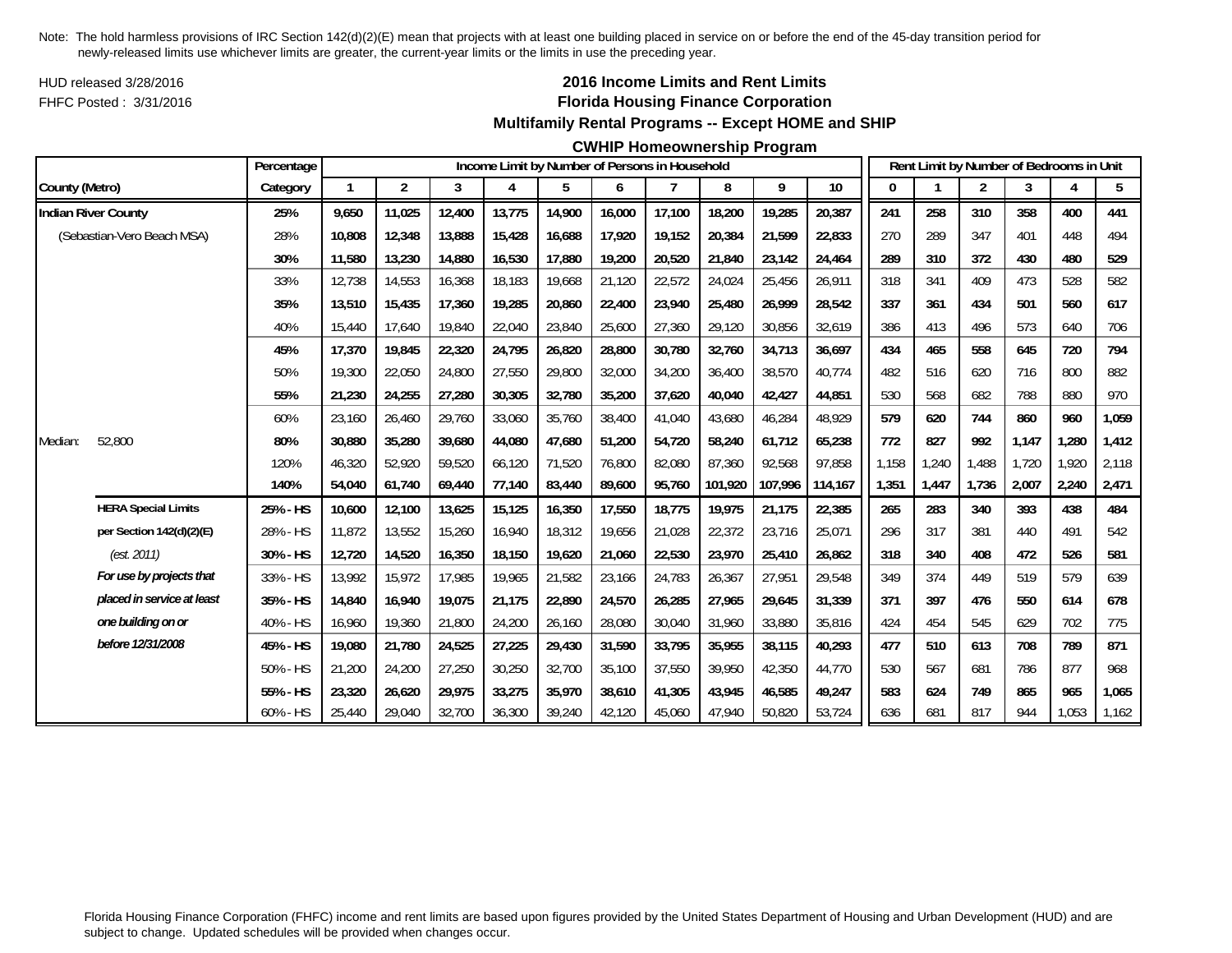HUD released 3/28/2016FHFC Posted : 3/31/2016

### **2016 Income Limits and Rent Limits Florida Housing Finance Corporation Multifamily Rental Programs -- Except HOME and SHIP**

#### **CWHIP Homeownership Program**

|                |                            | Percentage |              |                |        |        | Income Limit by Number of Persons in Household |        |        |         |         |                 |              |       |                |       | Rent Limit by Number of Bedrooms in Unit |       |
|----------------|----------------------------|------------|--------------|----------------|--------|--------|------------------------------------------------|--------|--------|---------|---------|-----------------|--------------|-------|----------------|-------|------------------------------------------|-------|
| County (Metro) |                            | Category   | $\mathbf{1}$ | $\overline{2}$ | 3      | 4      | 5                                              | 6      | 7      | 8       | 9       | 10 <sup>°</sup> | $\mathbf{0}$ |       | $\overline{2}$ | 3     | 4                                        | 5     |
|                | <b>Indian River County</b> | 25%        | 9,650        | 11,025         | 12,400 | 13,775 | 14,900                                         | 16,000 | 17,100 | 18,200  | 19,285  | 20,387          | 241          | 258   | 310            | 358   | 400                                      | 441   |
|                | (Sebastian-Vero Beach MSA) | 28%        | 10,808       | 12,348         | 13,888 | 15,428 | 16,688                                         | 17.920 | 19,152 | 20,384  | 21,599  | 22,833          | 270          | 289   | 347            | 401   | 448                                      | 494   |
|                |                            | 30%        | 11,580       | 13,230         | 14,880 | 16,530 | 17,880                                         | 19,200 | 20,520 | 21,840  | 23,142  | 24,464          | 289          | 310   | 372            | 430   | 480                                      | 529   |
|                |                            | 33%        | 12,738       | 14,553         | 16,368 | 18,183 | 19,668                                         | 21,120 | 22,572 | 24,024  | 25,456  | 26,911          | 318          | 341   | 409            | 473   | 528                                      | 582   |
|                |                            | 35%        | 13,510       | 15,435         | 17,360 | 19,285 | 20,860                                         | 22,400 | 23,940 | 25,480  | 26,999  | 28,542          | 337          | 361   | 434            | 501   | 560                                      | 617   |
|                |                            | 40%        | 15,440       | 17.640         | 19,840 | 22,040 | 23,840                                         | 25,600 | 27,360 | 29,120  | 30,856  | 32,619          | 386          | 413   | 496            | 573   | 640                                      | 706   |
|                |                            | 45%        | 17,370       | 19,845         | 22,320 | 24,795 | 26,820                                         | 28,800 | 30,780 | 32,760  | 34,713  | 36,697          | 434          | 465   | 558            | 645   | 720                                      | 794   |
|                |                            | 50%        | 19,300       | 22,050         | 24,800 | 27,550 | 29,800                                         | 32,000 | 34,200 | 36,400  | 38,570  | 40,774          | 482          | 516   | 620            | 716   | 800                                      | 882   |
|                |                            | 55%        | 21,230       | 24,255         | 27,280 | 30,305 | 32,780                                         | 35,200 | 37,620 | 40,040  | 42,427  | 44,851          | 530          | 568   | 682            | 788   | 880                                      | 970   |
|                |                            | 60%        | 23,160       | 26,460         | 29,760 | 33,060 | 35,760                                         | 38,400 | 41,040 | 43,680  | 46,284  | 48,929          | 579          | 620   | 744            | 860   | 960                                      | 1,059 |
| Median:        | 52,800                     | 80%        | 30,880       | 35,280         | 39,680 | 44,080 | 47,680                                         | 51,200 | 54,720 | 58,240  | 61,712  | 65,238          | 772          | 827   | 992            | 1.147 | 1,280                                    | 1,412 |
|                |                            | 120%       | 46,320       | 52,920         | 59,520 | 66,120 | 71,520                                         | 76.800 | 82.080 | 87,360  | 92,568  | 97,858          | 1,158        | 1,240 | 1.488          | 1.720 | 1,920                                    | 2,118 |
|                |                            | 140%       | 54,040       | 61,740         | 69,440 | 77,140 | 83,440                                         | 89,600 | 95,760 | 101,920 | 107,996 | 114,167         | 1,351        | 1,447 | 1,736          | 2,007 | 2,240                                    | 2,471 |
|                | <b>HERA Special Limits</b> | 25% - HS   | 10,600       | 12,100         | 13,625 | 15,125 | 16,350                                         | 17,550 | 18,775 | 19,975  | 21,175  | 22,385          | 265          | 283   | 340            | 393   | 438                                      | 484   |
|                | per Section 142(d)(2)(E)   | 28% - HS   | 11,872       | 13,552         | 15,260 | 16,940 | 18,312                                         | 19,656 | 21,028 | 22,372  | 23,716  | 25,071          | 296          | 317   | 381            | 440   | 491                                      | 542   |
|                | (est. 2011)                | 30% - HS   | 12,720       | 14,520         | 16,350 | 18,150 | 19,620                                         | 21,060 | 22,530 | 23,970  | 25,410  | 26,862          | 318          | 340   | 408            | 472   | 526                                      | 581   |
|                | For use by projects that   | 33% - HS   | 13,992       | 15,972         | 17,985 | 19,965 | 21,582                                         | 23,166 | 24,783 | 26,367  | 27,951  | 29,548          | 349          | 374   | 449            | 519   | 579                                      | 639   |
|                | placed in service at least | 35% - HS   | 14,840       | 16,940         | 19,075 | 21,175 | 22,890                                         | 24,570 | 26,285 | 27,965  | 29,645  | 31,339          | 371          | 397   | 476            | 550   | 614                                      | 678   |
|                | one building on or         | 40% - HS   | 16,960       | 19,360         | 21,800 | 24,200 | 26,160                                         | 28,080 | 30,040 | 31,960  | 33,880  | 35,816          | 424          | 454   | 545            | 629   | 702                                      | 775   |
|                | before 12/31/2008          | 45% - HS   | 19,080       | 21,780         | 24,525 | 27,225 | 29,430                                         | 31,590 | 33,795 | 35,955  | 38,115  | 40,293          | 477          | 510   | 613            | 708   | 789                                      | 871   |
|                |                            | 50% - HS   | 21,200       | 24,200         | 27,250 | 30,250 | 32,700                                         | 35,100 | 37,550 | 39.950  | 42,350  | 44,770          | 530          | 567   | 681            | 786   | 877                                      | 968   |
|                |                            | 55% - HS   | 23,320       | 26,620         | 29,975 | 33,275 | 35,970                                         | 38,610 | 41,305 | 43,945  | 46,585  | 49,247          | 583          | 624   | 749            | 865   | 965                                      | 1,065 |
|                |                            | 60% - HS   | 25,440       | 29,040         | 32,700 | 36,300 | 39,240                                         | 42,120 | 45,060 | 47,940  | 50,820  | 53,724          | 636          | 681   | 817            | 944   | 1,053                                    | 1,162 |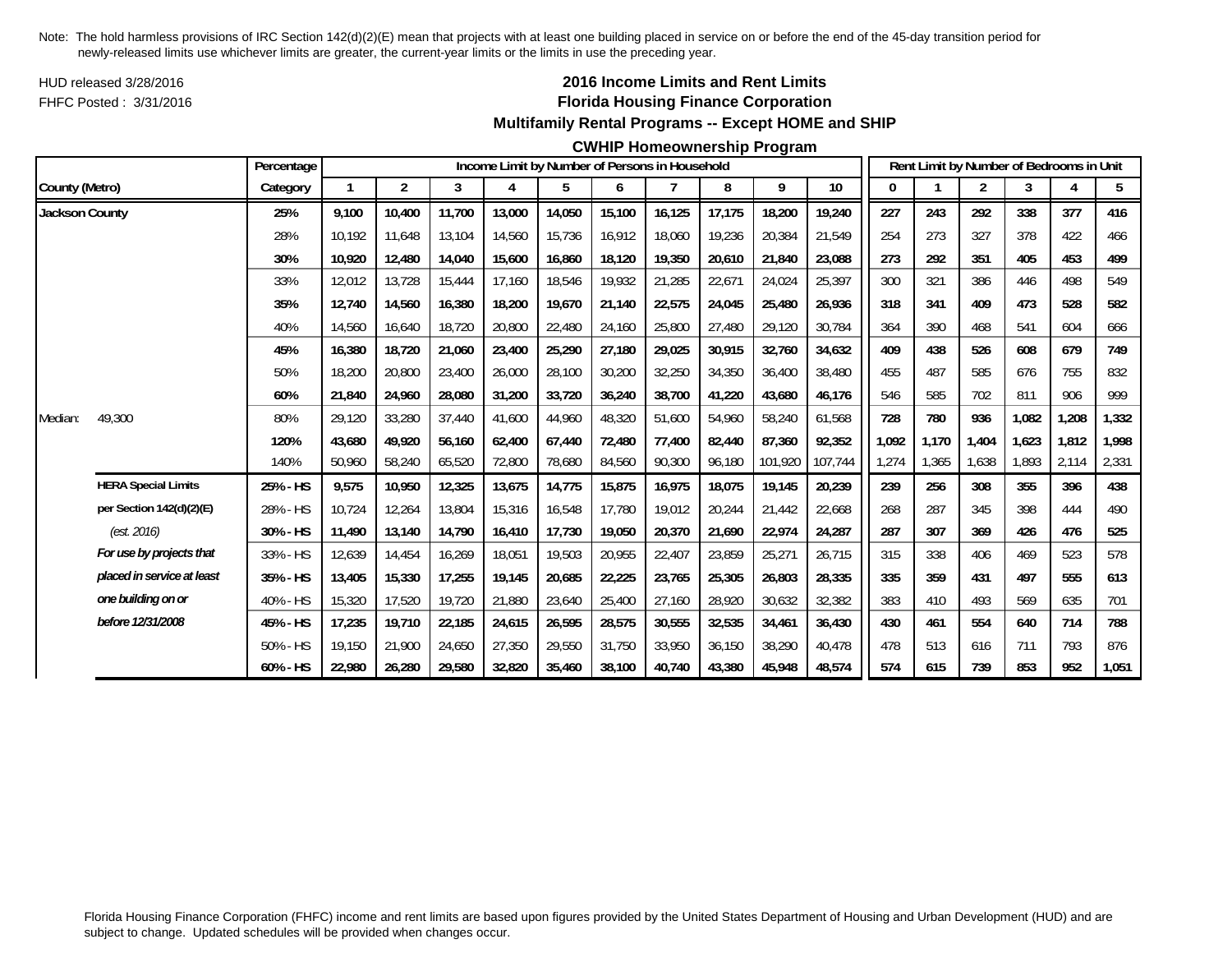HUD released 3/28/2016FHFC Posted : 3/31/2016

## **2016 Income Limits and Rent Limits Florida Housing Finance Corporation Multifamily Rental Programs -- Except HOME and SHIP**

#### **CWHIP Homeownership Program**

|                       |                            | Percentage  |        |                |        |        |        |        | Income Limit by Number of Persons in Household |        |         |         |       |       | Rent Limit by Number of Bedrooms in Unit |       |       |       |
|-----------------------|----------------------------|-------------|--------|----------------|--------|--------|--------|--------|------------------------------------------------|--------|---------|---------|-------|-------|------------------------------------------|-------|-------|-------|
| County (Metro)        |                            | Category    |        | $\overline{2}$ | 3      | 4      | 5      | 6      |                                                | 8      | 9       | $10$    |       |       | 2                                        | 3     |       | 5     |
| <b>Jackson County</b> |                            | 25%         | 9,100  | 10,400         | 11,700 | 13,000 | 14,050 | 15,100 | 16,125                                         | 17,175 | 18,200  | 19,240  | 227   | 243   | 292                                      | 338   | 377   | 416   |
|                       |                            | 28%         | 10.192 | 11.648         | 13,104 | 14,560 | 15,736 | 16,912 | 18.060                                         | 19,236 | 20,384  | 21.549  | 254   | 273   | 327                                      | 378   | 422   | 466   |
|                       |                            | 30%         | 10,920 | 12,480         | 14,040 | 15,600 | 16,860 | 18,120 | 19,350                                         | 20,610 | 21,840  | 23,088  | 273   | 292   | 351                                      | 405   | 453   | 499   |
|                       |                            | 33%         | 12,012 | 13,728         | 15,444 | 17,160 | 18,546 | 19,932 | 21,285                                         | 22,671 | 24,024  | 25,397  | 300   | 321   | 386                                      | 446   | 498   | 549   |
|                       |                            | 35%         | 12,740 | 14,560         | 16,380 | 18,200 | 19,670 | 21,140 | 22,575                                         | 24,045 | 25,480  | 26,936  | 318   | 341   | 409                                      | 473   | 528   | 582   |
|                       |                            | 40%         | 14,560 | 16,640         | 18,720 | 20,800 | 22,480 | 24,160 | 25,800                                         | 27,480 | 29,120  | 30,784  | 364   | 390   | 468                                      | 541   | 604   | 666   |
|                       |                            | 45%         | 16,380 | 18,720         | 21,060 | 23,400 | 25,290 | 27,180 | 29,025                                         | 30,915 | 32,760  | 34,632  | 409   | 438   | 526                                      | 608   | 679   | 749   |
|                       |                            | 50%         | 18,200 | 20,800         | 23,400 | 26,000 | 28,100 | 30,200 | 32,250                                         | 34,350 | 36,400  | 38,480  | 455   | 487   | 585                                      | 676   | 755   | 832   |
|                       |                            | 60%         | 21,840 | 24,960         | 28,080 | 31,200 | 33,720 | 36,240 | 38,700                                         | 41,220 | 43,680  | 46,176  | 546   | 585   | 702                                      | 811   | 906   | 999   |
| Median:               | 49,300                     | 80%         | 29,120 | 33,280         | 37,440 | 41,600 | 44,960 | 48,320 | 51.600                                         | 54,960 | 58,240  | 61,568  | 728   | 780   | 936                                      | 1.082 | 1,208 | 1,332 |
|                       |                            | 120%        | 43.680 | 49,920         | 56,160 | 62,400 | 67,440 | 72,480 | 77,400                                         | 82,440 | 87,360  | 92,352  | 1,092 | 1,170 | 1,404                                    | 1,623 | 1,812 | 1,998 |
|                       |                            | 140%        | 50,960 | 58,240         | 65,520 | 72,800 | 78,680 | 84,560 | 90,300                                         | 96,180 | 101,920 | 107,744 | 1,274 | 1,365 | 1,638                                    | 1,893 | 2,114 | 2,331 |
|                       | <b>HERA Special Limits</b> | 25% - HS    | 9,575  | 10,950         | 12,325 | 13,675 | 14,775 | 15,875 | 16,975                                         | 18,075 | 19,145  | 20,239  | 239   | 256   | 308                                      | 355   | 396   | 438   |
|                       | per Section 142(d)(2)(E)   | 28% - HS    | 10,724 | 12,264         | 13,804 | 15,316 | 16,548 | 17,780 | 19.012                                         | 20,244 | 21,442  | 22,668  | 268   | 287   | 345                                      | 398   | 444   | 490   |
|                       | (est. 2016)                | 30% - HS    | 11,490 | 13,140         | 14,790 | 16,410 | 17,730 | 19,050 | 20,370                                         | 21,690 | 22,974  | 24,287  | 287   | 307   | 369                                      | 426   | 476   | 525   |
|                       | For use by projects that   | 33% - HS    | 12,639 | 14,454         | 16,269 | 18,051 | 19,503 | 20,955 | 22,407                                         | 23,859 | 25,271  | 26,715  | 315   | 338   | 406                                      | 469   | 523   | 578   |
|                       | placed in service at least | 35% - HS    | 13,405 | 15,330         | 17,255 | 19,145 | 20,685 | 22,225 | 23,765                                         | 25,305 | 26,803  | 28,335  | 335   | 359   | 431                                      | 497   | 555   | 613   |
|                       | one building on or         | 40% - HS    | 15,320 | 17,520         | 19,720 | 21,880 | 23,640 | 25,400 | 27,160                                         | 28,920 | 30,632  | 32,382  | 383   | 410   | 493                                      | 569   | 635   | 701   |
|                       | before 12/31/2008          | 45% - HS    | 17,235 | 19,710         | 22,185 | 24,615 | 26,595 | 28,575 | 30,555                                         | 32,535 | 34,461  | 36,430  | 430   | 461   | 554                                      | 640   | 714   | 788   |
|                       |                            | 50% - HS    | 19.150 | 21,900         | 24,650 | 27,350 | 29,550 | 31.750 | 33.950                                         | 36,150 | 38,290  | 40.478  | 478   | 513   | 616                                      | 711   | 793   | 876   |
|                       |                            | $60\% - HS$ | 22,980 | 26,280         | 29,580 | 32,820 | 35,460 | 38,100 | 40,740                                         | 43,380 | 45,948  | 48,574  | 574   | 615   | 739                                      | 853   | 952   | 1,051 |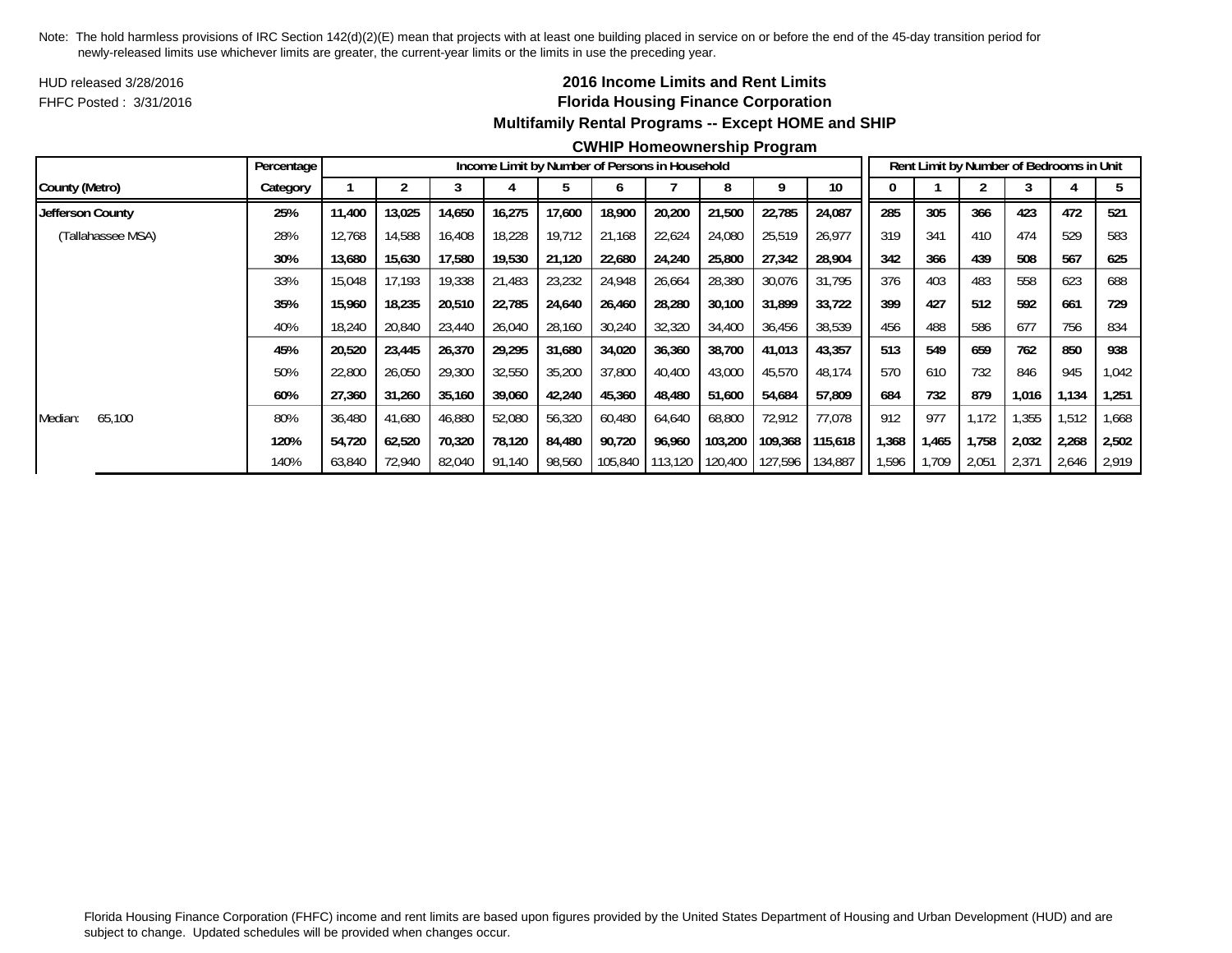HUD released 3/28/2016FHFC Posted : 3/31/2016

## **2016 Income Limits and Rent Limits Florida Housing Finance Corporation Multifamily Rental Programs -- Except HOME and SHIP**

#### **CWHIP Homeownership Program**

|                   | Percentage |        |        |        |        | Income Limit by Number of Persons in Household |         |         |         |         |         |        |       |       | Rent Limit by Number of Bedrooms in Unit |       |        |
|-------------------|------------|--------|--------|--------|--------|------------------------------------------------|---------|---------|---------|---------|---------|--------|-------|-------|------------------------------------------|-------|--------|
| County (Metro)    | Category   |        |        |        |        |                                                |         |         |         |         | 10      |        |       |       |                                          |       |        |
| Jefferson County  | 25%        | 11,400 | 13,025 | 14,650 | 16,275 | 17,600                                         | 18,900  | 20,200  | 21,500  | 22,785  | 24,087  | 285    | 305   | 366   | 423                                      | 472   | 521    |
| (Tallahassee MSA) | 28%        | 12,768 | 14,588 | 16,408 | 18,228 | 19,712                                         | 21,168  | 22,624  | 24,080  | 25,519  | 26,977  | 319    | 341   | 410   | 474                                      | 529   | 583    |
|                   | 30%        | 13,680 | 15,630 | 17,580 | 19,530 | 21,120                                         | 22,680  | 24,240  | 25,800  | 27,342  | 28,904  | 342    | 366   | 439   | 508                                      | 567   | 625    |
|                   | 33%        | 15,048 | 17,193 | 19,338 | 21,483 | 23,232                                         | 24,948  | 26,664  | 28,380  | 30,076  | 31,795  | 376    | 403   | 483   | 558                                      | 623   | 688    |
|                   | 35%        | 15,960 | 18,235 | 20,510 | 22,785 | 24,640                                         | 26,460  | 28,280  | 30,100  | 31,899  | 33,722  | 399    | 427   | 512   | 592                                      | 661   | 729    |
|                   | 40%        | 18,240 | 20,840 | 23,440 | 26,040 | 28,160                                         | 30,240  | 32,320  | 34,400  | 36,456  | 38,539  | 456    | 488   | 586   | 677                                      | 756   | 834    |
|                   | 45%        | 20,520 | 23,445 | 26,370 | 29,295 | 31,680                                         | 34,020  | 36,360  | 38,700  | 41,013  | 43,357  | 513    | 549   | 659   | 762                                      | 850   | 938    |
|                   | 50%        | 22,800 | 26,050 | 29,300 | 32,550 | 35,200                                         | 37,800  | 40.400  | 43,000  | 45,570  | 48,174  | 570    | 610   | 732   | 846                                      | 945   | 042, ا |
|                   | 60%        | 27,360 | 31,260 | 35,160 | 39,060 | 42,240                                         | 45,360  | 48,480  | 51,600  | 54,684  | 57,809  | 684    | 732   | 879   | 1,016                                    | 1,134 | 1,251  |
| 65,100<br>Median: | 80%        | 36,480 | 41,680 | 46,880 | 52,080 | 56,320                                         | 60,480  | 64,640  | 68,800  | 72,912  | 77,078  | 912    | 977   | 1.172 | 1,355                                    | 1,512 | 1,668  |
|                   | 120%       | 54,720 | 62,520 | 70,320 | 78,120 | 84,480                                         | 90,720  | 96,960  | 103,200 | 109,368 | 115,618 | 368, ا | 1,465 | 1,758 | 2,032                                    | 2,268 | 2,502  |
|                   | 140%       | 63,840 | 72,940 | 82,040 | 91,140 | 98,560                                         | 105,840 | 113,120 | 120,400 | 127,596 | 134,887 | 596,   | 1.709 | 2,051 | 2,371                                    | 2,646 | 2,919  |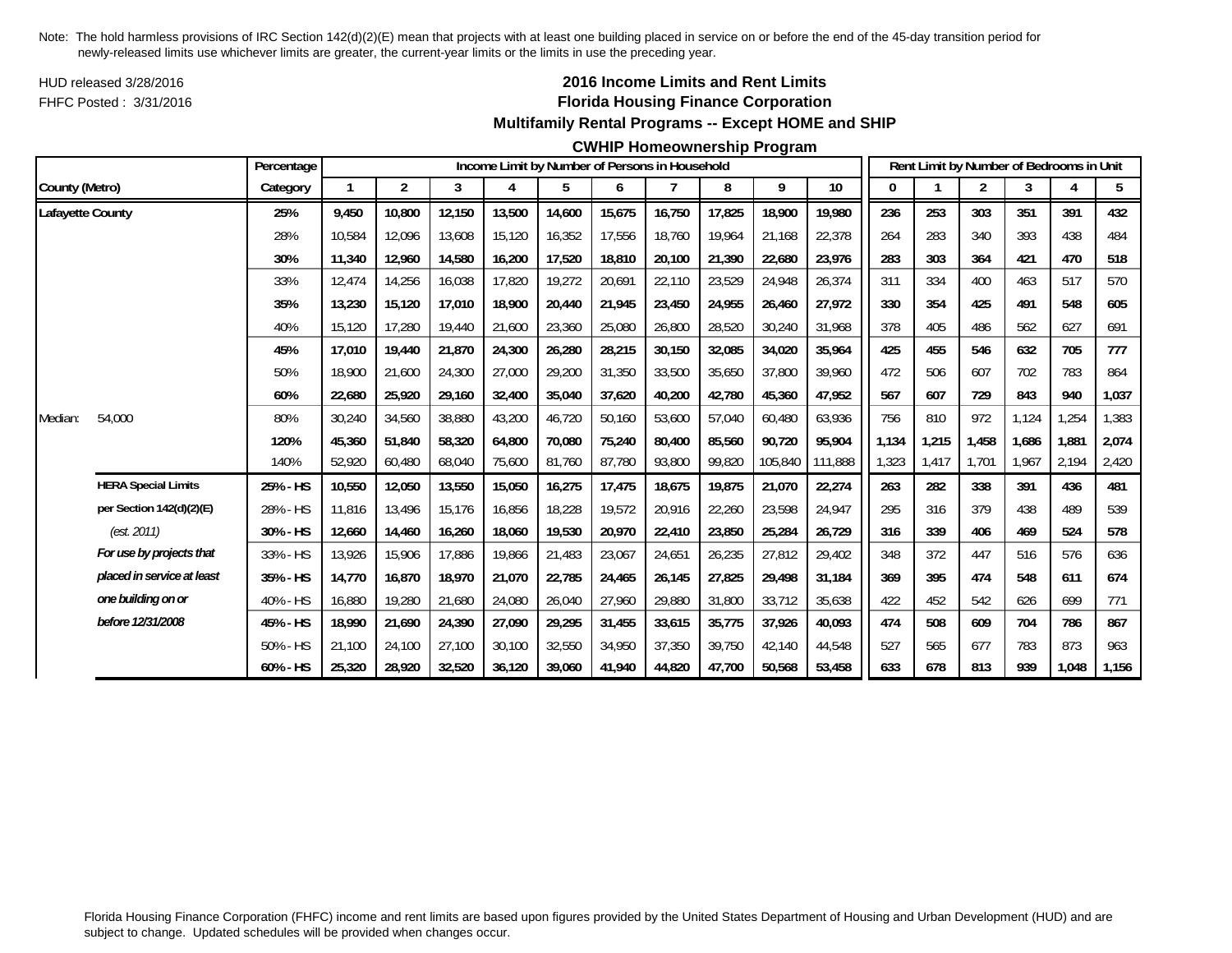HUD released 3/28/2016FHFC Posted : 3/31/2016

## **2016 Income Limits and Rent Limits Florida Housing Finance Corporation Multifamily Rental Programs -- Except HOME and SHIP**

### **CWHIP Homeownership Program**

|                  |                            | Percentage  |        |        |        |        |        |        | Income Limit by Number of Persons in Household |        |         |         |       |       | Rent Limit by Number of Bedrooms in Unit |       |       |       |
|------------------|----------------------------|-------------|--------|--------|--------|--------|--------|--------|------------------------------------------------|--------|---------|---------|-------|-------|------------------------------------------|-------|-------|-------|
| County (Metro)   |                            | Category    |        | 2      | 3      | 4      | 5      | 6      |                                                | 8      | 9       | 10      |       |       | 2                                        | 3     |       | 5     |
| Lafayette County |                            | 25%         | 9.450  | 10,800 | 12,150 | 13,500 | 14,600 | 15,675 | 16.750                                         | 17,825 | 18,900  | 19,980  | 236   | 253   | 303                                      | 351   | 391   | 432   |
|                  |                            | 28%         | 10,584 | 12,096 | 13,608 | 15,120 | 16,352 | 17,556 | 18,760                                         | 19,964 | 21.168  | 22,378  | 264   | 283   | 340                                      | 393   | 438   | 484   |
|                  |                            | 30%         | 11,340 | 12,960 | 14,580 | 16,200 | 17,520 | 18,810 | 20,100                                         | 21,390 | 22,680  | 23,976  | 283   | 303   | 364                                      | 421   | 470   | 518   |
|                  |                            | 33%         | 12,474 | 14,256 | 16,038 | 17,820 | 19,272 | 20,691 | 22,110                                         | 23,529 | 24,948  | 26,374  | 311   | 334   | 400                                      | 463   | 517   | 570   |
|                  |                            | 35%         | 13,230 | 15,120 | 17,010 | 18,900 | 20,440 | 21,945 | 23,450                                         | 24,955 | 26,460  | 27,972  | 330   | 354   | 425                                      | 491   | 548   | 605   |
|                  |                            | 40%         | 15,120 | 17,280 | 19,440 | 21,600 | 23,360 | 25,080 | 26,800                                         | 28,520 | 30,240  | 31,968  | 378   | 405   | 486                                      | 562   | 627   | 691   |
|                  |                            | 45%         | 17,010 | 19,440 | 21,870 | 24,300 | 26,280 | 28,215 | 30,150                                         | 32,085 | 34,020  | 35,964  | 425   | 455   | 546                                      | 632   | 705   | 777   |
|                  |                            | 50%         | 18,900 | 21,600 | 24,300 | 27,000 | 29,200 | 31,350 | 33,500                                         | 35,650 | 37,800  | 39.960  | 472   | 506   | 607                                      | 702   | 783   | 864   |
|                  |                            | 60%         | 22,680 | 25,920 | 29,160 | 32,400 | 35,040 | 37,620 | 40,200                                         | 42,780 | 45,360  | 47,952  | 567   | 607   | 729                                      | 843   | 940   | 1,037 |
| Median:          | 54,000                     | 80%         | 30,240 | 34,560 | 38,880 | 43,200 | 46,720 | 50,160 | 53,600                                         | 57,040 | 60,480  | 63,936  | 756   | 810   | 972                                      | 1.124 | ,254  | 1,383 |
|                  |                            | 120%        | 45,360 | 51,840 | 58,320 | 64,800 | 70,080 | 75,240 | 80.400                                         | 85,560 | 90,720  | 95.904  | 1,134 | 1,215 | 1,458                                    | 1.686 | 1,881 | 2,074 |
|                  |                            | 140%        | 52,920 | 60,480 | 68,040 | 75,600 | 81,760 | 87,780 | 93,800                                         | 99,820 | 105,840 | 111,888 | 1,323 | 1,417 | 1.701                                    | 1.967 | 2,194 | 2,420 |
|                  | <b>HERA Special Limits</b> | 25% - HS    | 10,550 | 12,050 | 13,550 | 15,050 | 16,275 | 17,475 | 18,675                                         | 19,875 | 21,070  | 22,274  | 263   | 282   | 338                                      | 391   | 436   | 481   |
|                  | per Section 142(d)(2)(E)   | 28% - HS    | 11,816 | 13,496 | 15,176 | 16,856 | 18,228 | 19,572 | 20,916                                         | 22,260 | 23,598  | 24,947  | 295   | 316   | 379                                      | 438   | 489   | 539   |
|                  | (est. 2011)                | 30% - HS    | 12,660 | 14,460 | 16,260 | 18,060 | 19,530 | 20,970 | 22,410                                         | 23,850 | 25,284  | 26.729  | 316   | 339   | 406                                      | 469   | 524   | 578   |
|                  | For use by projects that   | 33% - HS    | 13,926 | 15,906 | 17,886 | 19,866 | 21,483 | 23,067 | 24,651                                         | 26,235 | 27,812  | 29,402  | 348   | 372   | 447                                      | 516   | 576   | 636   |
|                  | placed in service at least | 35% - HS    | 14,770 | 16,870 | 18,970 | 21,070 | 22,785 | 24,465 | 26,145                                         | 27,825 | 29,498  | 31,184  | 369   | 395   | 474                                      | 548   | 611   | 674   |
|                  | one building on or         | 40% - HS    | 16,880 | 19,280 | 21,680 | 24,080 | 26,040 | 27,960 | 29,880                                         | 31,800 | 33,712  | 35,638  | 422   | 452   | 542                                      | 626   | 699   | 771   |
|                  | before 12/31/2008          | 45% - HS    | 18.990 | 21,690 | 24,390 | 27,090 | 29,295 | 31,455 | 33,615                                         | 35,775 | 37,926  | 40.093  | 474   | 508   | 609                                      | 704   | 786   | 867   |
|                  |                            | 50% - HS    | 21,100 | 24,100 | 27,100 | 30,100 | 32,550 | 34,950 | 37,350                                         | 39,750 | 42,140  | 44,548  | 527   | 565   | 677                                      | 783   | 873   | 963   |
|                  |                            | $60\% - HS$ | 25,320 | 28,920 | 32,520 | 36,120 | 39,060 | 41,940 | 44,820                                         | 47,700 | 50,568  | 53,458  | 633   | 678   | 813                                      | 939   | 1,048 | 1,156 |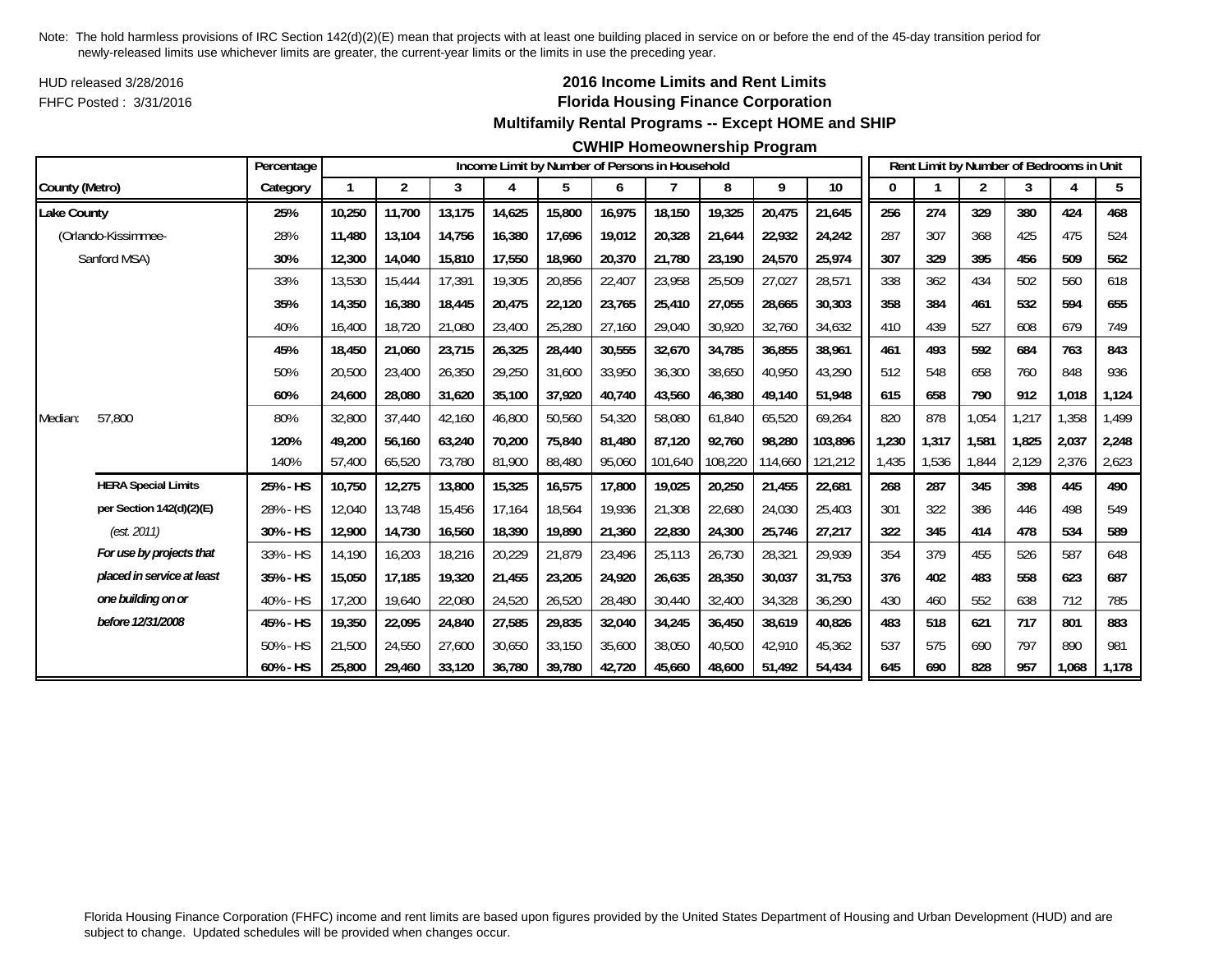HUD released 3/28/2016FHFC Posted : 3/31/2016

## **2016 Income Limits and Rent Limits Florida Housing Finance Corporation Multifamily Rental Programs -- Except HOME and SHIP**

#### **CWHIP Homeownership Program**

|                    |                            | Percentage |        |                |        |        |        |        | Income Limit by Number of Persons in Household |         |         |         |       |       | Rent Limit by Number of Bedrooms in Unit |       |       |       |
|--------------------|----------------------------|------------|--------|----------------|--------|--------|--------|--------|------------------------------------------------|---------|---------|---------|-------|-------|------------------------------------------|-------|-------|-------|
| County (Metro)     |                            | Category   |        | $\overline{2}$ | 3      | 4      | 5      | 6      | 7                                              | 8       | 9       | 10      |       |       | 2                                        | 3     | 4     | 5     |
| <b>Lake County</b> |                            | 25%        | 10,250 | 11,700         | 13,175 | 14,625 | 15,800 | 16,975 | 18,150                                         | 19,325  | 20,475  | 21,645  | 256   | 274   | 329                                      | 380   | 424   | 468   |
|                    | (Orlando-Kissimmee-        | 28%        | 11.480 | 13,104         | 14,756 | 16,380 | 17,696 | 19,012 | 20,328                                         | 21,644  | 22,932  | 24,242  | 287   | 307   | 368                                      | 425   | 475   | 524   |
|                    | Sanford MSA)               | 30%        | 12,300 | 14,040         | 15,810 | 17,550 | 18,960 | 20,370 | 21,780                                         | 23,190  | 24,570  | 25,974  | 307   | 329   | 395                                      | 456   | 509   | 562   |
|                    |                            | 33%        | 13,530 | 15,444         | 17,391 | 19,305 | 20,856 | 22,407 | 23,958                                         | 25,509  | 27,027  | 28,571  | 338   | 362   | 434                                      | 502   | 560   | 618   |
|                    |                            | 35%        | 14,350 | 16,380         | 18,445 | 20,475 | 22,120 | 23,765 | 25,410                                         | 27,055  | 28,665  | 30,303  | 358   | 384   | 461                                      | 532   | 594   | 655   |
|                    |                            | 40%        | 16,400 | 18,720         | 21,080 | 23,400 | 25,280 | 27,160 | 29,040                                         | 30,920  | 32,760  | 34,632  | 410   | 439   | 527                                      | 608   | 679   | 749   |
|                    |                            | 45%        | 18,450 | 21,060         | 23,715 | 26,325 | 28,440 | 30,555 | 32,670                                         | 34,785  | 36,855  | 38,961  | 461   | 493   | 592                                      | 684   | 763   | 843   |
|                    |                            | 50%        | 20,500 | 23,400         | 26,350 | 29,250 | 31,600 | 33,950 | 36,300                                         | 38,650  | 40,950  | 43,290  | 512   | 548   | 658                                      | 760   | 848   | 936   |
|                    |                            | 60%        | 24,600 | 28,080         | 31,620 | 35,100 | 37,920 | 40,740 | 43,560                                         | 46,380  | 49,140  | 51,948  | 615   | 658   | 790                                      | 912   | 1,018 | 1,124 |
| Median:            | 57,800                     | 80%        | 32,800 | 37,440         | 42,160 | 46,800 | 50,560 | 54,320 | 58,080                                         | 61,840  | 65,520  | 69,264  | 820   | 878   | 1,054                                    | 1,217 | 1,358 | 1,499 |
|                    |                            | 120%       | 49.200 | 56.160         | 63,240 | 70,200 | 75,840 | 81,480 | 87.120                                         | 92,760  | 98,280  | 103,896 | 1,230 | 1,317 | 1,581                                    | 1.825 | 2,037 | 2,248 |
|                    |                            | 140%       | 57,400 | 65,520         | 73,780 | 81,900 | 88,480 | 95,060 | 101,640                                        | 108,220 | 114,660 | 121,212 | 1,435 | 1,536 | 1,844                                    | 2,129 | 2,376 | 2,623 |
|                    | <b>HERA Special Limits</b> | 25% - HS   | 10,750 | 12,275         | 13,800 | 15,325 | 16,575 | 17,800 | 19,025                                         | 20,250  | 21,455  | 22,681  | 268   | 287   | 345                                      | 398   | 445   | 490   |
|                    | per Section 142(d)(2)(E)   | 28% - HS   | 12,040 | 13,748         | 15,456 | 17,164 | 18,564 | 19,936 | 21,308                                         | 22,680  | 24,030  | 25,403  | 301   | 322   | 386                                      | 446   | 498   | 549   |
|                    | (est. 2011)                | 30% - HS   | 12,900 | 14,730         | 16,560 | 18,390 | 19,890 | 21,360 | 22,830                                         | 24,300  | 25,746  | 27,217  | 322   | 345   | 414                                      | 478   | 534   | 589   |
|                    | For use by projects that   | 33% - HS   | 14,190 | 16,203         | 18,216 | 20,229 | 21,879 | 23,496 | 25,113                                         | 26,730  | 28,321  | 29,939  | 354   | 379   | 455                                      | 526   | 587   | 648   |
|                    | placed in service at least | 35% - HS   | 15,050 | 17,185         | 19,320 | 21,455 | 23,205 | 24,920 | 26,635                                         | 28,350  | 30,037  | 31,753  | 376   | 402   | 483                                      | 558   | 623   | 687   |
|                    | one building on or         | 40% - HS   | 17,200 | 19,640         | 22,080 | 24,520 | 26,520 | 28,480 | 30,440                                         | 32,400  | 34,328  | 36,290  | 430   | 460   | 552                                      | 638   | 712   | 785   |
|                    | before 12/31/2008          | 45% - HS   | 19,350 | 22,095         | 24,840 | 27,585 | 29,835 | 32,040 | 34,245                                         | 36,450  | 38,619  | 40.826  | 483   | 518   | 621                                      | 717   | 801   | 883   |
|                    |                            | 50% - HS   | 21,500 | 24,550         | 27,600 | 30,650 | 33,150 | 35,600 | 38,050                                         | 40,500  | 42,910  | 45,362  | 537   | 575   | 690                                      | 797   | 890   | 981   |
|                    |                            | 60% - HS   | 25,800 | 29,460         | 33,120 | 36,780 | 39,780 | 42,720 | 45,660                                         | 48,600  | 51,492  | 54,434  | 645   | 690   | 828                                      | 957   | 1,068 | 1,178 |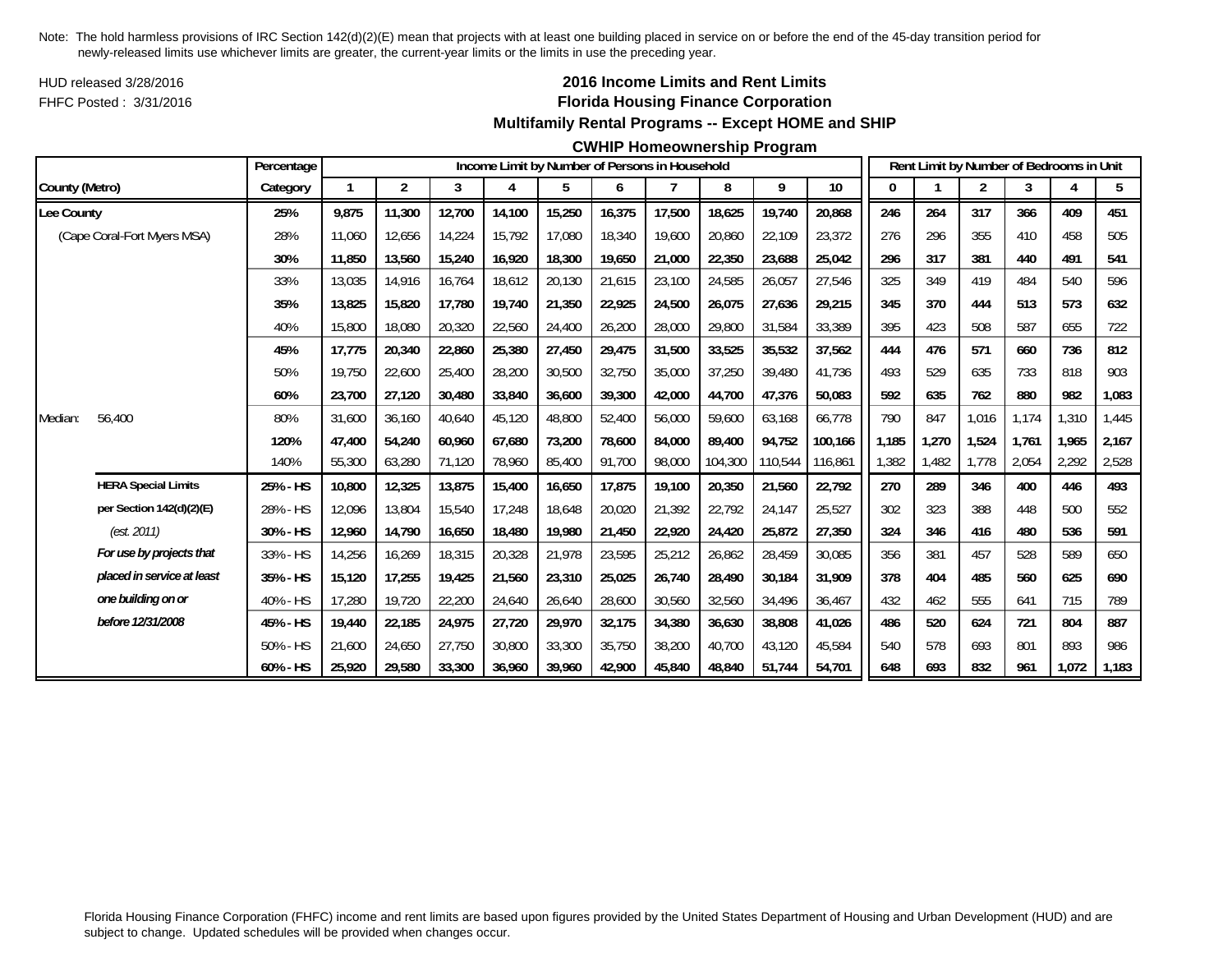HUD released 3/28/2016FHFC Posted : 3/31/2016

## **2016 Income Limits and Rent Limits Florida Housing Finance Corporation Multifamily Rental Programs -- Except HOME and SHIP**

#### **CWHIP Homeownership Program**

|                |                             | Percentage |        |                         |        |        | Income Limit by Number of Persons in Household |        |        |         |         |         |       |       | Rent Limit by Number of Bedrooms in Unit |       |       |       |
|----------------|-----------------------------|------------|--------|-------------------------|--------|--------|------------------------------------------------|--------|--------|---------|---------|---------|-------|-------|------------------------------------------|-------|-------|-------|
| County (Metro) |                             | Category   |        | $\overline{\mathbf{c}}$ | 3      | 4      | 5                                              | 6      | 7      | 8       | 9       | 10      |       |       | 2                                        | 3     | 4     | 5     |
| Lee County     |                             | 25%        | 9,875  | 11,300                  | 12,700 | 14,100 | 15,250                                         | 16,375 | 17,500 | 18,625  | 19,740  | 20,868  | 246   | 264   | 317                                      | 366   | 409   | 451   |
|                | (Cape Coral-Fort Myers MSA) | 28%        | 11,060 | 12,656                  | 14,224 | 15,792 | 17,080                                         | 18,340 | 19,600 | 20,860  | 22,109  | 23,372  | 276   | 296   | 355                                      | 410   | 458   | 505   |
|                |                             | 30%        | 11,850 | 13,560                  | 15,240 | 16,920 | 18,300                                         | 19,650 | 21,000 | 22,350  | 23,688  | 25,042  | 296   | 317   | 381                                      | 440   | 491   | 541   |
|                |                             | 33%        | 13,035 | 14,916                  | 16,764 | 18,612 | 20,130                                         | 21,615 | 23,100 | 24,585  | 26,057  | 27,546  | 325   | 349   | 419                                      | 484   | 540   | 596   |
|                |                             | 35%        | 13,825 | 15,820                  | 17,780 | 19,740 | 21,350                                         | 22,925 | 24,500 | 26,075  | 27,636  | 29,215  | 345   | 370   | 444                                      | 513   | 573   | 632   |
|                |                             | 40%        | 15,800 | 18,080                  | 20,320 | 22,560 | 24,400                                         | 26,200 | 28,000 | 29,800  | 31,584  | 33,389  | 395   | 423   | 508                                      | 587   | 655   | 722   |
|                |                             | 45%        | 17,775 | 20,340                  | 22,860 | 25,380 | 27,450                                         | 29,475 | 31,500 | 33,525  | 35,532  | 37,562  | 444   | 476   | 571                                      | 660   | 736   | 812   |
|                |                             | 50%        | 19.750 | 22,600                  | 25,400 | 28,200 | 30,500                                         | 32,750 | 35,000 | 37,250  | 39,480  | 41,736  | 493   | 529   | 635                                      | 733   | 818   | 903   |
|                |                             | 60%        | 23,700 | 27,120                  | 30,480 | 33,840 | 36,600                                         | 39,300 | 42,000 | 44,700  | 47,376  | 50,083  | 592   | 635   | 762                                      | 880   | 982   | 1,083 |
| Median:        | 56,400                      | 80%        | 31,600 | 36.160                  | 40.640 | 45,120 | 48,800                                         | 52,400 | 56,000 | 59.600  | 63,168  | 66,778  | 790   | 847   | 1,016                                    | 1.174 | 1,310 | 1,445 |
|                |                             | 120%       | 47.400 | 54,240                  | 60,960 | 67,680 | 73,200                                         | 78,600 | 84,000 | 89,400  | 94,752  | 100,166 | 1,185 | 1,270 | 1,524                                    | 1.761 | 1,965 | 2,167 |
|                |                             | 140%       | 55,300 | 63,280                  | 71,120 | 78,960 | 85,400                                         | 91,700 | 98,000 | 104,300 | 110,544 | 116,861 | ,382  | ,482  | 1,778                                    | 2,054 | 2,292 | 2,528 |
|                | <b>HERA Special Limits</b>  | 25% - HS   | 10,800 | 12,325                  | 13,875 | 15,400 | 16,650                                         | 17,875 | 19,100 | 20,350  | 21,560  | 22,792  | 270   | 289   | 346                                      | 400   | 446   | 493   |
|                | per Section 142(d)(2)(E)    | 28% - HS   | 12,096 | 13,804                  | 15,540 | 17,248 | 18,648                                         | 20,020 | 21,392 | 22,792  | 24,147  | 25,527  | 302   | 323   | 388                                      | 448   | 500   | 552   |
|                | (est. 2011)                 | 30% - HS   | 12,960 | 14,790                  | 16,650 | 18,480 | 19,980                                         | 21,450 | 22,920 | 24,420  | 25,872  | 27,350  | 324   | 346   | 416                                      | 480   | 536   | 591   |
|                | For use by projects that    | 33% - HS   | 14,256 | 16,269                  | 18,315 | 20,328 | 21,978                                         | 23,595 | 25,212 | 26,862  | 28,459  | 30,085  | 356   | 381   | 457                                      | 528   | 589   | 650   |
|                | placed in service at least  | 35% - HS   | 15,120 | 17,255                  | 19,425 | 21,560 | 23,310                                         | 25,025 | 26,740 | 28,490  | 30,184  | 31,909  | 378   | 404   | 485                                      | 560   | 625   | 690   |
|                | one building on or          | 40% - HS   | 17,280 | 19,720                  | 22,200 | 24,640 | 26,640                                         | 28,600 | 30,560 | 32,560  | 34,496  | 36,467  | 432   | 462   | 555                                      | 641   | 715   | 789   |
|                | before 12/31/2008           | 45% - HS   | 19,440 | 22,185                  | 24,975 | 27,720 | 29,970                                         | 32,175 | 34,380 | 36,630  | 38,808  | 41,026  | 486   | 520   | 624                                      | 721   | 804   | 887   |
|                |                             | 50% - HS   | 21,600 | 24,650                  | 27.750 | 30,800 | 33,300                                         | 35,750 | 38,200 | 40.700  | 43,120  | 45.584  | 540   | 578   | 693                                      | 801   | 893   | 986   |
|                |                             | 60% - HS   | 25,920 | 29,580                  | 33,300 | 36,960 | 39,960                                         | 42,900 | 45,840 | 48,840  | 51,744  | 54,701  | 648   | 693   | 832                                      | 961   | 1,072 | 1,183 |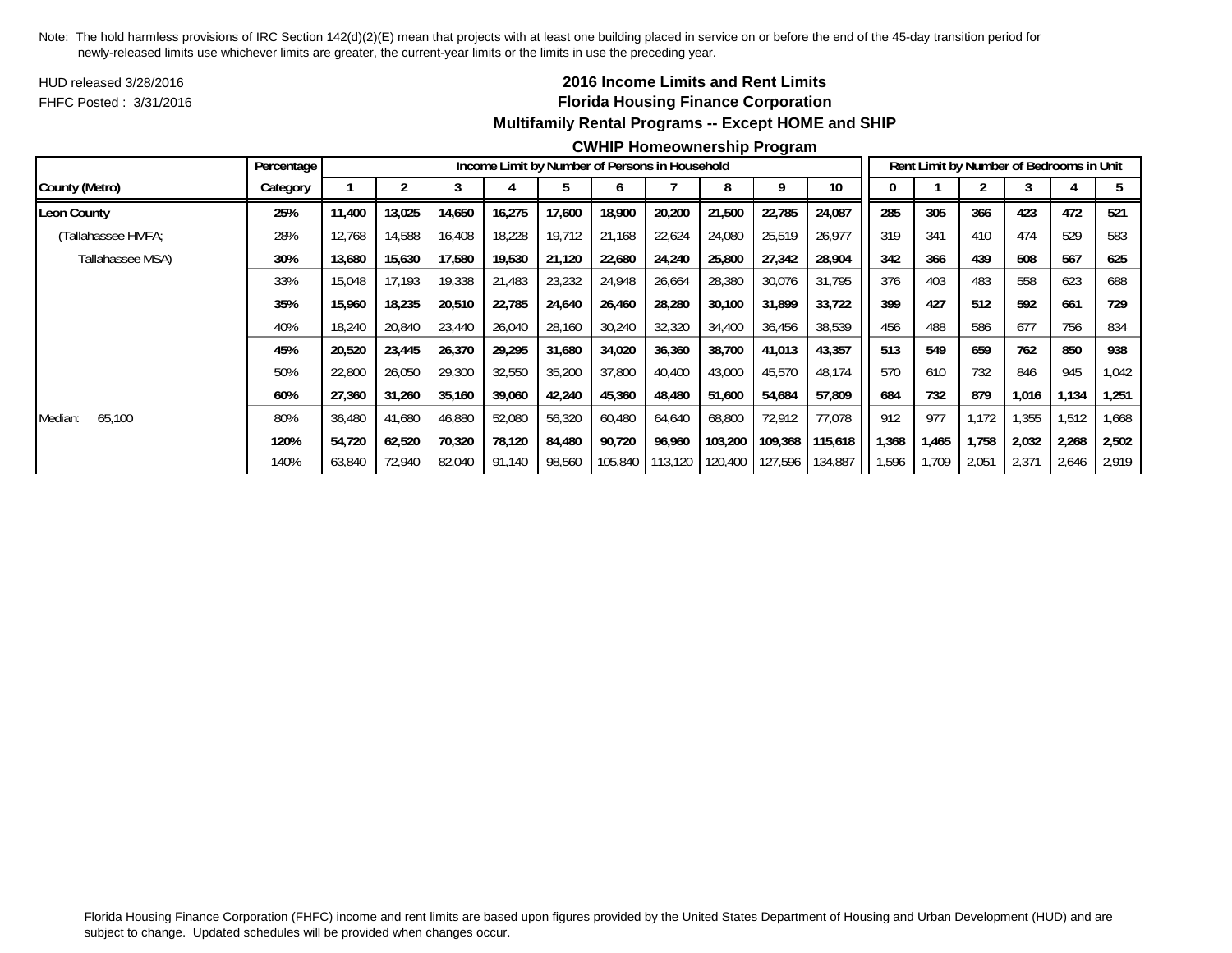HUD released 3/28/2016FHFC Posted : 3/31/2016

## **2016 Income Limits and Rent Limits Florida Housing Finance Corporation Multifamily Rental Programs -- Except HOME and SHIP**

#### **CWHIP Homeownership Program**

|                    | Percentage |        |        |        |        |        | Income Limit by Number of Persons in Household |         |         |         |         |       |       | Rent Limit by Number of Bedrooms in Unit |       |       |       |
|--------------------|------------|--------|--------|--------|--------|--------|------------------------------------------------|---------|---------|---------|---------|-------|-------|------------------------------------------|-------|-------|-------|
| County (Metro)     | Category   |        |        |        |        |        | n                                              |         | 8       | 9       | 10      |       |       |                                          |       |       |       |
| Leon County        | 25%        | 11,400 | 13,025 | 14,650 | 16,275 | 17,600 | 18,900                                         | 20,200  | 21,500  | 22,785  | 24,087  | 285   | 305   | 366                                      | 423   | 472   | 521   |
| (Tallahassee HMFA; | 28%        | 12,768 | 14,588 | 16,408 | 18,228 | 19,712 | 21,168                                         | 22,624  | 24,080  | 25,519  | 26,977  | 319   | 341   | 410                                      | 474   | 529   | 583   |
| Tallahassee MSA)   | 30%        | 13,680 | 15,630 | 17,580 | 19,530 | 21,120 | 22,680                                         | 24,240  | 25,800  | 27,342  | 28,904  | 342   | 366   | 439                                      | 508   | 567   | 625   |
|                    | 33%        | 15,048 | 17.193 | 19,338 | 21,483 | 23,232 | 24,948                                         | 26,664  | 28,380  | 30,076  | 31,795  | 376   | 403   | 483                                      | 558   | 623   | 688   |
|                    | 35%        | 15,960 | 18,235 | 20,510 | 22,785 | 24,640 | 26,460                                         | 28,280  | 30,100  | 31,899  | 33,722  | 399   | 427   | 512                                      | 592   | 661   | 729   |
|                    | 40%        | 18,240 | 20,840 | 23,440 | 26,040 | 28,160 | 30,240                                         | 32,320  | 34,400  | 36,456  | 38,539  | 456   | 488   | 586                                      | 677   | 756   | 834   |
|                    | 45%        | 20,520 | 23,445 | 26,370 | 29,295 | 31,680 | 34,020                                         | 36,360  | 38,700  | 41,013  | 43,357  | 513   | 549   | 659                                      | 762   | 850   | 938   |
|                    | 50%        | 22,800 | 26,050 | 29,300 | 32,550 | 35,200 | 37,800                                         | 40.400  | 43,000  | 45,570  | 48,174  | 570   | 610   | 732                                      | 846   | 945   | 1,042 |
|                    | 60%        | 27,360 | 31,260 | 35,160 | 39,060 | 42,240 | 45,360                                         | 48,480  | 51,600  | 54,684  | 57,809  | 684   | 732   | 879                                      | 1,016 | 1,134 | 1,251 |
| 65,100<br>Median:  | 80%        | 36,480 | 41,680 | 46,880 | 52,080 | 56,320 | 60,480                                         | 64,640  | 68,800  | 72,912  | 77,078  | 912   | 977   | 1,172                                    | 1,355 | 1,512 | 1,668 |
|                    | 120%       | 54.720 | 62.520 | 70,320 | 78,120 | 84,480 | 90,720                                         | 96,960  | 103,200 | 109,368 | 115,618 | 1,368 | 1,465 | 1,758                                    | 2,032 | 2,268 | 2,502 |
|                    | 140%       | 63,840 | 72,940 | 82,040 | 91,140 | 98,560 | 105,840                                        | 113,120 | 120,400 | 127,596 | 134,887 | 1,596 | 1,709 | 2,051                                    | 2,371 | 2,646 | 2,919 |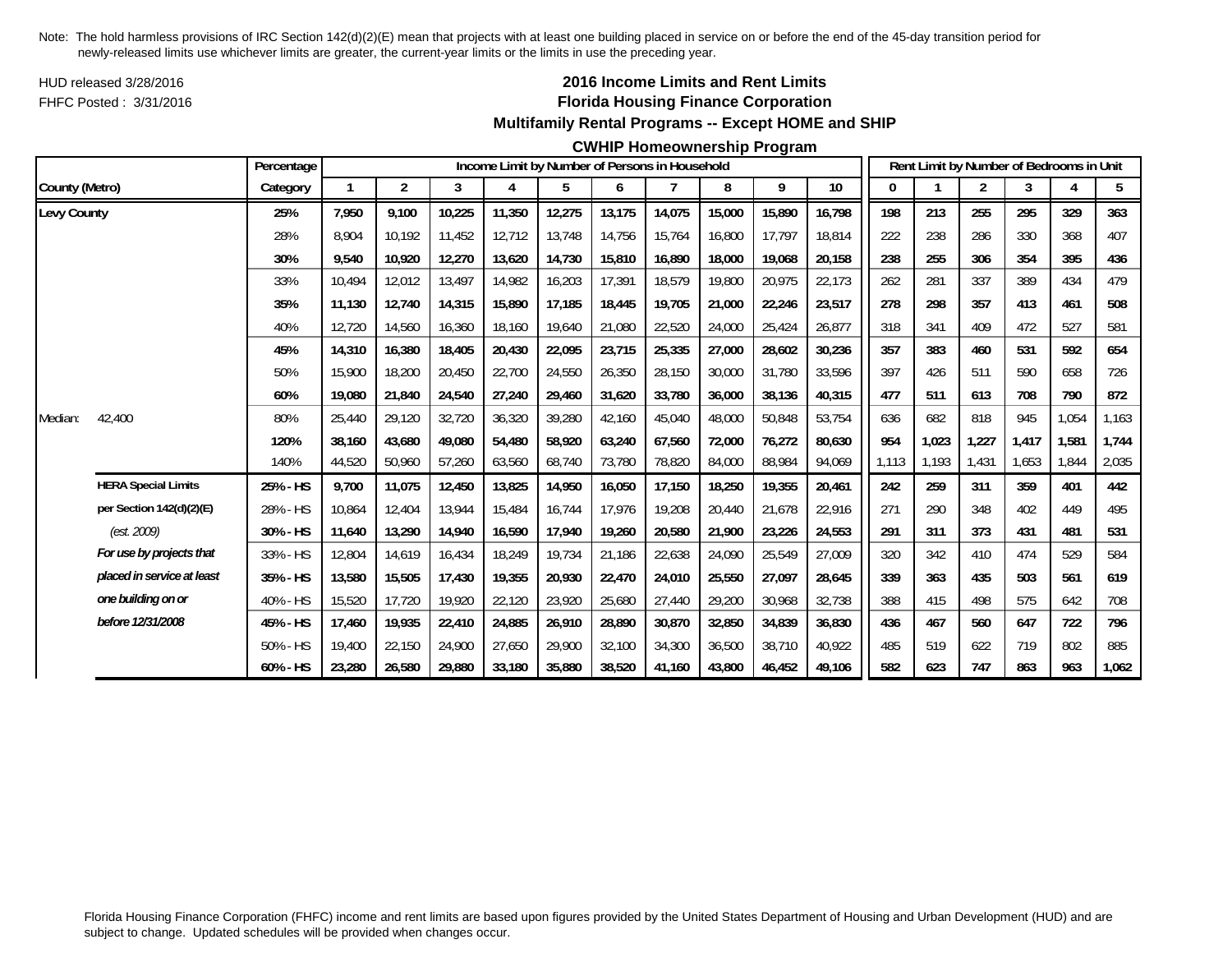HUD released 3/28/2016FHFC Posted : 3/31/2016

## **2016 Income Limits and Rent Limits Florida Housing Finance Corporation Multifamily Rental Programs -- Except HOME and SHIP**

#### **CWHIP Homeownership Program**

|                |                            | Percentage |        |                |        |        |        |        | Income Limit by Number of Persons in Household |        |        |        |       |       | Rent Limit by Number of Bedrooms in Unit |       |       |       |
|----------------|----------------------------|------------|--------|----------------|--------|--------|--------|--------|------------------------------------------------|--------|--------|--------|-------|-------|------------------------------------------|-------|-------|-------|
| County (Metro) |                            | Category   | 1      | $\overline{2}$ | 3      | 4      | 5      | 6      |                                                | 8      | 9      | 10     | 0     |       | 2                                        | 3     | 4     | 5     |
| Levy County    |                            | 25%        | 7,950  | 9,100          | 10,225 | 11,350 | 12,275 | 13,175 | 14,075                                         | 15,000 | 15,890 | 16,798 | 198   | 213   | 255                                      | 295   | 329   | 363   |
|                |                            | 28%        | 8.904  | 10.192         | 11.452 | 12.712 | 13,748 | 14,756 | 15.764                                         | 16,800 | 17.797 | 18,814 | 222   | 238   | 286                                      | 330   | 368   | 407   |
|                |                            | 30%        | 9,540  | 10,920         | 12,270 | 13,620 | 14,730 | 15,810 | 16,890                                         | 18,000 | 19,068 | 20,158 | 238   | 255   | 306                                      | 354   | 395   | 436   |
|                |                            | 33%        | 10.494 | 12,012         | 13,497 | 14,982 | 16,203 | 17,391 | 18,579                                         | 19,800 | 20,975 | 22,173 | 262   | 281   | 337                                      | 389   | 434   | 479   |
|                |                            | 35%        | 11,130 | 12,740         | 14,315 | 15,890 | 17,185 | 18,445 | 19,705                                         | 21,000 | 22,246 | 23,517 | 278   | 298   | 357                                      | 413   | 461   | 508   |
|                |                            | 40%        | 12,720 | 14,560         | 16,360 | 18,160 | 19,640 | 21,080 | 22,520                                         | 24,000 | 25,424 | 26,877 | 318   | 341   | 409                                      | 472   | 527   | 581   |
|                |                            | 45%        | 14,310 | 16,380         | 18,405 | 20,430 | 22,095 | 23,715 | 25,335                                         | 27,000 | 28,602 | 30,236 | 357   | 383   | 460                                      | 531   | 592   | 654   |
|                |                            | 50%        | 15,900 | 18,200         | 20,450 | 22,700 | 24,550 | 26,350 | 28,150                                         | 30,000 | 31,780 | 33,596 | 397   | 426   | 511                                      | 590   | 658   | 726   |
|                |                            | 60%        | 19,080 | 21,840         | 24,540 | 27,240 | 29,460 | 31,620 | 33,780                                         | 36,000 | 38,136 | 40,315 | 477   | 511   | 613                                      | 708   | 790   | 872   |
| Median:        | 42,400                     | 80%        | 25,440 | 29,120         | 32,720 | 36,320 | 39,280 | 42,160 | 45,040                                         | 48,000 | 50,848 | 53,754 | 636   | 682   | 818                                      | 945   | 1,054 | 1,163 |
|                |                            | 120%       | 38.160 | 43.680         | 49.080 | 54,480 | 58,920 | 63,240 | 67.560                                         | 72,000 | 76,272 | 80,630 | 954   | 1,023 | 1,227                                    | 1.417 | 1,581 | 1,744 |
|                |                            | 140%       | 44,520 | 50,960         | 57,260 | 63,560 | 68,740 | 73,780 | 78,820                                         | 84,000 | 88,984 | 94,069 | 1.113 | 1,193 | 1,431                                    | 1,653 | 1,844 | 2,035 |
|                | <b>HERA Special Limits</b> | 25% - HS   | 9,700  | 11,075         | 12,450 | 13,825 | 14,950 | 16,050 | 17,150                                         | 18,250 | 19,355 | 20,461 | 242   | 259   | 311                                      | 359   | 401   | 442   |
|                | per Section 142(d)(2)(E)   | 28% - HS   | 10,864 | 12,404         | 13,944 | 15,484 | 16,744 | 17,976 | 19,208                                         | 20,440 | 21,678 | 22,916 | 271   | 290   | 348                                      | 402   | 449   | 495   |
|                | (est. 2009)                | 30% - HS   | 11,640 | 13,290         | 14,940 | 16,590 | 17,940 | 19,260 | 20,580                                         | 21,900 | 23,226 | 24,553 | 291   | 311   | 373                                      | 431   | 481   | 531   |
|                | For use by projects that   | 33% - HS   | 12,804 | 14,619         | 16,434 | 18,249 | 19,734 | 21,186 | 22,638                                         | 24,090 | 25,549 | 27,009 | 320   | 342   | 410                                      | 474   | 529   | 584   |
|                | placed in service at least | 35% - HS   | 13,580 | 15,505         | 17,430 | 19,355 | 20,930 | 22,470 | 24,010                                         | 25,550 | 27,097 | 28,645 | 339   | 363   | 435                                      | 503   | 561   | 619   |
|                | one building on or         | 40% - HS   | 15,520 | 17,720         | 19,920 | 22,120 | 23,920 | 25,680 | 27,440                                         | 29,200 | 30,968 | 32,738 | 388   | 415   | 498                                      | 575   | 642   | 708   |
|                | before 12/31/2008          | 45% - HS   | 17,460 | 19,935         | 22,410 | 24,885 | 26,910 | 28,890 | 30,870                                         | 32,850 | 34,839 | 36,830 | 436   | 467   | 560                                      | 647   | 722   | 796   |
|                |                            | 50% - HS   | 19,400 | 22,150         | 24,900 | 27,650 | 29,900 | 32,100 | 34,300                                         | 36,500 | 38,710 | 40,922 | 485   | 519   | 622                                      | 719   | 802   | 885   |
|                |                            | 60% - HS   | 23,280 | 26,580         | 29,880 | 33,180 | 35,880 | 38,520 | 41,160                                         | 43,800 | 46,452 | 49,106 | 582   | 623   | 747                                      | 863   | 963   | 1,062 |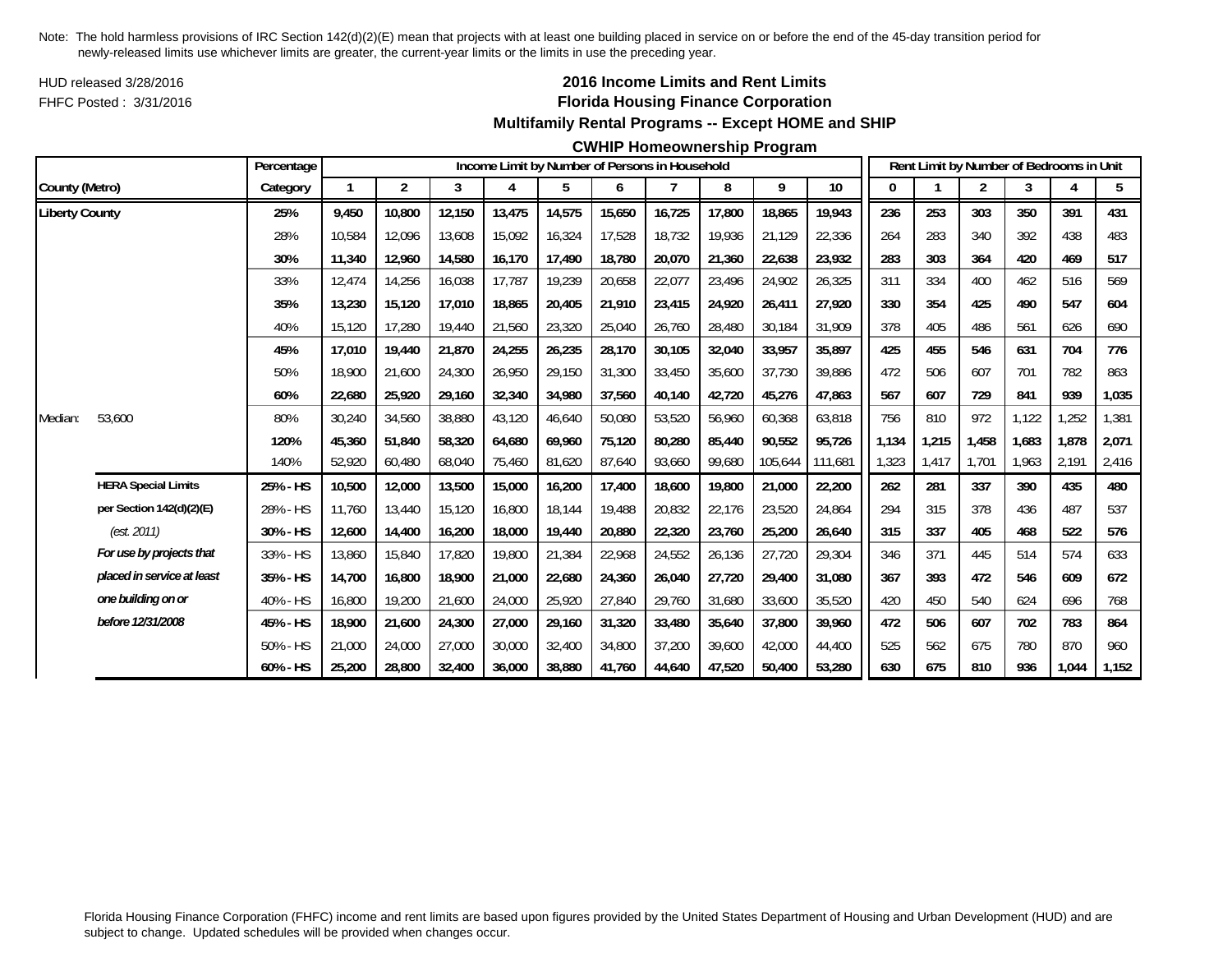HUD released 3/28/2016FHFC Posted : 3/31/2016

## **2016 Income Limits and Rent Limits Florida Housing Finance Corporation Multifamily Rental Programs -- Except HOME and SHIP**

#### **CWHIP Homeownership Program**

|                       |                            | Percentage  |        |                |        |        |        |        | Income Limit by Number of Persons in Household |        |         |         |       |       | Rent Limit by Number of Bedrooms in Unit |       |       |                |
|-----------------------|----------------------------|-------------|--------|----------------|--------|--------|--------|--------|------------------------------------------------|--------|---------|---------|-------|-------|------------------------------------------|-------|-------|----------------|
| County (Metro)        |                            | Category    |        | $\overline{2}$ | 3      | 4      | 5      | 6      |                                                | 8      | 9       | 10      | 0     |       | $\overline{c}$                           | 3     | 4     | 5 <sub>5</sub> |
| <b>Liberty County</b> |                            | 25%         | 9,450  | 10,800         | 12,150 | 13,475 | 14,575 | 15,650 | 16,725                                         | 17,800 | 18,865  | 19,943  | 236   | 253   | 303                                      | 350   | 391   | 431            |
|                       |                            | 28%         | 10.584 | 12,096         | 13,608 | 15,092 | 16,324 | 17,528 | 18.732                                         | 19.936 | 21.129  | 22,336  | 264   | 283   | 340                                      | 392   | 438   | 483            |
|                       |                            | 30%         | 11,340 | 12,960         | 14,580 | 16,170 | 17,490 | 18,780 | 20,070                                         | 21,360 | 22,638  | 23,932  | 283   | 303   | 364                                      | 420   | 469   | 517            |
|                       |                            | 33%         | 12,474 | 14,256         | 16,038 | 17,787 | 19,239 | 20,658 | 22,077                                         | 23,496 | 24,902  | 26,325  | 311   | 334   | 400                                      | 462   | 516   | 569            |
|                       |                            | 35%         | 13,230 | 15,120         | 17,010 | 18,865 | 20,405 | 21,910 | 23,415                                         | 24,920 | 26,411  | 27,920  | 330   | 354   | 425                                      | 490   | 547   | 604            |
|                       |                            | 40%         | 15,120 | 17,280         | 19,440 | 21,560 | 23,320 | 25,040 | 26,760                                         | 28,480 | 30,184  | 31,909  | 378   | 405   | 486                                      | 561   | 626   | 690            |
|                       |                            | 45%         | 17.010 | 19,440         | 21,870 | 24,255 | 26,235 | 28,170 | 30,105                                         | 32,040 | 33,957  | 35,897  | 425   | 455   | 546                                      | 631   | 704   | 776            |
|                       |                            | 50%         | 18,900 | 21,600         | 24,300 | 26,950 | 29,150 | 31,300 | 33,450                                         | 35,600 | 37,730  | 39,886  | 472   | 506   | 607                                      | 701   | 782   | 863            |
|                       |                            | 60%         | 22,680 | 25,920         | 29,160 | 32,340 | 34,980 | 37,560 | 40,140                                         | 42,720 | 45,276  | 47,863  | 567   | 607   | 729                                      | 841   | 939   | 1,035          |
| Median:               | 53,600                     | 80%         | 30,240 | 34,560         | 38,880 | 43,120 | 46,640 | 50,080 | 53,520                                         | 56,960 | 60,368  | 63,818  | 756   | 810   | 972                                      | 1,122 | ,252  | 1,381          |
|                       |                            | 120%        | 45.360 | 51.840         | 58,320 | 64,680 | 69,960 | 75,120 | 80.280                                         | 85,440 | 90,552  | 95.726  | 1.134 | 1,215 | 1,458                                    | 1.683 | 1,878 | 2,071          |
|                       |                            | 140%        | 52,920 | 60,480         | 68,040 | 75,460 | 81,620 | 87,640 | 93,660                                         | 99,680 | 105,644 | 111.681 | 1,323 | 1,417 | 1.701                                    | 1.963 | 2,191 | 2,416          |
|                       | <b>HERA Special Limits</b> | 25% - HS    | 10,500 | 12,000         | 13,500 | 15,000 | 16,200 | 17,400 | 18,600                                         | 19,800 | 21,000  | 22,200  | 262   | 281   | 337                                      | 390   | 435   | 480            |
|                       | per Section 142(d)(2)(E)   | 28% - HS    | 11,760 | 13,440         | 15,120 | 16,800 | 18,144 | 19,488 | 20,832                                         | 22,176 | 23,520  | 24,864  | 294   | 315   | 378                                      | 436   | 487   | 537            |
|                       | (est. 2011)                | 30% - HS    | 12,600 | 14,400         | 16,200 | 18,000 | 19,440 | 20,880 | 22,320                                         | 23,760 | 25,200  | 26,640  | 315   | 337   | 405                                      | 468   | 522   | 576            |
|                       | For use by projects that   | 33% - HS    | 13,860 | 15,840         | 17,820 | 19,800 | 21,384 | 22,968 | 24,552                                         | 26,136 | 27,720  | 29,304  | 346   | 371   | 445                                      | 514   | 574   | 633            |
|                       | placed in service at least | 35% - HS    | 14,700 | 16,800         | 18,900 | 21,000 | 22,680 | 24,360 | 26,040                                         | 27,720 | 29,400  | 31,080  | 367   | 393   | 472                                      | 546   | 609   | 672            |
|                       | one building on or         | 40% - HS    | 16,800 | 19,200         | 21,600 | 24,000 | 25,920 | 27,840 | 29,760                                         | 31,680 | 33,600  | 35,520  | 420   | 450   | 540                                      | 624   | 696   | 768            |
|                       | before 12/31/2008          | 45% - HS    | 18,900 | 21,600         | 24,300 | 27,000 | 29,160 | 31,320 | 33,480                                         | 35,640 | 37,800  | 39,960  | 472   | 506   | 607                                      | 702   | 783   | 864            |
|                       |                            | 50% - HS    | 21,000 | 24,000         | 27,000 | 30,000 | 32,400 | 34,800 | 37,200                                         | 39,600 | 42,000  | 44,400  | 525   | 562   | 675                                      | 780   | 870   | 960            |
|                       |                            | $60\% - HS$ | 25,200 | 28,800         | 32,400 | 36,000 | 38,880 | 41,760 | 44,640                                         | 47,520 | 50,400  | 53,280  | 630   | 675   | 810                                      | 936   | 1,044 | 1,152          |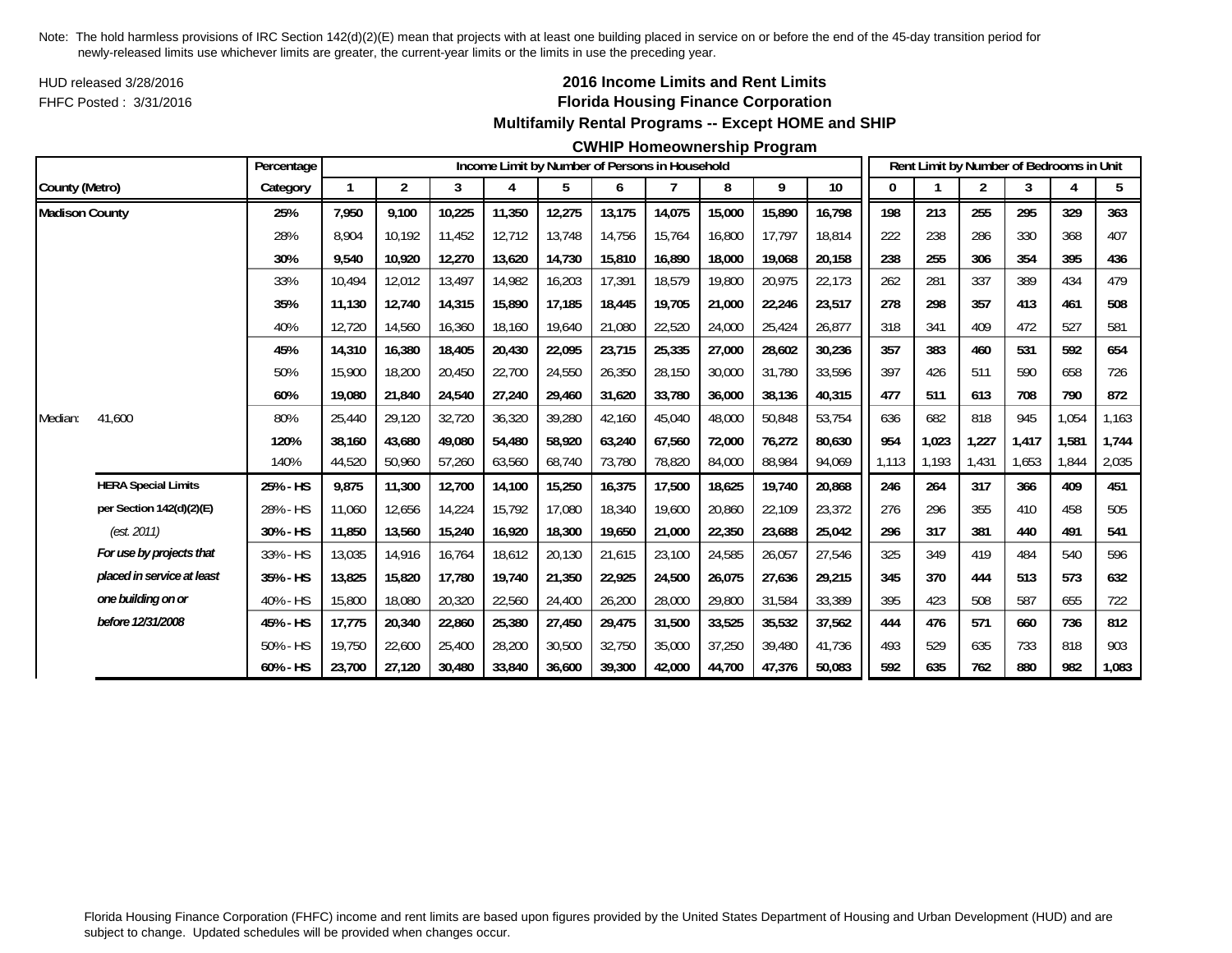HUD released 3/28/2016FHFC Posted : 3/31/2016

## **2016 Income Limits and Rent Limits Florida Housing Finance Corporation Multifamily Rental Programs -- Except HOME and SHIP**

#### **CWHIP Homeownership Program**

|                       |                            | Percentage |        |                |        |        |        |        | Income Limit by Number of Persons in Household |        |        |        |       |       | Rent Limit by Number of Bedrooms in Unit |       |       |       |
|-----------------------|----------------------------|------------|--------|----------------|--------|--------|--------|--------|------------------------------------------------|--------|--------|--------|-------|-------|------------------------------------------|-------|-------|-------|
| County (Metro)        |                            | Category   |        | $\overline{2}$ | 3      | 4      | 5      | 6      |                                                | 8      | 9      | $10$   |       |       | 2                                        | 3     |       | 5     |
| <b>Madison County</b> |                            | 25%        | 7,950  | 9.100          | 10,225 | 11,350 | 12,275 | 13,175 | 14,075                                         | 15,000 | 15,890 | 16,798 | 198   | 213   | 255                                      | 295   | 329   | 363   |
|                       |                            | 28%        | 8.904  | 10.192         | 11,452 | 12,712 | 13,748 | 14,756 | 15.764                                         | 16,800 | 17,797 | 18.814 | 222   | 238   | 286                                      | 330   | 368   | 407   |
|                       |                            | 30%        | 9,540  | 10,920         | 12,270 | 13,620 | 14,730 | 15,810 | 16,890                                         | 18,000 | 19,068 | 20,158 | 238   | 255   | 306                                      | 354   | 395   | 436   |
|                       |                            | 33%        | 10,494 | 12,012         | 13,497 | 14,982 | 16,203 | 17,391 | 18,579                                         | 19,800 | 20,975 | 22,173 | 262   | 281   | 337                                      | 389   | 434   | 479   |
|                       |                            | 35%        | 11,130 | 12.740         | 14,315 | 15,890 | 17,185 | 18,445 | 19.705                                         | 21,000 | 22,246 | 23,517 | 278   | 298   | 357                                      | 413   | 461   | 508   |
|                       |                            | 40%        | 12,720 | 14,560         | 16,360 | 18,160 | 19,640 | 21,080 | 22,520                                         | 24,000 | 25,424 | 26,877 | 318   | 341   | 409                                      | 472   | 527   | 581   |
|                       |                            | 45%        | 14,310 | 16,380         | 18,405 | 20,430 | 22,095 | 23,715 | 25,335                                         | 27,000 | 28,602 | 30,236 | 357   | 383   | 460                                      | 531   | 592   | 654   |
|                       |                            | 50%        | 15,900 | 18,200         | 20,450 | 22,700 | 24,550 | 26,350 | 28,150                                         | 30,000 | 31,780 | 33,596 | 397   | 426   | 511                                      | 590   | 658   | 726   |
|                       |                            | 60%        | 19,080 | 21,840         | 24,540 | 27,240 | 29,460 | 31,620 | 33,780                                         | 36,000 | 38,136 | 40,315 | 477   | 511   | 613                                      | 708   | 790   | 872   |
| Median:               | 41,600                     | 80%        | 25,440 | 29,120         | 32,720 | 36,320 | 39,280 | 42,160 | 45,040                                         | 48,000 | 50,848 | 53,754 | 636   | 682   | 818                                      | 945   | 1,054 | 1,163 |
|                       |                            | 120%       | 38.160 | 43,680         | 49,080 | 54,480 | 58,920 | 63.240 | 67.560                                         | 72,000 | 76,272 | 80,630 | 954   | 1,023 | 1,227                                    | 1.417 | 1,581 | 1,744 |
|                       |                            | 140%       | 44,520 | 50,960         | 57,260 | 63,560 | 68,740 | 73,780 | 78,820                                         | 84,000 | 88,984 | 94,069 | 1,113 | 1,193 | 1,431                                    | 1,653 | 1,844 | 2,035 |
|                       | <b>HERA Special Limits</b> | 25% - HS   | 9,875  | 11,300         | 12,700 | 14,100 | 15,250 | 16,375 | 17,500                                         | 18,625 | 19,740 | 20,868 | 246   | 264   | 317                                      | 366   | 409   | 451   |
|                       | per Section 142(d)(2)(E)   | 28% - HS   | 11.060 | 12,656         | 14,224 | 15,792 | 17,080 | 18,340 | 19,600                                         | 20,860 | 22,109 | 23,372 | 276   | 296   | 355                                      | 410   | 458   | 505   |
|                       | (est. 2011)                | 30% - HS   | 11,850 | 13,560         | 15,240 | 16,920 | 18,300 | 19,650 | 21,000                                         | 22,350 | 23,688 | 25,042 | 296   | 317   | 381                                      | 440   | 491   | 541   |
|                       | For use by projects that   | 33% - HS   | 13,035 | 14,916         | 16,764 | 18,612 | 20,130 | 21,615 | 23,100                                         | 24,585 | 26,057 | 27,546 | 325   | 349   | 419                                      | 484   | 540   | 596   |
|                       | placed in service at least | 35% - HS   | 13,825 | 15,820         | 17,780 | 19,740 | 21,350 | 22,925 | 24,500                                         | 26,075 | 27,636 | 29,215 | 345   | 370   | 444                                      | 513   | 573   | 632   |
|                       | one building on or         | 40% - HS   | 15,800 | 18,080         | 20,320 | 22,560 | 24,400 | 26,200 | 28,000                                         | 29,800 | 31,584 | 33,389 | 395   | 423   | 508                                      | 587   | 655   | 722   |
|                       | before 12/31/2008          | 45% - HS   | 17,775 | 20,340         | 22,860 | 25,380 | 27,450 | 29,475 | 31,500                                         | 33,525 | 35,532 | 37,562 | 444   | 476   | 571                                      | 660   | 736   | 812   |
|                       |                            | 50% - HS   | 19,750 | 22,600         | 25,400 | 28,200 | 30,500 | 32,750 | 35,000                                         | 37,250 | 39,480 | 41,736 | 493   | 529   | 635                                      | 733   | 818   | 903   |
|                       |                            | 60% - HS   | 23,700 | 27,120         | 30,480 | 33,840 | 36,600 | 39,300 | 42.000                                         | 44,700 | 47,376 | 50,083 | 592   | 635   | 762                                      | 880   | 982   | 1,083 |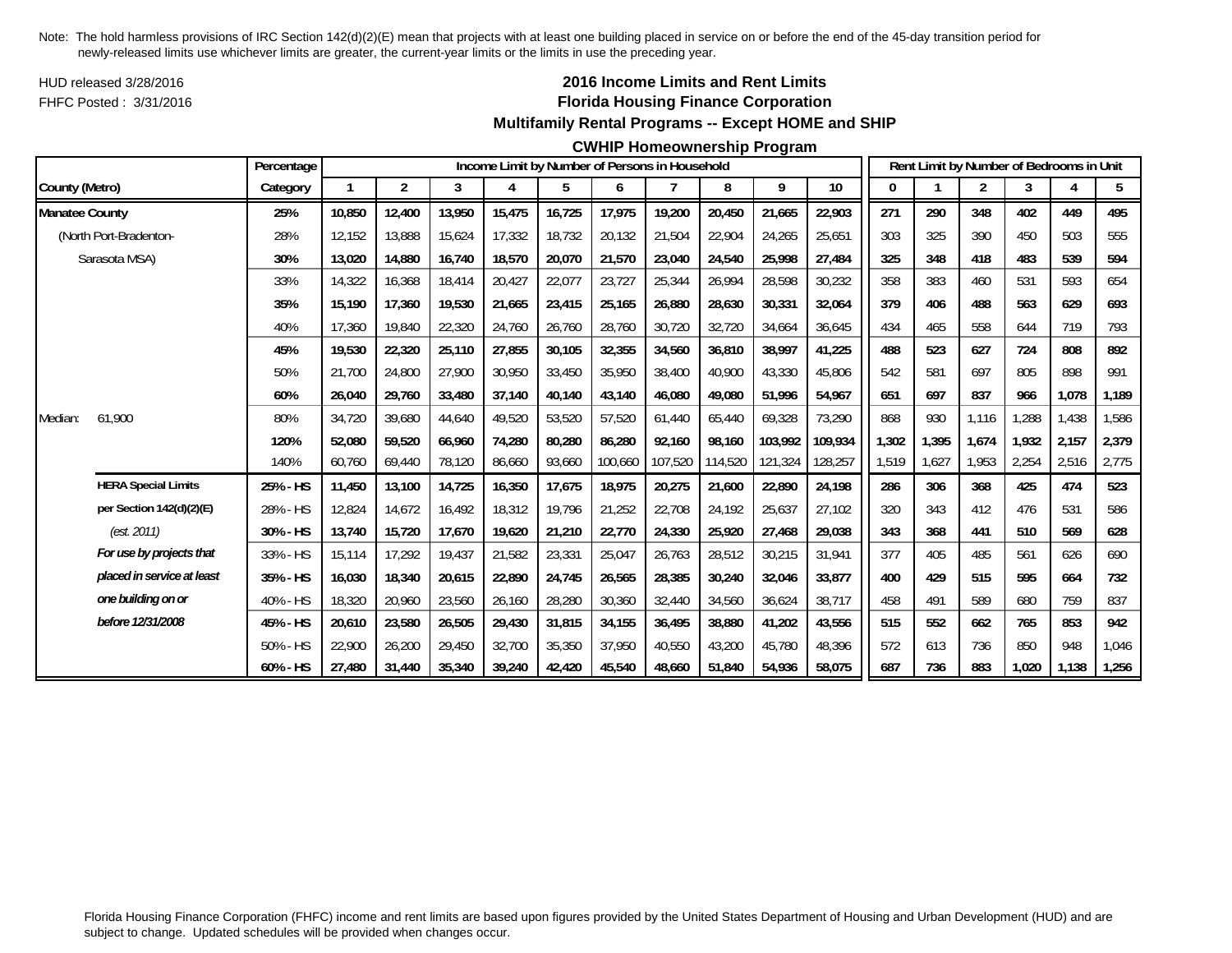HUD released 3/28/2016FHFC Posted : 3/31/2016

## **2016 Income Limits and Rent Limits Florida Housing Finance Corporation Multifamily Rental Programs -- Except HOME and SHIP**

#### **CWHIP Homeownership Program**

|                       |                            | Percentage |        |                |        |        | Income Limit by Number of Persons in Household |         |         |         |         |         |             |       | Rent Limit by Number of Bedrooms in Unit |       |       |       |
|-----------------------|----------------------------|------------|--------|----------------|--------|--------|------------------------------------------------|---------|---------|---------|---------|---------|-------------|-------|------------------------------------------|-------|-------|-------|
| County (Metro)        |                            | Category   | 1      | $\overline{2}$ | 3      | 4      | 5                                              | 6       | 7       | 8       | 9       | $10$    | $\mathbf 0$ |       | 2                                        | 3     |       | 5     |
| <b>Manatee County</b> |                            | 25%        | 10,850 | 12,400         | 13,950 | 15,475 | 16,725                                         | 17,975  | 19,200  | 20,450  | 21,665  | 22,903  | 271         | 290   | 348                                      | 402   | 449   | 495   |
|                       | (North Port-Bradenton-     | 28%        | 12,152 | 13,888         | 15,624 | 17,332 | 18,732                                         | 20,132  | 21,504  | 22,904  | 24,265  | 25,651  | 303         | 325   | 390                                      | 450   | 503   | 555   |
|                       | Sarasota MSA)              | 30%        | 13,020 | 14,880         | 16,740 | 18,570 | 20,070                                         | 21,570  | 23,040  | 24,540  | 25,998  | 27,484  | 325         | 348   | 418                                      | 483   | 539   | 594   |
|                       |                            | 33%        | 14,322 | 16,368         | 18,414 | 20,427 | 22,077                                         | 23,727  | 25,344  | 26,994  | 28,598  | 30,232  | 358         | 383   | 460                                      | 531   | 593   | 654   |
|                       |                            | 35%        | 15,190 | 17,360         | 19,530 | 21,665 | 23,415                                         | 25,165  | 26,880  | 28,630  | 30,331  | 32,064  | 379         | 406   | 488                                      | 563   | 629   | 693   |
|                       |                            | 40%        | 17,360 | 19,840         | 22,320 | 24,760 | 26,760                                         | 28,760  | 30,720  | 32,720  | 34,664  | 36,645  | 434         | 465   | 558                                      | 644   | 719   | 793   |
|                       |                            | 45%        | 19,530 | 22,320         | 25,110 | 27,855 | 30,105                                         | 32,355  | 34,560  | 36,810  | 38,997  | 41,225  | 488         | 523   | 627                                      | 724   | 808   | 892   |
|                       |                            | 50%        | 21,700 | 24,800         | 27,900 | 30,950 | 33,450                                         | 35,950  | 38,400  | 40,900  | 43,330  | 45,806  | 542         | 581   | 697                                      | 805   | 898   | 991   |
|                       |                            | 60%        | 26,040 | 29,760         | 33,480 | 37,140 | 40,140                                         | 43,140  | 46,080  | 49,080  | 51,996  | 54,967  | 651         | 697   | 837                                      | 966   | 1,078 | 1,189 |
| Median:               | 61,900                     | 80%        | 34,720 | 39,680         | 44,640 | 49,520 | 53,520                                         | 57,520  | 61,440  | 65,440  | 69,328  | 73,290  | 868         | 930   | 1,116                                    | ,288  | 1,438 | 1,586 |
|                       |                            | 120%       | 52,080 | 59.520         | 66.960 | 74,280 | 80,280                                         | 86.280  | 92.160  | 98.160  | 103.992 | 109.934 | 1,302       | 1,395 | 1,674                                    | 1.932 | 2,157 | 2,379 |
|                       |                            | 140%       | 60,760 | 69,440         | 78,120 | 86,660 | 93,660                                         | 100,660 | 107,520 | 114,520 | 121,324 | 128,257 | 1,519       | 1,627 | 1,953                                    | 2,254 | 2,516 | 2,775 |
|                       | <b>HERA Special Limits</b> | 25% - HS   | 11,450 | 13,100         | 14,725 | 16,350 | 17,675                                         | 18,975  | 20,275  | 21,600  | 22,890  | 24,198  | 286         | 306   | 368                                      | 425   | 474   | 523   |
|                       | per Section 142(d)(2)(E)   | 28% - HS   | 12,824 | 14,672         | 16,492 | 18,312 | 19,796                                         | 21,252  | 22,708  | 24,192  | 25,637  | 27,102  | 320         | 343   | 412                                      | 476   | 531   | 586   |
|                       | (est. 2011)                | 30% - HS   | 13,740 | 15,720         | 17,670 | 19,620 | 21,210                                         | 22,770  | 24,330  | 25,920  | 27,468  | 29,038  | 343         | 368   | 441                                      | 510   | 569   | 628   |
|                       | For use by projects that   | 33% - HS   | 15,114 | 17,292         | 19,437 | 21,582 | 23,331                                         | 25,047  | 26,763  | 28,512  | 30,215  | 31,941  | 377         | 405   | 485                                      | 561   | 626   | 690   |
|                       | placed in service at least | 35% - HS   | 16,030 | 18,340         | 20,615 | 22,890 | 24,745                                         | 26,565  | 28,385  | 30,240  | 32,046  | 33,877  | 400         | 429   | 515                                      | 595   | 664   | 732   |
|                       | one building on or         | 40% - HS   | 18,320 | 20,960         | 23,560 | 26,160 | 28,280                                         | 30,360  | 32,440  | 34,560  | 36,624  | 38,717  | 458         | 491   | 589                                      | 680   | 759   | 837   |
|                       | before 12/31/2008          | 45% - HS   | 20,610 | 23,580         | 26,505 | 29,430 | 31,815                                         | 34,155  | 36.495  | 38,880  | 41,202  | 43,556  | 515         | 552   | 662                                      | 765   | 853   | 942   |
|                       |                            | 50% - HS   | 22,900 | 26,200         | 29,450 | 32,700 | 35,350                                         | 37,950  | 40,550  | 43,200  | 45,780  | 48,396  | 572         | 613   | 736                                      | 850   | 948   | 1,046 |
|                       |                            | 60% - HS   | 27,480 | 31,440         | 35,340 | 39,240 | 42,420                                         | 45,540  | 48,660  | 51,840  | 54,936  | 58,075  | 687         | 736   | 883                                      | 1,020 | 1,138 | 1,256 |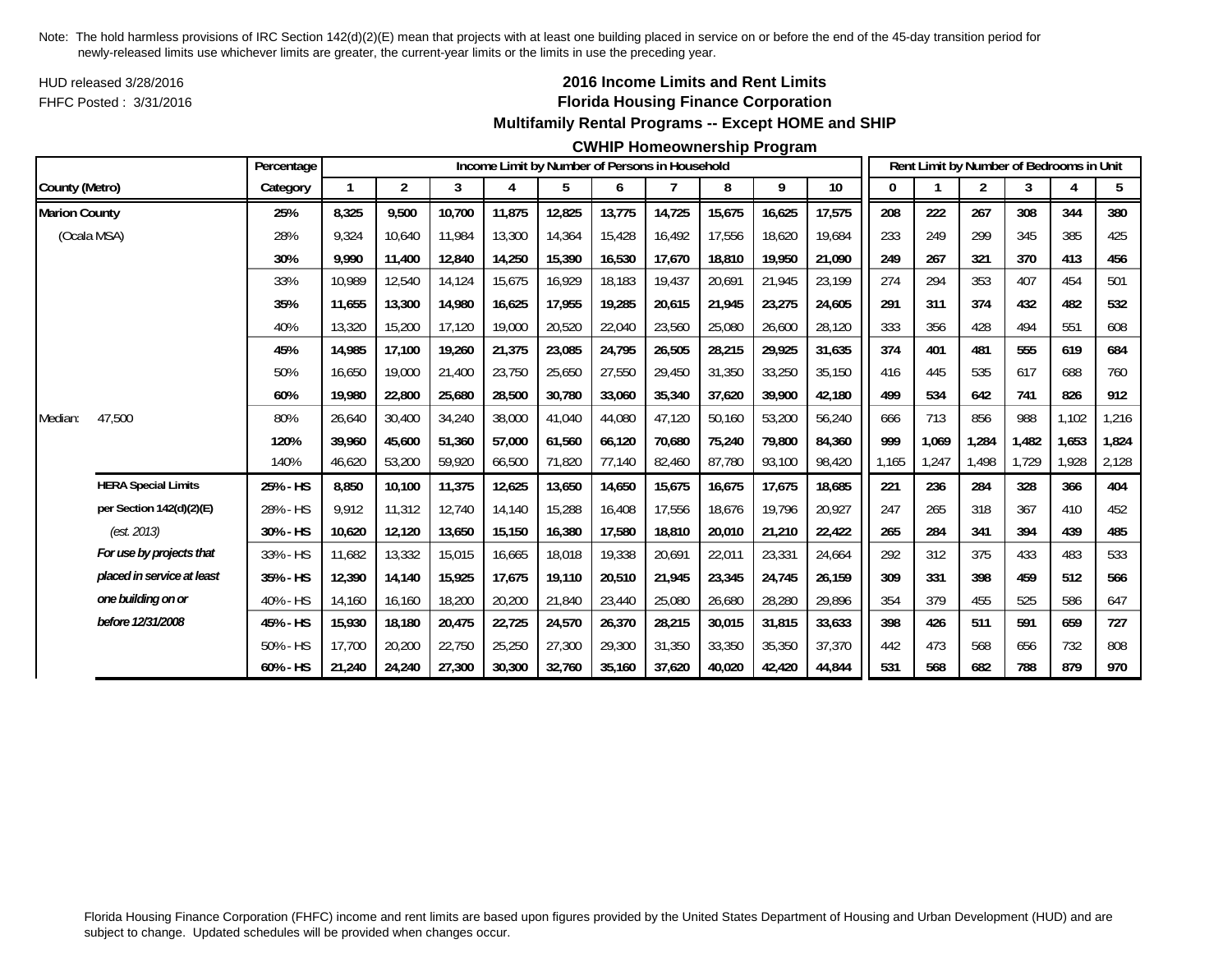HUD released 3/28/2016FHFC Posted : 3/31/2016

## **2016 Income Limits and Rent Limits Florida Housing Finance Corporation Multifamily Rental Programs -- Except HOME and SHIP**

#### **CWHIP Homeownership Program**

|                      |                            | Percentage  |        |                |        |        |        |        | Income Limit by Number of Persons in Household |        |        |        |       |       | Rent Limit by Number of Bedrooms in Unit |       |       |                |
|----------------------|----------------------------|-------------|--------|----------------|--------|--------|--------|--------|------------------------------------------------|--------|--------|--------|-------|-------|------------------------------------------|-------|-------|----------------|
| County (Metro)       |                            | Category    |        | $\overline{2}$ | 3      | 4      | 5      | 6      |                                                | 8      | 9      | $10\,$ | 0     |       | $\overline{2}$                           | 3     | 4     | 5 <sub>5</sub> |
| <b>Marion County</b> |                            | 25%         | 8,325  | 9,500          | 10,700 | 11,875 | 12,825 | 13,775 | 14,725                                         | 15,675 | 16,625 | 17,575 | 208   | 222   | 267                                      | 308   | 344   | 380            |
| (Ocala MSA)          |                            | 28%         | 9.324  | 10.640         | 11.984 | 13,300 | 14,364 | 15.428 | 16.492                                         | 17,556 | 18,620 | 19.684 | 233   | 249   | 299                                      | 345   | 385   | 425            |
|                      |                            | 30%         | 9,990  | 11,400         | 12,840 | 14,250 | 15,390 | 16,530 | 17,670                                         | 18,810 | 19,950 | 21,090 | 249   | 267   | 321                                      | 370   | 413   | 456            |
|                      |                            | 33%         | 10,989 | 12,540         | 14,124 | 15,675 | 16,929 | 18,183 | 19,437                                         | 20,691 | 21,945 | 23,199 | 274   | 294   | 353                                      | 407   | 454   | 501            |
|                      |                            | 35%         | 11,655 | 13,300         | 14,980 | 16,625 | 17,955 | 19,285 | 20,615                                         | 21,945 | 23,275 | 24,605 | 291   | 311   | 374                                      | 432   | 482   | 532            |
|                      |                            | 40%         | 13,320 | 15,200         | 17,120 | 19,000 | 20,520 | 22,040 | 23,560                                         | 25,080 | 26,600 | 28,120 | 333   | 356   | 428                                      | 494   | 551   | 608            |
|                      |                            | 45%         | 14,985 | 17,100         | 19,260 | 21,375 | 23,085 | 24,795 | 26,505                                         | 28,215 | 29,925 | 31,635 | 374   | 401   | 481                                      | 555   | 619   | 684            |
|                      |                            | 50%         | 16,650 | 19,000         | 21,400 | 23,750 | 25,650 | 27,550 | 29,450                                         | 31,350 | 33,250 | 35,150 | 416   | 445   | 535                                      | 617   | 688   | 760            |
|                      |                            | 60%         | 19,980 | 22,800         | 25,680 | 28,500 | 30,780 | 33,060 | 35,340                                         | 37,620 | 39,900 | 42,180 | 499   | 534   | 642                                      | 741   | 826   | 912            |
| Median:              | 47,500                     | 80%         | 26,640 | 30,400         | 34,240 | 38,000 | 41,040 | 44,080 | 47,120                                         | 50,160 | 53,200 | 56,240 | 666   | 713   | 856                                      | 988   | 1,102 | 1,216          |
|                      |                            | 120%        | 39.960 | 45,600         | 51,360 | 57,000 | 61,560 | 66.120 | 70.680                                         | 75,240 | 79,800 | 84.360 | 999   | 1,069 | 1,284                                    | 1.482 | 1,653 | 1,824          |
|                      |                            | 140%        | 46,620 | 53,200         | 59,920 | 66,500 | 71,820 | 77,140 | 82,460                                         | 87,780 | 93,100 | 98,420 | 1.165 | 1,247 | 1,498                                    | 1,729 | .928  | 2,128          |
|                      | <b>HERA Special Limits</b> | 25% - HS    | 8,850  | 10,100         | 11,375 | 12,625 | 13,650 | 14,650 | 15,675                                         | 16,675 | 17,675 | 18,685 | 221   | 236   | 284                                      | 328   | 366   | 404            |
|                      | per Section 142(d)(2)(E)   | 28% - HS    | 9,912  | 11,312         | 12,740 | 14,140 | 15,288 | 16,408 | 17,556                                         | 18,676 | 19,796 | 20,927 | 247   | 265   | 318                                      | 367   | 410   | 452            |
|                      | (est. 2013)                | 30% - HS    | 10,620 | 12,120         | 13,650 | 15,150 | 16,380 | 17,580 | 18,810                                         | 20,010 | 21,210 | 22,422 | 265   | 284   | 341                                      | 394   | 439   | 485            |
|                      | For use by projects that   | 33% - HS    | 11,682 | 13,332         | 15,015 | 16,665 | 18,018 | 19,338 | 20,691                                         | 22,011 | 23,331 | 24,664 | 292   | 312   | 375                                      | 433   | 483   | 533            |
|                      | placed in service at least | 35% - HS    | 12,390 | 14,140         | 15,925 | 17,675 | 19,110 | 20,510 | 21,945                                         | 23,345 | 24,745 | 26,159 | 309   | 331   | 398                                      | 459   | 512   | 566            |
|                      | one building on or         | 40% - HS    | 14,160 | 16,160         | 18,200 | 20,200 | 21,840 | 23,440 | 25,080                                         | 26,680 | 28,280 | 29,896 | 354   | 379   | 455                                      | 525   | 586   | 647            |
|                      | before 12/31/2008          | 45% - HS    | 15,930 | 18,180         | 20,475 | 22,725 | 24,570 | 26,370 | 28,215                                         | 30,015 | 31,815 | 33,633 | 398   | 426   | 511                                      | 591   | 659   | 727            |
|                      |                            | 50% - HS    | 17.700 | 20,200         | 22,750 | 25,250 | 27,300 | 29,300 | 31,350                                         | 33,350 | 35,350 | 37,370 | 442   | 473   | 568                                      | 656   | 732   | 808            |
|                      |                            | $60\% - HS$ | 21,240 | 24,240         | 27,300 | 30,300 | 32,760 | 35,160 | 37,620                                         | 40,020 | 42,420 | 44,844 | 531   | 568   | 682                                      | 788   | 879   | 970            |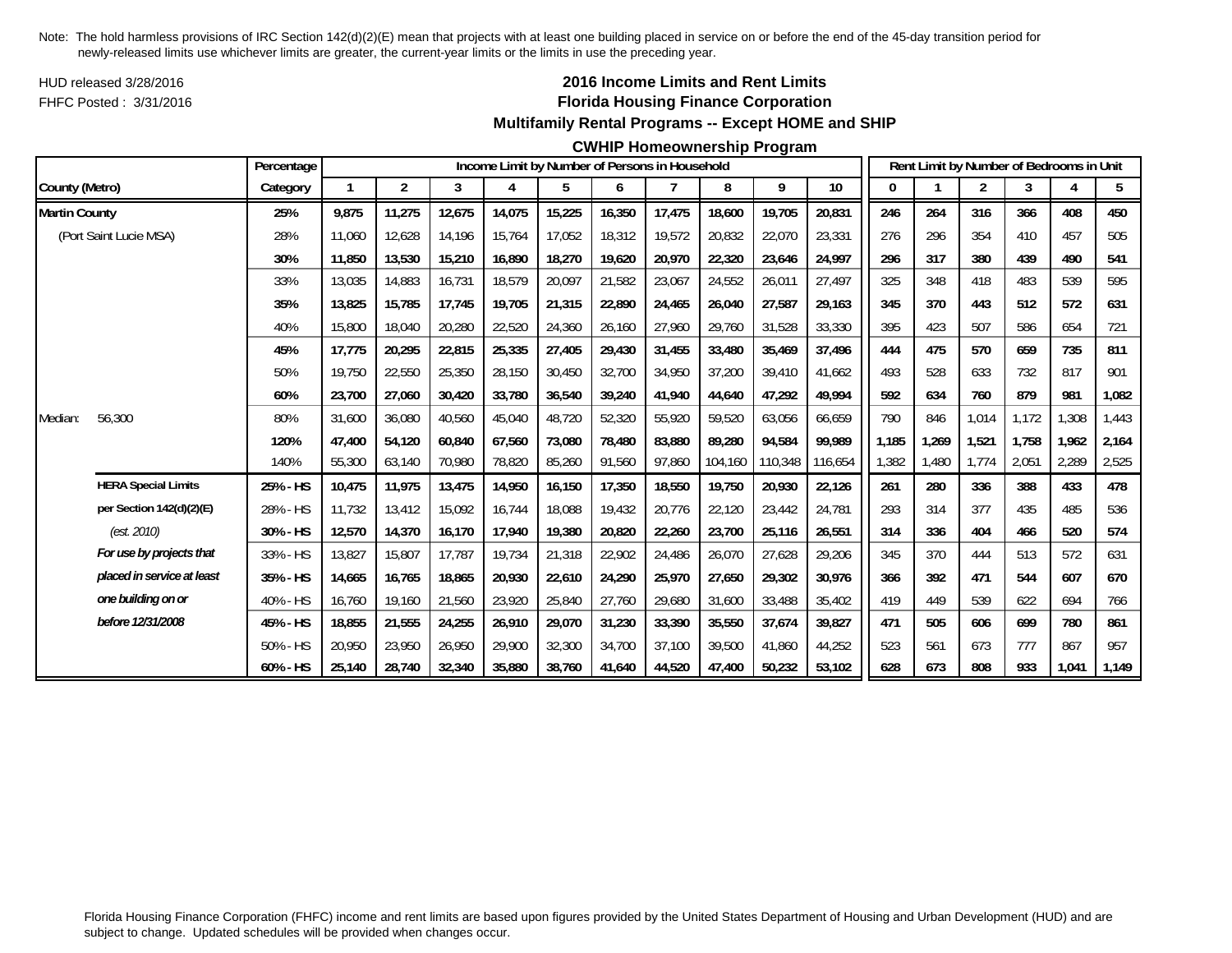HUD released 3/28/2016FHFC Posted : 3/31/2016

## **2016 Income Limits and Rent Limits Florida Housing Finance Corporation Multifamily Rental Programs -- Except HOME and SHIP**

#### **CWHIP Homeownership Program**

|                      |                            | Percentage |        |                         |        |        |        |        | Income Limit by Number of Persons in Household |         |         |         |       |       |       | Rent Limit by Number of Bedrooms in Unit |       |       |
|----------------------|----------------------------|------------|--------|-------------------------|--------|--------|--------|--------|------------------------------------------------|---------|---------|---------|-------|-------|-------|------------------------------------------|-------|-------|
| County (Metro)       |                            | Category   |        | $\overline{\mathbf{c}}$ | 3      | 4      | 5      | 6      | $\overline{7}$                                 | 8       | 9       | 10      | 0     |       | 2     | 3                                        |       | 5     |
| <b>Martin County</b> |                            | 25%        | 9.875  | 11,275                  | 12,675 | 14,075 | 15,225 | 16,350 | 17,475                                         | 18,600  | 19,705  | 20,831  | 246   | 264   | 316   | 366                                      | 408   | 450   |
|                      | (Port Saint Lucie MSA)     | 28%        | 11.060 | 12,628                  | 14,196 | 15,764 | 17.052 | 18,312 | 19,572                                         | 20,832  | 22,070  | 23,331  | 276   | 296   | 354   | 410                                      | 457   | 505   |
|                      |                            | 30%        | 11,850 | 13,530                  | 15,210 | 16,890 | 18,270 | 19,620 | 20,970                                         | 22,320  | 23,646  | 24,997  | 296   | 317   | 380   | 439                                      | 490   | 541   |
|                      |                            | 33%        | 13,035 | 14,883                  | 16,731 | 18,579 | 20,097 | 21,582 | 23,067                                         | 24,552  | 26,011  | 27,497  | 325   | 348   | 418   | 483                                      | 539   | 595   |
|                      |                            | 35%        | 13,825 | 15,785                  | 17,745 | 19,705 | 21,315 | 22,890 | 24,465                                         | 26,040  | 27,587  | 29,163  | 345   | 370   | 443   | 512                                      | 572   | 631   |
|                      |                            | 40%        | 15,800 | 18,040                  | 20,280 | 22,520 | 24,360 | 26,160 | 27,960                                         | 29,760  | 31,528  | 33,330  | 395   | 423   | 507   | 586                                      | 654   | 721   |
|                      |                            | 45%        | 17,775 | 20,295                  | 22,815 | 25,335 | 27,405 | 29,430 | 31,455                                         | 33,480  | 35,469  | 37,496  | 444   | 475   | 570   | 659                                      | 735   | 811   |
|                      |                            | 50%        | 19.750 | 22,550                  | 25,350 | 28,150 | 30,450 | 32,700 | 34,950                                         | 37,200  | 39,410  | 41,662  | 493   | 528   | 633   | 732                                      | 817   | 901   |
|                      |                            | 60%        | 23,700 | 27,060                  | 30,420 | 33,780 | 36,540 | 39,240 | 41,940                                         | 44,640  | 47,292  | 49,994  | 592   | 634   | 760   | 879                                      | 981   | 1,082 |
| Median:              | 56,300                     | 80%        | 31,600 | 36,080                  | 40,560 | 45,040 | 48,720 | 52,320 | 55,920                                         | 59,520  | 63,056  | 66,659  | 790   | 846   | 1,014 | 1,172                                    | 1,308 | 1,443 |
|                      |                            | 120%       | 47.400 | 54.120                  | 60.840 | 67,560 | 73,080 | 78.480 | 83.880                                         | 89.280  | 94,584  | 99.989  | 1.185 | 1,269 | 1,521 | 1.758                                    | 1.962 | 2,164 |
|                      |                            | 140%       | 55,300 | 63,140                  | 70,980 | 78,820 | 85,260 | 91,560 | 97,860                                         | 104,160 | 110,348 | 116,654 | 1,382 | 1,480 | 1.774 | 2,051                                    | 2,289 | 2,525 |
|                      | <b>HERA Special Limits</b> | 25% - HS   | 10,475 | 11,975                  | 13,475 | 14,950 | 16,150 | 17,350 | 18,550                                         | 19,750  | 20,930  | 22,126  | 261   | 280   | 336   | 388                                      | 433   | 478   |
|                      | per Section 142(d)(2)(E)   | 28% - HS   | 11,732 | 13,412                  | 15,092 | 16,744 | 18,088 | 19,432 | 20,776                                         | 22,120  | 23,442  | 24,781  | 293   | 314   | 377   | 435                                      | 485   | 536   |
|                      | (est. 2010)                | 30% - HS   | 12,570 | 14.370                  | 16.170 | 17,940 | 19,380 | 20,820 | 22,260                                         | 23,700  | 25,116  | 26,551  | 314   | 336   | 404   | 466                                      | 520   | 574   |
|                      | For use by projects that   | 33% - HS   | 13,827 | 15,807                  | 17,787 | 19,734 | 21,318 | 22,902 | 24,486                                         | 26,070  | 27,628  | 29,206  | 345   | 370   | 444   | 513                                      | 572   | 631   |
|                      | placed in service at least | 35% - HS   | 14,665 | 16,765                  | 18,865 | 20,930 | 22,610 | 24,290 | 25,970                                         | 27,650  | 29,302  | 30,976  | 366   | 392   | 471   | 544                                      | 607   | 670   |
|                      | one building on or         | 40% - HS   | 16,760 | 19,160                  | 21,560 | 23,920 | 25,840 | 27,760 | 29,680                                         | 31,600  | 33,488  | 35,402  | 419   | 449   | 539   | 622                                      | 694   | 766   |
|                      | before 12/31/2008          | 45% - HS   | 18,855 | 21,555                  | 24,255 | 26,910 | 29,070 | 31,230 | 33,390                                         | 35,550  | 37,674  | 39,827  | 471   | 505   | 606   | 699                                      | 780   | 861   |
|                      |                            | 50% - HS   | 20,950 | 23,950                  | 26,950 | 29,900 | 32,300 | 34,700 | 37.100                                         | 39,500  | 41,860  | 44,252  | 523   | 561   | 673   | 777                                      | 867   | 957   |
|                      |                            | 60% - HS   | 25,140 | 28,740                  | 32,340 | 35,880 | 38,760 | 41,640 | 44,520                                         | 47,400  | 50,232  | 53,102  | 628   | 673   | 808   | 933                                      | 1,041 | 1,149 |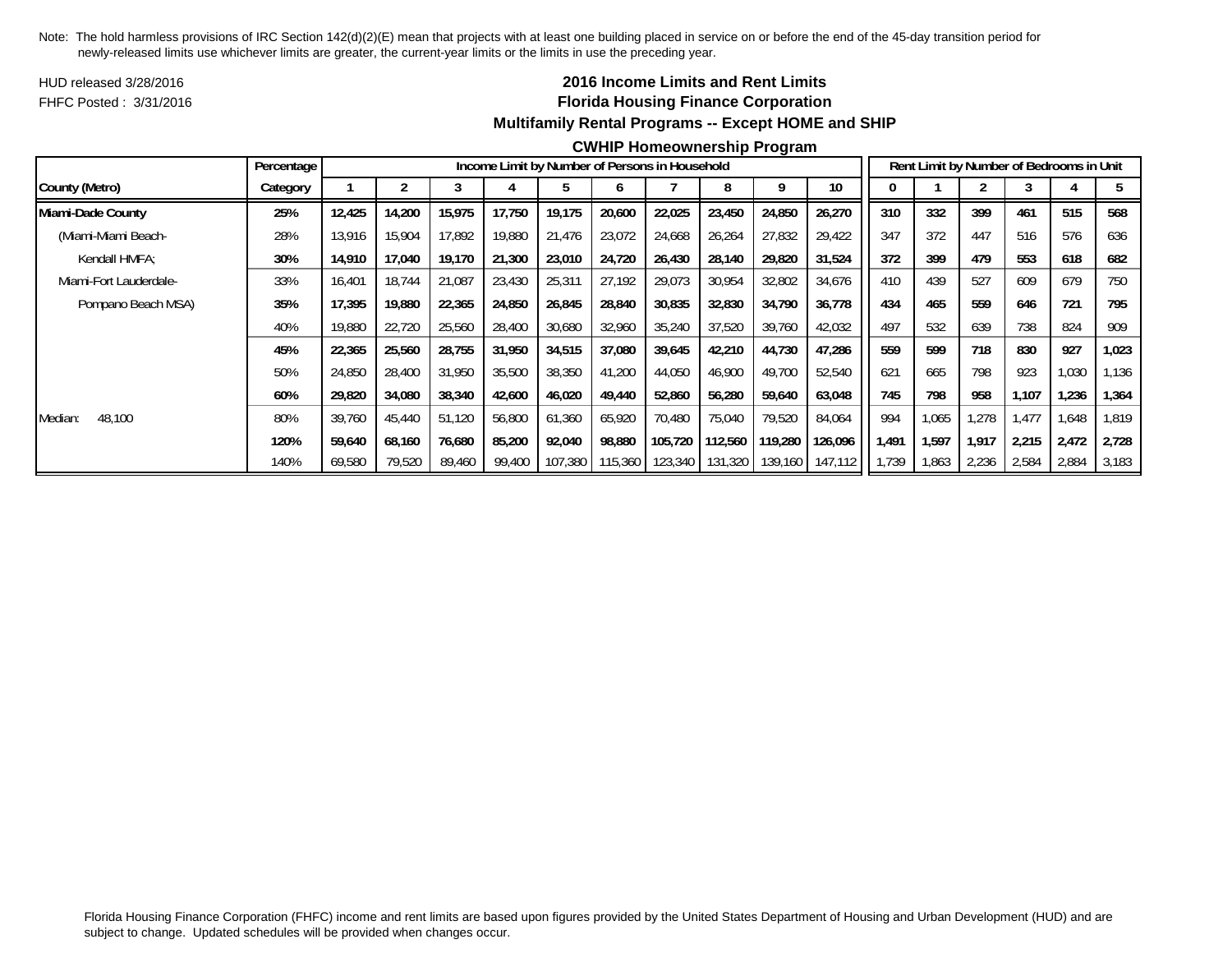HUD released 3/28/2016FHFC Posted : 3/31/2016

## **2016 Income Limits and Rent Limits Florida Housing Finance Corporation Multifamily Rental Programs -- Except HOME and SHIP**

#### **CWHIP Homeownership Program**

|                        | Percentage |        |        |        |        |         |         | Income Limit by Number of Persons in Household |                 |         |         |       |       |       | Rent Limit by Number of Bedrooms in Unit |       |       |
|------------------------|------------|--------|--------|--------|--------|---------|---------|------------------------------------------------|-----------------|---------|---------|-------|-------|-------|------------------------------------------|-------|-------|
| County (Metro)         | Category   |        |        |        |        |         |         |                                                |                 |         | 10      |       |       |       |                                          |       |       |
| Miami-Dade County      | 25%        | 12,425 | 14,200 | 15,975 | 17,750 | 19,175  | 20,600  | 22,025                                         | 23,450          | 24,850  | 26,270  | 310   | 332   | 399   | 461                                      | 515   | 568   |
| (Miami-Miami Beach-    | 28%        | 13,916 | 15,904 | 17,892 | 19,880 | 21,476  | 23,072  | 24,668                                         | 26,264          | 27,832  | 29,422  | 347   | 372   | 447   | 516                                      | 576   | 636   |
| Kendall HMFA:          | 30%        | 14,910 | 17,040 | 19,170 | 21,300 | 23,010  | 24,720  | 26,430                                         | 28.140          | 29,820  | 31,524  | 372   | 399   | 479   | 553                                      | 618   | 682   |
| Miami-Fort Lauderdale- | 33%        | 16,401 | 18,744 | 21,087 | 23,430 | 25,311  | 27,192  | 29,073                                         | 30,954          | 32,802  | 34,676  | 410   | 439   | 527   | 609                                      | 679   | 750   |
| Pompano Beach MSA)     | 35%        | 17,395 | 19,880 | 22,365 | 24,850 | 26,845  | 28,840  | 30,835                                         | 32,830          | 34,790  | 36,778  | 434   | 465   | 559   | 646                                      | 721   | 795   |
|                        | 40%        | 19,880 | 22,720 | 25,560 | 28,400 | 30,680  | 32,960  | 35,240                                         | 37,520          | 39,760  | 42,032  | 497   | 532   | 639   | 738                                      | 824   | 909   |
|                        | 45%        | 22,365 | 25,560 | 28,755 | 31,950 | 34,515  | 37,080  | 39,645                                         | 42,210          | 44,730  | 47,286  | 559   | 599   | 718   | 830                                      | 927   | 1,023 |
|                        | 50%        | 24,850 | 28,400 | 31,950 | 35,500 | 38,350  | 41,200  | 44,050                                         | 46,900          | 49,700  | 52,540  | 621   | 665   | 798   | 923                                      | 1,030 | 1,136 |
|                        | 60%        | 29,820 | 34,080 | 38,340 | 42,600 | 46,020  | 49,440  | 52,860                                         | 56,280          | 59,640  | 63,048  | 745   | 798   | 958   | 1.107                                    | 1,236 | 1,364 |
| 48,100<br>Median:      | 80%        | 39,760 | 45,440 | 51,120 | 56,800 | 61,360  | 65,920  | 70.480                                         | 75,040          | 79,520  | 84,064  | 994   | 1,065 | 1,278 | 1.477                                    | 1,648 | 1,819 |
|                        | 120%       | 59,640 | 68,160 | 76,680 | 85,200 | 92,040  | 98,880  | 105,720                                        | 112,560         | 119,280 | 126,096 | 1.491 | 1,597 | 1.917 | 2,215                                    | 2,472 | 2,728 |
|                        | 140%       | 69,580 | 79,520 | 89,460 | 99,400 | 107,380 | 115,360 |                                                | 123,340 131,320 | 139,160 | 147,112 | i,739 | .863  | 2,236 | 2,584                                    | 2,884 | 3,183 |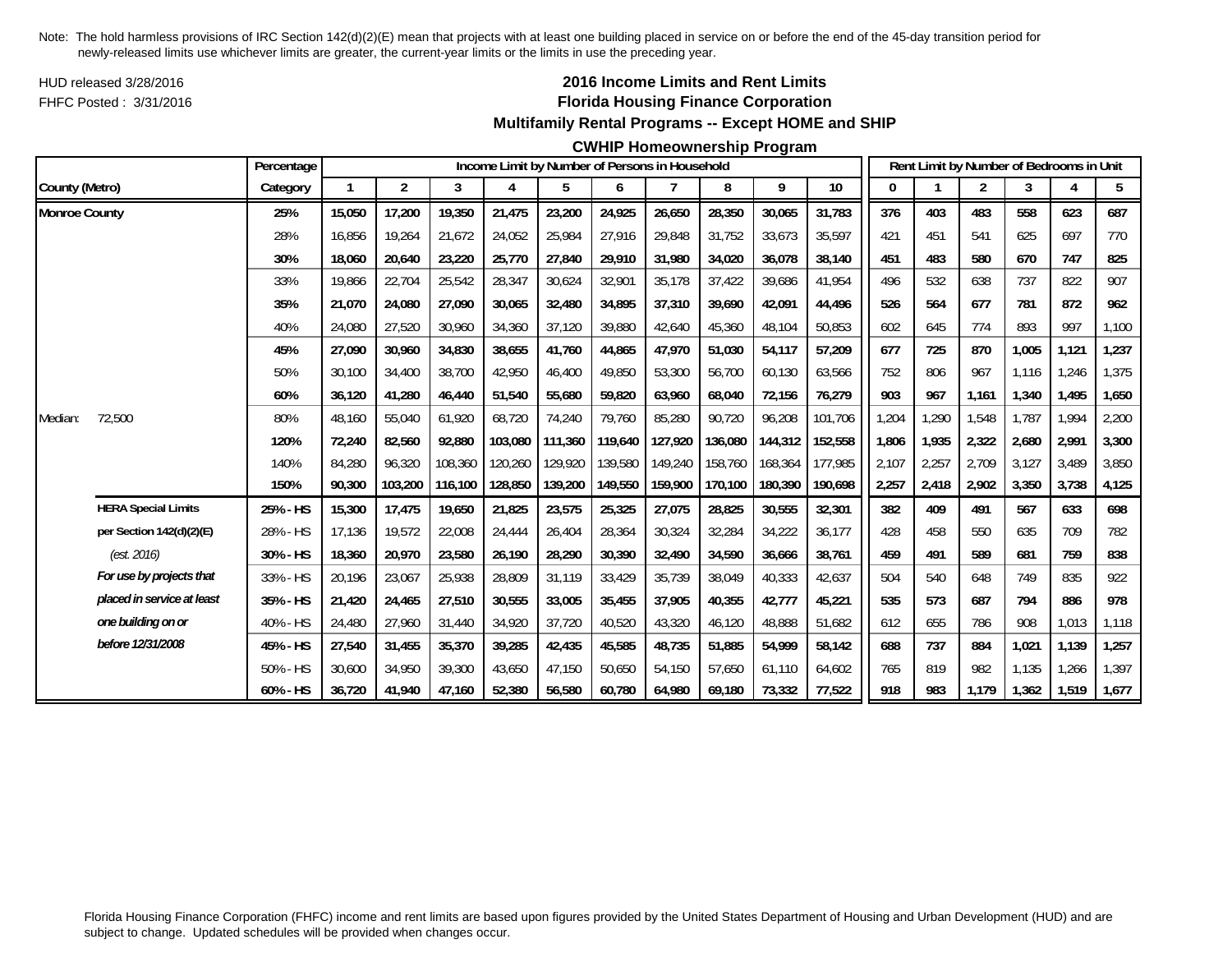HUD released 3/28/2016FHFC Posted : 3/31/2016

## **2016 Income Limits and Rent Limits Florida Housing Finance Corporation Multifamily Rental Programs -- Except HOME and SHIP**

### **CWHIP Homeownership Program**

|                      |                            | Percentage |              |                |         |         |         |         | Income Limit by Number of Persons in Household |         |         |         |       |       | Rent Limit by Number of Bedrooms in Unit |       |       |       |
|----------------------|----------------------------|------------|--------------|----------------|---------|---------|---------|---------|------------------------------------------------|---------|---------|---------|-------|-------|------------------------------------------|-------|-------|-------|
| County (Metro)       |                            | Category   | $\mathbf{1}$ | $\overline{2}$ | 3       | 4       | 5       | 6       | $\overline{7}$                                 | 8       | 9       | 10      | 0     |       | $\overline{2}$                           | 3     | 4     | 5     |
| <b>Monroe County</b> |                            | 25%        | 15,050       | 17,200         | 19,350  | 21,475  | 23,200  | 24,925  | 26,650                                         | 28,350  | 30,065  | 31,783  | 376   | 403   | 483                                      | 558   | 623   | 687   |
|                      |                            | 28%        | 16,856       | 19,264         | 21,672  | 24,052  | 25,984  | 27,916  | 29,848                                         | 31,752  | 33,673  | 35,597  | 421   | 451   | 541                                      | 625   | 697   | 770   |
|                      |                            | 30%        | 18,060       | 20,640         | 23,220  | 25,770  | 27,840  | 29,910  | 31,980                                         | 34,020  | 36,078  | 38,140  | 451   | 483   | 580                                      | 670   | 747   | 825   |
|                      |                            | 33%        | 19,866       | 22,704         | 25,542  | 28,347  | 30,624  | 32,901  | 35,178                                         | 37,422  | 39,686  | 41,954  | 496   | 532   | 638                                      | 737   | 822   | 907   |
|                      |                            | 35%        | 21,070       | 24,080         | 27,090  | 30,065  | 32,480  | 34,895  | 37,310                                         | 39,690  | 42,091  | 44,496  | 526   | 564   | 677                                      | 781   | 872   | 962   |
|                      |                            | 40%        | 24,080       | 27,520         | 30,960  | 34,360  | 37,120  | 39,880  | 42,640                                         | 45,360  | 48,104  | 50,853  | 602   | 645   | 774                                      | 893   | 997   | 1,100 |
|                      |                            | 45%        | 27,090       | 30,960         | 34,830  | 38,655  | 41,760  | 44,865  | 47,970                                         | 51,030  | 54,117  | 57,209  | 677   | 725   | 870                                      | 1,005 | 1,121 | 1,237 |
|                      |                            | 50%        | 30,100       | 34,400         | 38,700  | 42,950  | 46,400  | 49.850  | 53,300                                         | 56,700  | 60,130  | 63,566  | 752   | 806   | 967                                      | 1,116 | 1,246 | 1,375 |
|                      |                            | 60%        | 36,120       | 41,280         | 46,440  | 51,540  | 55,680  | 59,820  | 63,960                                         | 68,040  | 72,156  | 76,279  | 903   | 967   | 1,161                                    | 1,340 | 1,495 | 1,650 |
| Median:              | 72,500                     | 80%        | 48,160       | 55,040         | 61,920  | 68,720  | 74,240  | 79,760  | 85,280                                         | 90,720  | 96,208  | 101,706 | 1,204 | 1,290 | 1,548                                    | 1,787 | 1,994 | 2,200 |
|                      |                            | 120%       | 72,240       | 82,560         | 92,880  | 103,080 | 111,360 | 119,640 | 127,920                                        | 136,080 | 144,312 | 152,558 | 1,806 | 1,935 | 2,322                                    | 2,680 | 2,991 | 3,300 |
|                      |                            | 140%       | 84,280       | 96,320         | 108,360 | 120,260 | 129,920 | 139,580 | 149,240                                        | 158,760 | 168,364 | 177,985 | 2,107 | 2,257 | 2,709                                    | 3,127 | 3,489 | 3,850 |
|                      |                            | 150%       | 90,300       | 103,200        | 116,100 | 128,850 | 139,200 | 149,550 | 159,900                                        | 170,100 | 180,390 | 190,698 | 2,257 | 2,418 | 2,902                                    | 3,350 | 3,738 | 4,125 |
|                      | <b>HERA Special Limits</b> | 25% - HS   | 15,300       | 17,475         | 19,650  | 21,825  | 23,575  | 25,325  | 27,075                                         | 28,825  | 30,555  | 32,301  | 382   | 409   | 491                                      | 567   | 633   | 698   |
|                      | per Section 142(d)(2)(E)   | 28% - HS   | 17,136       | 19,572         | 22,008  | 24,444  | 26,404  | 28,364  | 30,324                                         | 32,284  | 34,222  | 36,177  | 428   | 458   | 550                                      | 635   | 709   | 782   |
|                      | (est. 2016)                | 30% - HS   | 18,360       | 20,970         | 23,580  | 26,190  | 28,290  | 30,390  | 32,490                                         | 34,590  | 36,666  | 38,761  | 459   | 491   | 589                                      | 681   | 759   | 838   |
|                      | For use by projects that   | 33% - HS   | 20,196       | 23,067         | 25,938  | 28,809  | 31,119  | 33,429  | 35,739                                         | 38,049  | 40,333  | 42,637  | 504   | 540   | 648                                      | 749   | 835   | 922   |
|                      | placed in service at least | 35% - HS   | 21,420       | 24,465         | 27,510  | 30,555  | 33,005  | 35,455  | 37,905                                         | 40,355  | 42,777  | 45,221  | 535   | 573   | 687                                      | 794   | 886   | 978   |
|                      | one building on or         | 40% - HS   | 24,480       | 27,960         | 31,440  | 34,920  | 37,720  | 40,520  | 43,320                                         | 46,120  | 48,888  | 51,682  | 612   | 655   | 786                                      | 908   | 1,013 | 1,118 |
|                      | before 12/31/2008          | 45% - HS   | 27,540       | 31,455         | 35,370  | 39,285  | 42,435  | 45,585  | 48,735                                         | 51,885  | 54,999  | 58,142  | 688   | 737   | 884                                      | 1,021 | 1,139 | 1,257 |
|                      |                            | 50% - HS   | 30,600       | 34,950         | 39,300  | 43,650  | 47,150  | 50,650  | 54,150                                         | 57,650  | 61,110  | 64,602  | 765   | 819   | 982                                      | 1,135 | 1,266 | 1,397 |
|                      |                            | 60% - HS   | 36,720       | 41,940         | 47,160  | 52,380  | 56,580  | 60,780  | 64,980                                         | 69,180  | 73,332  | 77,522  | 918   | 983   | 1,179                                    | 1,362 | 1,519 | 1,677 |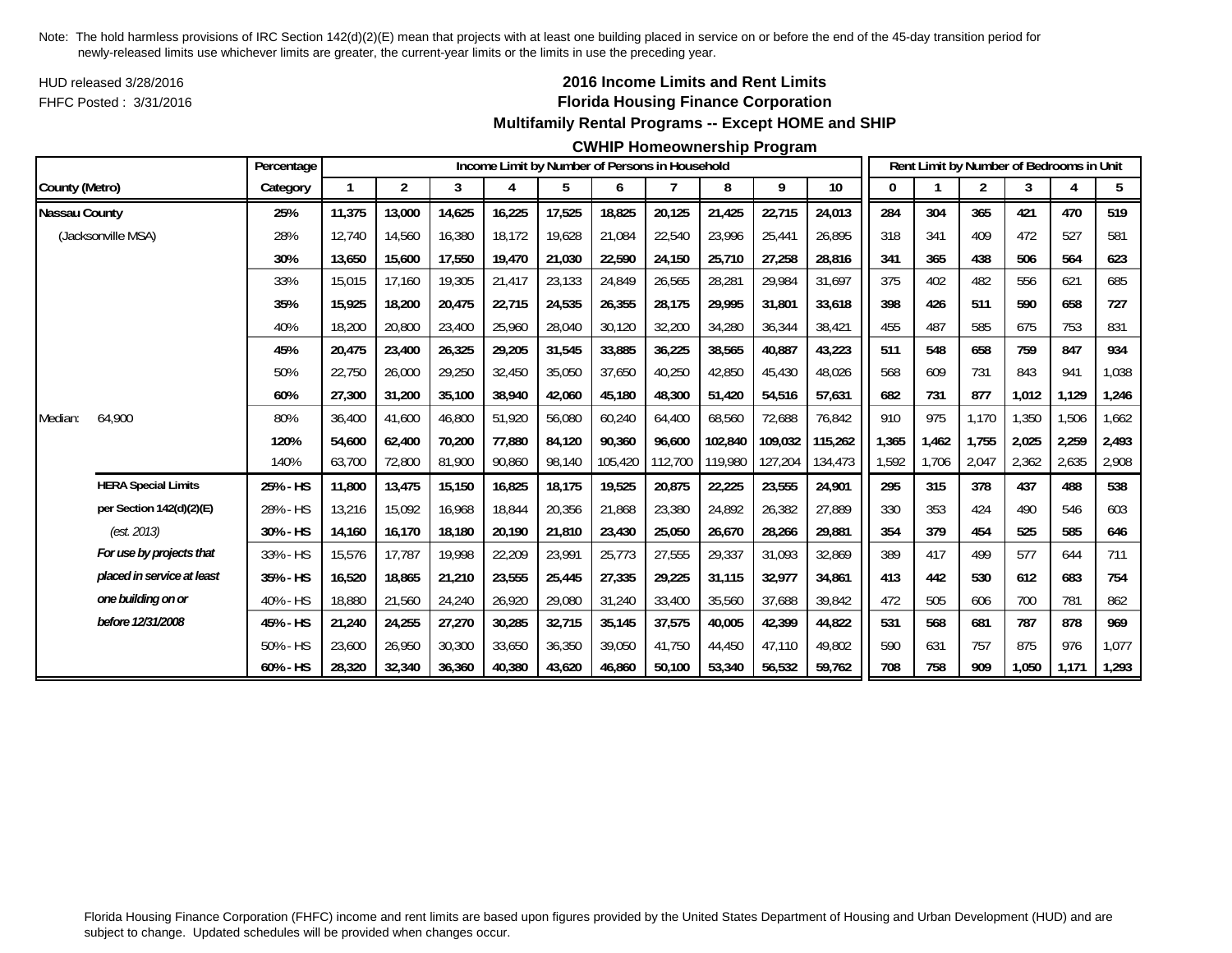HUD released 3/28/2016FHFC Posted : 3/31/2016

## **2016 Income Limits and Rent Limits Florida Housing Finance Corporation Multifamily Rental Programs -- Except HOME and SHIP**

#### **CWHIP Homeownership Program**

|                      |                            | Percentage |        |                |        |        | Income Limit by Number of Persons in Household |         |                |         |         |         |       |       |                | Rent Limit by Number of Bedrooms in Unit |       |       |
|----------------------|----------------------------|------------|--------|----------------|--------|--------|------------------------------------------------|---------|----------------|---------|---------|---------|-------|-------|----------------|------------------------------------------|-------|-------|
| County (Metro)       |                            | Category   | 1      | $\overline{2}$ | 3      | 4      | 5                                              | 6       | $\overline{7}$ | 8       | 9       | $10$    | 0     |       | $\overline{2}$ | 3                                        |       | 5     |
| <b>Nassau County</b> |                            | 25%        | 11,375 | 13,000         | 14,625 | 16,225 | 17,525                                         | 18,825  | 20,125         | 21,425  | 22,715  | 24,013  | 284   | 304   | 365            | 421                                      | 470   | 519   |
|                      | (Jacksonville MSA)         | 28%        | 12,740 | 14,560         | 16,380 | 18,172 | 19,628                                         | 21,084  | 22,540         | 23,996  | 25,441  | 26,895  | 318   | 341   | 409            | 472                                      | 527   | 581   |
|                      |                            | 30%        | 13,650 | 15,600         | 17,550 | 19,470 | 21,030                                         | 22,590  | 24,150         | 25,710  | 27,258  | 28,816  | 341   | 365   | 438            | 506                                      | 564   | 623   |
|                      |                            | 33%        | 15,015 | 17,160         | 19,305 | 21,417 | 23,133                                         | 24,849  | 26,565         | 28,281  | 29,984  | 31,697  | 375   | 402   | 482            | 556                                      | 621   | 685   |
|                      |                            | 35%        | 15.925 | 18,200         | 20.475 | 22,715 | 24,535                                         | 26,355  | 28.175         | 29.995  | 31,801  | 33,618  | 398   | 426   | 511            | 590                                      | 658   | 727   |
|                      |                            | 40%        | 18,200 | 20,800         | 23,400 | 25,960 | 28,040                                         | 30,120  | 32,200         | 34,280  | 36,344  | 38,421  | 455   | 487   | 585            | 675                                      | 753   | 831   |
|                      |                            | 45%        | 20.475 | 23,400         | 26,325 | 29,205 | 31,545                                         | 33,885  | 36,225         | 38,565  | 40,887  | 43,223  | 511   | 548   | 658            | 759                                      | 847   | 934   |
|                      |                            | 50%        | 22,750 | 26,000         | 29,250 | 32,450 | 35,050                                         | 37,650  | 40,250         | 42,850  | 45,430  | 48,026  | 568   | 609   | 731            | 843                                      | 941   | 1,038 |
|                      |                            | 60%        | 27,300 | 31,200         | 35,100 | 38,940 | 42,060                                         | 45,180  | 48,300         | 51,420  | 54,516  | 57,631  | 682   | 731   | 877            | 1,012                                    | 1,129 | 1,246 |
| Median:              | 64.900                     | 80%        | 36,400 | 41,600         | 46,800 | 51,920 | 56,080                                         | 60,240  | 64,400         | 68,560  | 72,688  | 76,842  | 910   | 975   | 1,170          | 1,350                                    | 1,506 | 1,662 |
|                      |                            | 120%       | 54,600 | 62.400         | 70,200 | 77.880 | 84,120                                         | 90.360  | 96.600         | 102.840 | 109,032 | 115,262 | 1,365 | 1.462 | 1.755          | 2,025                                    | 2,259 | 2,493 |
|                      |                            | 140%       | 63,700 | 72,800         | 81,900 | 90,860 | 98,140                                         | 105,420 | 112,700        | 119,980 | 127,204 | 134,473 | 1,592 | 1,706 | 2,047          | 2,362                                    | 2,635 | 2,908 |
|                      | <b>HERA Special Limits</b> | 25% - HS   | 11,800 | 13,475         | 15,150 | 16,825 | 18,175                                         | 19,525  | 20,875         | 22,225  | 23,555  | 24,901  | 295   | 315   | 378            | 437                                      | 488   | 538   |
|                      | per Section 142(d)(2)(E)   | 28% - HS   | 13,216 | 15,092         | 16,968 | 18,844 | 20,356                                         | 21,868  | 23,380         | 24,892  | 26,382  | 27,889  | 330   | 353   | 424            | 490                                      | 546   | 603   |
|                      | (est. 2013)                | 30% - HS   | 14,160 | 16,170         | 18,180 | 20,190 | 21,810                                         | 23,430  | 25,050         | 26,670  | 28,266  | 29,881  | 354   | 379   | 454            | 525                                      | 585   | 646   |
|                      | For use by projects that   | 33% - HS   | 15,576 | 17,787         | 19,998 | 22,209 | 23,991                                         | 25,773  | 27,555         | 29,337  | 31,093  | 32,869  | 389   | 417   | 499            | 577                                      | 644   | 711   |
|                      | placed in service at least | 35% - HS   | 16,520 | 18,865         | 21,210 | 23,555 | 25,445                                         | 27,335  | 29,225         | 31,115  | 32,977  | 34,861  | 413   | 442   | 530            | 612                                      | 683   | 754   |
|                      | one building on or         | 40% - HS   | 18,880 | 21,560         | 24,240 | 26,920 | 29,080                                         | 31,240  | 33,400         | 35,560  | 37,688  | 39,842  | 472   | 505   | 606            | 700                                      | 781   | 862   |
|                      | before 12/31/2008          | 45% - HS   | 21,240 | 24,255         | 27,270 | 30,285 | 32,715                                         | 35,145  | 37,575         | 40,005  | 42,399  | 44,822  | 531   | 568   | 681            | 787                                      | 878   | 969   |
|                      |                            | 50% - HS   | 23,600 | 26,950         | 30,300 | 33,650 | 36,350                                         | 39,050  | 41,750         | 44,450  | 47,110  | 49,802  | 590   | 631   | 757            | 875                                      | 976   | 1,077 |
|                      |                            | 60% - HS   | 28.320 | 32,340         | 36,360 | 40,380 | 43,620                                         | 46,860  | 50.100         | 53,340  | 56,532  | 59,762  | 708   | 758   | 909            | 1,050                                    | 1,171 | 1,293 |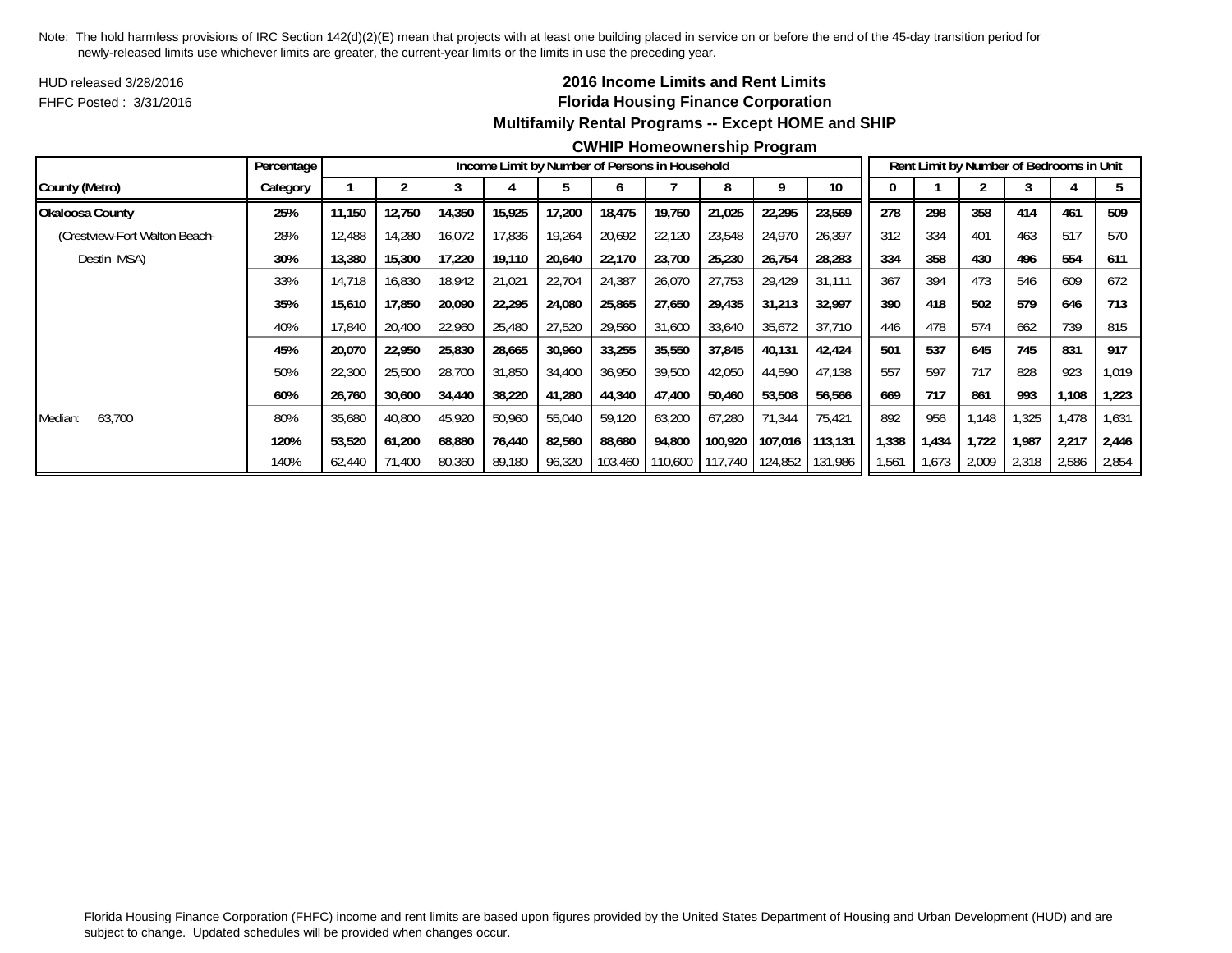HUD released 3/28/2016FHFC Posted : 3/31/2016

## **2016 Income Limits and Rent Limits Florida Housing Finance Corporation Multifamily Rental Programs -- Except HOME and SHIP**

#### **CWHIP Homeownership Program**

|                               | Percentage |        |        |        |        | Income Limit by Number of Persons in Household |         |        |                         |         |                 |       |       |       |       | Rent Limit by Number of Bedrooms in Unit |       |
|-------------------------------|------------|--------|--------|--------|--------|------------------------------------------------|---------|--------|-------------------------|---------|-----------------|-------|-------|-------|-------|------------------------------------------|-------|
| County (Metro)                | Category   |        |        |        |        |                                                |         |        |                         |         | 10 <sup>°</sup> |       |       |       |       |                                          |       |
| Okaloosa County               | 25%        | 11,150 | 12,750 | 14,350 | 15,925 | 17,200                                         | 18,475  | 19,750 | 21,025                  | 22,295  | 23,569          | 278   | 298   | 358   | 414   | 461                                      | 509   |
| (Crestview-Fort Walton Beach- | 28%        | 12,488 | 14,280 | 16,072 | 17,836 | 19,264                                         | 20,692  | 22,120 | 23,548                  | 24,970  | 26,397          | 312   | 334   | 401   | 463   | 517                                      | 570   |
| Destin MSA)                   | 30%        | 13,380 | 15,300 | 17,220 | 19,110 | 20,640                                         | 22,170  | 23,700 | 25,230                  | 26,754  | 28,283          | 334   | 358   | 430   | 496   | 554                                      | 611   |
|                               | 33%        | 14,718 | 16,830 | 18,942 | 21,021 | 22,704                                         | 24,387  | 26,070 | 27,753                  | 29,429  | 31,111          | 367   | 394   | 473   | 546   | 609                                      | 672   |
|                               | 35%        | 15,610 | 17,850 | 20,090 | 22,295 | 24,080                                         | 25,865  | 27,650 | 29,435                  | 31,213  | 32,997          | 390   | 418   | 502   | 579   | 646                                      | 713   |
|                               | 40%        | 17,840 | 20,400 | 22,960 | 25,480 | 27,520                                         | 29,560  | 31,600 | 33,640                  | 35,672  | 37,710          | 446   | 478   | 574   | 662   | 739                                      | 815   |
|                               | 45%        | 20,070 | 22,950 | 25,830 | 28,665 | 30,960                                         | 33,255  | 35,550 | 37.845                  | 40,131  | 42,424          | 501   | 537   | 645   | 745   | 831                                      | 917   |
|                               | 50%        | 22,300 | 25,500 | 28,700 | 31,850 | 34,400                                         | 36,950  | 39,500 | 42,050                  | 44,590  | 47,138          | 557   | 597   | 717   | 828   | 923                                      | 1,019 |
|                               | 60%        | 26,760 | 30,600 | 34,440 | 38,220 | 41,280                                         | 44,340  | 47,400 | 50,460                  | 53,508  | 56,566          | 669   | 717   | 861   | 993   | 1,108                                    | 1,223 |
| 63,700<br>Median:             | 80%        | 35,680 | 40,800 | 45,920 | 50,960 | 55,040                                         | 59,120  | 63,200 | 67,280                  | 71,344  | 75,421          | 892   | 956   | 1.148 | .325  | 1,478                                    | 1,631 |
|                               | 120%       | 53,520 | 61,200 | 68,880 | 76,440 | 82,560                                         | 88,680  | 94,800 | 100,920                 | 107,016 | 113,131         | 1,338 | 1,434 | 1,722 | 1.987 | 2,217                                    | 2,446 |
|                               | 140%       | 62,440 | 71,400 | 80,360 | 89,180 | 96,320                                         | 103,460 |        | 110,600 117,740 124,852 |         | 131,986         | 1,561 | 1,673 | 2,009 | 2,318 | 2,586                                    | 2,854 |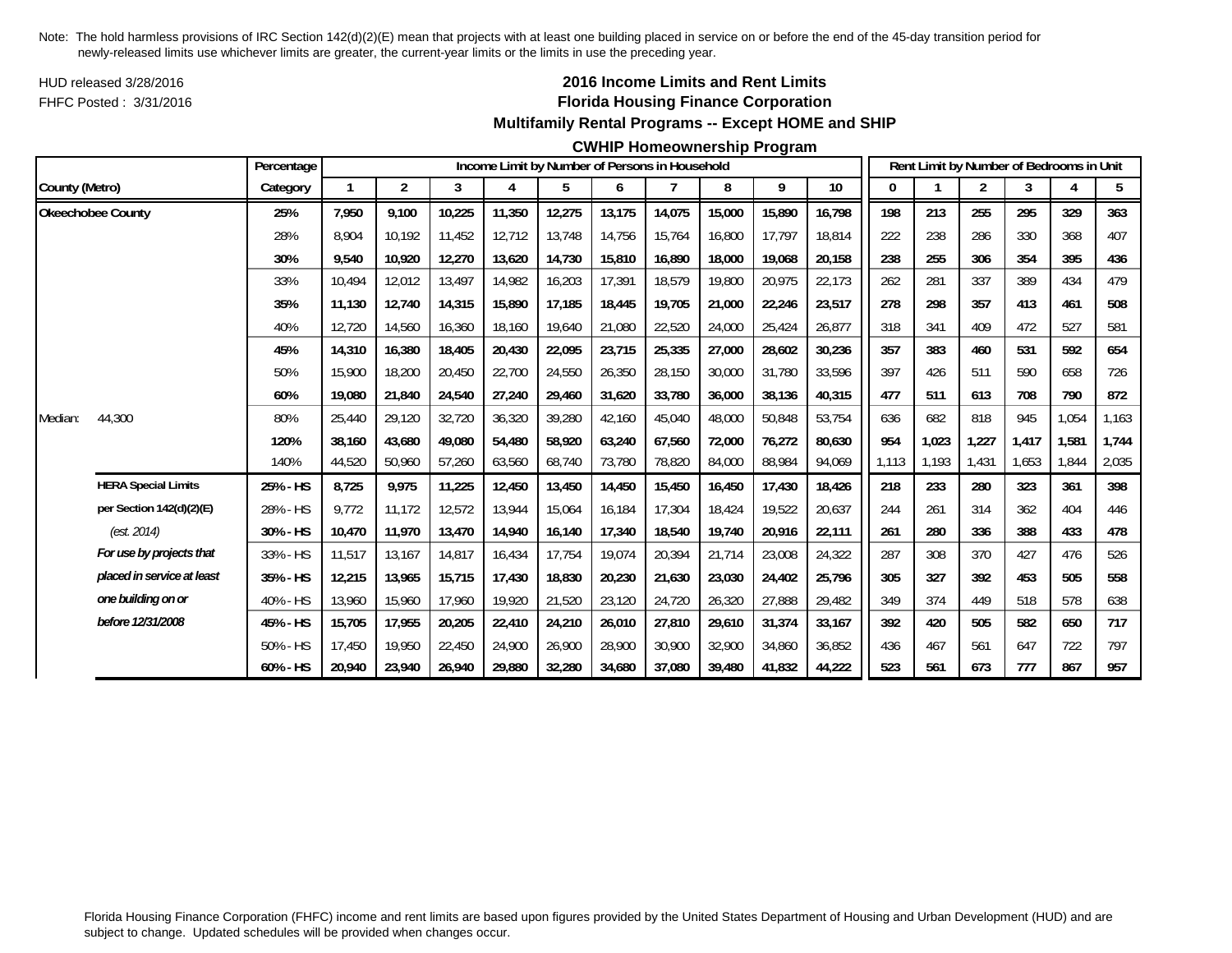HUD released 3/28/2016FHFC Posted : 3/31/2016

## **2016 Income Limits and Rent Limits Florida Housing Finance Corporation Multifamily Rental Programs -- Except HOME and SHIP**

### **CWHIP Homeownership Program**

|                |                            | Percentage |        |                |        |        | Income Limit by Number of Persons in Household |        |        |        |        |        |       |       | Rent Limit by Number of Bedrooms in Unit |       |       |       |
|----------------|----------------------------|------------|--------|----------------|--------|--------|------------------------------------------------|--------|--------|--------|--------|--------|-------|-------|------------------------------------------|-------|-------|-------|
| County (Metro) |                            | Category   |        | $\overline{2}$ | 3      | 4      | 5                                              | 6      |        | 8      | 9      | 10     | 0     |       | 2                                        | 3     | 4     | 5     |
|                | <b>Okeechobee County</b>   | 25%        | 7.950  | 9.100          | 10,225 | 11,350 | 12,275                                         | 13,175 | 14,075 | 15,000 | 15,890 | 16,798 | 198   | 213   | 255                                      | 295   | 329   | 363   |
|                |                            | 28%        | 8.904  | 10.192         | 11,452 | 12,712 | 13,748                                         | 14,756 | 15,764 | 16,800 | 17,797 | 18,814 | 222   | 238   | 286                                      | 330   | 368   | 407   |
|                |                            | 30%        | 9,540  | 10,920         | 12,270 | 13,620 | 14,730                                         | 15,810 | 16,890 | 18,000 | 19,068 | 20,158 | 238   | 255   | 306                                      | 354   | 395   | 436   |
|                |                            | 33%        | 10,494 | 12,012         | 13,497 | 14,982 | 16,203                                         | 17,391 | 18,579 | 19,800 | 20,975 | 22,173 | 262   | 281   | 337                                      | 389   | 434   | 479   |
|                |                            | 35%        | 11,130 | 12,740         | 14,315 | 15,890 | 17,185                                         | 18,445 | 19,705 | 21,000 | 22,246 | 23,517 | 278   | 298   | 357                                      | 413   | 461   | 508   |
|                |                            | 40%        | 12,720 | 14,560         | 16,360 | 18,160 | 19,640                                         | 21,080 | 22,520 | 24,000 | 25,424 | 26,877 | 318   | 341   | 409                                      | 472   | 527   | 581   |
|                |                            | 45%        | 14,310 | 16,380         | 18,405 | 20,430 | 22,095                                         | 23,715 | 25,335 | 27,000 | 28,602 | 30,236 | 357   | 383   | 460                                      | 531   | 592   | 654   |
|                |                            | 50%        | 15,900 | 18,200         | 20,450 | 22,700 | 24,550                                         | 26,350 | 28,150 | 30,000 | 31,780 | 33,596 | 397   | 426   | 511                                      | 590   | 658   | 726   |
|                |                            | 60%        | 19,080 | 21,840         | 24,540 | 27,240 | 29,460                                         | 31,620 | 33,780 | 36,000 | 38,136 | 40,315 | 477   | 511   | 613                                      | 708   | 790   | 872   |
| Median:        | 44,300                     | 80%        | 25,440 | 29,120         | 32,720 | 36,320 | 39,280                                         | 42,160 | 45,040 | 48,000 | 50,848 | 53,754 | 636   | 682   | 818                                      | 945   | 1,054 | 1,163 |
|                |                            | 120%       | 38,160 | 43,680         | 49.080 | 54,480 | 58,920                                         | 63,240 | 67.560 | 72,000 | 76,272 | 80,630 | 954   | 1,023 | 1,227                                    | 1.417 | 1,581 | 1,744 |
|                |                            | 140%       | 44,520 | 50,960         | 57,260 | 63,560 | 68,740                                         | 73,780 | 78,820 | 84,000 | 88,984 | 94,069 | 1,113 | 1,193 | 1,431                                    | 1,653 | 1,844 | 2,035 |
|                | <b>HERA Special Limits</b> | 25% - HS   | 8,725  | 9,975          | 11,225 | 12,450 | 13,450                                         | 14,450 | 15,450 | 16,450 | 17,430 | 18,426 | 218   | 233   | 280                                      | 323   | 361   | 398   |
|                | per Section 142(d)(2)(E)   | 28% - HS   | 9,772  | 11,172         | 12,572 | 13,944 | 15,064                                         | 16,184 | 17,304 | 18,424 | 19,522 | 20,637 | 244   | 261   | 314                                      | 362   | 404   | 446   |
|                | (est. 2014)                | 30% - HS   | 10.470 | 11.970         | 13,470 | 14.940 | 16,140                                         | 17,340 | 18,540 | 19.740 | 20,916 | 22,111 | 261   | 280   | 336                                      | 388   | 433   | 478   |
|                | For use by projects that   | 33% - HS   | 11,517 | 13,167         | 14,817 | 16,434 | 17,754                                         | 19,074 | 20,394 | 21,714 | 23,008 | 24,322 | 287   | 308   | 370                                      | 427   | 476   | 526   |
|                | placed in service at least | 35% - HS   | 12,215 | 13,965         | 15,715 | 17,430 | 18,830                                         | 20,230 | 21,630 | 23,030 | 24,402 | 25,796 | 305   | 327   | 392                                      | 453   | 505   | 558   |
|                | one building on or         | 40% - HS   | 13,960 | 15,960         | 17,960 | 19,920 | 21,520                                         | 23,120 | 24,720 | 26,320 | 27,888 | 29,482 | 349   | 374   | 449                                      | 518   | 578   | 638   |
|                | before 12/31/2008          | 45% - HS   | 15,705 | 17,955         | 20,205 | 22,410 | 24,210                                         | 26,010 | 27,810 | 29,610 | 31,374 | 33,167 | 392   | 420   | 505                                      | 582   | 650   | 717   |
|                |                            | 50% - HS   | 17.450 | 19.950         | 22,450 | 24,900 | 26,900                                         | 28,900 | 30,900 | 32,900 | 34,860 | 36,852 | 436   | 467   | 561                                      | 647   | 722   | 797   |
|                |                            | 60% - HS   | 20,940 | 23,940         | 26,940 | 29,880 | 32,280                                         | 34,680 | 37,080 | 39,480 | 41,832 | 44,222 | 523   | 561   | 673                                      | 777   | 867   | 957   |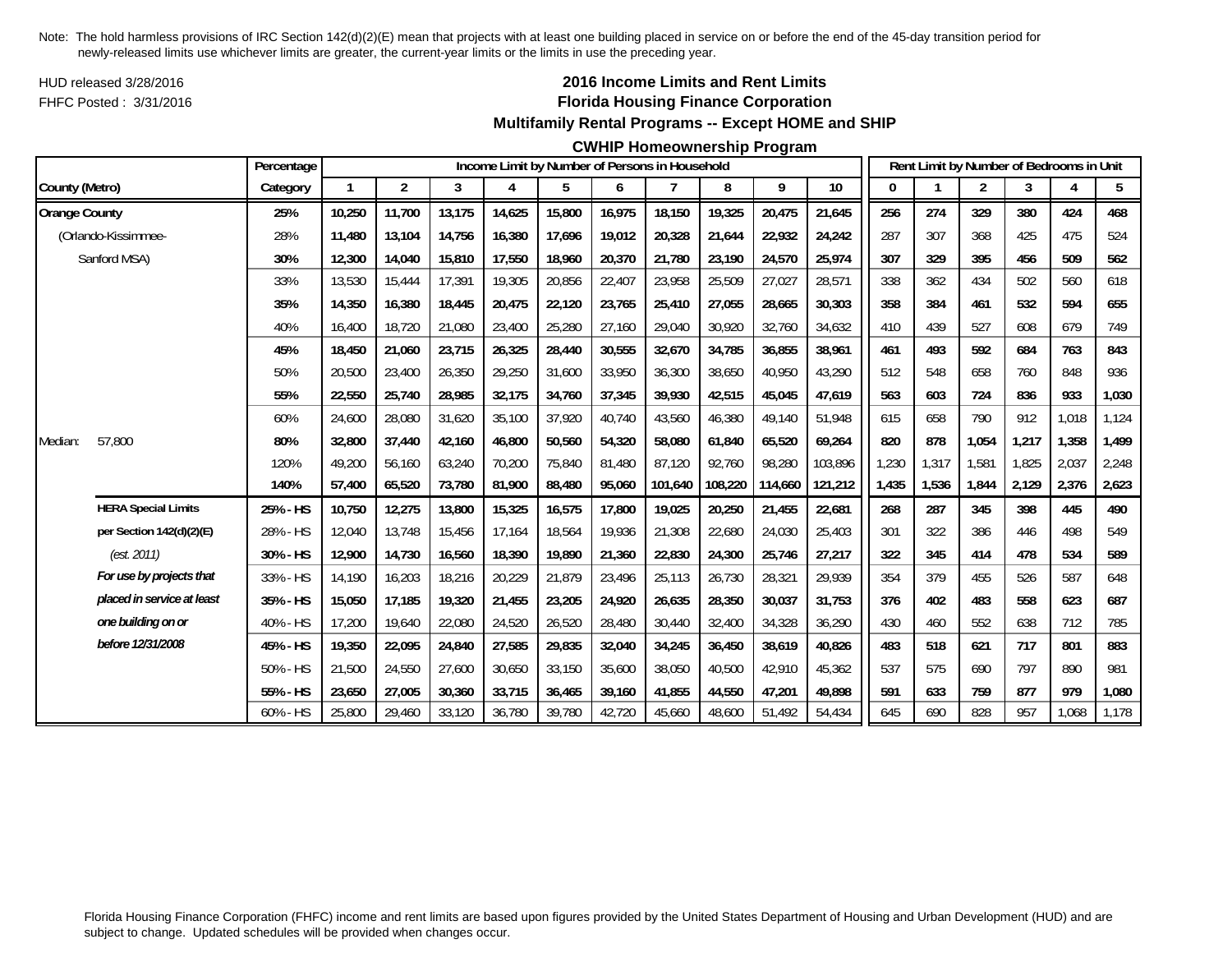HUD released 3/28/2016FHFC Posted : 3/31/2016

### **2016 Income Limits and Rent Limits Florida Housing Finance Corporation Multifamily Rental Programs -- Except HOME and SHIP**

#### **CWHIP Homeownership Program**

|                      |                            | Percentage |             |        |        |        |        |        | Income Limit by Number of Persons in Household |         |         |         |       |       |       | Rent Limit by Number of Bedrooms in Unit |       |       |
|----------------------|----------------------------|------------|-------------|--------|--------|--------|--------|--------|------------------------------------------------|---------|---------|---------|-------|-------|-------|------------------------------------------|-------|-------|
| County (Metro)       |                            | Category   | $\mathbf 1$ | 2      | 3      | 4      | 5      | 6      | 7                                              | 8       | 9       | 10      | 0     |       | 2     | 3                                        | 4     | 5     |
| <b>Orange County</b> |                            | 25%        | 10,250      | 11,700 | 13,175 | 14,625 | 15,800 | 16,975 | 18,150                                         | 19,325  | 20,475  | 21,645  | 256   | 274   | 329   | 380                                      | 424   | 468   |
|                      | (Orlando-Kissimmee-        | 28%        | 11,480      | 13,104 | 14.756 | 16,380 | 17,696 | 19,012 | 20,328                                         | 21,644  | 22.932  | 24.242  | 287   | 307   | 368   | 425                                      | 475   | 524   |
|                      | Sanford MSA)               | 30%        | 12,300      | 14,040 | 15,810 | 17,550 | 18,960 | 20,370 | 21,780                                         | 23,190  | 24,570  | 25,974  | 307   | 329   | 395   | 456                                      | 509   | 562   |
|                      |                            | 33%        | 13,530      | 15,444 | 17,391 | 19,305 | 20,856 | 22,407 | 23,958                                         | 25,509  | 27,027  | 28,571  | 338   | 362   | 434   | 502                                      | 560   | 618   |
|                      |                            | 35%        | 14,350      | 16,380 | 18,445 | 20,475 | 22,120 | 23,765 | 25,410                                         | 27,055  | 28,665  | 30,303  | 358   | 384   | 461   | 532                                      | 594   | 655   |
|                      |                            | 40%        | 16,400      | 18,720 | 21,080 | 23,400 | 25,280 | 27,160 | 29,040                                         | 30,920  | 32,760  | 34,632  | 410   | 439   | 527   | 608                                      | 679   | 749   |
|                      |                            | 45%        | 18,450      | 21,060 | 23,715 | 26,325 | 28,440 | 30,555 | 32,670                                         | 34,785  | 36,855  | 38,961  | 461   | 493   | 592   | 684                                      | 763   | 843   |
|                      |                            | 50%        | 20,500      | 23,400 | 26,350 | 29,250 | 31,600 | 33,950 | 36,300                                         | 38,650  | 40,950  | 43,290  | 512   | 548   | 658   | 760                                      | 848   | 936   |
|                      |                            | 55%        | 22,550      | 25,740 | 28,985 | 32,175 | 34,760 | 37,345 | 39,930                                         | 42,515  | 45,045  | 47,619  | 563   | 603   | 724   | 836                                      | 933   | 1,030 |
|                      |                            | 60%        | 24,600      | 28,080 | 31,620 | 35,100 | 37,920 | 40,740 | 43,560                                         | 46,380  | 49,140  | 51,948  | 615   | 658   | 790   | 912                                      | 1,018 | 1,124 |
| Median:              | 57,800                     | 80%        | 32,800      | 37,440 | 42,160 | 46,800 | 50,560 | 54,320 | 58.080                                         | 61.840  | 65,520  | 69,264  | 820   | 878   | 1,054 | 1,217                                    | 1,358 | 1,499 |
|                      |                            | 120%       | 49,200      | 56,160 | 63,240 | 70,200 | 75,840 | 81.480 | 87.120                                         | 92,760  | 98,280  | 103,896 | 1,230 | 1,317 | 1,581 | 1.825                                    | 2,037 | 2,248 |
|                      |                            | 140%       | 57,400      | 65,520 | 73,780 | 81,900 | 88,480 | 95,060 | 101,640                                        | 108,220 | 114,660 | 121,212 | 1,435 | 1,536 | 1,844 | 2,129                                    | 2,376 | 2,623 |
|                      | <b>HERA Special Limits</b> | 25% - HS   | 10,750      | 12,275 | 13,800 | 15,325 | 16,575 | 17,800 | 19,025                                         | 20,250  | 21,455  | 22,681  | 268   | 287   | 345   | 398                                      | 445   | 490   |
|                      | per Section 142(d)(2)(E)   | 28% - HS   | 12,040      | 13,748 | 15.456 | 17.164 | 18,564 | 19,936 | 21,308                                         | 22.680  | 24,030  | 25,403  | 301   | 322   | 386   | 446                                      | 498   | 549   |
|                      | (est. 2011)                | 30% - HS   | 12,900      | 14,730 | 16,560 | 18,390 | 19,890 | 21,360 | 22,830                                         | 24,300  | 25,746  | 27,217  | 322   | 345   | 414   | 478                                      | 534   | 589   |
|                      | For use by projects that   | 33% - HS   | 14,190      | 16,203 | 18,216 | 20,229 | 21,879 | 23,496 | 25,113                                         | 26,730  | 28,321  | 29,939  | 354   | 379   | 455   | 526                                      | 587   | 648   |
|                      | placed in service at least | 35% - HS   | 15,050      | 17,185 | 19,320 | 21,455 | 23,205 | 24,920 | 26,635                                         | 28,350  | 30,037  | 31,753  | 376   | 402   | 483   | 558                                      | 623   | 687   |
|                      | one building on or         | 40% - HS   | 17,200      | 19,640 | 22,080 | 24,520 | 26,520 | 28,480 | 30,440                                         | 32,400  | 34,328  | 36,290  | 430   | 460   | 552   | 638                                      | 712   | 785   |
|                      | before 12/31/2008          | 45% - HS   | 19,350      | 22,095 | 24,840 | 27,585 | 29,835 | 32,040 | 34,245                                         | 36,450  | 38,619  | 40,826  | 483   | 518   | 621   | 717                                      | 801   | 883   |
|                      |                            | 50% - HS   | 21,500      | 24,550 | 27,600 | 30,650 | 33,150 | 35,600 | 38,050                                         | 40,500  | 42,910  | 45,362  | 537   | 575   | 690   | 797                                      | 890   | 981   |
|                      |                            | 55% - HS   | 23,650      | 27,005 | 30,360 | 33,715 | 36,465 | 39,160 | 41,855                                         | 44,550  | 47,201  | 49,898  | 591   | 633   | 759   | 877                                      | 979   | 1,080 |
|                      |                            | 60% - HS   | 25,800      | 29,460 | 33,120 | 36,780 | 39,780 | 42,720 | 45,660                                         | 48,600  | 51,492  | 54,434  | 645   | 690   | 828   | 957                                      | 1,068 | 1,178 |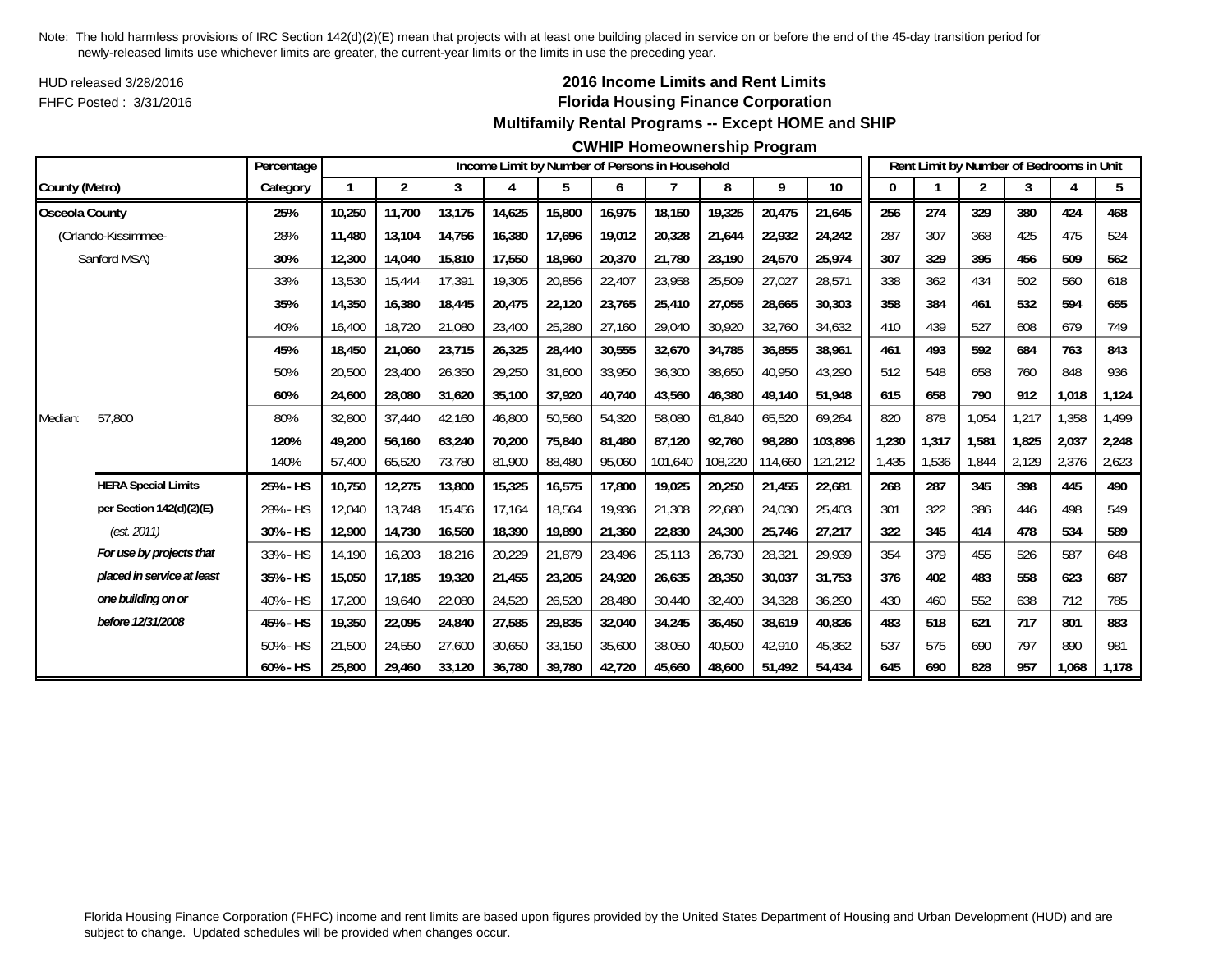HUD released 3/28/2016FHFC Posted : 3/31/2016

### **2016 Income Limits and Rent Limits Florida Housing Finance Corporation Multifamily Rental Programs -- Except HOME and SHIP**

#### **CWHIP Homeownership Program**

|                       |                            | Percentage |              |        |        |        |        |        | Income Limit by Number of Persons in Household |         |         |         |       |       |                |       | Rent Limit by Number of Bedrooms in Unit |       |
|-----------------------|----------------------------|------------|--------------|--------|--------|--------|--------|--------|------------------------------------------------|---------|---------|---------|-------|-------|----------------|-------|------------------------------------------|-------|
| County (Metro)        |                            | Category   | $\mathbf{1}$ | 2      | 3      | 4      | 5      | 6      |                                                | 8       | 9       | 10      | 0     |       | $\overline{2}$ | 3     |                                          | 5     |
| <b>Osceola County</b> |                            | 25%        | 10,250       | 11,700 | 13,175 | 14,625 | 15,800 | 16,975 | 18,150                                         | 19,325  | 20,475  | 21,645  | 256   | 274   | 329            | 380   | 424                                      | 468   |
|                       | (Orlando-Kissimmee-        | 28%        | 11,480       | 13,104 | 14,756 | 16,380 | 17,696 | 19,012 | 20,328                                         | 21,644  | 22,932  | 24,242  | 287   | 307   | 368            | 425   | 475                                      | 524   |
|                       | Sanford MSA)               | 30%        | 12,300       | 14,040 | 15,810 | 17,550 | 18,960 | 20,370 | 21,780                                         | 23,190  | 24,570  | 25,974  | 307   | 329   | 395            | 456   | 509                                      | 562   |
|                       |                            | 33%        | 13,530       | 15,444 | 17,391 | 19,305 | 20,856 | 22,407 | 23,958                                         | 25,509  | 27,027  | 28,571  | 338   | 362   | 434            | 502   | 560                                      | 618   |
|                       |                            | 35%        | 14,350       | 16,380 | 18,445 | 20,475 | 22,120 | 23,765 | 25,410                                         | 27.055  | 28,665  | 30,303  | 358   | 384   | 461            | 532   | 594                                      | 655   |
|                       |                            | 40%        | 16,400       | 18,720 | 21,080 | 23,400 | 25,280 | 27,160 | 29,040                                         | 30,920  | 32,760  | 34,632  | 410   | 439   | 527            | 608   | 679                                      | 749   |
|                       |                            | 45%        | 18,450       | 21,060 | 23,715 | 26,325 | 28,440 | 30,555 | 32,670                                         | 34,785  | 36,855  | 38,961  | 461   | 493   | 592            | 684   | 763                                      | 843   |
|                       |                            | 50%        | 20,500       | 23,400 | 26,350 | 29,250 | 31,600 | 33,950 | 36,300                                         | 38,650  | 40,950  | 43,290  | 512   | 548   | 658            | 760   | 848                                      | 936   |
|                       |                            | 60%        | 24,600       | 28,080 | 31,620 | 35,100 | 37,920 | 40,740 | 43,560                                         | 46,380  | 49,140  | 51,948  | 615   | 658   | 790            | 912   | 1,018                                    | 1,124 |
| Median:               | 57,800                     | 80%        | 32,800       | 37,440 | 42,160 | 46,800 | 50,560 | 54,320 | 58,080                                         | 61,840  | 65,520  | 69,264  | 820   | 878   | 1,054          | 1,217 | 1,358                                    | 1,499 |
|                       |                            | 120%       | 49,200       | 56,160 | 63,240 | 70,200 | 75,840 | 81.480 | 87.120                                         | 92,760  | 98,280  | 103,896 | 1,230 | 1,317 | 1,581          | 1,825 | 2,037                                    | 2,248 |
|                       |                            | 140%       | 57,400       | 65,520 | 73,780 | 81,900 | 88,480 | 95,060 | 101,640                                        | 108,220 | 114,660 | 121,212 | 1,435 | 1,536 | 1,844          | 2,129 | 2,376                                    | 2,623 |
|                       | <b>HERA Special Limits</b> | 25% - HS   | 10,750       | 12,275 | 13,800 | 15,325 | 16,575 | 17,800 | 19,025                                         | 20,250  | 21,455  | 22,681  | 268   | 287   | 345            | 398   | 445                                      | 490   |
|                       | per Section 142(d)(2)(E)   | 28% - HS   | 12,040       | 13.748 | 15.456 | 17,164 | 18,564 | 19,936 | 21,308                                         | 22,680  | 24,030  | 25.403  | 301   | 322   | 386            | 446   | 498                                      | 549   |
|                       | (est. 2011)                | 30% - HS   | 12,900       | 14,730 | 16,560 | 18,390 | 19,890 | 21,360 | 22,830                                         | 24,300  | 25,746  | 27,217  | 322   | 345   | 414            | 478   | 534                                      | 589   |
|                       | For use by projects that   | 33% - HS   | 14,190       | 16,203 | 18,216 | 20,229 | 21,879 | 23,496 | 25,113                                         | 26,730  | 28,321  | 29,939  | 354   | 379   | 455            | 526   | 587                                      | 648   |
|                       | placed in service at least | 35% - HS   | 15,050       | 17,185 | 19,320 | 21,455 | 23,205 | 24,920 | 26,635                                         | 28,350  | 30,037  | 31,753  | 376   | 402   | 483            | 558   | 623                                      | 687   |
|                       | one building on or         | 40% - HS   | 17,200       | 19,640 | 22,080 | 24,520 | 26,520 | 28,480 | 30,440                                         | 32,400  | 34,328  | 36,290  | 430   | 460   | 552            | 638   | 712                                      | 785   |
|                       | before 12/31/2008          | 45% - HS   | 19,350       | 22,095 | 24,840 | 27,585 | 29,835 | 32,040 | 34,245                                         | 36,450  | 38,619  | 40,826  | 483   | 518   | 621            | 717   | 801                                      | 883   |
|                       |                            | 50% - HS   | 21,500       | 24,550 | 27,600 | 30,650 | 33,150 | 35,600 | 38,050                                         | 40,500  | 42,910  | 45,362  | 537   | 575   | 690            | 797   | 890                                      | 981   |
|                       |                            | 60% - HS   | 25,800       | 29,460 | 33,120 | 36,780 | 39,780 | 42,720 | 45.660                                         | 48,600  | 51,492  | 54,434  | 645   | 690   | 828            | 957   | 1.068                                    | 1,178 |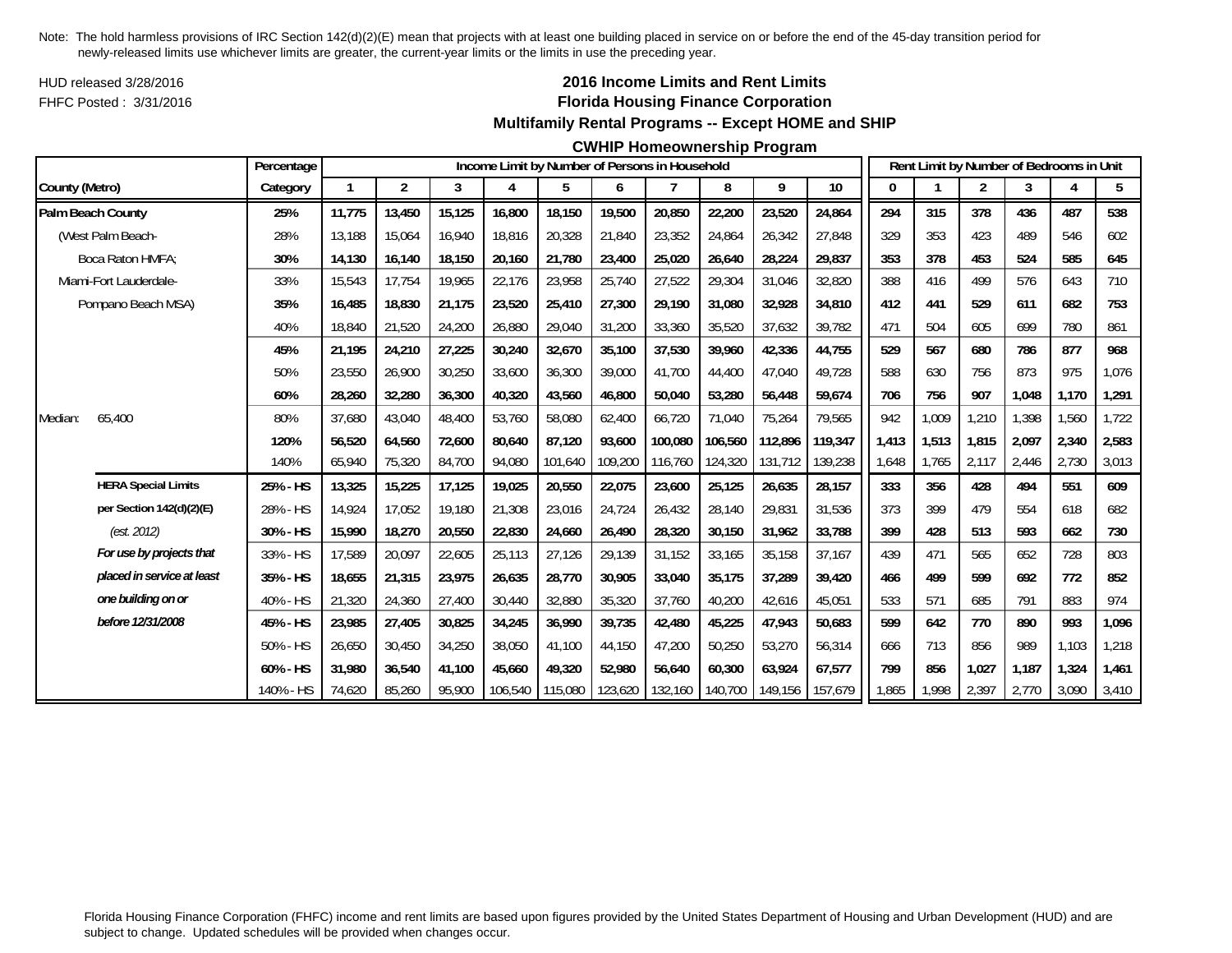HUD released 3/28/2016FHFC Posted : 3/31/2016

## **2016 Income Limits and Rent Limits Florida Housing Finance Corporation Multifamily Rental Programs -- Except HOME and SHIP**

#### **CWHIP Homeownership Program**

|                            | Percentage |        |                |        |         | Income Limit by Number of Persons in Household |         |         |         |         |         |       |       |                | Rent Limit by Number of Bedrooms in Unit |       |       |
|----------------------------|------------|--------|----------------|--------|---------|------------------------------------------------|---------|---------|---------|---------|---------|-------|-------|----------------|------------------------------------------|-------|-------|
| County (Metro)             | Category   | 1      | $\overline{2}$ | 3      | 4       | 5                                              | 6       | 7       | 8       | 9       | 10      | 0     |       | $\overline{2}$ | 3                                        | 4     | 5     |
| Palm Beach County          | 25%        | 11,775 | 13,450         | 15,125 | 16,800  | 18,150                                         | 19,500  | 20,850  | 22,200  | 23,520  | 24,864  | 294   | 315   | 378            | 436                                      | 487   | 538   |
| (West Palm Beach-          | 28%        | 13,188 | 15,064         | 16,940 | 18,816  | 20,328                                         | 21,840  | 23,352  | 24,864  | 26,342  | 27,848  | 329   | 353   | 423            | 489                                      | 546   | 602   |
| Boca Raton HMFA:           | 30%        | 14,130 | 16,140         | 18,150 | 20,160  | 21,780                                         | 23,400  | 25,020  | 26,640  | 28,224  | 29,837  | 353   | 378   | 453            | 524                                      | 585   | 645   |
| Miami-Fort Lauderdale-     | 33%        | 15,543 | 17,754         | 19,965 | 22,176  | 23,958                                         | 25,740  | 27,522  | 29,304  | 31,046  | 32,820  | 388   | 416   | 499            | 576                                      | 643   | 710   |
| Pompano Beach MSA)         | 35%        | 16.485 | 18,830         | 21,175 | 23,520  | 25,410                                         | 27,300  | 29,190  | 31,080  | 32,928  | 34,810  | 412   | 441   | 529            | 611                                      | 682   | 753   |
|                            | 40%        | 18,840 | 21,520         | 24,200 | 26,880  | 29,040                                         | 31,200  | 33,360  | 35,520  | 37,632  | 39,782  | 471   | 504   | 605            | 699                                      | 780   | 861   |
|                            | 45%        | 21,195 | 24,210         | 27,225 | 30,240  | 32,670                                         | 35,100  | 37,530  | 39,960  | 42,336  | 44,755  | 529   | 567   | 680            | 786                                      | 877   | 968   |
|                            | 50%        | 23,550 | 26,900         | 30,250 | 33,600  | 36,300                                         | 39,000  | 41.700  | 44,400  | 47,040  | 49.728  | 588   | 630   | 756            | 873                                      | 975   | 1,076 |
|                            | 60%        | 28,260 | 32,280         | 36,300 | 40,320  | 43,560                                         | 46,800  | 50,040  | 53,280  | 56,448  | 59,674  | 706   | 756   | 907            | 1,048                                    | 1,170 | 1,291 |
| 65,400<br>Median:          | 80%        | 37,680 | 43,040         | 48,400 | 53,760  | 58,080                                         | 62.400  | 66,720  | 71,040  | 75,264  | 79,565  | 942   | 1,009 | 1,210          | 1,398                                    | 1,560 | 1,722 |
|                            | 120%       | 56,520 | 64,560         | 72,600 | 80,640  | 87,120                                         | 93,600  | 100.080 | 106,560 | 112,896 | 119,347 | 1,413 | 1,513 | 1,815          | 2,097                                    | 2,340 | 2,583 |
|                            | 140%       | 65,940 | 75,320         | 84,700 | 94,080  | 101,640                                        | 109,200 | 116,760 | 124,320 | 131,712 | 139,238 | ,648  | 1,765 | 2,117          | 2,446                                    | 2,730 | 3,013 |
| <b>HERA Special Limits</b> | 25% - HS   | 13,325 | 15,225         | 17,125 | 19,025  | 20,550                                         | 22,075  | 23,600  | 25,125  | 26,635  | 28,157  | 333   | 356   | 428            | 494                                      | 551   | 609   |
| per Section 142(d)(2)(E)   | 28% - HS   | 14,924 | 17,052         | 19,180 | 21,308  | 23,016                                         | 24,724  | 26,432  | 28,140  | 29,831  | 31,536  | 373   | 399   | 479            | 554                                      | 618   | 682   |
| (est. 2012)                | 30% - HS   | 15,990 | 18,270         | 20,550 | 22,830  | 24,660                                         | 26,490  | 28,320  | 30,150  | 31,962  | 33,788  | 399   | 428   | 513            | 593                                      | 662   | 730   |
| For use by projects that   | 33% - HS   | 17,589 | 20,097         | 22,605 | 25,113  | 27,126                                         | 29,139  | 31,152  | 33,165  | 35,158  | 37,167  | 439   | 471   | 565            | 652                                      | 728   | 803   |
| placed in service at least | 35% - HS   | 18.655 | 21.315         | 23.975 | 26.635  | 28.770                                         | 30.905  | 33.040  | 35.175  | 37.289  | 39.420  | 466   | 499   | 599            | 692                                      | 772   | 852   |
| one building on or         | 40% - HS   | 21,320 | 24,360         | 27,400 | 30,440  | 32,880                                         | 35,320  | 37,760  | 40,200  | 42,616  | 45,051  | 533   | 571   | 685            | 791                                      | 883   | 974   |
| before 12/31/2008          | 45% - HS   | 23,985 | 27,405         | 30,825 | 34,245  | 36,990                                         | 39.735  | 42,480  | 45,225  | 47,943  | 50,683  | 599   | 642   | 770            | 890                                      | 993   | 1,096 |
|                            | 50% - HS   | 26,650 | 30,450         | 34,250 | 38,050  | 41,100                                         | 44,150  | 47,200  | 50,250  | 53,270  | 56,314  | 666   | 713   | 856            | 989                                      | 1,103 | 1,218 |
|                            | 60% - HS   | 31,980 | 36.540         | 41,100 | 45,660  | 49.320                                         | 52.980  | 56.640  | 60,300  | 63,924  | 67,577  | 799   | 856   | 1,027          | 1,187                                    | 1.324 | 1,461 |
|                            | 140% - HS  | 74,620 | 85,260         | 95,900 | 106,540 | 115,080                                        | 123,620 | 132,160 | 140,700 | 149,156 | 157,679 | ,865  | 1,998 | 2,397          | 2,770                                    | 3,090 | 3,410 |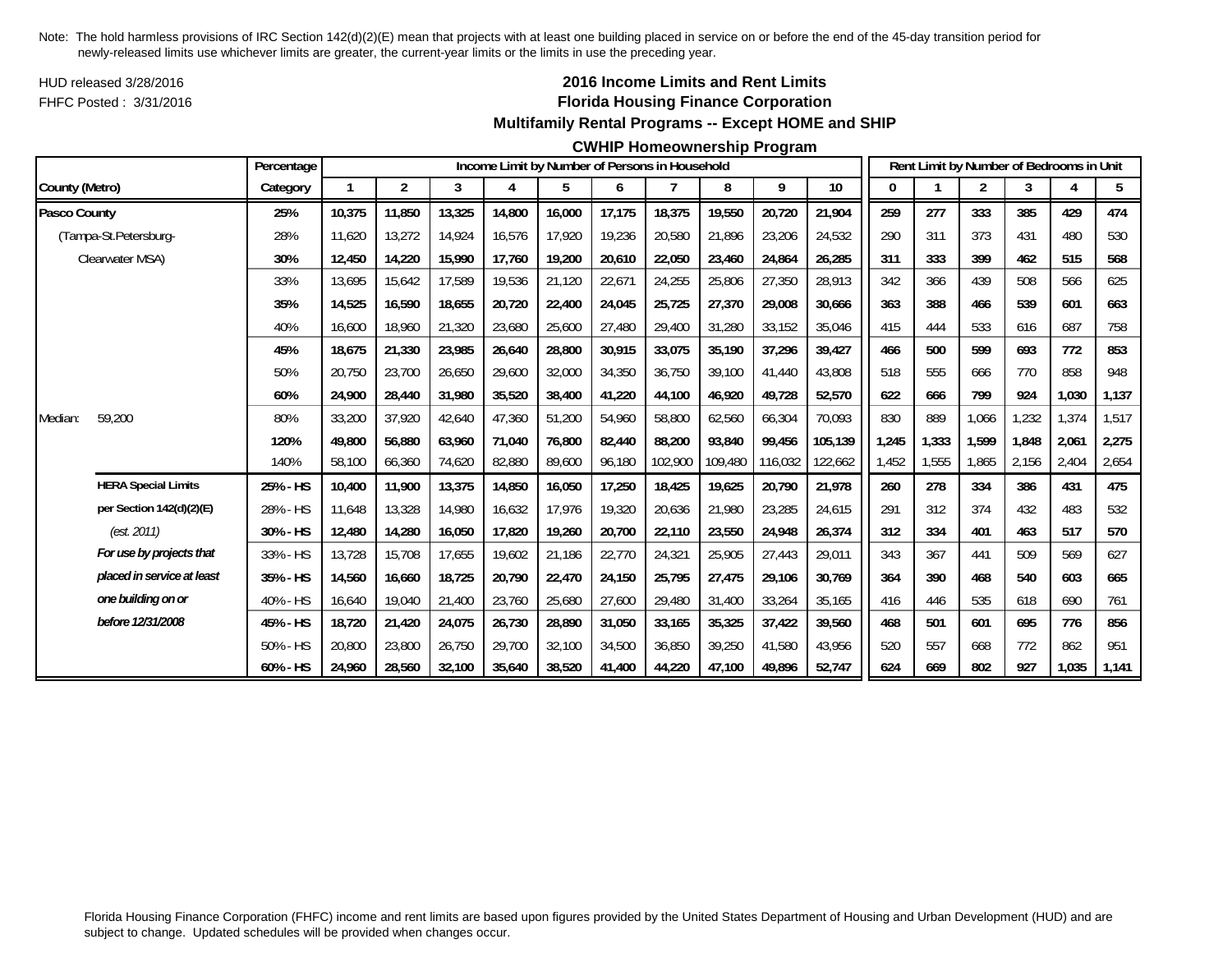HUD released 3/28/2016FHFC Posted : 3/31/2016

## **2016 Income Limits and Rent Limits Florida Housing Finance Corporation Multifamily Rental Programs -- Except HOME and SHIP**

#### **CWHIP Homeownership Program**

|                |                            | Percentage |        |                |        |        |        |        | Income Limit by Number of Persons in Household |         |         |         |       |       | Rent Limit by Number of Bedrooms in Unit |       |       |       |
|----------------|----------------------------|------------|--------|----------------|--------|--------|--------|--------|------------------------------------------------|---------|---------|---------|-------|-------|------------------------------------------|-------|-------|-------|
| County (Metro) |                            | Category   | 1      | $\overline{2}$ | 3      | 4      | 5      | 6      | 7                                              | 8       | 9       | 10      | 0     |       | $\overline{2}$                           | 3     | 4     | 5     |
| Pasco County   |                            | 25%        | 10,375 | 11,850         | 13,325 | 14,800 | 16,000 | 17,175 | 18,375                                         | 19,550  | 20,720  | 21,904  | 259   | 277   | 333                                      | 385   | 429   | 474   |
|                | (Tampa-St.Petersburg-      | 28%        | 11.620 | 13,272         | 14.924 | 16,576 | 17.920 | 19,236 | 20,580                                         | 21.896  | 23,206  | 24,532  | 290   | 311   | 373                                      | 431   | 480   | 530   |
|                | Clearwater MSA)            | 30%        | 12,450 | 14,220         | 15,990 | 17,760 | 19,200 | 20,610 | 22,050                                         | 23,460  | 24,864  | 26,285  | 311   | 333   | 399                                      | 462   | 515   | 568   |
|                |                            | 33%        | 13,695 | 15,642         | 17,589 | 19,536 | 21,120 | 22,671 | 24,255                                         | 25,806  | 27,350  | 28,913  | 342   | 366   | 439                                      | 508   | 566   | 625   |
|                |                            | 35%        | 14,525 | 16,590         | 18,655 | 20,720 | 22,400 | 24,045 | 25,725                                         | 27,370  | 29,008  | 30,666  | 363   | 388   | 466                                      | 539   | 601   | 663   |
|                |                            | 40%        | 16,600 | 18,960         | 21,320 | 23,680 | 25,600 | 27,480 | 29,400                                         | 31,280  | 33,152  | 35,046  | 415   | 444   | 533                                      | 616   | 687   | 758   |
|                |                            | 45%        | 18.675 | 21,330         | 23,985 | 26,640 | 28,800 | 30,915 | 33.075                                         | 35,190  | 37,296  | 39.427  | 466   | 500   | 599                                      | 693   | 772   | 853   |
|                |                            | 50%        | 20,750 | 23,700         | 26,650 | 29,600 | 32,000 | 34,350 | 36,750                                         | 39,100  | 41,440  | 43,808  | 518   | 555   | 666                                      | 770   | 858   | 948   |
|                |                            | 60%        | 24,900 | 28,440         | 31,980 | 35,520 | 38,400 | 41,220 | 44,100                                         | 46,920  | 49,728  | 52,570  | 622   | 666   | 799                                      | 924   | 1,030 | 1,137 |
| Median:        | 59,200                     | 80%        | 33,200 | 37,920         | 42,640 | 47,360 | 51,200 | 54,960 | 58,800                                         | 62,560  | 66,304  | 70,093  | 830   | 889   | 1,066                                    | 1,232 | 1,374 | 1,517 |
|                |                            | 120%       | 49,800 | 56,880         | 63,960 | 71,040 | 76,800 | 82,440 | 88,200                                         | 93,840  | 99,456  | 105,139 | 1,245 | 1,333 | 1,599                                    | 1.848 | 2,061 | 2,275 |
|                |                            | 140%       | 58,100 | 66,360         | 74,620 | 82,880 | 89,600 | 96,180 | 102,900                                        | 109,480 | 116,032 | 122,662 | 1,452 | 1,555 | 1,865                                    | 2,156 | 2,404 | 2,654 |
|                | <b>HERA Special Limits</b> | 25% - HS   | 10,400 | 11,900         | 13,375 | 14,850 | 16,050 | 17,250 | 18,425                                         | 19,625  | 20,790  | 21,978  | 260   | 278   | 334                                      | 386   | 431   | 475   |
|                | per Section 142(d)(2)(E)   | 28% - HS   | 11,648 | 13,328         | 14,980 | 16,632 | 17,976 | 19,320 | 20,636                                         | 21,980  | 23,285  | 24,615  | 291   | 312   | 374                                      | 432   | 483   | 532   |
|                | (est. 2011)                | 30% - HS   | 12,480 | 14,280         | 16,050 | 17,820 | 19,260 | 20,700 | 22,110                                         | 23,550  | 24,948  | 26,374  | 312   | 334   | 401                                      | 463   | 517   | 570   |
|                | For use by projects that   | 33% - HS   | 13,728 | 15,708         | 17,655 | 19,602 | 21,186 | 22,770 | 24,321                                         | 25,905  | 27,443  | 29,011  | 343   | 367   | 441                                      | 509   | 569   | 627   |
|                | placed in service at least | 35% - HS   | 14,560 | 16,660         | 18,725 | 20,790 | 22,470 | 24,150 | 25,795                                         | 27,475  | 29,106  | 30,769  | 364   | 390   | 468                                      | 540   | 603   | 665   |
|                | one building on or         | 40% - HS   | 16,640 | 19,040         | 21,400 | 23,760 | 25,680 | 27,600 | 29,480                                         | 31,400  | 33,264  | 35,165  | 416   | 446   | 535                                      | 618   | 690   | 761   |
|                | before 12/31/2008          | 45% - HS   | 18,720 | 21,420         | 24,075 | 26,730 | 28,890 | 31,050 | 33,165                                         | 35,325  | 37,422  | 39,560  | 468   | 501   | 601                                      | 695   | 776   | 856   |
|                |                            | 50% - HS   | 20,800 | 23,800         | 26,750 | 29,700 | 32,100 | 34,500 | 36.850                                         | 39,250  | 41,580  | 43.956  | 520   | 557   | 668                                      | 772   | 862   | 951   |
|                |                            | 60% - HS   | 24,960 | 28,560         | 32,100 | 35,640 | 38,520 | 41,400 | 44,220                                         | 47,100  | 49,896  | 52,747  | 624   | 669   | 802                                      | 927   | 1,035 | 1,141 |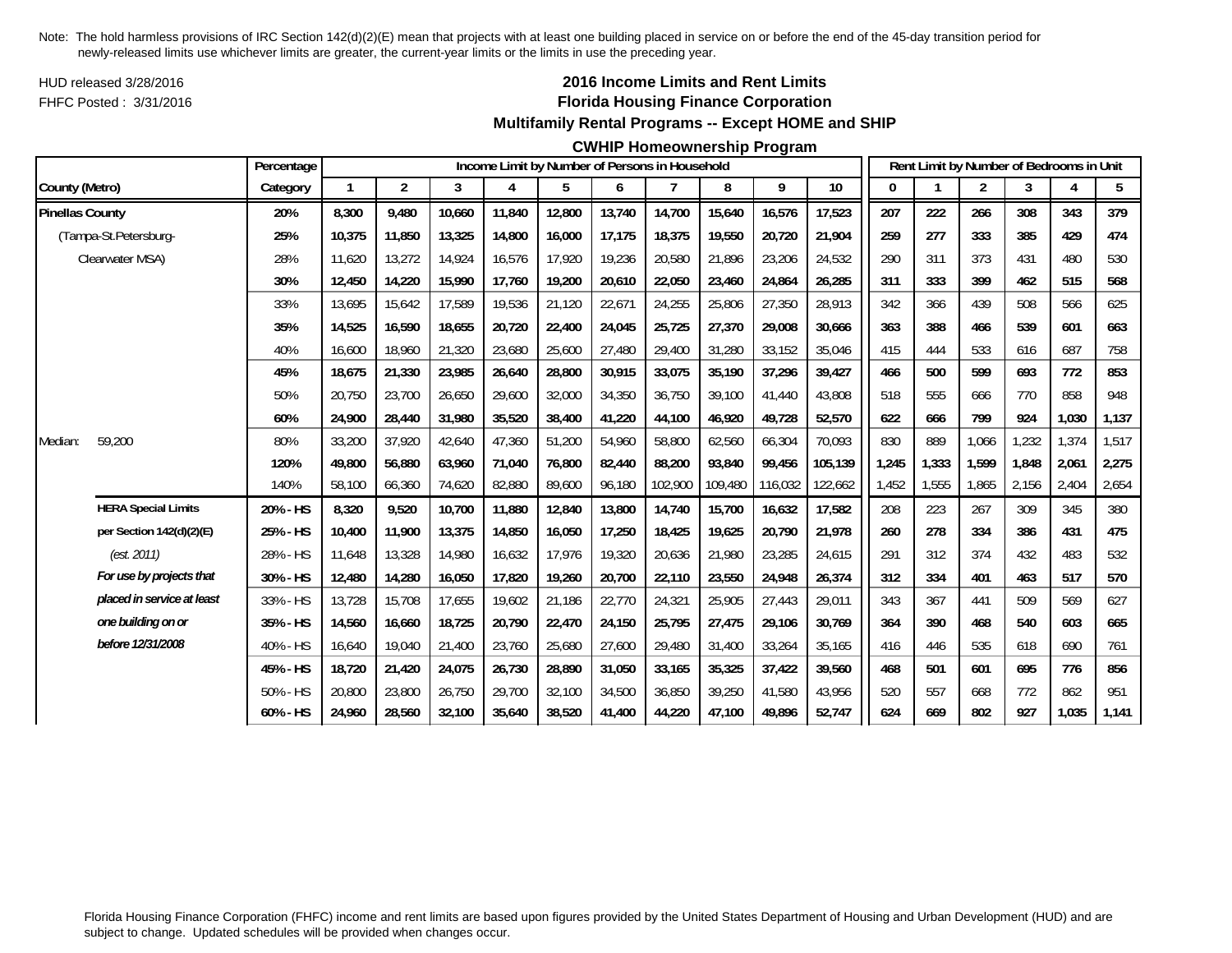HUD released 3/28/2016FHFC Posted : 3/31/2016

## **2016 Income Limits and Rent Limits Florida Housing Finance Corporation Multifamily Rental Programs -- Except HOME and SHIP**

#### **CWHIP Homeownership Program**

|                        |                            | Percentage |              |                |        |        | Income Limit by Number of Persons in Household |        |         |         |         |         |              |       |                |       | Rent Limit by Number of Bedrooms in Unit |       |
|------------------------|----------------------------|------------|--------------|----------------|--------|--------|------------------------------------------------|--------|---------|---------|---------|---------|--------------|-------|----------------|-------|------------------------------------------|-------|
| County (Metro)         |                            | Category   | $\mathbf{1}$ | $\overline{2}$ | 3      | 4      | 5                                              | 6      | 7       | 8       | 9       | 10      | $\mathbf{0}$ |       | $\overline{2}$ | 3     | 4                                        | 5     |
| <b>Pinellas County</b> |                            | 20%        | 8,300        | 9,480          | 10,660 | 11,840 | 12,800                                         | 13,740 | 14,700  | 15,640  | 16,576  | 17,523  | 207          | 222   | 266            | 308   | 343                                      | 379   |
|                        | (Tampa-St.Petersburg-      | 25%        | 10,375       | 11,850         | 13,325 | 14,800 | 16,000                                         | 17,175 | 18,375  | 19,550  | 20,720  | 21,904  | 259          | 277   | 333            | 385   | 429                                      | 474   |
|                        | Clearwater MSA)            | 28%        | 11,620       | 13,272         | 14,924 | 16,576 | 17,920                                         | 19,236 | 20,580  | 21,896  | 23,206  | 24,532  | 290          | 311   | 373            | 431   | 480                                      | 530   |
|                        |                            | 30%        | 12,450       | 14,220         | 15,990 | 17,760 | 19,200                                         | 20,610 | 22,050  | 23,460  | 24,864  | 26,285  | 311          | 333   | 399            | 462   | 515                                      | 568   |
|                        |                            | 33%        | 13,695       | 15,642         | 17,589 | 19,536 | 21,120                                         | 22,671 | 24,255  | 25,806  | 27,350  | 28,913  | 342          | 366   | 439            | 508   | 566                                      | 625   |
|                        |                            | 35%        | 14.525       | 16,590         | 18,655 | 20,720 | 22,400                                         | 24,045 | 25,725  | 27,370  | 29,008  | 30.666  | 363          | 388   | 466            | 539   | 601                                      | 663   |
|                        |                            | 40%        | 16,600       | 18,960         | 21,320 | 23,680 | 25,600                                         | 27,480 | 29,400  | 31,280  | 33,152  | 35,046  | 415          | 444   | 533            | 616   | 687                                      | 758   |
|                        |                            | 45%        | 18,675       | 21,330         | 23,985 | 26,640 | 28,800                                         | 30,915 | 33,075  | 35,190  | 37,296  | 39,427  | 466          | 500   | 599            | 693   | 772                                      | 853   |
|                        |                            | 50%        | 20,750       | 23,700         | 26,650 | 29,600 | 32,000                                         | 34,350 | 36,750  | 39,100  | 41,440  | 43,808  | 518          | 555   | 666            | 770   | 858                                      | 948   |
|                        |                            | 60%        | 24,900       | 28,440         | 31,980 | 35,520 | 38,400                                         | 41,220 | 44,100  | 46,920  | 49,728  | 52,570  | 622          | 666   | 799            | 924   | 1,030                                    | 1,137 |
| Median:                | 59,200                     | 80%        | 33,200       | 37,920         | 42,640 | 47,360 | 51,200                                         | 54,960 | 58,800  | 62,560  | 66,304  | 70,093  | 830          | 889   | 1,066          | 1,232 | 1,374                                    | 1,517 |
|                        |                            | 120%       | 49,800       | 56,880         | 63,960 | 71,040 | 76,800                                         | 82,440 | 88,200  | 93,840  | 99,456  | 105,139 | 1,245        | 1,333 | 1,599          | 1,848 | 2,061                                    | 2,275 |
|                        |                            | 140%       | 58,100       | 66,360         | 74,620 | 82,880 | 89,600                                         | 96,180 | 102,900 | 109,480 | 116,032 | 122,662 | 1,452        | 1,555 | 1,865          | 2,156 | 2,404                                    | 2,654 |
|                        | <b>HERA Special Limits</b> | 20% - HS   | 8,320        | 9,520          | 10,700 | 11,880 | 12,840                                         | 13,800 | 14,740  | 15,700  | 16,632  | 17,582  | 208          | 223   | 267            | 309   | 345                                      | 380   |
|                        | per Section 142(d)(2)(E)   | 25% - HS   | 10,400       | 11,900         | 13,375 | 14,850 | 16,050                                         | 17,250 | 18,425  | 19,625  | 20,790  | 21,978  | 260          | 278   | 334            | 386   | 431                                      | 475   |
|                        | (est. 2011)                | 28% - HS   | 11,648       | 13,328         | 14,980 | 16,632 | 17,976                                         | 19,320 | 20,636  | 21,980  | 23,285  | 24,615  | 291          | 312   | 374            | 432   | 483                                      | 532   |
|                        | For use by projects that   | 30% - HS   | 12,480       | 14,280         | 16,050 | 17,820 | 19,260                                         | 20,700 | 22,110  | 23,550  | 24,948  | 26,374  | 312          | 334   | 401            | 463   | 517                                      | 570   |
|                        | placed in service at least | 33% - HS   | 13,728       | 15,708         | 17,655 | 19,602 | 21,186                                         | 22,770 | 24,321  | 25,905  | 27,443  | 29,011  | 343          | 367   | 441            | 509   | 569                                      | 627   |
|                        | one building on or         | 35% - HS   | 14,560       | 16.660         | 18,725 | 20,790 | 22,470                                         | 24,150 | 25,795  | 27,475  | 29,106  | 30.769  | 364          | 390   | 468            | 540   | 603                                      | 665   |
|                        | before 12/31/2008          | 40% - HS   | 16,640       | 19,040         | 21,400 | 23,760 | 25,680                                         | 27,600 | 29,480  | 31,400  | 33,264  | 35,165  | 416          | 446   | 535            | 618   | 690                                      | 761   |
|                        |                            | 45% - HS   | 18,720       | 21,420         | 24,075 | 26,730 | 28,890                                         | 31,050 | 33,165  | 35,325  | 37,422  | 39,560  | 468          | 501   | 601            | 695   | 776                                      | 856   |
|                        |                            | 50% - HS   | 20,800       | 23,800         | 26,750 | 29,700 | 32,100                                         | 34,500 | 36,850  | 39,250  | 41,580  | 43,956  | 520          | 557   | 668            | 772   | 862                                      | 951   |
|                        |                            | 60% - HS   | 24,960       | 28,560         | 32,100 | 35,640 | 38,520                                         | 41,400 | 44,220  | 47,100  | 49,896  | 52,747  | 624          | 669   | 802            | 927   | 1,035                                    | 1,141 |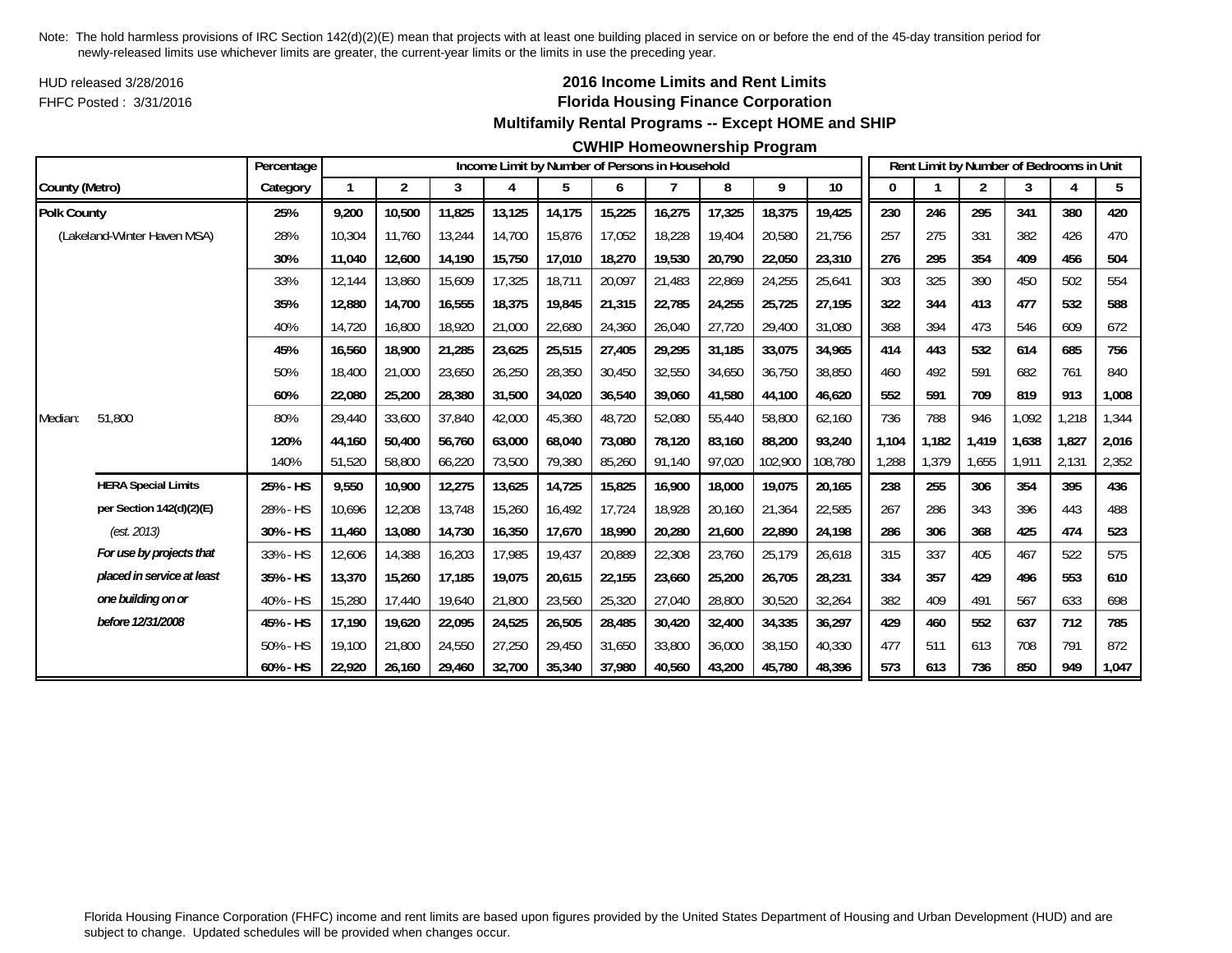HUD released 3/28/2016FHFC Posted : 3/31/2016

## **2016 Income Limits and Rent Limits Florida Housing Finance Corporation Multifamily Rental Programs -- Except HOME and SHIP**

### **CWHIP Homeownership Program**

|                    |                             | Percentage |              |                |        |        |        |        | Income Limit by Number of Persons in Household |        |         |         |       |       | Rent Limit by Number of Bedrooms in Unit |       |       |       |
|--------------------|-----------------------------|------------|--------------|----------------|--------|--------|--------|--------|------------------------------------------------|--------|---------|---------|-------|-------|------------------------------------------|-------|-------|-------|
| County (Metro)     |                             | Category   | $\mathbf{1}$ | $\overline{2}$ | 3      | 4      | 5      | 6      | 7                                              | 8      | 9       | 10      |       |       | 2                                        | 3     | 4     | 5     |
| <b>Polk County</b> |                             | 25%        | 9,200        | 10,500         | 11,825 | 13,125 | 14,175 | 15,225 | 16,275                                         | 17,325 | 18,375  | 19,425  | 230   | 246   | 295                                      | 341   | 380   | 420   |
|                    | (Lakeland-Winter Haven MSA) | 28%        | 10,304       | 11.760         | 13,244 | 14,700 | 15,876 | 17,052 | 18,228                                         | 19.404 | 20,580  | 21.756  | 257   | 275   | 331                                      | 382   | 426   | 470   |
|                    |                             | 30%        | 11,040       | 12,600         | 14,190 | 15,750 | 17,010 | 18,270 | 19,530                                         | 20,790 | 22,050  | 23,310  | 276   | 295   | 354                                      | 409   | 456   | 504   |
|                    |                             | 33%        | 12,144       | 13,860         | 15,609 | 17,325 | 18,711 | 20,097 | 21,483                                         | 22,869 | 24,255  | 25,641  | 303   | 325   | 390                                      | 450   | 502   | 554   |
|                    |                             | 35%        | 12,880       | 14,700         | 16,555 | 18,375 | 19,845 | 21,315 | 22,785                                         | 24,255 | 25,725  | 27,195  | 322   | 344   | 413                                      | 477   | 532   | 588   |
|                    |                             | 40%        | 14,720       | 16,800         | 18,920 | 21,000 | 22,680 | 24,360 | 26,040                                         | 27,720 | 29,400  | 31,080  | 368   | 394   | 473                                      | 546   | 609   | 672   |
|                    |                             | 45%        | 16,560       | 18,900         | 21,285 | 23,625 | 25,515 | 27,405 | 29,295                                         | 31,185 | 33,075  | 34,965  | 414   | 443   | 532                                      | 614   | 685   | 756   |
|                    |                             | 50%        | 18,400       | 21,000         | 23,650 | 26,250 | 28,350 | 30,450 | 32,550                                         | 34,650 | 36,750  | 38,850  | 460   | 492   | 591                                      | 682   | 761   | 840   |
|                    |                             | 60%        | 22,080       | 25,200         | 28,380 | 31,500 | 34,020 | 36,540 | 39,060                                         | 41,580 | 44,100  | 46,620  | 552   | 591   | 709                                      | 819   | 913   | 1,008 |
| Median:            | 51,800                      | 80%        | 29,440       | 33,600         | 37,840 | 42,000 | 45,360 | 48,720 | 52,080                                         | 55,440 | 58,800  | 62,160  | 736   | 788   | 946                                      | 1.092 | ,218  | 1,344 |
|                    |                             | 120%       | 44,160       | 50,400         | 56,760 | 63,000 | 68,040 | 73,080 | 78,120                                         | 83,160 | 88,200  | 93,240  | 1,104 | 1,182 | 1,419                                    | 1,638 | 1,827 | 2,016 |
|                    |                             | 140%       | 51,520       | 58,800         | 66,220 | 73,500 | 79,380 | 85,260 | 91,140                                         | 97,020 | 102,900 | 108,780 | ,288  | 1,379 | 1,655                                    | 1,911 | 2,131 | 2,352 |
|                    | <b>HERA Special Limits</b>  | 25% - HS   | 9,550        | 10,900         | 12,275 | 13,625 | 14,725 | 15,825 | 16,900                                         | 18,000 | 19,075  | 20,165  | 238   | 255   | 306                                      | 354   | 395   | 436   |
|                    | per Section 142(d)(2)(E)    | 28% - HS   | 10.696       | 12,208         | 13,748 | 15,260 | 16,492 | 17,724 | 18.928                                         | 20,160 | 21,364  | 22,585  | 267   | 286   | 343                                      | 396   | 443   | 488   |
|                    | (est. 2013)                 | 30% - HS   | 11,460       | 13,080         | 14,730 | 16,350 | 17,670 | 18,990 | 20,280                                         | 21,600 | 22,890  | 24,198  | 286   | 306   | 368                                      | 425   | 474   | 523   |
|                    | For use by projects that    | 33% - HS   | 12,606       | 14,388         | 16,203 | 17.985 | 19,437 | 20,889 | 22,308                                         | 23,760 | 25,179  | 26,618  | 315   | 337   | 405                                      | 467   | 522   | 575   |
|                    | placed in service at least  | 35% - HS   | 13,370       | 15,260         | 17,185 | 19,075 | 20,615 | 22,155 | 23,660                                         | 25,200 | 26,705  | 28,231  | 334   | 357   | 429                                      | 496   | 553   | 610   |
|                    | one building on or          | 40% - HS   | 15,280       | 17,440         | 19,640 | 21,800 | 23,560 | 25,320 | 27,040                                         | 28,800 | 30,520  | 32,264  | 382   | 409   | 491                                      | 567   | 633   | 698   |
|                    | before 12/31/2008           | 45% - HS   | 17,190       | 19,620         | 22,095 | 24,525 | 26,505 | 28,485 | 30,420                                         | 32,400 | 34,335  | 36,297  | 429   | 460   | 552                                      | 637   | 712   | 785   |
|                    |                             | 50% - HS   | 19,100       | 21,800         | 24,550 | 27,250 | 29,450 | 31,650 | 33,800                                         | 36,000 | 38,150  | 40.330  | 477   | 511   | 613                                      | 708   | 791   | 872   |
|                    |                             | 60% - HS   | 22,920       | 26,160         | 29,460 | 32,700 | 35,340 | 37,980 | 40,560                                         | 43,200 | 45,780  | 48,396  | 573   | 613   | 736                                      | 850   | 949   | 1,047 |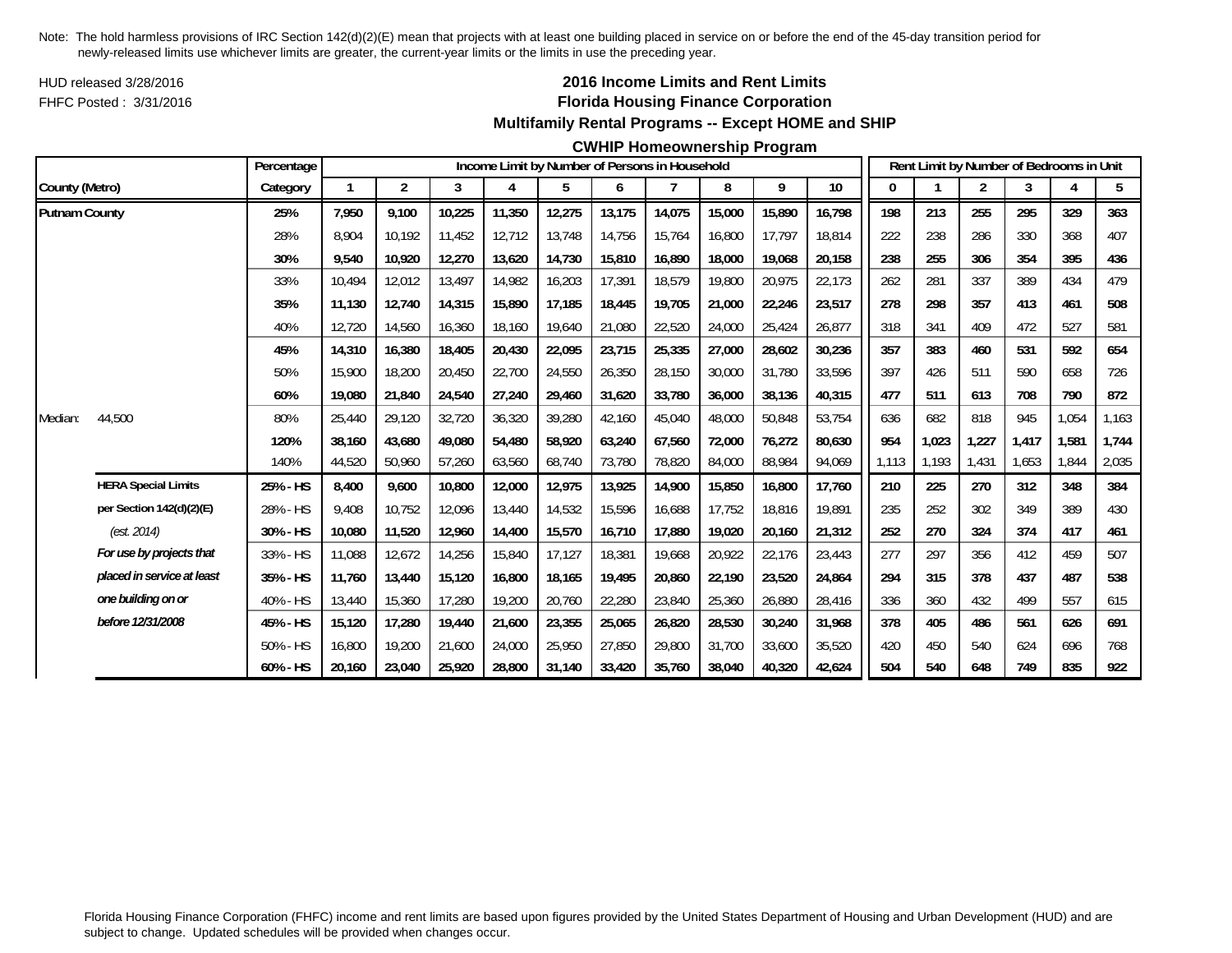HUD released 3/28/2016FHFC Posted : 3/31/2016

## **2016 Income Limits and Rent Limits Florida Housing Finance Corporation Multifamily Rental Programs -- Except HOME and SHIP**

#### **CWHIP Homeownership Program**

|                      |                            | Percentage |        |                |        |        |        |        | Income Limit by Number of Persons in Household |        |        |        |       |       | Rent Limit by Number of Bedrooms in Unit |       |       |       |
|----------------------|----------------------------|------------|--------|----------------|--------|--------|--------|--------|------------------------------------------------|--------|--------|--------|-------|-------|------------------------------------------|-------|-------|-------|
| County (Metro)       |                            | Category   |        | $\overline{2}$ | 3      | 4      | 5      | 6      |                                                | 8      | 9      | $10$   |       |       | 2                                        | 3     |       | 5     |
| <b>Putnam County</b> |                            | 25%        | 7,950  | 9.100          | 10,225 | 11,350 | 12,275 | 13,175 | 14,075                                         | 15,000 | 15,890 | 16,798 | 198   | 213   | 255                                      | 295   | 329   | 363   |
|                      |                            | 28%        | 8.904  | 10.192         | 11,452 | 12,712 | 13,748 | 14,756 | 15.764                                         | 16,800 | 17,797 | 18.814 | 222   | 238   | 286                                      | 330   | 368   | 407   |
|                      |                            | 30%        | 9,540  | 10,920         | 12,270 | 13,620 | 14,730 | 15,810 | 16,890                                         | 18,000 | 19,068 | 20,158 | 238   | 255   | 306                                      | 354   | 395   | 436   |
|                      |                            | 33%        | 10,494 | 12,012         | 13,497 | 14,982 | 16,203 | 17,391 | 18,579                                         | 19,800 | 20,975 | 22,173 | 262   | 281   | 337                                      | 389   | 434   | 479   |
|                      |                            | 35%        | 11,130 | 12.740         | 14,315 | 15,890 | 17,185 | 18,445 | 19.705                                         | 21,000 | 22,246 | 23,517 | 278   | 298   | 357                                      | 413   | 461   | 508   |
|                      |                            | 40%        | 12,720 | 14,560         | 16,360 | 18,160 | 19,640 | 21,080 | 22,520                                         | 24,000 | 25,424 | 26,877 | 318   | 341   | 409                                      | 472   | 527   | 581   |
|                      |                            | 45%        | 14,310 | 16,380         | 18,405 | 20,430 | 22,095 | 23,715 | 25,335                                         | 27,000 | 28,602 | 30,236 | 357   | 383   | 460                                      | 531   | 592   | 654   |
|                      |                            | 50%        | 15,900 | 18,200         | 20,450 | 22,700 | 24,550 | 26,350 | 28,150                                         | 30,000 | 31,780 | 33,596 | 397   | 426   | 511                                      | 590   | 658   | 726   |
|                      |                            | 60%        | 19,080 | 21,840         | 24,540 | 27,240 | 29,460 | 31,620 | 33,780                                         | 36,000 | 38,136 | 40,315 | 477   | 511   | 613                                      | 708   | 790   | 872   |
| Median:              | 44,500                     | 80%        | 25,440 | 29,120         | 32,720 | 36,320 | 39,280 | 42,160 | 45,040                                         | 48,000 | 50,848 | 53,754 | 636   | 682   | 818                                      | 945   | 1,054 | 1,163 |
|                      |                            | 120%       | 38.160 | 43,680         | 49,080 | 54,480 | 58,920 | 63.240 | 67.560                                         | 72,000 | 76,272 | 80,630 | 954   | 1,023 | 1,227                                    | 1.417 | 1,581 | 1,744 |
|                      |                            | 140%       | 44,520 | 50,960         | 57,260 | 63,560 | 68,740 | 73,780 | 78,820                                         | 84,000 | 88,984 | 94,069 | 1,113 | 1,193 | 1,431                                    | 1,653 | 1,844 | 2,035 |
|                      | <b>HERA Special Limits</b> | 25% - HS   | 8,400  | 9,600          | 10,800 | 12,000 | 12,975 | 13,925 | 14,900                                         | 15,850 | 16,800 | 17,760 | 210   | 225   | 270                                      | 312   | 348   | 384   |
|                      | per Section 142(d)(2)(E)   | 28% - HS   | 9.408  | 10.752         | 12,096 | 13,440 | 14,532 | 15,596 | 16.688                                         | 17.752 | 18,816 | 19,891 | 235   | 252   | 302                                      | 349   | 389   | 430   |
|                      | (est. 2014)                | 30% - HS   | 10,080 | 11,520         | 12,960 | 14,400 | 15,570 | 16,710 | 17,880                                         | 19,020 | 20,160 | 21,312 | 252   | 270   | 324                                      | 374   | 417   | 461   |
|                      | For use by projects that   | 33% - HS   | 11,088 | 12,672         | 14,256 | 15,840 | 17,127 | 18,381 | 19.668                                         | 20,922 | 22,176 | 23,443 | 277   | 297   | 356                                      | 412   | 459   | 507   |
|                      | placed in service at least | 35% - HS   | 11,760 | 13,440         | 15,120 | 16,800 | 18,165 | 19,495 | 20,860                                         | 22,190 | 23,520 | 24,864 | 294   | 315   | 378                                      | 437   | 487   | 538   |
|                      | one building on or         | 40% - HS   | 13,440 | 15,360         | 17,280 | 19,200 | 20,760 | 22,280 | 23,840                                         | 25,360 | 26,880 | 28,416 | 336   | 360   | 432                                      | 499   | 557   | 615   |
|                      | before 12/31/2008          | 45% - HS   | 15,120 | 17,280         | 19,440 | 21,600 | 23,355 | 25,065 | 26,820                                         | 28,530 | 30,240 | 31,968 | 378   | 405   | 486                                      | 561   | 626   | 691   |
|                      |                            | 50% - HS   | 16,800 | 19,200         | 21,600 | 24,000 | 25,950 | 27,850 | 29,800                                         | 31,700 | 33,600 | 35,520 | 420   | 450   | 540                                      | 624   | 696   | 768   |
|                      |                            | 60% - HS   | 20,160 | 23,040         | 25,920 | 28,800 | 31,140 | 33,420 | 35.760                                         | 38,040 | 40,320 | 42,624 | 504   | 540   | 648                                      | 749   | 835   | 922   |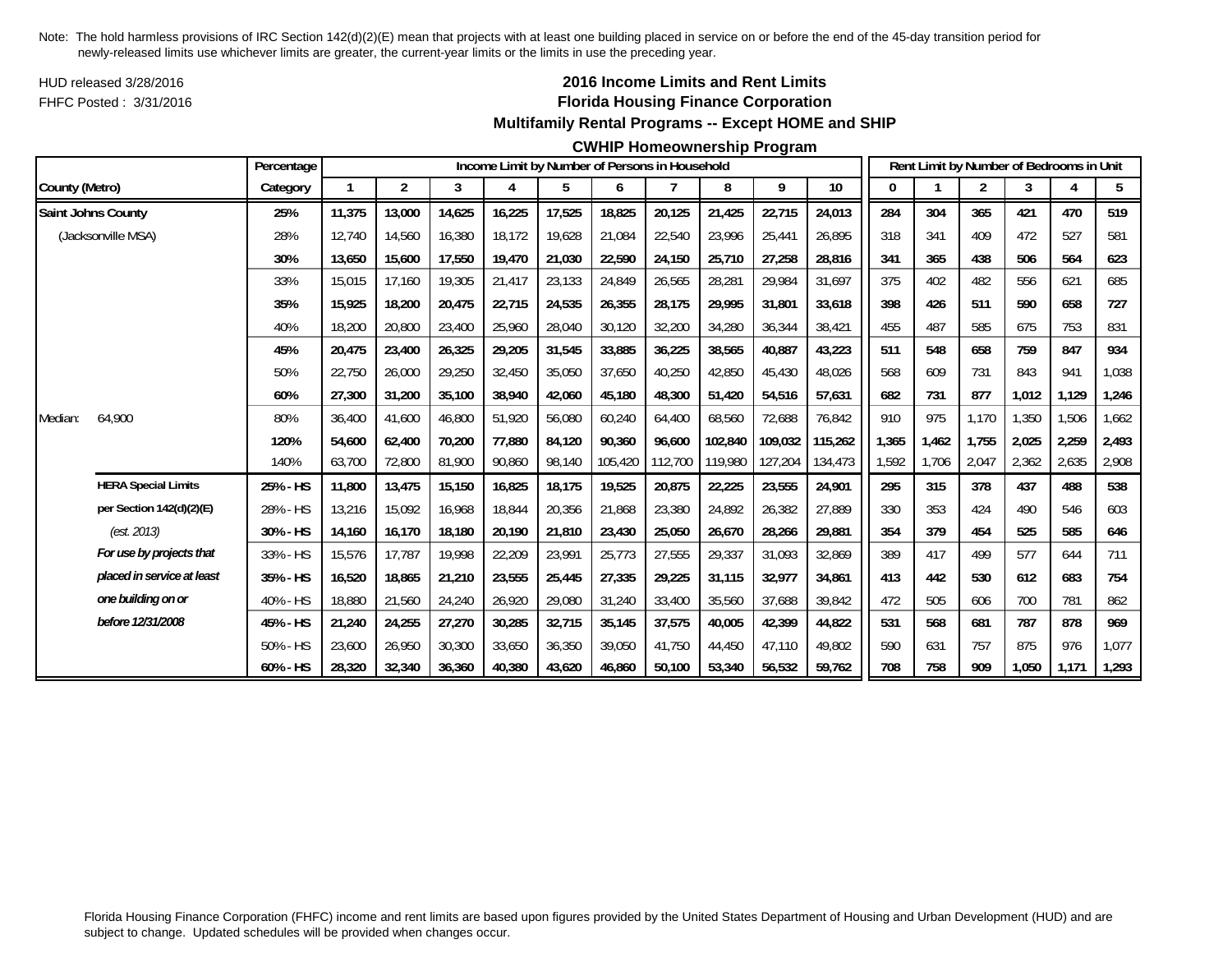HUD released 3/28/2016FHFC Posted : 3/31/2016

### **2016 Income Limits and Rent Limits Florida Housing Finance Corporation Multifamily Rental Programs -- Except HOME and SHIP**

#### **CWHIP Homeownership Program**

|                |                            | Percentage |        |        |        |        |        |         | Income Limit by Number of Persons in Household |         |         |         |       |       |                | Rent Limit by Number of Bedrooms in Unit |       |       |
|----------------|----------------------------|------------|--------|--------|--------|--------|--------|---------|------------------------------------------------|---------|---------|---------|-------|-------|----------------|------------------------------------------|-------|-------|
| County (Metro) |                            | Category   |        | 2      | 3      | 4      | 5      | 6       | $\overline{7}$                                 | 8       | 9       | 10      | 0     |       | $\overline{2}$ | 3                                        |       | 5     |
|                | <b>Saint Johns County</b>  | 25%        | 11,375 | 13,000 | 14,625 | 16,225 | 17,525 | 18,825  | 20,125                                         | 21,425  | 22,715  | 24,013  | 284   | 304   | 365            | 421                                      | 470   | 519   |
|                | (Jacksonville MSA)         | 28%        | 12.740 | 14,560 | 16,380 | 18,172 | 19,628 | 21,084  | 22,540                                         | 23,996  | 25,441  | 26,895  | 318   | 341   | 409            | 472                                      | 527   | 581   |
|                |                            | 30%        | 13,650 | 15,600 | 17,550 | 19,470 | 21,030 | 22,590  | 24,150                                         | 25,710  | 27,258  | 28,816  | 341   | 365   | 438            | 506                                      | 564   | 623   |
|                |                            | 33%        | 15,015 | 17,160 | 19,305 | 21,417 | 23,133 | 24,849  | 26,565                                         | 28,281  | 29,984  | 31,697  | 375   | 402   | 482            | 556                                      | 621   | 685   |
|                |                            | 35%        | 15.925 | 18,200 | 20,475 | 22,715 | 24,535 | 26,355  | 28,175                                         | 29,995  | 31,801  | 33,618  | 398   | 426   | 511            | 590                                      | 658   | 727   |
|                |                            | 40%        | 18,200 | 20,800 | 23,400 | 25,960 | 28,040 | 30,120  | 32,200                                         | 34,280  | 36,344  | 38,421  | 455   | 487   | 585            | 675                                      | 753   | 831   |
|                |                            | 45%        | 20,475 | 23,400 | 26,325 | 29,205 | 31,545 | 33,885  | 36,225                                         | 38,565  | 40,887  | 43,223  | 511   | 548   | 658            | 759                                      | 847   | 934   |
|                |                            | 50%        | 22,750 | 26,000 | 29,250 | 32,450 | 35,050 | 37,650  | 40,250                                         | 42,850  | 45,430  | 48,026  | 568   | 609   | 731            | 843                                      | 941   | 1,038 |
|                |                            | 60%        | 27,300 | 31,200 | 35,100 | 38,940 | 42,060 | 45,180  | 48,300                                         | 51,420  | 54,516  | 57,631  | 682   | 731   | 877            | 1,012                                    | 1,129 | 1,246 |
| Median:        | 64,900                     | 80%        | 36,400 | 41,600 | 46,800 | 51,920 | 56,080 | 60,240  | 64,400                                         | 68,560  | 72,688  | 76,842  | 910   | 975   | 1,170          | 1,350                                    | 1,506 | 1,662 |
|                |                            | 120%       | 54,600 | 62,400 | 70,200 | 77,880 | 84,120 | 90,360  | 96.600                                         | 102,840 | 109,032 | 115,262 | 1,365 | 1,462 | 1,755          | 2,025                                    | 2,259 | 2,493 |
|                |                            | 140%       | 63,700 | 72,800 | 81,900 | 90,860 | 98,140 | 105,420 | 112,700                                        | 119,980 | 127,204 | 134,473 | 1,592 | 1,706 | 2,047          | 2,362                                    | 2,635 | 2,908 |
|                | <b>HERA Special Limits</b> | 25% - HS   | 11,800 | 13,475 | 15,150 | 16,825 | 18,175 | 19,525  | 20,875                                         | 22,225  | 23,555  | 24,901  | 295   | 315   | 378            | 437                                      | 488   | 538   |
|                | per Section 142(d)(2)(E)   | 28% - HS   | 13,216 | 15,092 | 16.968 | 18,844 | 20,356 | 21,868  | 23,380                                         | 24,892  | 26,382  | 27,889  | 330   | 353   | 424            | 490                                      | 546   | 603   |
|                | (est. 2013)                | 30% - HS   | 14,160 | 16,170 | 18,180 | 20,190 | 21,810 | 23,430  | 25,050                                         | 26,670  | 28,266  | 29,881  | 354   | 379   | 454            | 525                                      | 585   | 646   |
|                | For use by projects that   | 33% - HS   | 15,576 | 17,787 | 19,998 | 22,209 | 23,991 | 25,773  | 27,555                                         | 29,337  | 31,093  | 32,869  | 389   | 417   | 499            | 577                                      | 644   | 711   |
|                | placed in service at least | 35% - HS   | 16,520 | 18,865 | 21,210 | 23,555 | 25,445 | 27,335  | 29,225                                         | 31,115  | 32,977  | 34,861  | 413   | 442   | 530            | 612                                      | 683   | 754   |
|                | one building on or         | 40% - HS   | 18,880 | 21,560 | 24,240 | 26,920 | 29,080 | 31,240  | 33,400                                         | 35,560  | 37,688  | 39,842  | 472   | 505   | 606            | 700                                      | 781   | 862   |
|                | before 12/31/2008          | 45% - HS   | 21,240 | 24,255 | 27,270 | 30,285 | 32,715 | 35,145  | 37,575                                         | 40,005  | 42,399  | 44,822  | 531   | 568   | 681            | 787                                      | 878   | 969   |
|                |                            | 50% - HS   | 23,600 | 26,950 | 30,300 | 33,650 | 36,350 | 39,050  | 41,750                                         | 44,450  | 47,110  | 49,802  | 590   | 631   | 757            | 875                                      | 976   | 1,077 |
|                |                            | 60% - HS   | 28,320 | 32,340 | 36,360 | 40,380 | 43,620 | 46,860  | 50.100                                         | 53,340  | 56,532  | 59,762  | 708   | 758   | 909            | 1,050                                    | 1,171 | 1,293 |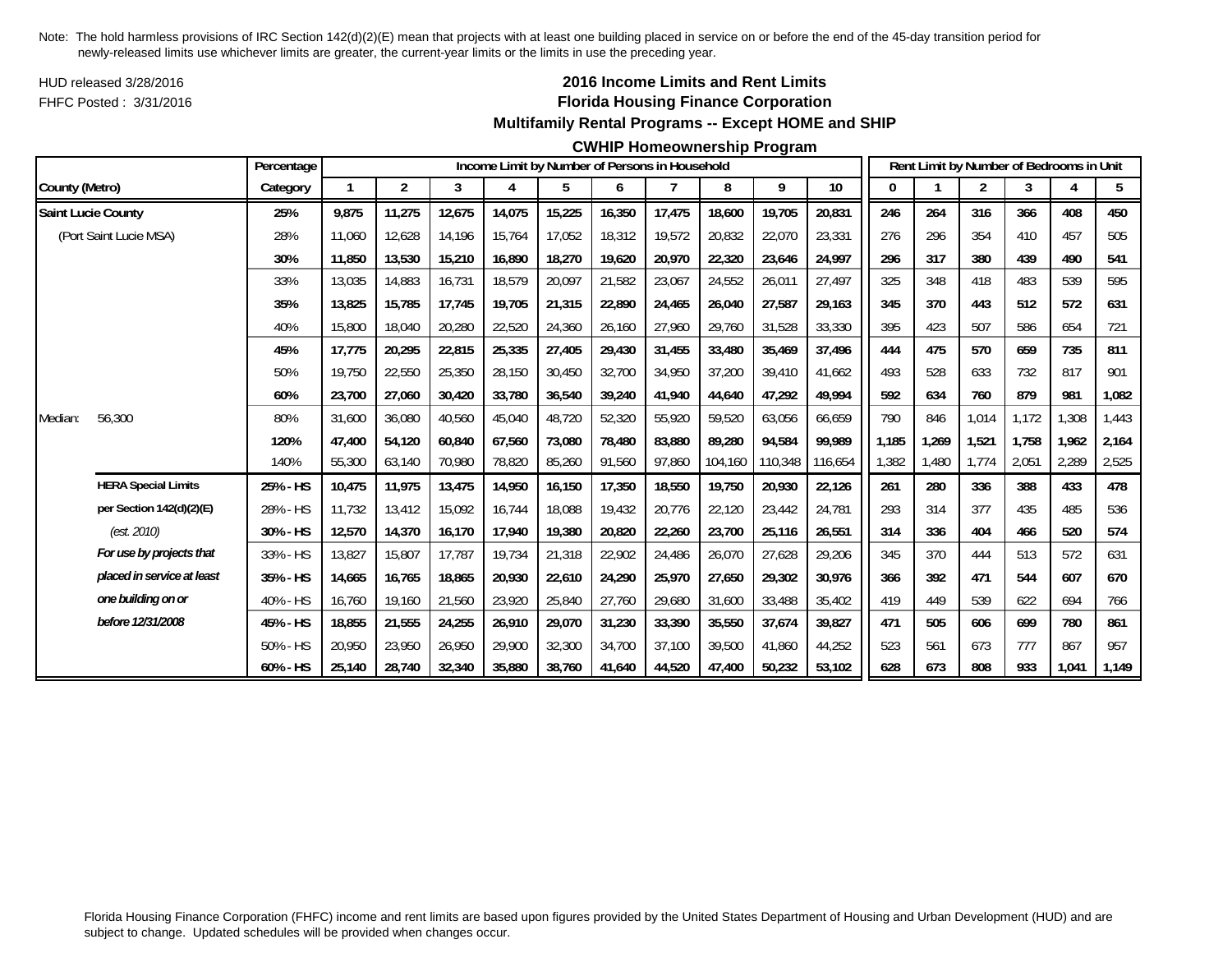HUD released 3/28/2016FHFC Posted : 3/31/2016

## **2016 Income Limits and Rent Limits Florida Housing Finance Corporation Multifamily Rental Programs -- Except HOME and SHIP**

#### **CWHIP Homeownership Program**

|                |                            | Percentage |              |        |        |        |        |        | Income Limit by Number of Persons in Household |         |         |         |       |       |                | Rent Limit by Number of Bedrooms in Unit |       |       |
|----------------|----------------------------|------------|--------------|--------|--------|--------|--------|--------|------------------------------------------------|---------|---------|---------|-------|-------|----------------|------------------------------------------|-------|-------|
| County (Metro) |                            | Category   | $\mathbf{1}$ | 2      | 3      | 4      | 5      | 6      |                                                | 8       | 9       | 10      | 0     |       | $\overline{2}$ | 3                                        |       | 5     |
|                | Saint Lucie County         | 25%        | 9,875        | 11,275 | 12,675 | 14,075 | 15,225 | 16,350 | 17,475                                         | 18,600  | 19,705  | 20,831  | 246   | 264   | 316            | 366                                      | 408   | 450   |
|                | (Port Saint Lucie MSA)     | 28%        | 11,060       | 12,628 | 14.196 | 15,764 | 17,052 | 18,312 | 19,572                                         | 20,832  | 22,070  | 23,331  | 276   | 296   | 354            | 410                                      | 457   | 505   |
|                |                            | 30%        | 11,850       | 13,530 | 15,210 | 16,890 | 18,270 | 19,620 | 20,970                                         | 22,320  | 23,646  | 24,997  | 296   | 317   | 380            | 439                                      | 490   | 541   |
|                |                            | 33%        | 13,035       | 14,883 | 16,731 | 18,579 | 20,097 | 21,582 | 23,067                                         | 24,552  | 26,011  | 27,497  | 325   | 348   | 418            | 483                                      | 539   | 595   |
|                |                            | 35%        | 13,825       | 15,785 | 17,745 | 19,705 | 21,315 | 22,890 | 24,465                                         | 26,040  | 27,587  | 29,163  | 345   | 370   | 443            | 512                                      | 572   | 631   |
|                |                            | 40%        | 15,800       | 18,040 | 20,280 | 22,520 | 24,360 | 26,160 | 27,960                                         | 29,760  | 31,528  | 33,330  | 395   | 423   | 507            | 586                                      | 654   | 721   |
|                |                            | 45%        | 17,775       | 20,295 | 22,815 | 25,335 | 27,405 | 29,430 | 31,455                                         | 33,480  | 35,469  | 37,496  | 444   | 475   | 570            | 659                                      | 735   | 811   |
|                |                            | 50%        | 19,750       | 22,550 | 25,350 | 28,150 | 30,450 | 32,700 | 34,950                                         | 37,200  | 39,410  | 41,662  | 493   | 528   | 633            | 732                                      | 817   | 901   |
|                |                            | 60%        | 23,700       | 27,060 | 30,420 | 33,780 | 36,540 | 39,240 | 41,940                                         | 44,640  | 47,292  | 49,994  | 592   | 634   | 760            | 879                                      | 981   | 1,082 |
| Median:        | 56,300                     | 80%        | 31,600       | 36,080 | 40,560 | 45,040 | 48,720 | 52,320 | 55.920                                         | 59.520  | 63,056  | 66.659  | 790   | 846   | 1,014          | 1.172                                    | 1,308 | 1,443 |
|                |                            | 120%       | 47,400       | 54,120 | 60,840 | 67,560 | 73,080 | 78,480 | 83.880                                         | 89,280  | 94,584  | 99.989  | 1,185 | 1,269 | 1,521          | 1.758                                    | 1,962 | 2,164 |
|                |                            | 140%       | 55,300       | 63,140 | 70,980 | 78,820 | 85,260 | 91,560 | 97,860                                         | 104,160 | 110,348 | 116,654 | 1,382 | 1,480 | 1,774          | 2,051                                    | 2,289 | 2,525 |
|                | <b>HERA Special Limits</b> | 25% - HS   | 10,475       | 11,975 | 13,475 | 14,950 | 16,150 | 17,350 | 18,550                                         | 19,750  | 20,930  | 22,126  | 261   | 280   | 336            | 388                                      | 433   | 478   |
|                | per Section 142(d)(2)(E)   | 28% - HS   | 11.732       | 13,412 | 15,092 | 16,744 | 18,088 | 19,432 | 20,776                                         | 22,120  | 23,442  | 24,781  | 293   | 314   | 377            | 435                                      | 485   | 536   |
|                | (est. 2010)                | 30% - HS   | 12,570       | 14,370 | 16,170 | 17,940 | 19,380 | 20,820 | 22,260                                         | 23,700  | 25,116  | 26,551  | 314   | 336   | 404            | 466                                      | 520   | 574   |
|                | For use by projects that   | 33% - HS   | 13,827       | 15,807 | 17.787 | 19.734 | 21,318 | 22,902 | 24,486                                         | 26,070  | 27,628  | 29,206  | 345   | 370   | 444            | 513                                      | 572   | 631   |
|                | placed in service at least | 35% - HS   | 14,665       | 16,765 | 18,865 | 20,930 | 22,610 | 24,290 | 25,970                                         | 27,650  | 29,302  | 30,976  | 366   | 392   | 471            | 544                                      | 607   | 670   |
|                | one building on or         | 40% - HS   | 16,760       | 19,160 | 21,560 | 23,920 | 25,840 | 27,760 | 29,680                                         | 31,600  | 33,488  | 35,402  | 419   | 449   | 539            | 622                                      | 694   | 766   |
|                | before 12/31/2008          | 45% - HS   | 18,855       | 21,555 | 24,255 | 26,910 | 29,070 | 31,230 | 33,390                                         | 35,550  | 37,674  | 39,827  | 471   | 505   | 606            | 699                                      | 780   | 861   |
|                |                            | 50% - HS   | 20,950       | 23,950 | 26.950 | 29,900 | 32,300 | 34,700 | 37.100                                         | 39,500  | 41,860  | 44,252  | 523   | 561   | 673            | 777                                      | 867   | 957   |
|                |                            | 60% - HS   | 25,140       | 28,740 | 32,340 | 35,880 | 38,760 | 41,640 | 44,520                                         | 47,400  | 50,232  | 53,102  | 628   | 673   | 808            | 933                                      | 1,041 | 1,149 |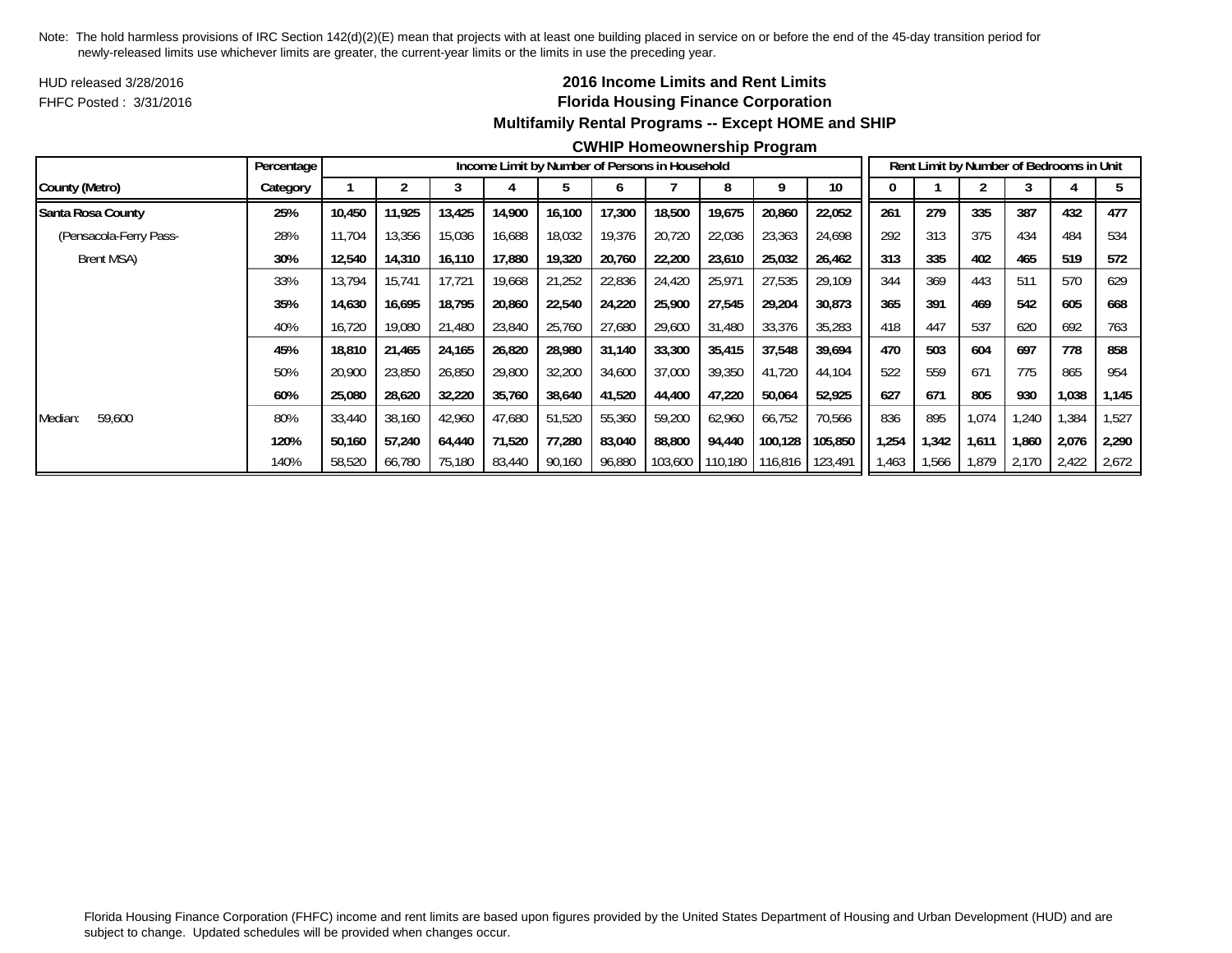HUD released 3/28/2016FHFC Posted : 3/31/2016

## **2016 Income Limits and Rent Limits Florida Housing Finance Corporation Multifamily Rental Programs -- Except HOME and SHIP**

#### **CWHIP Homeownership Program**

|                        | Percentage |        |        |        |        |        |        | Income Limit by Number of Persons in Household |                 |         |                 |       |       |       | Rent Limit by Number of Bedrooms in Unit |       |       |
|------------------------|------------|--------|--------|--------|--------|--------|--------|------------------------------------------------|-----------------|---------|-----------------|-------|-------|-------|------------------------------------------|-------|-------|
| County (Metro)         | Category   |        |        |        |        |        |        |                                                |                 |         | 10 <sup>°</sup> |       |       |       |                                          |       |       |
| Santa Rosa County      | 25%        | 10,450 | 11,925 | 13,425 | 14,900 | 16,100 | 17,300 | 18,500                                         | 19,675          | 20,860  | 22,052          | 261   | 279   | 335   | 387                                      | 432   | 477   |
| (Pensacola-Ferry Pass- | 28%        | 11,704 | 13,356 | 15,036 | 16,688 | 18,032 | 19,376 | 20,720                                         | 22,036          | 23,363  | 24,698          | 292   | 313   | 375   | 434                                      | 484   | 534   |
| Brent MSA)             | 30%        | 12,540 | 14,310 | 16,110 | 17,880 | 19,320 | 20,760 | 22,200                                         | 23,610          | 25,032  | 26,462          | 313   | 335   | 402   | 465                                      | 519   | 572   |
|                        | 33%        | 13,794 | 15,741 | 17,721 | 19,668 | 21,252 | 22,836 | 24,420                                         | 25,971          | 27,535  | 29,109          | 344   | 369   | 443   | 511                                      | 570   | 629   |
|                        | 35%        | 14,630 | 16.695 | 18,795 | 20,860 | 22,540 | 24,220 | 25,900                                         | 27,545          | 29,204  | 30,873          | 365   | 391   | 469   | 542                                      | 605   | 668   |
|                        | 40%        | 16,720 | 19,080 | 21,480 | 23,840 | 25,760 | 27,680 | 29,600                                         | 31,480          | 33,376  | 35,283          | 418   | 447   | 537   | 620                                      | 692   | 763   |
|                        | 45%        | 18,810 | 21,465 | 24,165 | 26,820 | 28,980 | 31,140 | 33,300                                         | 35,415          | 37,548  | 39,694          | 470   | 503   | 604   | 697                                      | 778   | 858   |
|                        | 50%        | 20,900 | 23,850 | 26,850 | 29,800 | 32,200 | 34,600 | 37,000                                         | 39,350          | 41,720  | 44,104          | 522   | 559   | 671   | 775                                      | 865   | 954   |
|                        | 60%        | 25,080 | 28,620 | 32,220 | 35,760 | 38,640 | 41,520 | 44,400                                         | 47,220          | 50,064  | 52,925          | 627   | 671   | 805   | 930                                      | 1,038 | 1,145 |
| 59,600<br>Median:      | 80%        | 33,440 | 38,160 | 42,960 | 47,680 | 51,520 | 55,360 | 59,200                                         | 62,960          | 66,752  | 70,566          | 836   | 895   | 1,074 | 1,240                                    | 1,384 | 1,527 |
|                        | 120%       | 50,160 | 57,240 | 64,440 | 71,520 | 77,280 | 83,040 | 88,800                                         | 94,440          | 100,128 | 105,850         | ,254  | 1,342 | 1,611 | 1,860                                    | 2,076 | 2,290 |
|                        | 140%       | 58,520 | 66,780 | 75,180 | 83,440 | 90,160 | 96,880 |                                                | 103,600 110,180 | 116,816 | 123,491         | 1,463 | 1,566 | 1,879 | 2,170                                    | 2,422 | 2,672 |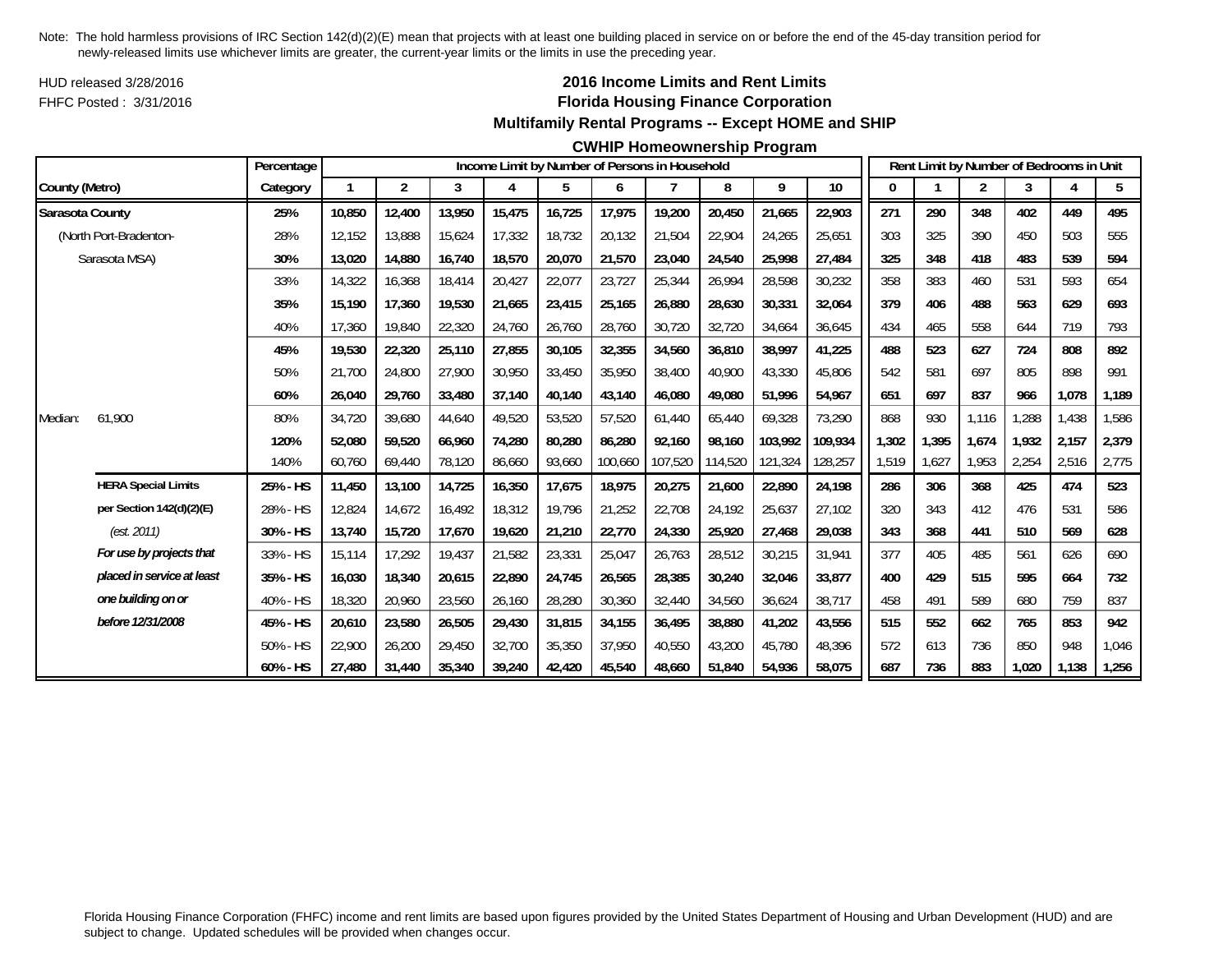HUD released 3/28/2016FHFC Posted : 3/31/2016

## **2016 Income Limits and Rent Limits Florida Housing Finance Corporation Multifamily Rental Programs -- Except HOME and SHIP**

#### **CWHIP Homeownership Program**

|                 |                            | Percentage |              |                |        | Income Limit by Number of Persons in Household |        |         |                |         |         |         |       |       |                | Rent Limit by Number of Bedrooms in Unit |       |       |
|-----------------|----------------------------|------------|--------------|----------------|--------|------------------------------------------------|--------|---------|----------------|---------|---------|---------|-------|-------|----------------|------------------------------------------|-------|-------|
| County (Metro)  |                            | Category   | $\mathbf{1}$ | $\overline{2}$ | 3      | 4                                              | 5      | 6       | $\overline{7}$ | 8       | 9       | $10$    | 0     |       | $\overline{2}$ | 3                                        |       | 5     |
| Sarasota County |                            | 25%        | 10,850       | 12,400         | 13,950 | 15,475                                         | 16,725 | 17,975  | 19,200         | 20,450  | 21,665  | 22,903  | 271   | 290   | 348            | 402                                      | 449   | 495   |
|                 | (North Port-Bradenton-     | 28%        | 12,152       | 13,888         | 15,624 | 17,332                                         | 18,732 | 20,132  | 21,504         | 22,904  | 24,265  | 25,651  | 303   | 325   | 390            | 450                                      | 503   | 555   |
|                 | Sarasota MSA)              | 30%        | 13,020       | 14,880         | 16,740 | 18,570                                         | 20,070 | 21,570  | 23,040         | 24,540  | 25,998  | 27,484  | 325   | 348   | 418            | 483                                      | 539   | 594   |
|                 |                            | 33%        | 14,322       | 16,368         | 18,414 | 20,427                                         | 22,077 | 23,727  | 25,344         | 26,994  | 28,598  | 30,232  | 358   | 383   | 460            | 531                                      | 593   | 654   |
|                 |                            | 35%        | 15,190       | 17,360         | 19.530 | 21,665                                         | 23,415 | 25,165  | 26.880         | 28,630  | 30,331  | 32,064  | 379   | 406   | 488            | 563                                      | 629   | 693   |
|                 |                            | 40%        | 17,360       | 19,840         | 22,320 | 24,760                                         | 26,760 | 28,760  | 30,720         | 32,720  | 34,664  | 36,645  | 434   | 465   | 558            | 644                                      | 719   | 793   |
|                 |                            | 45%        | 19,530       | 22,320         | 25,110 | 27,855                                         | 30,105 | 32,355  | 34,560         | 36,810  | 38,997  | 41,225  | 488   | 523   | 627            | 724                                      | 808   | 892   |
|                 |                            | 50%        | 21,700       | 24,800         | 27,900 | 30,950                                         | 33,450 | 35,950  | 38,400         | 40,900  | 43,330  | 45,806  | 542   | 581   | 697            | 805                                      | 898   | 991   |
|                 |                            | 60%        | 26,040       | 29,760         | 33,480 | 37,140                                         | 40,140 | 43,140  | 46,080         | 49,080  | 51,996  | 54,967  | 651   | 697   | 837            | 966                                      | 1,078 | 1,189 |
| Median:         | 61,900                     | 80%        | 34,720       | 39,680         | 44,640 | 49,520                                         | 53,520 | 57,520  | 61,440         | 65,440  | 69,328  | 73,290  | 868   | 930   | 1,116          | ,288                                     | 1,438 | 1,586 |
|                 |                            | 120%       | 52,080       | 59,520         | 66.960 | 74,280                                         | 80,280 | 86.280  | 92.160         | 98.160  | 103.992 | 109,934 | 1,302 | 1,395 | 1,674          | 1.932                                    | 2,157 | 2,379 |
|                 |                            | 140%       | 60,760       | 69,440         | 78,120 | 86,660                                         | 93,660 | 100,660 | 107,520        | 114,520 | 121,324 | 128,257 | 1,519 | 1,627 | 1,953          | 2,254                                    | 2,516 | 2,775 |
|                 | <b>HERA Special Limits</b> | 25% - HS   | 11,450       | 13,100         | 14,725 | 16,350                                         | 17,675 | 18,975  | 20,275         | 21,600  | 22,890  | 24,198  | 286   | 306   | 368            | 425                                      | 474   | 523   |
|                 | per Section 142(d)(2)(E)   | 28% - HS   | 12,824       | 14,672         | 16,492 | 18,312                                         | 19,796 | 21,252  | 22,708         | 24,192  | 25,637  | 27,102  | 320   | 343   | 412            | 476                                      | 531   | 586   |
|                 | (est. 2011)                | 30% - HS   | 13,740       | 15,720         | 17,670 | 19,620                                         | 21,210 | 22,770  | 24,330         | 25,920  | 27,468  | 29,038  | 343   | 368   | 441            | 510                                      | 569   | 628   |
|                 | For use by projects that   | 33% - HS   | 15,114       | 17,292         | 19,437 | 21,582                                         | 23,331 | 25,047  | 26,763         | 28,512  | 30,215  | 31,941  | 377   | 405   | 485            | 561                                      | 626   | 690   |
|                 | placed in service at least | 35% - HS   | 16,030       | 18,340         | 20,615 | 22,890                                         | 24,745 | 26,565  | 28,385         | 30,240  | 32,046  | 33,877  | 400   | 429   | 515            | 595                                      | 664   | 732   |
|                 | one building on or         | 40% - HS   | 18,320       | 20,960         | 23,560 | 26,160                                         | 28,280 | 30,360  | 32,440         | 34,560  | 36,624  | 38,717  | 458   | 491   | 589            | 680                                      | 759   | 837   |
|                 | before 12/31/2008          | 45% - HS   | 20,610       | 23,580         | 26,505 | 29,430                                         | 31,815 | 34,155  | 36,495         | 38,880  | 41,202  | 43,556  | 515   | 552   | 662            | 765                                      | 853   | 942   |
|                 |                            | 50% - HS   | 22,900       | 26,200         | 29,450 | 32,700                                         | 35,350 | 37,950  | 40,550         | 43,200  | 45,780  | 48,396  | 572   | 613   | 736            | 850                                      | 948   | 1,046 |
|                 |                            | 60% - HS   | 27,480       | 31,440         | 35,340 | 39,240                                         | 42,420 | 45,540  | 48.660         | 51,840  | 54,936  | 58,075  | 687   | 736   | 883            | 1.020                                    | 1,138 | 1,256 |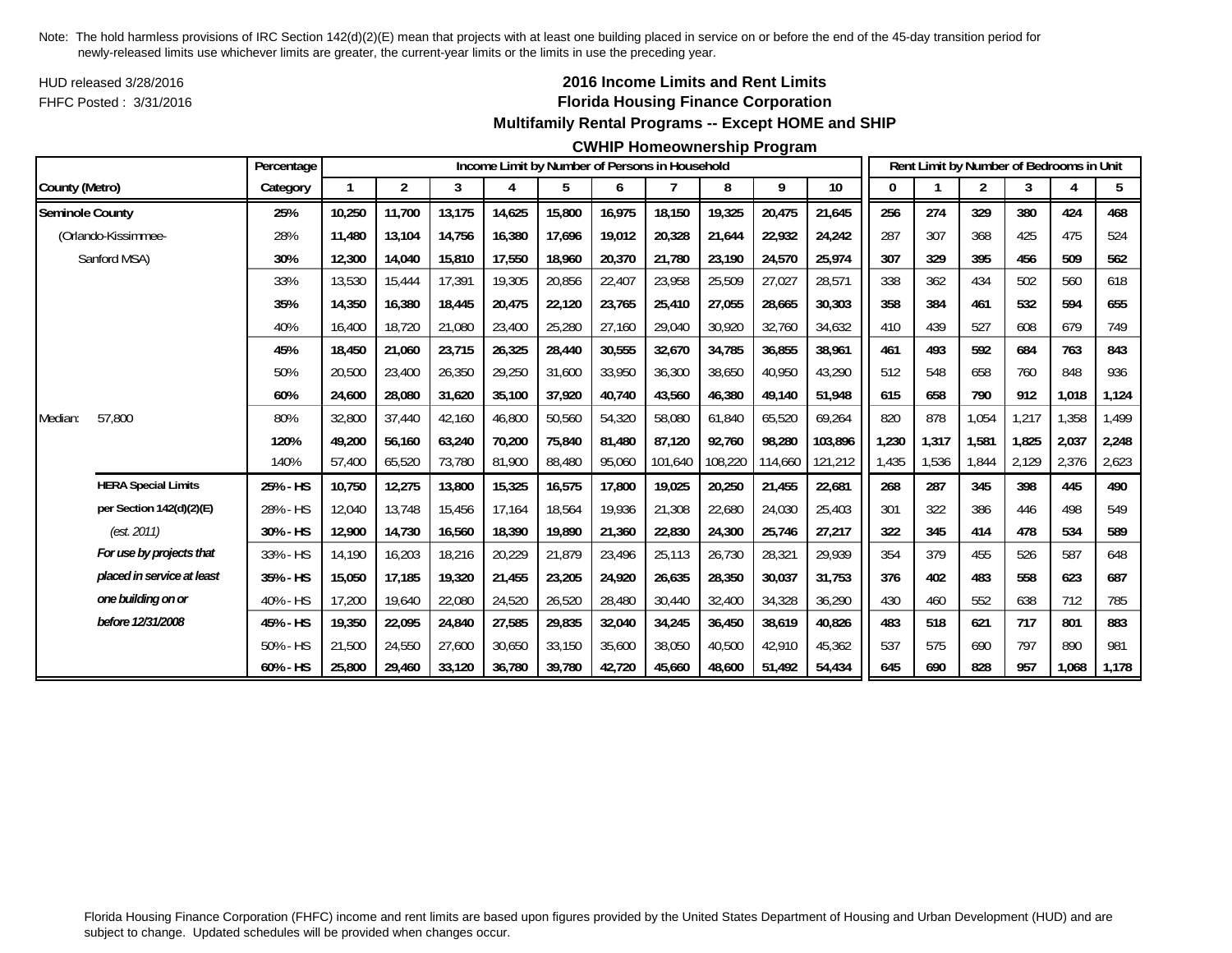HUD released 3/28/2016FHFC Posted : 3/31/2016

### **2016 Income Limits and Rent Limits Florida Housing Finance Corporation Multifamily Rental Programs -- Except HOME and SHIP**

#### **CWHIP Homeownership Program**

|                        |                            | Percentage |              |        |        |        |        |        | Income Limit by Number of Persons in Household |         |         |         |       |       |                |       | Rent Limit by Number of Bedrooms in Unit |       |
|------------------------|----------------------------|------------|--------------|--------|--------|--------|--------|--------|------------------------------------------------|---------|---------|---------|-------|-------|----------------|-------|------------------------------------------|-------|
| County (Metro)         |                            | Category   | $\mathbf{1}$ | 2      | 3      | 4      | 5      | 6      |                                                | 8       | 9       | 10      | 0     |       | $\overline{2}$ | 3     |                                          | 5     |
| <b>Seminole County</b> |                            | 25%        | 10,250       | 11,700 | 13,175 | 14,625 | 15,800 | 16,975 | 18,150                                         | 19,325  | 20,475  | 21,645  | 256   | 274   | 329            | 380   | 424                                      | 468   |
|                        | (Orlando-Kissimmee-        | 28%        | 11,480       | 13,104 | 14,756 | 16,380 | 17,696 | 19,012 | 20,328                                         | 21,644  | 22,932  | 24,242  | 287   | 307   | 368            | 425   | 475                                      | 524   |
|                        | Sanford MSA)               | 30%        | 12,300       | 14,040 | 15,810 | 17,550 | 18,960 | 20,370 | 21,780                                         | 23,190  | 24,570  | 25,974  | 307   | 329   | 395            | 456   | 509                                      | 562   |
|                        |                            | 33%        | 13,530       | 15,444 | 17,391 | 19,305 | 20,856 | 22,407 | 23,958                                         | 25,509  | 27,027  | 28,571  | 338   | 362   | 434            | 502   | 560                                      | 618   |
|                        |                            | 35%        | 14,350       | 16,380 | 18,445 | 20,475 | 22,120 | 23,765 | 25,410                                         | 27.055  | 28,665  | 30,303  | 358   | 384   | 461            | 532   | 594                                      | 655   |
|                        |                            | 40%        | 16,400       | 18,720 | 21,080 | 23,400 | 25,280 | 27,160 | 29,040                                         | 30,920  | 32,760  | 34,632  | 410   | 439   | 527            | 608   | 679                                      | 749   |
|                        |                            | 45%        | 18,450       | 21,060 | 23,715 | 26,325 | 28,440 | 30,555 | 32,670                                         | 34,785  | 36,855  | 38,961  | 461   | 493   | 592            | 684   | 763                                      | 843   |
|                        |                            | 50%        | 20,500       | 23,400 | 26,350 | 29,250 | 31,600 | 33,950 | 36,300                                         | 38,650  | 40,950  | 43,290  | 512   | 548   | 658            | 760   | 848                                      | 936   |
|                        |                            | 60%        | 24,600       | 28,080 | 31,620 | 35,100 | 37,920 | 40,740 | 43,560                                         | 46,380  | 49,140  | 51,948  | 615   | 658   | 790            | 912   | 1,018                                    | 1,124 |
| Median:                | 57,800                     | 80%        | 32,800       | 37,440 | 42,160 | 46,800 | 50,560 | 54,320 | 58,080                                         | 61,840  | 65,520  | 69,264  | 820   | 878   | 1,054          | 1,217 | 1,358                                    | 1,499 |
|                        |                            | 120%       | 49,200       | 56,160 | 63,240 | 70,200 | 75,840 | 81.480 | 87.120                                         | 92,760  | 98,280  | 103,896 | 1,230 | 1,317 | 1,581          | 1,825 | 2,037                                    | 2,248 |
|                        |                            | 140%       | 57,400       | 65,520 | 73,780 | 81,900 | 88,480 | 95,060 | 101,640                                        | 108,220 | 114,660 | 121,212 | 1,435 | 1,536 | 1,844          | 2,129 | 2,376                                    | 2,623 |
|                        | <b>HERA Special Limits</b> | 25% - HS   | 10,750       | 12,275 | 13,800 | 15,325 | 16,575 | 17,800 | 19,025                                         | 20,250  | 21,455  | 22,681  | 268   | 287   | 345            | 398   | 445                                      | 490   |
|                        | per Section 142(d)(2)(E)   | 28% - HS   | 12,040       | 13.748 | 15.456 | 17,164 | 18,564 | 19,936 | 21,308                                         | 22,680  | 24,030  | 25.403  | 301   | 322   | 386            | 446   | 498                                      | 549   |
|                        | (est. 2011)                | 30% - HS   | 12,900       | 14,730 | 16,560 | 18,390 | 19,890 | 21,360 | 22,830                                         | 24,300  | 25,746  | 27,217  | 322   | 345   | 414            | 478   | 534                                      | 589   |
|                        | For use by projects that   | 33% - HS   | 14,190       | 16,203 | 18,216 | 20,229 | 21,879 | 23,496 | 25,113                                         | 26,730  | 28,321  | 29,939  | 354   | 379   | 455            | 526   | 587                                      | 648   |
|                        | placed in service at least | 35% - HS   | 15,050       | 17,185 | 19,320 | 21,455 | 23,205 | 24,920 | 26,635                                         | 28,350  | 30,037  | 31,753  | 376   | 402   | 483            | 558   | 623                                      | 687   |
|                        | one building on or         | 40% - HS   | 17,200       | 19,640 | 22,080 | 24,520 | 26,520 | 28,480 | 30,440                                         | 32,400  | 34,328  | 36,290  | 430   | 460   | 552            | 638   | 712                                      | 785   |
|                        | before 12/31/2008          | 45% - HS   | 19,350       | 22,095 | 24,840 | 27,585 | 29,835 | 32,040 | 34,245                                         | 36,450  | 38,619  | 40,826  | 483   | 518   | 621            | 717   | 801                                      | 883   |
|                        |                            | 50% - HS   | 21,500       | 24,550 | 27,600 | 30,650 | 33,150 | 35,600 | 38,050                                         | 40,500  | 42,910  | 45,362  | 537   | 575   | 690            | 797   | 890                                      | 981   |
|                        |                            | 60% - HS   | 25,800       | 29,460 | 33,120 | 36,780 | 39,780 | 42,720 | 45.660                                         | 48,600  | 51,492  | 54,434  | 645   | 690   | 828            | 957   | 1.068                                    | 1,178 |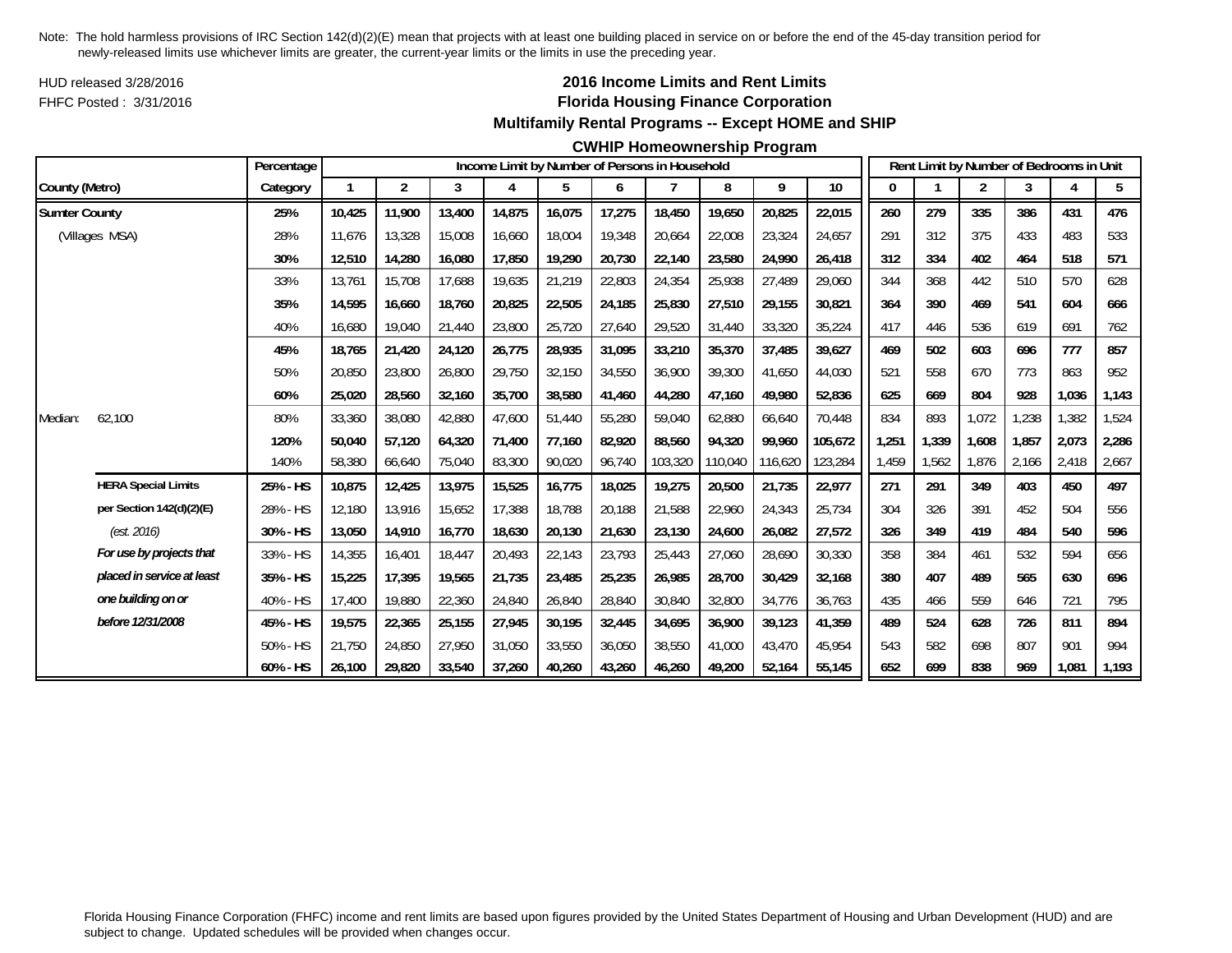HUD released 3/28/2016FHFC Posted : 3/31/2016

## **2016 Income Limits and Rent Limits Florida Housing Finance Corporation Multifamily Rental Programs -- Except HOME and SHIP**

#### **CWHIP Homeownership Program**

|                      |                            | Percentage |        |                |        |        |        |        | Income Limit by Number of Persons in Household |         |         |         |       |       | Rent Limit by Number of Bedrooms in Unit |       |       |       |
|----------------------|----------------------------|------------|--------|----------------|--------|--------|--------|--------|------------------------------------------------|---------|---------|---------|-------|-------|------------------------------------------|-------|-------|-------|
| County (Metro)       |                            | Category   |        | $\overline{2}$ | 3      | 4      | 5      | 6      | 7                                              | 8       | 9       | $10\,$  | 0     |       | 2                                        | 3     | 4     | 5     |
| <b>Sumter County</b> |                            | 25%        | 10,425 | 11,900         | 13,400 | 14,875 | 16,075 | 17,275 | 18,450                                         | 19,650  | 20,825  | 22,015  | 260   | 279   | 335                                      | 386   | 431   | 476   |
|                      | (Villages MSA)             | 28%        | 11.676 | 13,328         | 15,008 | 16,660 | 18,004 | 19,348 | 20,664                                         | 22,008  | 23,324  | 24,657  | 291   | 312   | 375                                      | 433   | 483   | 533   |
|                      |                            | 30%        | 12,510 | 14,280         | 16,080 | 17,850 | 19,290 | 20,730 | 22,140                                         | 23,580  | 24,990  | 26,418  | 312   | 334   | 402                                      | 464   | 518   | 571   |
|                      |                            | 33%        | 13,761 | 15,708         | 17,688 | 19,635 | 21,219 | 22,803 | 24,354                                         | 25,938  | 27,489  | 29,060  | 344   | 368   | 442                                      | 510   | 570   | 628   |
|                      |                            | 35%        | 14,595 | 16,660         | 18,760 | 20,825 | 22,505 | 24,185 | 25,830                                         | 27,510  | 29,155  | 30,821  | 364   | 390   | 469                                      | 541   | 604   | 666   |
|                      |                            | 40%        | 16,680 | 19,040         | 21,440 | 23,800 | 25,720 | 27,640 | 29,520                                         | 31,440  | 33,320  | 35,224  | 417   | 446   | 536                                      | 619   | 691   | 762   |
|                      |                            | 45%        | 18,765 | 21,420         | 24,120 | 26,775 | 28,935 | 31,095 | 33,210                                         | 35,370  | 37,485  | 39,627  | 469   | 502   | 603                                      | 696   | 777   | 857   |
|                      |                            | 50%        | 20,850 | 23,800         | 26,800 | 29,750 | 32,150 | 34,550 | 36,900                                         | 39,300  | 41,650  | 44,030  | 521   | 558   | 670                                      | 773   | 863   | 952   |
|                      |                            | 60%        | 25,020 | 28,560         | 32,160 | 35,700 | 38,580 | 41,460 | 44,280                                         | 47,160  | 49,980  | 52,836  | 625   | 669   | 804                                      | 928   | 1,036 | 1,143 |
| Median:              | 62,100                     | 80%        | 33,360 | 38,080         | 42,880 | 47,600 | 51,440 | 55,280 | 59,040                                         | 62,880  | 66,640  | 70,448  | 834   | 893   | 1,072                                    | 1,238 | 1,382 | 1,524 |
|                      |                            | 120%       | 50,040 | 57.120         | 64.320 | 71.400 | 77,160 | 82.920 | 88.560                                         | 94.320  | 99,960  | 105,672 | 1,251 | 1,339 | 1,608                                    | 1.857 | 2,073 | 2,286 |
|                      |                            | 140%       | 58,380 | 66,640         | 75,040 | 83,300 | 90,020 | 96,740 | 103,320                                        | 110,040 | 116,620 | 123,284 | 1,459 | 1,562 | 1,876                                    | 2,166 | 2,418 | 2,667 |
|                      | <b>HERA Special Limits</b> | 25% - HS   | 10,875 | 12,425         | 13,975 | 15,525 | 16,775 | 18,025 | 19,275                                         | 20,500  | 21,735  | 22,977  | 271   | 291   | 349                                      | 403   | 450   | 497   |
|                      | per Section 142(d)(2)(E)   | 28% - HS   | 12,180 | 13,916         | 15,652 | 17,388 | 18,788 | 20,188 | 21,588                                         | 22,960  | 24,343  | 25,734  | 304   | 326   | 391                                      | 452   | 504   | 556   |
|                      | (est. 2016)                | 30% - HS   | 13,050 | 14,910         | 16,770 | 18,630 | 20,130 | 21,630 | 23,130                                         | 24,600  | 26,082  | 27,572  | 326   | 349   | 419                                      | 484   | 540   | 596   |
|                      | For use by projects that   | 33% - HS   | 14,355 | 16,401         | 18,447 | 20,493 | 22,143 | 23,793 | 25,443                                         | 27,060  | 28,690  | 30,330  | 358   | 384   | 461                                      | 532   | 594   | 656   |
|                      | placed in service at least | 35% - HS   | 15,225 | 17,395         | 19,565 | 21,735 | 23,485 | 25,235 | 26,985                                         | 28,700  | 30,429  | 32,168  | 380   | 407   | 489                                      | 565   | 630   | 696   |
|                      | one building on or         | 40% - HS   | 17,400 | 19,880         | 22,360 | 24,840 | 26,840 | 28,840 | 30,840                                         | 32,800  | 34,776  | 36,763  | 435   | 466   | 559                                      | 646   | 721   | 795   |
|                      | before 12/31/2008          | 45% - HS   | 19,575 | 22,365         | 25,155 | 27,945 | 30,195 | 32,445 | 34,695                                         | 36,900  | 39,123  | 41,359  | 489   | 524   | 628                                      | 726   | 811   | 894   |
|                      |                            | 50% - HS   | 21.750 | 24,850         | 27.950 | 31,050 | 33,550 | 36,050 | 38,550                                         | 41,000  | 43,470  | 45.954  | 543   | 582   | 698                                      | 807   | 901   | 994   |
|                      |                            | 60% - HS   | 26,100 | 29,820         | 33,540 | 37,260 | 40,260 | 43,260 | 46,260                                         | 49,200  | 52,164  | 55,145  | 652   | 699   | 838                                      | 969   | 1,081 | 1,193 |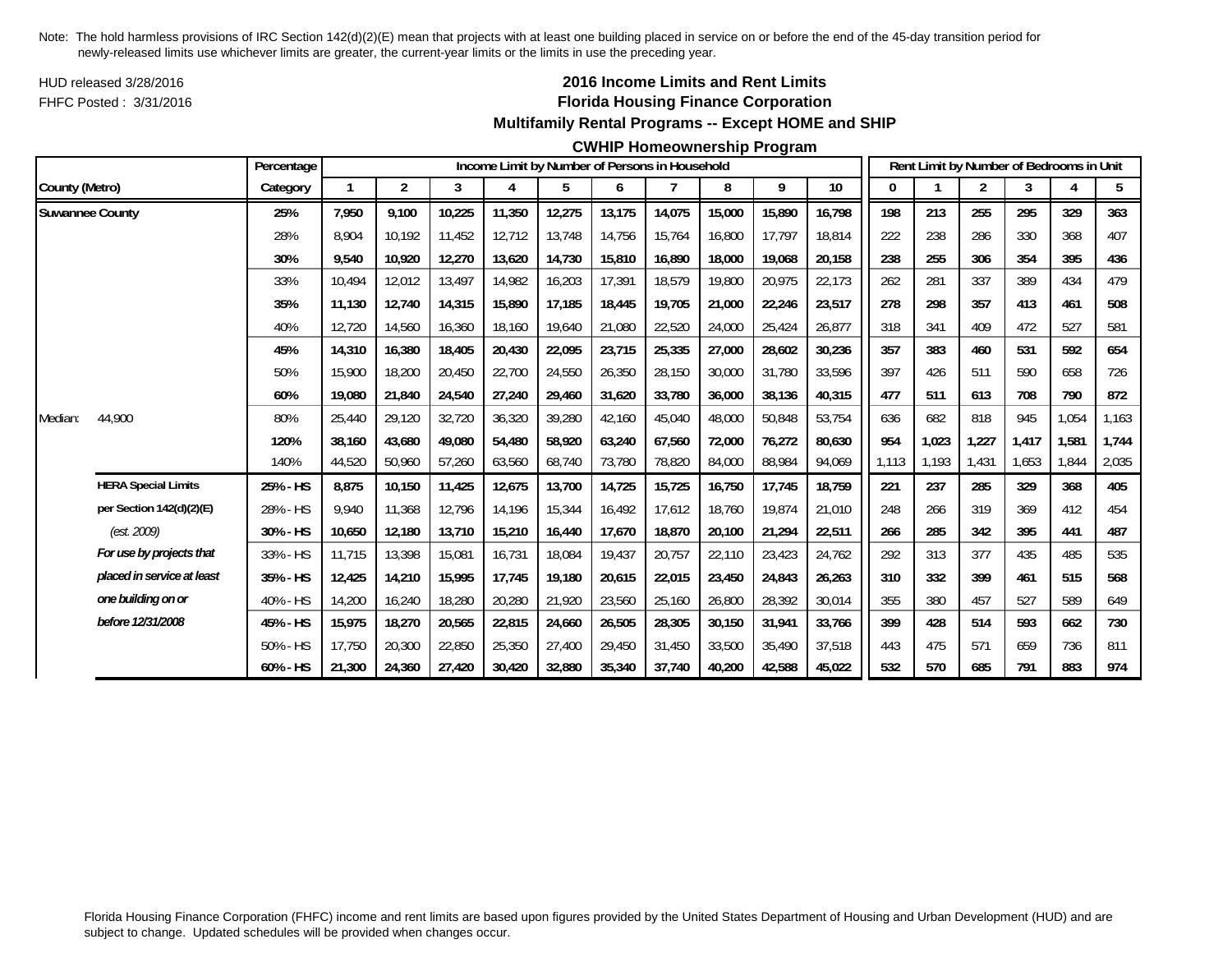HUD released 3/28/2016FHFC Posted : 3/31/2016

## **2016 Income Limits and Rent Limits Florida Housing Finance Corporation Multifamily Rental Programs -- Except HOME and SHIP**

### **CWHIP Homeownership Program**

|                        |                            | Percentage  |        |                |        |        |        |        | Income Limit by Number of Persons in Household |        |        |        |       |       | Rent Limit by Number of Bedrooms in Unit |       |       |       |
|------------------------|----------------------------|-------------|--------|----------------|--------|--------|--------|--------|------------------------------------------------|--------|--------|--------|-------|-------|------------------------------------------|-------|-------|-------|
| County (Metro)         |                            | Category    |        | $\overline{2}$ | 3      | 4      | 5      | 6      |                                                | 8      | 9      | $10$   | 0     |       | 2                                        | 3     |       | 5     |
| <b>Suwannee County</b> |                            | 25%         | 7,950  | 9.100          | 10,225 | 11,350 | 12,275 | 13,175 | 14,075                                         | 15,000 | 15,890 | 16,798 | 198   | 213   | 255                                      | 295   | 329   | 363   |
|                        |                            | 28%         | 8.904  | 10.192         | 11,452 | 12,712 | 13,748 | 14,756 | 15,764                                         | 16,800 | 17,797 | 18,814 | 222   | 238   | 286                                      | 330   | 368   | 407   |
|                        |                            | 30%         | 9,540  | 10,920         | 12,270 | 13,620 | 14,730 | 15,810 | 16,890                                         | 18,000 | 19,068 | 20,158 | 238   | 255   | 306                                      | 354   | 395   | 436   |
|                        |                            | 33%         | 10,494 | 12,012         | 13,497 | 14,982 | 16,203 | 17,391 | 18,579                                         | 19,800 | 20,975 | 22,173 | 262   | 281   | 337                                      | 389   | 434   | 479   |
|                        |                            | 35%         | 11,130 | 12,740         | 14,315 | 15,890 | 17,185 | 18,445 | 19.705                                         | 21,000 | 22,246 | 23,517 | 278   | 298   | 357                                      | 413   | 461   | 508   |
|                        |                            | 40%         | 12,720 | 14,560         | 16,360 | 18,160 | 19,640 | 21,080 | 22,520                                         | 24,000 | 25,424 | 26,877 | 318   | 341   | 409                                      | 472   | 527   | 581   |
|                        |                            | 45%         | 14,310 | 16,380         | 18,405 | 20,430 | 22,095 | 23,715 | 25,335                                         | 27,000 | 28,602 | 30,236 | 357   | 383   | 460                                      | 531   | 592   | 654   |
|                        |                            | 50%         | 15,900 | 18,200         | 20,450 | 22,700 | 24,550 | 26,350 | 28,150                                         | 30,000 | 31,780 | 33,596 | 397   | 426   | 511                                      | 590   | 658   | 726   |
|                        |                            | 60%         | 19,080 | 21,840         | 24,540 | 27,240 | 29,460 | 31,620 | 33,780                                         | 36,000 | 38,136 | 40,315 | 477   | 511   | 613                                      | 708   | 790   | 872   |
| Median:                | 44,900                     | 80%         | 25,440 | 29,120         | 32,720 | 36,320 | 39,280 | 42,160 | 45,040                                         | 48,000 | 50,848 | 53,754 | 636   | 682   | 818                                      | 945   | 1,054 | 1,163 |
|                        |                            | 120%        | 38.160 | 43,680         | 49,080 | 54,480 | 58,920 | 63,240 | 67.560                                         | 72,000 | 76,272 | 80,630 | 954   | 1,023 | 1,227                                    | 1.417 | 1,581 | 1,744 |
|                        |                            | 140%        | 44,520 | 50,960         | 57,260 | 63,560 | 68,740 | 73,780 | 78,820                                         | 84,000 | 88,984 | 94,069 | 1,113 | 1,193 | 1,431                                    | 1,653 | 1.844 | 2,035 |
|                        | <b>HERA Special Limits</b> | 25% - HS    | 8,875  | 10,150         | 11,425 | 12,675 | 13,700 | 14,725 | 15,725                                         | 16,750 | 17,745 | 18,759 | 221   | 237   | 285                                      | 329   | 368   | 405   |
|                        | per Section 142(d)(2)(E)   | 28% - HS    | 9,940  | 11,368         | 12,796 | 14,196 | 15,344 | 16,492 | 17,612                                         | 18,760 | 19,874 | 21,010 | 248   | 266   | 319                                      | 369   | 412   | 454   |
|                        | (est. 2009)                | 30% - HS    | 10.650 | 12,180         | 13,710 | 15,210 | 16,440 | 17,670 | 18.870                                         | 20,100 | 21,294 | 22,511 | 266   | 285   | 342                                      | 395   | 441   | 487   |
|                        | For use by projects that   | 33% - HS    | 11,715 | 13,398         | 15,081 | 16,731 | 18,084 | 19,437 | 20,757                                         | 22,110 | 23,423 | 24,762 | 292   | 313   | 377                                      | 435   | 485   | 535   |
|                        | placed in service at least | 35% - HS    | 12,425 | 14,210         | 15,995 | 17,745 | 19,180 | 20,615 | 22,015                                         | 23,450 | 24,843 | 26,263 | 310   | 332   | 399                                      | 461   | 515   | 568   |
|                        | one building on or         | 40% - HS    | 14,200 | 16,240         | 18,280 | 20,280 | 21,920 | 23,560 | 25,160                                         | 26,800 | 28,392 | 30,014 | 355   | 380   | 457                                      | 527   | 589   | 649   |
|                        | before 12/31/2008          | 45% - HS    | 15,975 | 18,270         | 20,565 | 22,815 | 24,660 | 26,505 | 28,305                                         | 30,150 | 31,941 | 33,766 | 399   | 428   | 514                                      | 593   | 662   | 730   |
|                        |                            | 50% - HS    | 17,750 | 20,300         | 22,850 | 25,350 | 27,400 | 29,450 | 31,450                                         | 33,500 | 35,490 | 37,518 | 443   | 475   | 571                                      | 659   | 736   | 811   |
|                        |                            | $60\% - HS$ | 21,300 | 24,360         | 27,420 | 30,420 | 32,880 | 35,340 | 37,740                                         | 40,200 | 42,588 | 45,022 | 532   | 570   | 685                                      | 791   | 883   | 974   |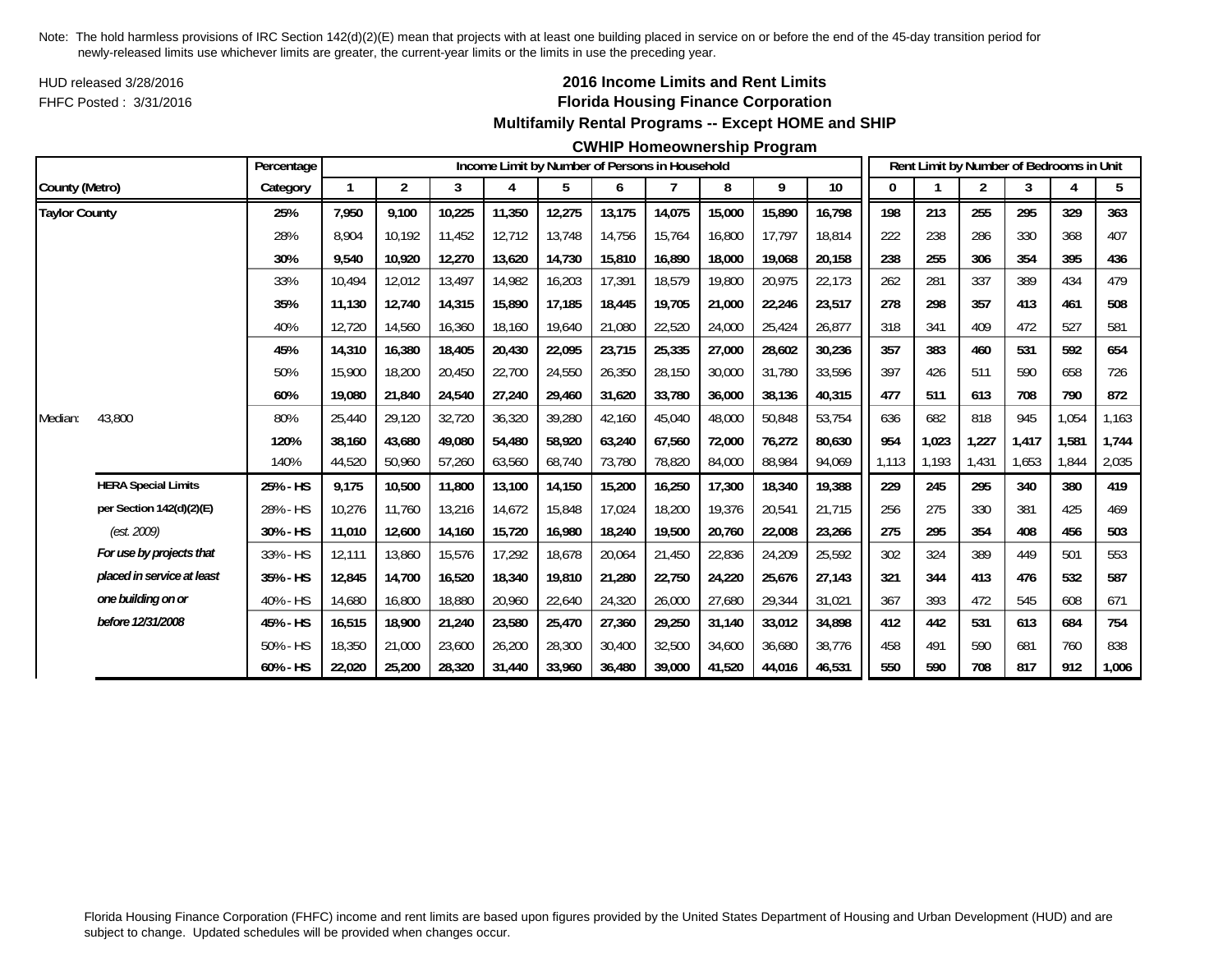HUD released 3/28/2016FHFC Posted : 3/31/2016

## **2016 Income Limits and Rent Limits Florida Housing Finance Corporation Multifamily Rental Programs -- Except HOME and SHIP**

#### **CWHIP Homeownership Program**

|                      |                            | Percentage |        |                |        |        | Income Limit by Number of Persons in Household |        |        |        |        |        |       |       | Rent Limit by Number of Bedrooms in Unit |       |       |       |
|----------------------|----------------------------|------------|--------|----------------|--------|--------|------------------------------------------------|--------|--------|--------|--------|--------|-------|-------|------------------------------------------|-------|-------|-------|
| County (Metro)       |                            | Category   |        | $\overline{2}$ | 3      | 4      | 5                                              | 6      |        | 8      | 9      | 10     | 0     |       | 2                                        | 3     | Δ     | 5     |
| <b>Taylor County</b> |                            | 25%        | 7,950  | 9,100          | 10,225 | 11,350 | 12,275                                         | 13,175 | 14,075 | 15,000 | 15,890 | 16,798 | 198   | 213   | 255                                      | 295   | 329   | 363   |
|                      |                            | 28%        | 8.904  | 10.192         | 11,452 | 12.712 | 13,748                                         | 14,756 | 15.764 | 16,800 | 17,797 | 18.814 | 222   | 238   | 286                                      | 330   | 368   | 407   |
|                      |                            | 30%        | 9,540  | 10,920         | 12,270 | 13,620 | 14,730                                         | 15,810 | 16,890 | 18,000 | 19,068 | 20,158 | 238   | 255   | 306                                      | 354   | 395   | 436   |
|                      |                            | 33%        | 10.494 | 12,012         | 13,497 | 14,982 | 16,203                                         | 17,391 | 18,579 | 19,800 | 20,975 | 22,173 | 262   | 281   | 337                                      | 389   | 434   | 479   |
|                      |                            | 35%        | 11,130 | 12,740         | 14,315 | 15,890 | 17,185                                         | 18,445 | 19,705 | 21,000 | 22,246 | 23,517 | 278   | 298   | 357                                      | 413   | 461   | 508   |
|                      |                            | 40%        | 12,720 | 14,560         | 16,360 | 18,160 | 19,640                                         | 21,080 | 22,520 | 24,000 | 25,424 | 26,877 | 318   | 341   | 409                                      | 472   | 527   | 581   |
|                      |                            | 45%        | 14,310 | 16,380         | 18,405 | 20,430 | 22,095                                         | 23,715 | 25,335 | 27,000 | 28,602 | 30,236 | 357   | 383   | 460                                      | 531   | 592   | 654   |
|                      |                            | 50%        | 15,900 | 18,200         | 20,450 | 22,700 | 24,550                                         | 26,350 | 28,150 | 30,000 | 31,780 | 33,596 | 397   | 426   | 511                                      | 590   | 658   | 726   |
|                      |                            | 60%        | 19,080 | 21,840         | 24,540 | 27,240 | 29,460                                         | 31,620 | 33,780 | 36,000 | 38,136 | 40,315 | 477   | 511   | 613                                      | 708   | 790   | 872   |
| Median:              | 43,800                     | 80%        | 25.440 | 29,120         | 32,720 | 36,320 | 39,280                                         | 42,160 | 45,040 | 48,000 | 50,848 | 53,754 | 636   | 682   | 818                                      | 945   | 1,054 | 1,163 |
|                      |                            | 120%       | 38,160 | 43,680         | 49,080 | 54,480 | 58,920                                         | 63,240 | 67,560 | 72,000 | 76,272 | 80,630 | 954   | 1,023 | 1,227                                    | 1,417 | 1,581 | 1,744 |
|                      |                            | 140%       | 44,520 | 50,960         | 57,260 | 63,560 | 68,740                                         | 73,780 | 78,820 | 84,000 | 88,984 | 94,069 | 1,113 | 1,193 | 1,431                                    | 1,653 | 1,844 | 2,035 |
|                      | <b>HERA Special Limits</b> | 25% - HS   | 9,175  | 10,500         | 11,800 | 13,100 | 14,150                                         | 15,200 | 16,250 | 17,300 | 18,340 | 19,388 | 229   | 245   | 295                                      | 340   | 380   | 419   |
|                      | per Section 142(d)(2)(E)   | 28% - HS   | 10,276 | 11,760         | 13,216 | 14,672 | 15,848                                         | 17,024 | 18,200 | 19,376 | 20,541 | 21,715 | 256   | 275   | 330                                      | 381   | 425   | 469   |
|                      | (est. 2009)                | 30% - HS   | 11,010 | 12,600         | 14,160 | 15,720 | 16,980                                         | 18,240 | 19,500 | 20,760 | 22,008 | 23,266 | 275   | 295   | 354                                      | 408   | 456   | 503   |
|                      | For use by projects that   | 33% - HS   | 12,111 | 13,860         | 15,576 | 17,292 | 18,678                                         | 20,064 | 21,450 | 22,836 | 24,209 | 25,592 | 302   | 324   | 389                                      | 449   | 501   | 553   |
|                      | placed in service at least | 35% - HS   | 12,845 | 14,700         | 16,520 | 18,340 | 19,810                                         | 21,280 | 22,750 | 24,220 | 25,676 | 27,143 | 321   | 344   | 413                                      | 476   | 532   | 587   |
|                      | one building on or         | 40% - HS   | 14,680 | 16,800         | 18,880 | 20,960 | 22,640                                         | 24,320 | 26,000 | 27,680 | 29,344 | 31,021 | 367   | 393   | 472                                      | 545   | 608   | 671   |
|                      | before 12/31/2008          | 45% - HS   | 16,515 | 18,900         | 21,240 | 23,580 | 25,470                                         | 27,360 | 29,250 | 31,140 | 33,012 | 34,898 | 412   | 442   | 531                                      | 613   | 684   | 754   |
|                      |                            | 50% - HS   | 18,350 | 21,000         | 23,600 | 26,200 | 28,300                                         | 30,400 | 32,500 | 34,600 | 36,680 | 38,776 | 458   | 491   | 590                                      | 681   | 760   | 838   |
|                      |                            | 60% - HS   | 22,020 | 25,200         | 28,320 | 31,440 | 33,960                                         | 36,480 | 39,000 | 41,520 | 44,016 | 46,531 | 550   | 590   | 708                                      | 817   | 912   | 1,006 |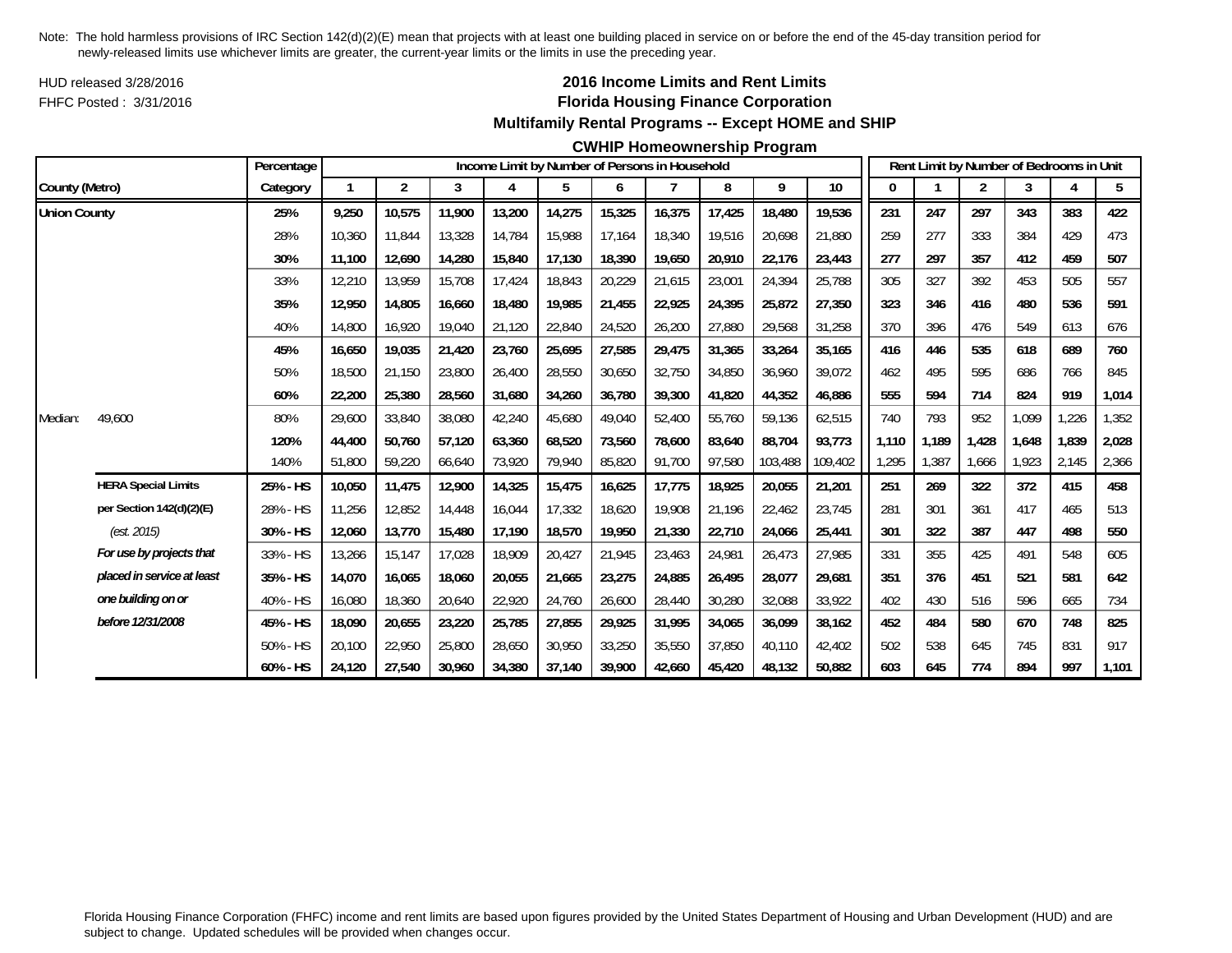HUD released 3/28/2016FHFC Posted : 3/31/2016

## **2016 Income Limits and Rent Limits Florida Housing Finance Corporation Multifamily Rental Programs -- Except HOME and SHIP**

#### **CWHIP Homeownership Program**

|                     |                            | Percentage |        |                |        |        |        |        | Income Limit by Number of Persons in Household |        |         |         |       |       | Rent Limit by Number of Bedrooms in Unit |       |       |       |
|---------------------|----------------------------|------------|--------|----------------|--------|--------|--------|--------|------------------------------------------------|--------|---------|---------|-------|-------|------------------------------------------|-------|-------|-------|
| County (Metro)      |                            | Category   |        | $\overline{2}$ | 3      | 4      | 5      | 6      |                                                | 8      | 9       | $10$    |       |       | 2                                        | 3     |       | 5     |
| <b>Union County</b> |                            | 25%        | 9,250  | 10,575         | 11,900 | 13,200 | 14,275 | 15,325 | 16,375                                         | 17,425 | 18,480  | 19,536  | 231   | 247   | 297                                      | 343   | 383   | 422   |
|                     |                            | 28%        | 10,360 | 11,844         | 13,328 | 14,784 | 15,988 | 17,164 | 18,340                                         | 19,516 | 20,698  | 21,880  | 259   | 277   | 333                                      | 384   | 429   | 473   |
|                     |                            | 30%        | 11,100 | 12,690         | 14,280 | 15,840 | 17,130 | 18,390 | 19,650                                         | 20,910 | 22,176  | 23,443  | 277   | 297   | 357                                      | 412   | 459   | 507   |
|                     |                            | 33%        | 12,210 | 13,959         | 15,708 | 17,424 | 18,843 | 20,229 | 21,615                                         | 23,001 | 24,394  | 25,788  | 305   | 327   | 392                                      | 453   | 505   | 557   |
|                     |                            | 35%        | 12,950 | 14,805         | 16,660 | 18,480 | 19,985 | 21,455 | 22,925                                         | 24,395 | 25,872  | 27,350  | 323   | 346   | 416                                      | 480   | 536   | 591   |
|                     |                            | 40%        | 14,800 | 16,920         | 19,040 | 21,120 | 22,840 | 24,520 | 26,200                                         | 27,880 | 29,568  | 31,258  | 370   | 396   | 476                                      | 549   | 613   | 676   |
|                     |                            | 45%        | 16,650 | 19,035         | 21,420 | 23,760 | 25,695 | 27,585 | 29,475                                         | 31,365 | 33,264  | 35,165  | 416   | 446   | 535                                      | 618   | 689   | 760   |
|                     |                            | 50%        | 18,500 | 21,150         | 23,800 | 26,400 | 28,550 | 30,650 | 32,750                                         | 34,850 | 36,960  | 39,072  | 462   | 495   | 595                                      | 686   | 766   | 845   |
|                     |                            | 60%        | 22,200 | 25,380         | 28,560 | 31,680 | 34,260 | 36,780 | 39,300                                         | 41,820 | 44,352  | 46,886  | 555   | 594   | 714                                      | 824   | 919   | 1,014 |
| Median:             | 49,600                     | 80%        | 29,600 | 33,840         | 38,080 | 42,240 | 45,680 | 49,040 | 52,400                                         | 55,760 | 59,136  | 62,515  | 740   | 793   | 952                                      | 1,099 | ,226  | 1,352 |
|                     |                            | 120%       | 44,400 | 50,760         | 57,120 | 63,360 | 68,520 | 73,560 | 78.600                                         | 83,640 | 88.704  | 93,773  | 1.110 | 1,189 | 1,428                                    | 1,648 | 1,839 | 2,028 |
|                     |                            | 140%       | 51,800 | 59,220         | 66,640 | 73,920 | 79,940 | 85,820 | 91,700                                         | 97,580 | 103,488 | 109,402 | 1,295 | 1,387 | 1,666                                    | 1,923 | 2,145 | 2,366 |
|                     | <b>HERA Special Limits</b> | 25% - HS   | 10,050 | 11,475         | 12,900 | 14,325 | 15,475 | 16,625 | 17,775                                         | 18,925 | 20,055  | 21,201  | 251   | 269   | 322                                      | 372   | 415   | 458   |
|                     | per Section 142(d)(2)(E)   | 28% - HS   | 11,256 | 12,852         | 14,448 | 16,044 | 17,332 | 18.620 | 19,908                                         | 21,196 | 22,462  | 23,745  | 281   | 301   | 361                                      | 417   | 465   | 513   |
|                     | (est. 2015)                | 30% - HS   | 12,060 | 13,770         | 15,480 | 17,190 | 18,570 | 19,950 | 21,330                                         | 22,710 | 24,066  | 25,441  | 301   | 322   | 387                                      | 447   | 498   | 550   |
|                     | For use by projects that   | 33% - HS   | 13,266 | 15,147         | 17,028 | 18,909 | 20,427 | 21,945 | 23,463                                         | 24,981 | 26,473  | 27,985  | 331   | 355   | 425                                      | 491   | 548   | 605   |
|                     | placed in service at least | 35% - HS   | 14,070 | 16,065         | 18,060 | 20,055 | 21,665 | 23,275 | 24,885                                         | 26,495 | 28,077  | 29,681  | 351   | 376   | 451                                      | 521   | 581   | 642   |
|                     | one building on or         | 40% - HS   | 16,080 | 18,360         | 20,640 | 22,920 | 24,760 | 26,600 | 28,440                                         | 30,280 | 32,088  | 33,922  | 402   | 430   | 516                                      | 596   | 665   | 734   |
|                     | before 12/31/2008          | 45% - HS   | 18,090 | 20,655         | 23,220 | 25,785 | 27,855 | 29,925 | 31,995                                         | 34,065 | 36,099  | 38,162  | 452   | 484   | 580                                      | 670   | 748   | 825   |
|                     |                            | 50% - HS   | 20,100 | 22,950         | 25,800 | 28,650 | 30,950 | 33,250 | 35,550                                         | 37,850 | 40,110  | 42,402  | 502   | 538   | 645                                      | 745   | 831   | 917   |
|                     |                            | 60% - HS   | 24,120 | 27,540         | 30,960 | 34,380 | 37,140 | 39,900 | 42.660                                         | 45,420 | 48,132  | 50,882  | 603   | 645   | 774                                      | 894   | 997   | 1,101 |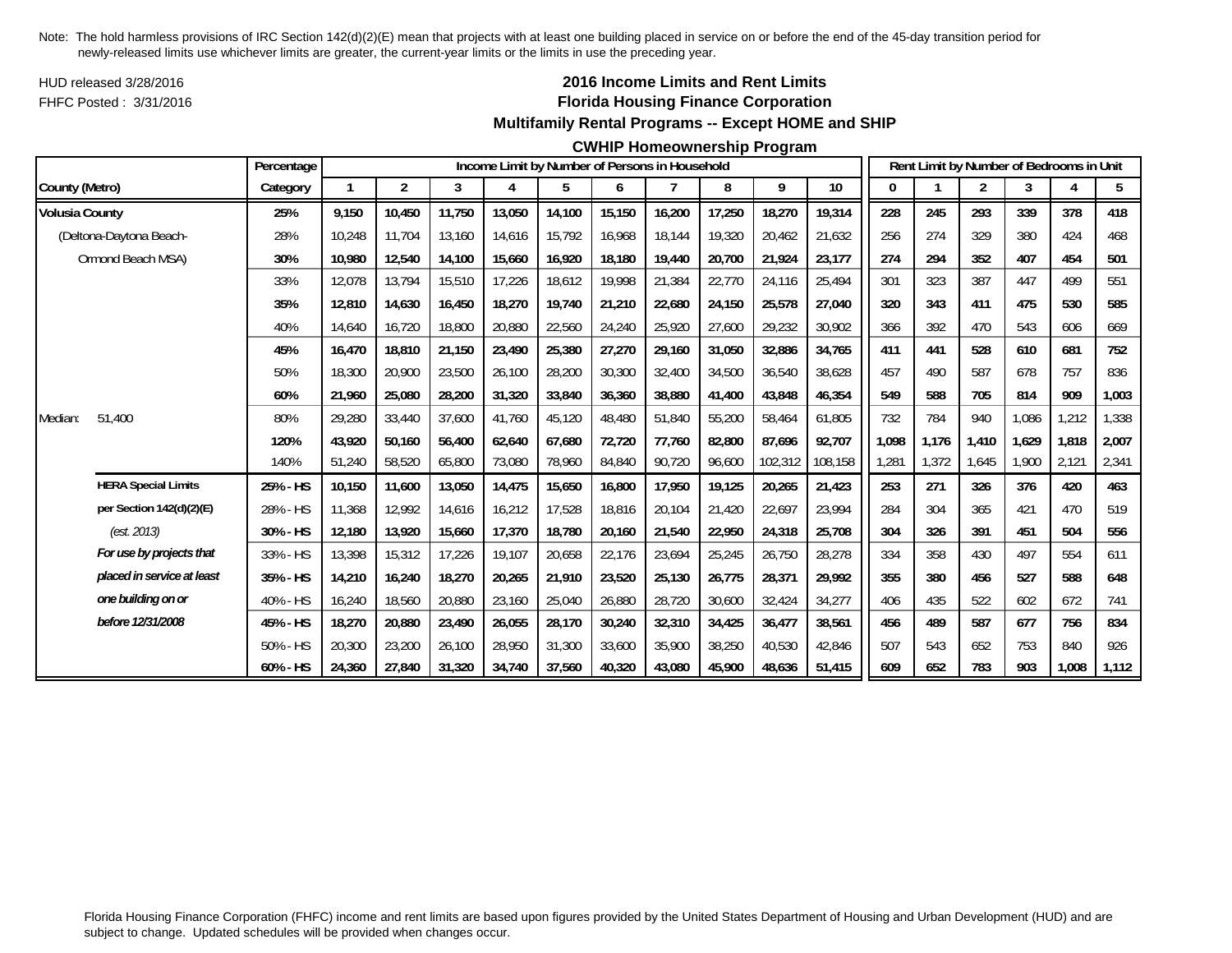HUD released 3/28/2016FHFC Posted : 3/31/2016

## **2016 Income Limits and Rent Limits Florida Housing Finance Corporation Multifamily Rental Programs -- Except HOME and SHIP**

#### **CWHIP Homeownership Program**

|                       |                            | Percentage |        |                         |        |        | Income Limit by Number of Persons in Household |        |        |        |         |         |       |       | Rent Limit by Number of Bedrooms in Unit |       |       |       |
|-----------------------|----------------------------|------------|--------|-------------------------|--------|--------|------------------------------------------------|--------|--------|--------|---------|---------|-------|-------|------------------------------------------|-------|-------|-------|
| County (Metro)        |                            | Category   |        | $\overline{\mathbf{c}}$ | 3      | 4      | 5                                              | 6      | 7      | 8      | 9       | 10      |       |       | 2                                        | 3     | 4     | 5     |
| <b>Volusia County</b> |                            | 25%        | 9,150  | 10,450                  | 11,750 | 13,050 | 14,100                                         | 15,150 | 16,200 | 17,250 | 18,270  | 19,314  | 228   | 245   | 293                                      | 339   | 378   | 418   |
|                       | (Deltona-Daytona Beach-    | 28%        | 10,248 | 11.704                  | 13.160 | 14,616 | 15,792                                         | 16,968 | 18.144 | 19,320 | 20,462  | 21,632  | 256   | 274   | 329                                      | 380   | 424   | 468   |
|                       | Ormond Beach MSA)          | 30%        | 10,980 | 12,540                  | 14,100 | 15,660 | 16,920                                         | 18,180 | 19,440 | 20,700 | 21,924  | 23,177  | 274   | 294   | 352                                      | 407   | 454   | 501   |
|                       |                            | 33%        | 12,078 | 13,794                  | 15,510 | 17,226 | 18,612                                         | 19,998 | 21,384 | 22,770 | 24,116  | 25,494  | 301   | 323   | 387                                      | 447   | 499   | 551   |
|                       |                            | 35%        | 12,810 | 14,630                  | 16,450 | 18,270 | 19,740                                         | 21,210 | 22,680 | 24,150 | 25,578  | 27,040  | 320   | 343   | 411                                      | 475   | 530   | 585   |
|                       |                            | 40%        | 14,640 | 16,720                  | 18,800 | 20,880 | 22,560                                         | 24,240 | 25,920 | 27,600 | 29,232  | 30,902  | 366   | 392   | 470                                      | 543   | 606   | 669   |
|                       |                            | 45%        | 16,470 | 18,810                  | 21,150 | 23,490 | 25,380                                         | 27,270 | 29,160 | 31,050 | 32,886  | 34,765  | 411   | 441   | 528                                      | 610   | 681   | 752   |
|                       |                            | 50%        | 18,300 | 20,900                  | 23,500 | 26,100 | 28,200                                         | 30,300 | 32,400 | 34,500 | 36,540  | 38,628  | 457   | 490   | 587                                      | 678   | 757   | 836   |
|                       |                            | 60%        | 21,960 | 25,080                  | 28,200 | 31,320 | 33,840                                         | 36,360 | 38,880 | 41,400 | 43,848  | 46,354  | 549   | 588   | 705                                      | 814   | 909   | 1,003 |
| Median:               | 51,400                     | 80%        | 29,280 | 33,440                  | 37.600 | 41,760 | 45,120                                         | 48,480 | 51,840 | 55,200 | 58,464  | 61,805  | 732   | 784   | 940                                      | 1.086 | ,212  | 1,338 |
|                       |                            | 120%       | 43,920 | 50,160                  | 56,400 | 62,640 | 67,680                                         | 72,720 | 77.760 | 82,800 | 87,696  | 92.707  | 1,098 | 1,176 | 1,410                                    | 1,629 | 1,818 | 2,007 |
|                       |                            | 140%       | 51,240 | 58,520                  | 65,800 | 73,080 | 78,960                                         | 84,840 | 90,720 | 96,600 | 102,312 | 108,158 | 1,281 | 1,372 | 1,645                                    | 1,900 | 2,121 | 2,341 |
|                       | <b>HERA Special Limits</b> | 25% - HS   | 10,150 | 11,600                  | 13,050 | 14,475 | 15,650                                         | 16,800 | 17,950 | 19,125 | 20,265  | 21,423  | 253   | 271   | 326                                      | 376   | 420   | 463   |
|                       | per Section 142(d)(2)(E)   | 28% - HS   | 11,368 | 12,992                  | 14,616 | 16,212 | 17,528                                         | 18,816 | 20.104 | 21,420 | 22,697  | 23,994  | 284   | 304   | 365                                      | 421   | 470   | 519   |
|                       | (est. 2013)                | 30% - HS   | 12,180 | 13,920                  | 15,660 | 17,370 | 18,780                                         | 20,160 | 21,540 | 22,950 | 24,318  | 25,708  | 304   | 326   | 391                                      | 451   | 504   | 556   |
|                       | For use by projects that   | 33% - HS   | 13,398 | 15,312                  | 17,226 | 19,107 | 20,658                                         | 22,176 | 23,694 | 25,245 | 26,750  | 28,278  | 334   | 358   | 430                                      | 497   | 554   | 611   |
|                       | placed in service at least | 35% - HS   | 14,210 | 16,240                  | 18,270 | 20,265 | 21,910                                         | 23,520 | 25,130 | 26,775 | 28,371  | 29,992  | 355   | 380   | 456                                      | 527   | 588   | 648   |
|                       | one building on or         | 40% - HS   | 16,240 | 18,560                  | 20,880 | 23,160 | 25,040                                         | 26,880 | 28,720 | 30,600 | 32,424  | 34,277  | 406   | 435   | 522                                      | 602   | 672   | 741   |
|                       | before 12/31/2008          | 45% - HS   | 18,270 | 20,880                  | 23,490 | 26,055 | 28,170                                         | 30,240 | 32,310 | 34,425 | 36,477  | 38,561  | 456   | 489   | 587                                      | 677   | 756   | 834   |
|                       |                            | 50% - HS   | 20,300 | 23,200                  | 26,100 | 28,950 | 31,300                                         | 33,600 | 35,900 | 38,250 | 40,530  | 42,846  | 507   | 543   | 652                                      | 753   | 840   | 926   |
|                       |                            | 60% - HS   | 24,360 | 27,840                  | 31,320 | 34,740 | 37,560                                         | 40,320 | 43,080 | 45,900 | 48,636  | 51,415  | 609   | 652   | 783                                      | 903   | 1,008 | 1,112 |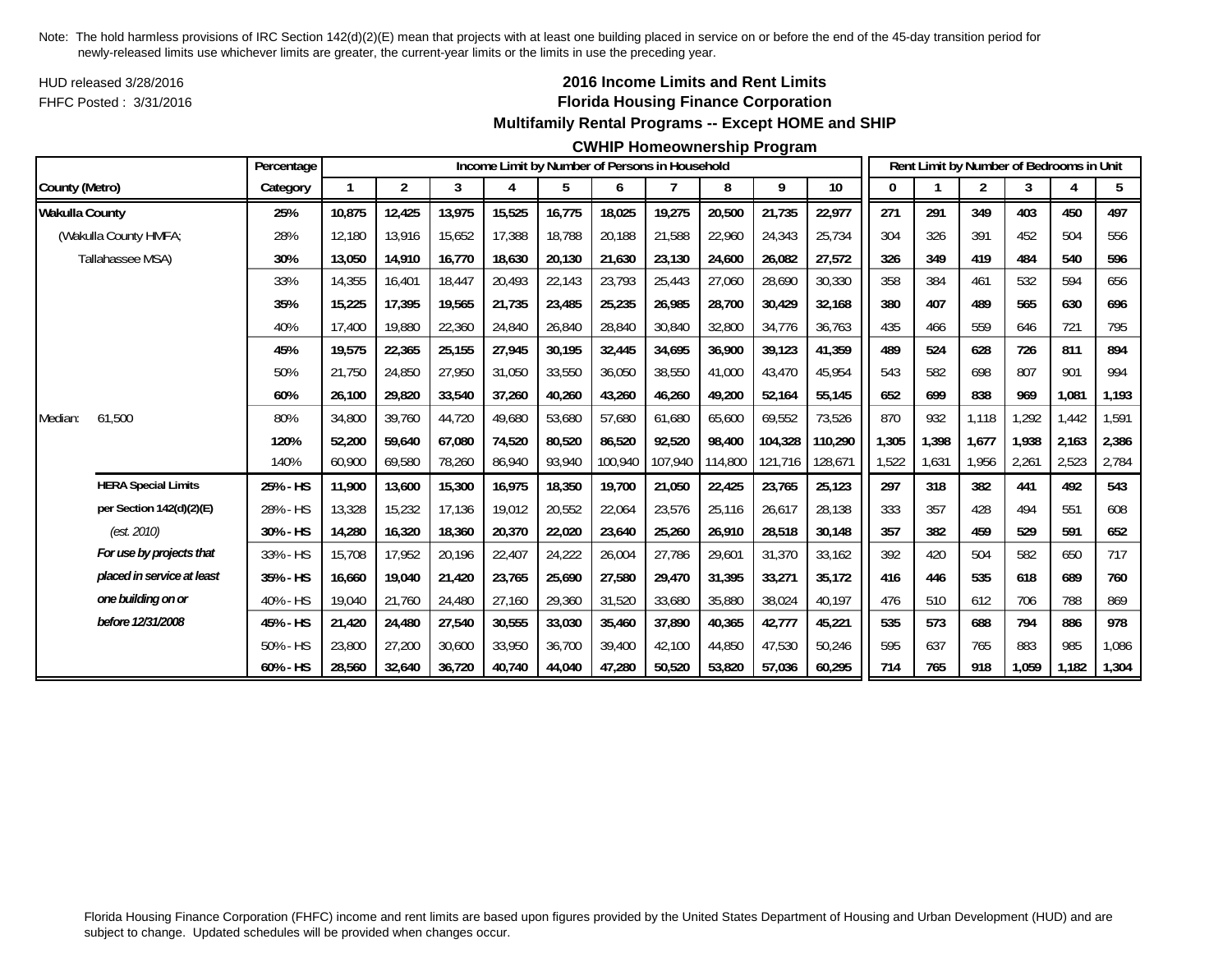HUD released 3/28/2016FHFC Posted : 3/31/2016

### **2016 Income Limits and Rent Limits Florida Housing Finance Corporation Multifamily Rental Programs -- Except HOME and SHIP**

#### **CWHIP Homeownership Program**

|                       |                            | Percentage |        |                         |        |        |        |         | Income Limit by Number of Persons in Household |         |         |         |       |       | Rent Limit by Number of Bedrooms in Unit |       |       |       |
|-----------------------|----------------------------|------------|--------|-------------------------|--------|--------|--------|---------|------------------------------------------------|---------|---------|---------|-------|-------|------------------------------------------|-------|-------|-------|
| County (Metro)        |                            | Category   |        | $\overline{\mathbf{c}}$ | 3      | 4      | 5      | 6       | 7                                              | 8       | 9       | 10      | 0     |       | $\overline{2}$                           | 3     |       | 5     |
| <b>Wakulla County</b> |                            | 25%        | 10,875 | 12,425                  | 13,975 | 15,525 | 16,775 | 18,025  | 19,275                                         | 20,500  | 21,735  | 22,977  | 271   | 291   | 349                                      | 403   | 450   | 497   |
|                       | (Wakulla County HMFA;      | 28%        | 12.180 | 13,916                  | 15,652 | 17,388 | 18.788 | 20,188  | 21,588                                         | 22,960  | 24,343  | 25,734  | 304   | 326   | 391                                      | 452   | 504   | 556   |
|                       | Tallahassee MSA)           | 30%        | 13,050 | 14,910                  | 16,770 | 18,630 | 20,130 | 21,630  | 23,130                                         | 24,600  | 26,082  | 27,572  | 326   | 349   | 419                                      | 484   | 540   | 596   |
|                       |                            | 33%        | 14,355 | 16,401                  | 18,447 | 20,493 | 22,143 | 23,793  | 25,443                                         | 27,060  | 28,690  | 30,330  | 358   | 384   | 461                                      | 532   | 594   | 656   |
|                       |                            | 35%        | 15,225 | 17,395                  | 19,565 | 21,735 | 23,485 | 25,235  | 26,985                                         | 28,700  | 30,429  | 32,168  | 380   | 407   | 489                                      | 565   | 630   | 696   |
|                       |                            | 40%        | 17.400 | 19,880                  | 22,360 | 24,840 | 26,840 | 28,840  | 30,840                                         | 32,800  | 34,776  | 36,763  | 435   | 466   | 559                                      | 646   | 721   | 795   |
|                       |                            | 45%        | 19,575 | 22,365                  | 25,155 | 27,945 | 30,195 | 32,445  | 34,695                                         | 36,900  | 39,123  | 41,359  | 489   | 524   | 628                                      | 726   | 811   | 894   |
|                       |                            | 50%        | 21,750 | 24,850                  | 27,950 | 31,050 | 33,550 | 36,050  | 38,550                                         | 41,000  | 43,470  | 45,954  | 543   | 582   | 698                                      | 807   | 901   | 994   |
|                       |                            | 60%        | 26,100 | 29,820                  | 33,540 | 37,260 | 40,260 | 43,260  | 46,260                                         | 49,200  | 52,164  | 55,145  | 652   | 699   | 838                                      | 969   | 1,081 | 1,193 |
| Median:               | 61,500                     | 80%        | 34,800 | 39.760                  | 44,720 | 49,680 | 53,680 | 57,680  | 61,680                                         | 65.600  | 69,552  | 73,526  | 870   | 932   | 1,118                                    | 1,292 | 1,442 | 1,591 |
|                       |                            | 120%       | 52,200 | 59.640                  | 67,080 | 74,520 | 80,520 | 86,520  | 92,520                                         | 98,400  | 104,328 | 110,290 | 1,305 | 1,398 | 1,677                                    | 1,938 | 2,163 | 2,386 |
|                       |                            | 140%       | 60,900 | 69,580                  | 78,260 | 86,940 | 93,940 | 100,940 | 107,940                                        | 114,800 | 121,716 | 128,671 | 1,522 | 1,631 | 1,956                                    | 2,261 | 2,523 | 2,784 |
|                       | <b>HERA Special Limits</b> | 25% - HS   | 11,900 | 13,600                  | 15,300 | 16,975 | 18,350 | 19,700  | 21,050                                         | 22,425  | 23,765  | 25,123  | 297   | 318   | 382                                      | 441   | 492   | 543   |
|                       | per Section 142(d)(2)(E)   | 28% - HS   | 13,328 | 15,232                  | 17,136 | 19,012 | 20,552 | 22,064  | 23,576                                         | 25,116  | 26,617  | 28,138  | 333   | 357   | 428                                      | 494   | 551   | 608   |
|                       | (est. 2010)                | 30% - HS   | 14,280 | 16,320                  | 18,360 | 20,370 | 22,020 | 23,640  | 25,260                                         | 26,910  | 28,518  | 30,148  | 357   | 382   | 459                                      | 529   | 591   | 652   |
|                       | For use by projects that   | 33% - HS   | 15,708 | 17,952                  | 20,196 | 22,407 | 24,222 | 26,004  | 27.786                                         | 29,601  | 31,370  | 33,162  | 392   | 420   | 504                                      | 582   | 650   | 717   |
|                       | placed in service at least | 35% - HS   | 16,660 | 19,040                  | 21,420 | 23,765 | 25,690 | 27,580  | 29,470                                         | 31,395  | 33,271  | 35,172  | 416   | 446   | 535                                      | 618   | 689   | 760   |
|                       | one building on or         | 40% - HS   | 19,040 | 21,760                  | 24,480 | 27,160 | 29,360 | 31,520  | 33,680                                         | 35,880  | 38,024  | 40,197  | 476   | 510   | 612                                      | 706   | 788   | 869   |
|                       | before 12/31/2008          | 45% - HS   | 21,420 | 24,480                  | 27,540 | 30,555 | 33,030 | 35,460  | 37,890                                         | 40,365  | 42,777  | 45,221  | 535   | 573   | 688                                      | 794   | 886   | 978   |
|                       |                            | 50% - HS   | 23,800 | 27,200                  | 30,600 | 33,950 | 36,700 | 39,400  | 42.100                                         | 44,850  | 47,530  | 50,246  | 595   | 637   | 765                                      | 883   | 985   | 1,086 |
|                       |                            | 60% - HS   | 28,560 | 32,640                  | 36,720 | 40,740 | 44,040 | 47,280  | 50,520                                         | 53,820  | 57,036  | 60,295  | 714   | 765   | 918                                      | 1,059 | 1,182 | 1,304 |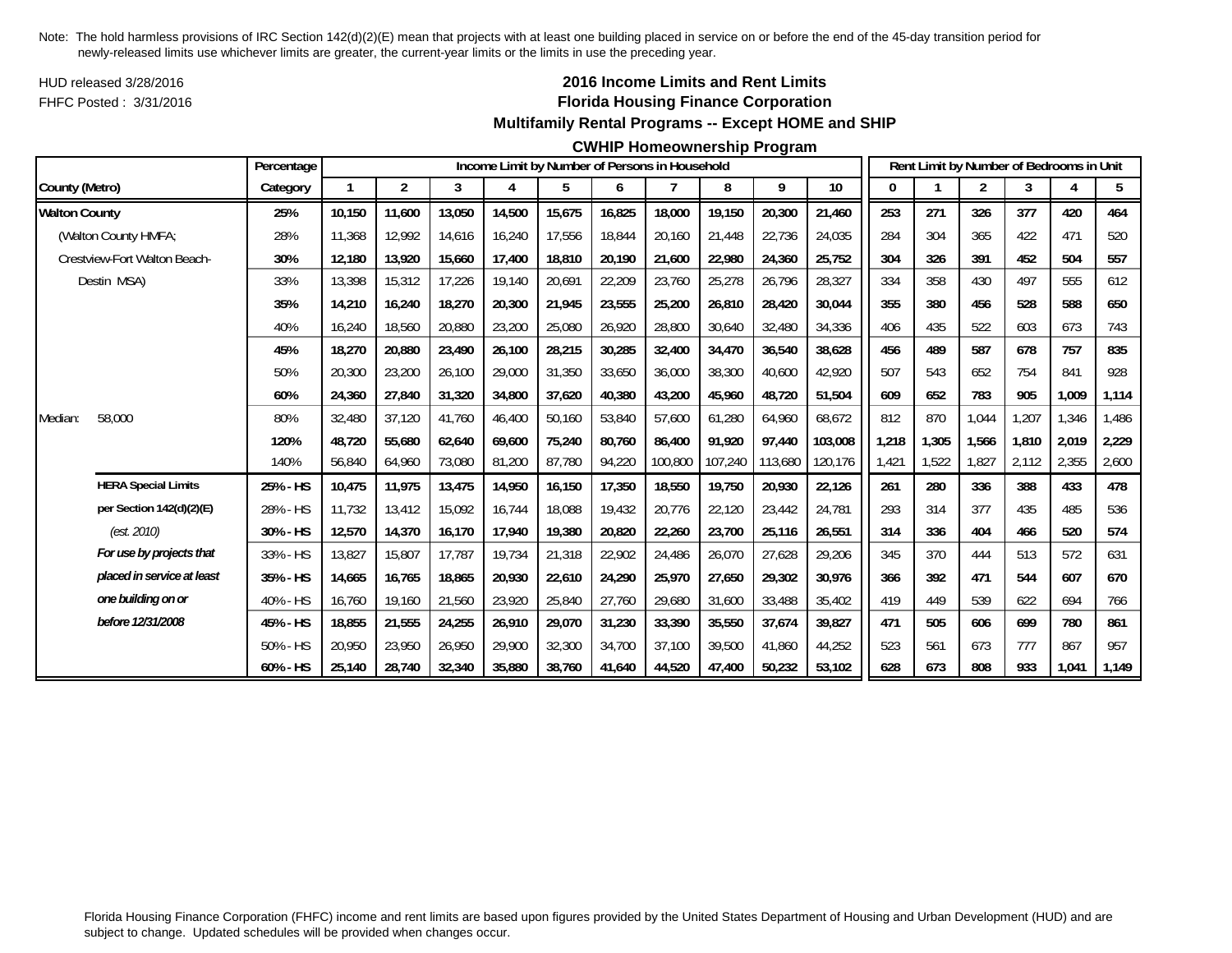HUD released 3/28/2016FHFC Posted : 3/31/2016

## **2016 Income Limits and Rent Limits Florida Housing Finance Corporation Multifamily Rental Programs -- Except HOME and SHIP**

### **CWHIP Homeownership Program**

|                              |                            | Percentage |        |        |        |        |        |        | Income Limit by Number of Persons in Household |         |         |         |       |       | Rent Limit by Number of Bedrooms in Unit |       |       |       |
|------------------------------|----------------------------|------------|--------|--------|--------|--------|--------|--------|------------------------------------------------|---------|---------|---------|-------|-------|------------------------------------------|-------|-------|-------|
| County (Metro)               |                            | Category   |        | 2      | 3      | 4      | 5      | 6      |                                                | 8       | 9       | $10$    | 0     |       | 2                                        | 3     |       | 5     |
| <b>Walton County</b>         |                            | 25%        | 10.150 | 11,600 | 13,050 | 14,500 | 15,675 | 16,825 | 18,000                                         | 19,150  | 20,300  | 21,460  | 253   | 271   | 326                                      | 377   | 420   | 464   |
| (Walton County HMFA;         |                            | 28%        | 11,368 | 12.992 | 14,616 | 16,240 | 17,556 | 18,844 | 20,160                                         | 21,448  | 22,736  | 24,035  | 284   | 304   | 365                                      | 422   | 471   | 520   |
| Crestview-Fort Walton Beach- |                            | 30%        | 12,180 | 13,920 | 15,660 | 17,400 | 18,810 | 20,190 | 21,600                                         | 22,980  | 24,360  | 25,752  | 304   | 326   | 391                                      | 452   | 504   | 557   |
| Destin MSA)                  |                            | 33%        | 13,398 | 15,312 | 17,226 | 19,140 | 20,691 | 22,209 | 23,760                                         | 25,278  | 26,796  | 28,327  | 334   | 358   | 430                                      | 497   | 555   | 612   |
|                              |                            | 35%        | 14,210 | 16,240 | 18,270 | 20,300 | 21,945 | 23,555 | 25,200                                         | 26,810  | 28,420  | 30,044  | 355   | 380   | 456                                      | 528   | 588   | 650   |
|                              |                            | 40%        | 16,240 | 18,560 | 20,880 | 23,200 | 25,080 | 26,920 | 28,800                                         | 30,640  | 32,480  | 34,336  | 406   | 435   | 522                                      | 603   | 673   | 743   |
|                              |                            | 45%        | 18,270 | 20,880 | 23,490 | 26,100 | 28,215 | 30,285 | 32,400                                         | 34,470  | 36,540  | 38,628  | 456   | 489   | 587                                      | 678   | 757   | 835   |
|                              |                            | 50%        | 20,300 | 23,200 | 26,100 | 29,000 | 31,350 | 33,650 | 36,000                                         | 38,300  | 40.600  | 42,920  | 507   | 543   | 652                                      | 754   | 841   | 928   |
|                              |                            | 60%        | 24,360 | 27,840 | 31,320 | 34,800 | 37,620 | 40,380 | 43,200                                         | 45,960  | 48,720  | 51,504  | 609   | 652   | 783                                      | 905   | 1,009 | 1,114 |
| 58,000<br>Median:            |                            | 80%        | 32,480 | 37,120 | 41,760 | 46,400 | 50,160 | 53,840 | 57,600                                         | 61,280  | 64,960  | 68,672  | 812   | 870   | 1,044                                    | ,207  | 1,346 | 1,486 |
|                              |                            | 120%       | 48.720 | 55,680 | 62,640 | 69,600 | 75,240 | 80.760 | 86.400                                         | 91,920  | 97,440  | 103,008 | 1,218 | 1,305 | 1,566                                    | 1,810 | 2,019 | 2,229 |
|                              |                            | 140%       | 56,840 | 64,960 | 73,080 | 81,200 | 87,780 | 94,220 | 100,800                                        | 107,240 | 113,680 | 120,176 | 1,421 | 1,522 | 1,827                                    | 2,112 | 2,355 | 2,600 |
| <b>HERA Special Limits</b>   |                            | 25% - HS   | 10,475 | 11,975 | 13,475 | 14,950 | 16,150 | 17,350 | 18,550                                         | 19,750  | 20,930  | 22,126  | 261   | 280   | 336                                      | 388   | 433   | 478   |
|                              | per Section 142(d)(2)(E)   | 28% - HS   | 11,732 | 13,412 | 15,092 | 16,744 | 18,088 | 19,432 | 20,776                                         | 22,120  | 23,442  | 24,781  | 293   | 314   | 377                                      | 435   | 485   | 536   |
| (est. 2010)                  |                            | 30% - HS   | 12,570 | 14,370 | 16,170 | 17,940 | 19,380 | 20,820 | 22,260                                         | 23,700  | 25,116  | 26,551  | 314   | 336   | 404                                      | 466   | 520   | 574   |
|                              | For use by projects that   | 33% - HS   | 13,827 | 15,807 | 17,787 | 19,734 | 21,318 | 22,902 | 24,486                                         | 26,070  | 27,628  | 29,206  | 345   | 370   | 444                                      | 513   | 572   | 631   |
|                              | placed in service at least | 35% - HS   | 14,665 | 16,765 | 18,865 | 20,930 | 22,610 | 24,290 | 25,970                                         | 27,650  | 29,302  | 30,976  | 366   | 392   | 471                                      | 544   | 607   | 670   |
| one building on or           |                            | 40% - HS   | 16,760 | 19,160 | 21,560 | 23,920 | 25,840 | 27,760 | 29,680                                         | 31,600  | 33,488  | 35,402  | 419   | 449   | 539                                      | 622   | 694   | 766   |
| before 12/31/2008            |                            | 45% - HS   | 18,855 | 21,555 | 24,255 | 26,910 | 29,070 | 31,230 | 33,390                                         | 35,550  | 37,674  | 39,827  | 471   | 505   | 606                                      | 699   | 780   | 861   |
|                              |                            | 50% - HS   | 20.950 | 23.950 | 26,950 | 29,900 | 32,300 | 34,700 | 37.100                                         | 39,500  | 41,860  | 44,252  | 523   | 561   | 673                                      | 777   | 867   | 957   |
|                              |                            | 60% - HS   | 25,140 | 28,740 | 32,340 | 35,880 | 38,760 | 41,640 | 44,520                                         | 47,400  | 50,232  | 53,102  | 628   | 673   | 808                                      | 933   | 1,041 | 1,149 |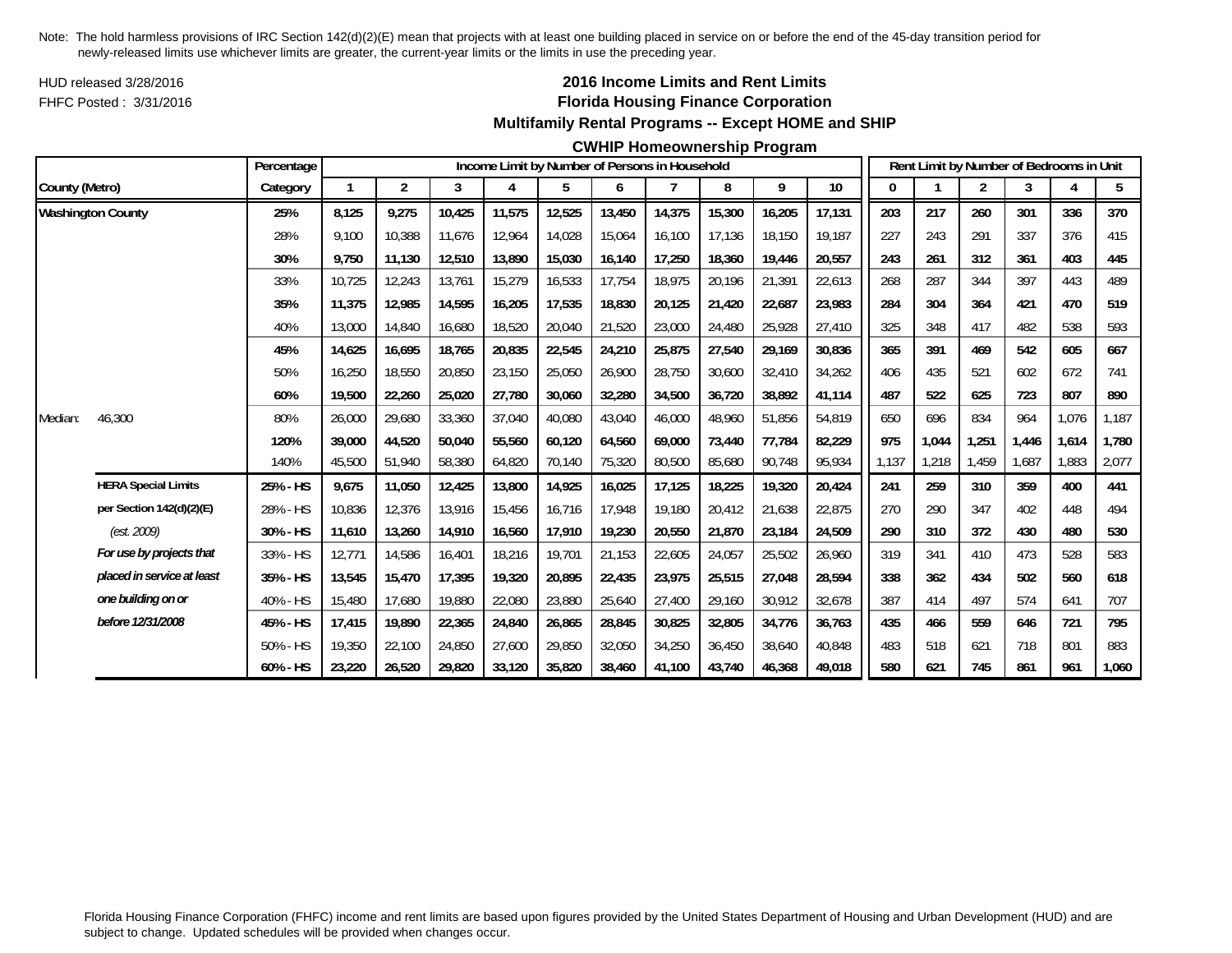HUD released 3/28/2016FHFC Posted : 3/31/2016

## **2016 Income Limits and Rent Limits Florida Housing Finance Corporation Multifamily Rental Programs -- Except HOME and SHIP**

### **CWHIP Homeownership Program**

|                |                            | Percentage  |        |                |        |        |        |        | Income Limit by Number of Persons in Household |        |        |        |       |       | Rent Limit by Number of Bedrooms in Unit |       |       |       |
|----------------|----------------------------|-------------|--------|----------------|--------|--------|--------|--------|------------------------------------------------|--------|--------|--------|-------|-------|------------------------------------------|-------|-------|-------|
| County (Metro) |                            | Category    |        | $\overline{2}$ | 3      | 4      | 5      | 6      |                                                | 8      | 9      | $10$   | 0     |       | 2                                        | 3     |       | 5     |
|                | <b>Washington County</b>   | 25%         | 8,125  | 9,275          | 10,425 | 11,575 | 12,525 | 13,450 | 14,375                                         | 15,300 | 16,205 | 17,131 | 203   | 217   | 260                                      | 301   | 336   | 370   |
|                |                            | 28%         | 9.100  | 10,388         | 11,676 | 12,964 | 14,028 | 15,064 | 16.100                                         | 17,136 | 18,150 | 19,187 | 227   | 243   | 291                                      | 337   | 376   | 415   |
|                |                            | 30%         | 9,750  | 11,130         | 12,510 | 13,890 | 15,030 | 16,140 | 17,250                                         | 18,360 | 19,446 | 20,557 | 243   | 261   | 312                                      | 361   | 403   | 445   |
|                |                            | 33%         | 10,725 | 12,243         | 13,761 | 15,279 | 16,533 | 17,754 | 18,975                                         | 20,196 | 21,391 | 22,613 | 268   | 287   | 344                                      | 397   | 443   | 489   |
|                |                            | 35%         | 11,375 | 12,985         | 14,595 | 16,205 | 17,535 | 18,830 | 20,125                                         | 21,420 | 22,687 | 23,983 | 284   | 304   | 364                                      | 421   | 470   | 519   |
|                |                            | 40%         | 13,000 | 14,840         | 16,680 | 18,520 | 20,040 | 21,520 | 23,000                                         | 24,480 | 25,928 | 27,410 | 325   | 348   | 417                                      | 482   | 538   | 593   |
|                |                            | 45%         | 14,625 | 16,695         | 18,765 | 20,835 | 22,545 | 24,210 | 25,875                                         | 27,540 | 29,169 | 30,836 | 365   | 391   | 469                                      | 542   | 605   | 667   |
|                |                            | 50%         | 16,250 | 18,550         | 20,850 | 23,150 | 25,050 | 26,900 | 28,750                                         | 30,600 | 32,410 | 34,262 | 406   | 435   | 521                                      | 602   | 672   | 741   |
|                |                            | 60%         | 19,500 | 22,260         | 25,020 | 27,780 | 30,060 | 32,280 | 34,500                                         | 36,720 | 38,892 | 41,114 | 487   | 522   | 625                                      | 723   | 807   | 890   |
| Median:        | 46,300                     | 80%         | 26,000 | 29,680         | 33,360 | 37,040 | 40,080 | 43,040 | 46,000                                         | 48,960 | 51,856 | 54,819 | 650   | 696   | 834                                      | 964   | 1,076 | 1,187 |
|                |                            | 120%        | 39,000 | 44,520         | 50,040 | 55,560 | 60,120 | 64,560 | 69.000                                         | 73,440 | 77,784 | 82,229 | 975   | 1,044 | 1,251                                    | 1.446 | 1,614 | 1.780 |
|                |                            | 140%        | 45,500 | 51,940         | 58,380 | 64,820 | 70,140 | 75,320 | 80,500                                         | 85,680 | 90,748 | 95,934 | 1,137 | 1,218 | 1,459                                    | 1,687 | .883  | 2,077 |
|                | <b>HERA Special Limits</b> | 25% - HS    | 9,675  | 11,050         | 12,425 | 13,800 | 14,925 | 16,025 | 17,125                                         | 18,225 | 19,320 | 20,424 | 241   | 259   | 310                                      | 359   | 400   | 441   |
|                | per Section 142(d)(2)(E)   | 28% - HS    | 10,836 | 12,376         | 13,916 | 15,456 | 16,716 | 17,948 | 19,180                                         | 20,412 | 21,638 | 22,875 | 270   | 290   | 347                                      | 402   | 448   | 494   |
|                | (est. 2009)                | 30% - HS    | 11,610 | 13,260         | 14,910 | 16,560 | 17,910 | 19,230 | 20,550                                         | 21,870 | 23,184 | 24.509 | 290   | 310   | 372                                      | 430   | 480   | 530   |
|                | For use by projects that   | 33% - HS    | 12,771 | 14,586         | 16,401 | 18,216 | 19,701 | 21,153 | 22,605                                         | 24,057 | 25,502 | 26,960 | 319   | 341   | 410                                      | 473   | 528   | 583   |
|                | placed in service at least | 35% - HS    | 13,545 | 15,470         | 17,395 | 19,320 | 20,895 | 22,435 | 23,975                                         | 25,515 | 27,048 | 28,594 | 338   | 362   | 434                                      | 502   | 560   | 618   |
|                | one building on or         | 40% - HS    | 15,480 | 17,680         | 19,880 | 22,080 | 23,880 | 25,640 | 27,400                                         | 29,160 | 30,912 | 32,678 | 387   | 414   | 497                                      | 574   | 641   | 707   |
|                | before 12/31/2008          | 45% - HS    | 17,415 | 19,890         | 22,365 | 24,840 | 26,865 | 28,845 | 30.825                                         | 32,805 | 34,776 | 36,763 | 435   | 466   | 559                                      | 646   | 721   | 795   |
|                |                            | 50% - HS    | 19,350 | 22,100         | 24,850 | 27,600 | 29,850 | 32,050 | 34,250                                         | 36,450 | 38,640 | 40,848 | 483   | 518   | 621                                      | 718   | 801   | 883   |
|                |                            | $60\% - HS$ | 23,220 | 26,520         | 29,820 | 33,120 | 35,820 | 38,460 | 41,100                                         | 43,740 | 46,368 | 49,018 | 580   | 621   | 745                                      | 861   | 961   | 1,060 |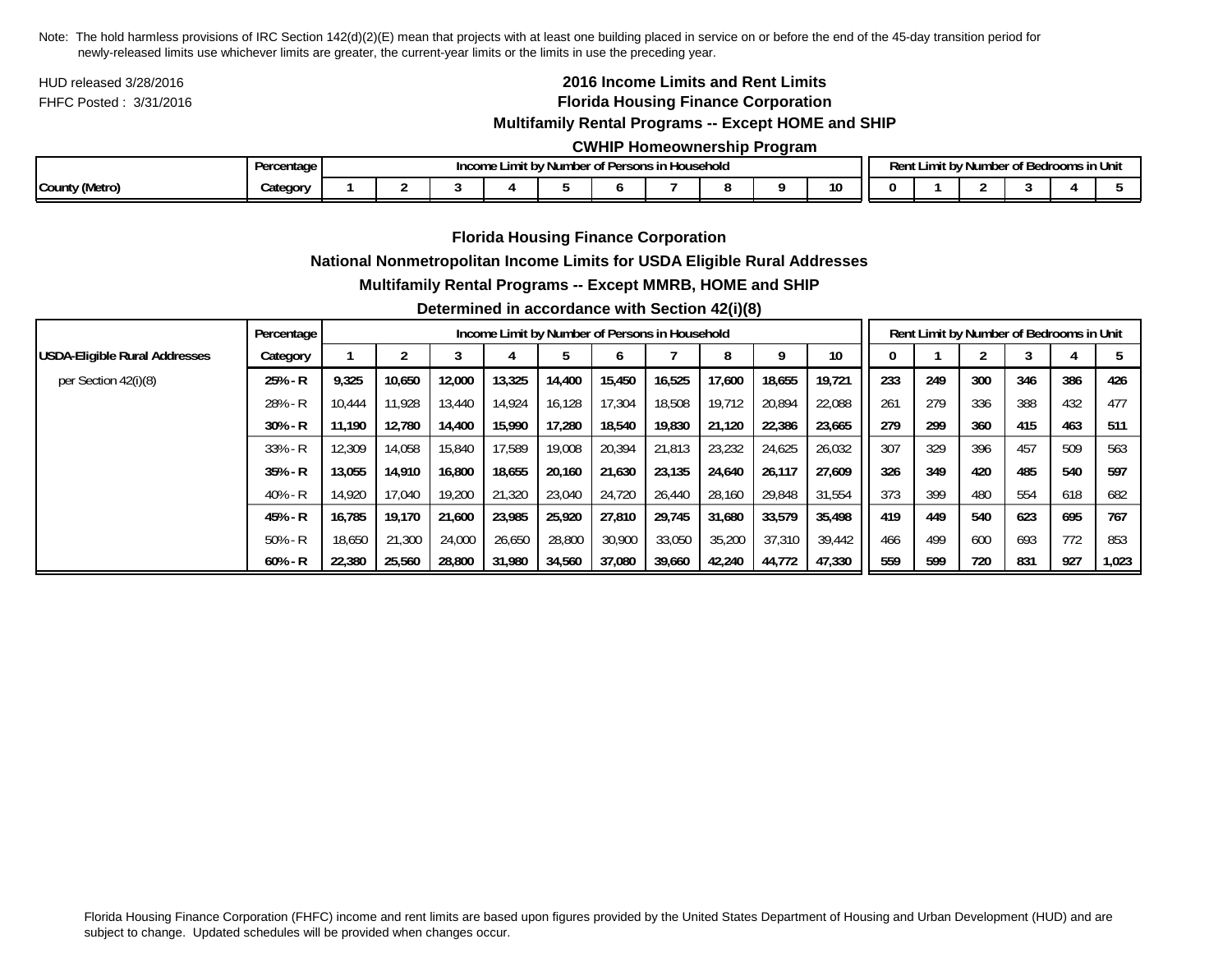HUD released 3/28/2016FHFC Posted : 3/31/2016

# **2016 Income Limits and Rent Limits Florida Housing Finance Corporation**

## **Multifamily Rental Programs -- Except HOME and SHIP**

### **CWHIP Homeownership Program**

|                | Dorr<br>rcentage<br>- 61.<br> | $\sim$<br>Income<br>' Number of Persons in Household<br>10017<br>. DV |  |  |  |  |  |  |  |              | Rent |  | $\sim$ $\sim$<br>t by Number of Bedrooms in Unit |  |
|----------------|-------------------------------|-----------------------------------------------------------------------|--|--|--|--|--|--|--|--------------|------|--|--------------------------------------------------|--|
| County (Metro) | ategory                       |                                                                       |  |  |  |  |  |  |  | $\sim$<br>10 |      |  |                                                  |  |

### **Florida Housing Finance Corporation**

### **National Nonmetropolitan Income Limits for USDA Eligible Rural Addresses**

#### **Multifamily Rental Programs -- Except MMRB, HOME and SHIP**

### **Determined in accordance with Section 42(i)(8)**

|                               | Percentage |        | Income Limit by Number of Persons in Household |        |        |        |        |        |        |        |        |     |     | Rent Limit by Number of Bedrooms in Unit |     |     |       |
|-------------------------------|------------|--------|------------------------------------------------|--------|--------|--------|--------|--------|--------|--------|--------|-----|-----|------------------------------------------|-----|-----|-------|
| USDA-Eligible Rural Addresses | Category   |        |                                                | 3      |        |        |        |        | 8      |        | 10     |     |     |                                          |     |     |       |
| per Section 42(i)(8)          | $25% - R$  | 9,325  | 10.650                                         | 12,000 | 13,325 | 14,400 | 15,450 | 16.525 | 17,600 | 18,655 | 19.721 | 233 | 249 | 300                                      | 346 | 386 | 426   |
|                               | $28% - R$  | 10.444 | 11.928                                         | 13,440 | 14.924 | 16.128 | 17.304 | 18,508 | 19.712 | 20.894 | 22,088 | 261 | 279 | 336                                      | 388 | 432 | 477   |
|                               | $30\% - R$ | 11.190 | 12.780                                         | 14,400 | 15,990 | 17.280 | 18,540 | 19,830 | 21,120 | 22,386 | 23.665 | 279 | 299 | 360                                      | 415 | 463 | 511   |
|                               | $33% - R$  | 12,309 | 14.058                                         | 15,840 | 17.589 | 19,008 | 20,394 | 21,813 | 23,232 | 24,625 | 26,032 | 307 | 329 | 396                                      | 457 | 509 | 563   |
|                               | $35% - R$  | 13.055 | 14.910                                         | 16,800 | 18,655 | 20,160 | 21,630 | 23.135 | 24,640 | 26,117 | 27.609 | 326 | 349 | 420                                      | 485 | 540 | 597   |
|                               | $40% - R$  | 14.920 | 17.040                                         | 19,200 | 21,320 | 23,040 | 24.720 | 26.440 | 28,160 | 29.848 | 31.554 | 373 | 399 | 480                                      | 554 | 618 | 682   |
|                               | $45%$ - R  | 16.785 | 19.170                                         | 21.600 | 23.985 | 25,920 | 27.810 | 29.745 | 31.680 | 33.579 | 35,498 | 419 | 449 | 540                                      | 623 | 695 | 767   |
|                               | $50\% - R$ | 18,650 | 21,300                                         | 24,000 | 26,650 | 28,800 | 30,900 | 33,050 | 35,200 | 37,310 | 39,442 | 466 | 499 | 600                                      | 693 | 772 | 853   |
|                               | $60\% - R$ | 22,380 | 25,560                                         | 28,800 | 31,980 | 34,560 | 37,080 | 39,660 | 42,240 | 44,772 | 47,330 | 559 | 599 | 720                                      | 831 | 927 | 1,023 |